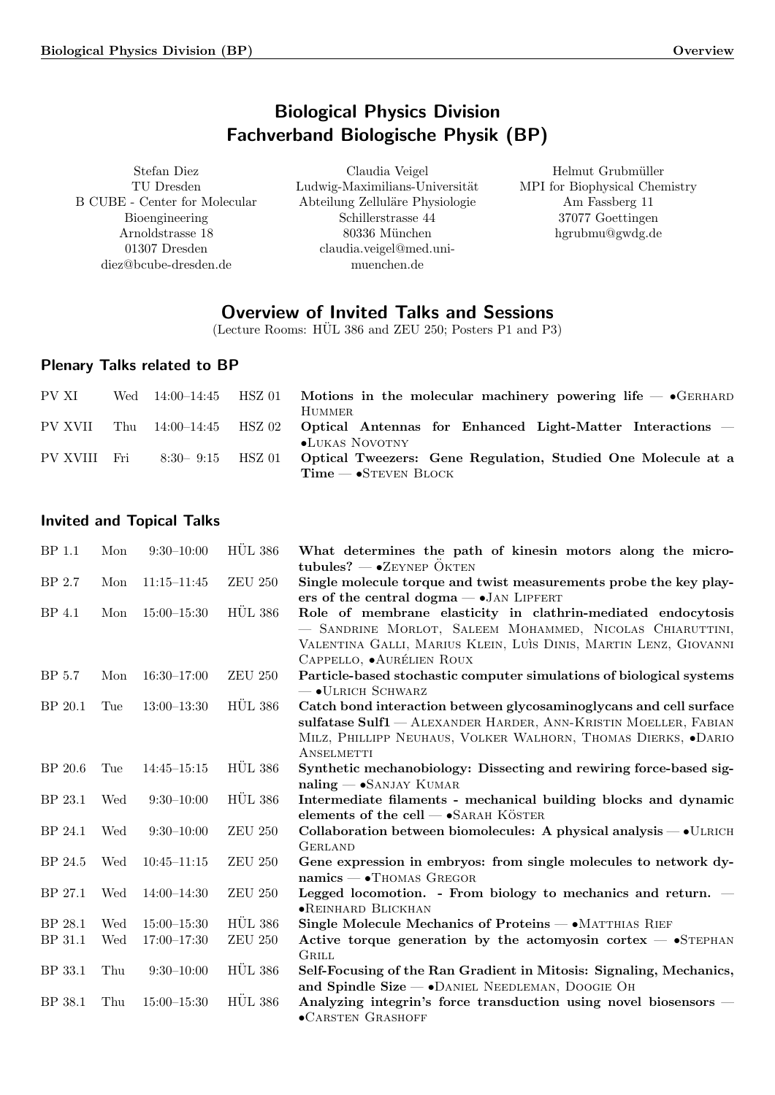# Biological Physics Division Fachverband Biologische Physik (BP)

<span id="page-0-0"></span>Stefan Diez TU Dresden B CUBE - Center for Molecular Bioengineering Arnoldstrasse 18 01307 Dresden diez@bcube-dresden.de

Claudia Veigel Ludwig-Maximilians-Universität Abteilung Zelluläre Physiologie Schillerstrasse 44 80336 München claudia.veigel@med.unimuenchen.de

Helmut Grubmüller MPI for Biophysical Chemistry Am Fassberg 11 37077 Goettingen hgrubmu@gwdg.de

# Overview of Invited Talks and Sessions

(Lecture Rooms:  $HÜL 386$  and  $ZEU 250$ ; Posters P1 and P3)

# Plenary Talks related to BP

| PV XI        | Wed | 14:00–14:45   |        | $HSZ$ 01 Motions in the molecular machinery powering life $-$ • GERHARD<br>HUMMER.                      |
|--------------|-----|---------------|--------|---------------------------------------------------------------------------------------------------------|
| PV XVII      | Thu |               |        | $14:00-14:45$ HSZ 02 Optical Antennas for Enhanced Light-Matter Interactions –<br><b>•LUKAS NOVOTNY</b> |
| PV XVIII Fri |     | $8:30 - 9:15$ | HSZ 01 | Optical Tweezers: Gene Regulation, Studied One Molecule at a<br>$Time - S$ TEVEN BLOCK                  |

# Invited and Topical Talks

| BP 1.1  | Mon | $9:30-10:00$    | <b>HÜL 386</b>  | What determines the path of kinesin motors along the micro-<br>tubules? $-$ • ZEYNEP OKTEN                                                                                                                                        |
|---------|-----|-----------------|-----------------|-----------------------------------------------------------------------------------------------------------------------------------------------------------------------------------------------------------------------------------|
| BP 2.7  | Mon | $11:15 - 11:45$ | <b>ZEU 250</b>  | Single molecule torque and twist measurements probe the key play-<br>ers of the central dogma $ \bullet$ JAN LIPFERT                                                                                                              |
| BP 4.1  | Mon | $15:00 - 15:30$ | <b>HUL 386</b>  | Role of membrane elasticity in clathrin-mediated endocytosis<br>- SANDRINE MORLOT, SALEEM MOHAMMED, NICOLAS CHIARUTTINI,<br>VALENTINA GALLI, MARIUS KLEIN, LUÌS DINIS, MARTIN LENZ, GIOVANNI<br>CAPPELLO, $\bullet$ AURÉLIEN ROUX |
| BP 5.7  | Mon | $16:30-17:00$   | <b>ZEU 250</b>  | Particle-based stochastic computer simulations of biological systems<br>$ \bullet$ ULRICH SCHWARZ                                                                                                                                 |
| BP 20.1 | Tue | $13:00-13:30$   | <b>HÜL 386</b>  | Catch bond interaction between glycosaminoglycans and cell surface<br>sulfatase Sulf1 - ALEXANDER HARDER, ANN-KRISTIN MOELLER, FABIAN<br>MILZ, PHILLIPP NEUHAUS, VOLKER WALHORN, THOMAS DIERKS, .DARIO<br>ANSELMETTI              |
| BP 20.6 | Tue | $14:45 - 15:15$ | <b>HÜL 386</b>  | Synthetic mechanobiology: Dissecting and rewiring force-based sig-<br>$naling - SANJAY KUMAR$                                                                                                                                     |
| BP 23.1 | Wed | $9:30 - 10:00$  | <b>HÜL 386</b>  | Intermediate filaments - mechanical building blocks and dynamic<br>elements of the cell $ \bullet$ SARAH KÖSTER                                                                                                                   |
| BP 24.1 | Wed | $9:30-10:00$    | <b>ZEU 250</b>  | Collaboration between biomolecules: A physical analysis - $\bullet$ ULRICH<br><b>GERLAND</b>                                                                                                                                      |
| BP 24.5 | Wed | $10:45 - 11:15$ | <b>ZEU 250</b>  | Gene expression in embryos: from single molecules to network dy-<br>$namics - \bullet$ Thomas Gregor                                                                                                                              |
| BP 27.1 | Wed | $14:00-14:30$   | <b>ZEU 250</b>  | Legged locomotion. - From biology to mechanics and return. $-$<br>• REINHARD BLICKHAN                                                                                                                                             |
| BP 28.1 | Wed | $15:00 - 15:30$ | <b>HÜL 386</b>  | Single Molecule Mechanics of Proteins — • MATTHIAS RIEF                                                                                                                                                                           |
| BP 31.1 | Wed | $17:00 - 17:30$ | ${\rm ZEU}$ 250 | Active torque generation by the actomyosin cortex $-$ •STEPHAN<br><b>GRILL</b>                                                                                                                                                    |
| BP 33.1 | Thu | $9:30-10:00$    | <b>HÜL 386</b>  | Self-Focusing of the Ran Gradient in Mitosis: Signaling, Mechanics,<br>and Spindle Size - • DANIEL NEEDLEMAN, DOOGIE OH                                                                                                           |
| BP 38.1 | Thu | $15:00 - 15:30$ | <b>HÜL 386</b>  | Analyzing integrin's force transduction using novel biosensors –<br>·CARSTEN GRASHOFF                                                                                                                                             |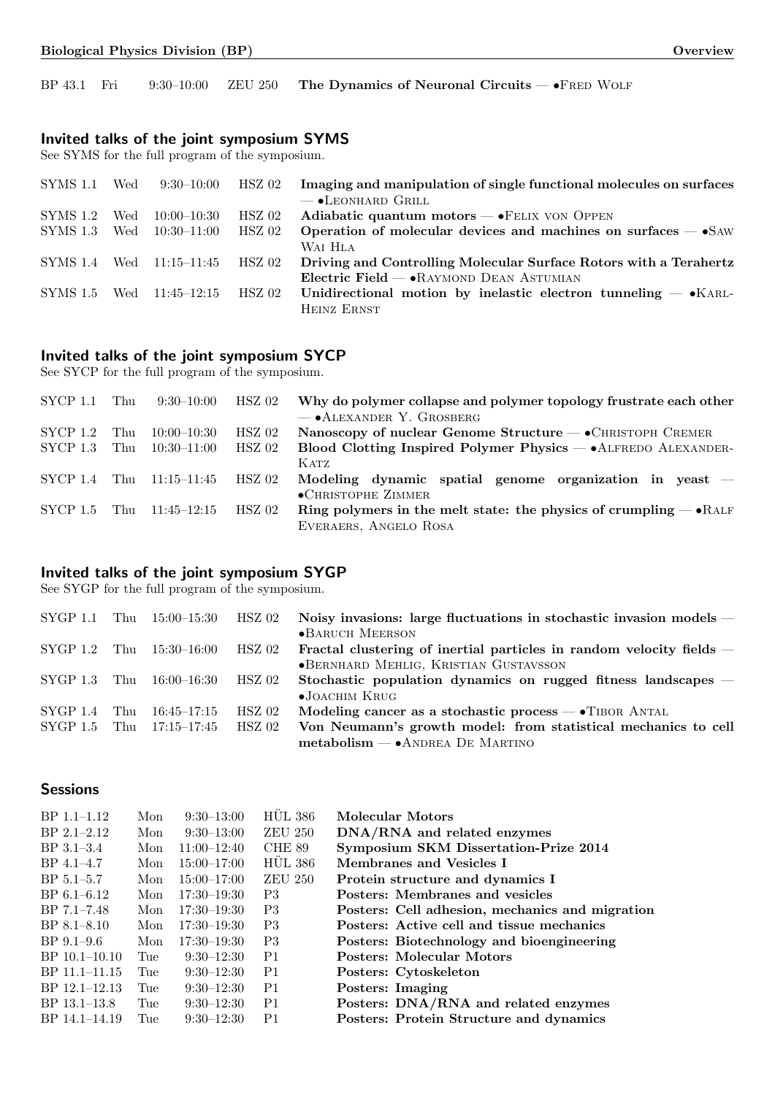BP 43.1 Fri 9:30-10:00 ZEU 250 The Dynamics of Neuronal Circuits — •FRED WOLF

# Invited talks of the joint symposium SYMS

See SYMS for the full program of the symposium.

| SYMS 1.1 | Wed | 9:30–10:00                      | HSZ 02   | Imaging and manipulation of single functional molecules on surfaces |
|----------|-----|---------------------------------|----------|---------------------------------------------------------------------|
|          |     |                                 |          | $\overline{\phantom{a}}$ • LEONHARD GRILL                           |
| SYMS 1.2 | Wed | 10:00–10:30                     | $HSZ$ 02 | Adiabatic quantum motors $-\bullet$ FELIX VON OPPEN                 |
|          |     | SYMS 1.3 Wed 10:30-11:00        | HSZ 02   | Operation of molecular devices and machines on surfaces $-$ •SAW    |
|          |     |                                 |          | WAI HLA                                                             |
|          |     | SYMS 1.4 Wed 11:15-11:45 HSZ 02 |          | Driving and Controlling Molecular Surface Rotors with a Terahertz   |
|          |     |                                 |          | Electric Field $\rightarrow$ RAYMOND DEAN ASTUMIAN                  |
|          |     | SYMS 1.5 Wed 11:45-12:15        | HSZ 02   | Unidirectional motion by inelastic electron tunneling $-$ • KARL-   |
|          |     |                                 |          | HEINZ ERNST                                                         |

# Invited talks of the joint symposium SYCP

See SYCP for the full program of the symposium.

| $\text{SYCP}$ 1.1 Thu |     | 9:30–10:00      | HSZ 02   | Why do polymer collapse and polymer topology frustrate each other         |
|-----------------------|-----|-----------------|----------|---------------------------------------------------------------------------|
|                       |     |                 |          | $-$ • ALEXANDER Y. GROSBERG                                               |
| $\rm SYCP$ 1.2        | Thu | $10:00 - 10:30$ | $HSZ$ 02 | Nanoscopy of nuclear Genome Structure — • CHRISTOPH CREMER                |
| $\rm SYCP$ 1.3        | Thu | $10:30 - 11:00$ | HSZ 02   | Blood Clotting Inspired Polymer Physics - • ALFREDO ALEXANDER-            |
|                       |     |                 |          | K ATZ                                                                     |
| SYCP 1.4              | Thu | 11:15–11:45     | HSZ 02   | Modeling dynamic spatial genome organization in yeast $-$                 |
|                       |     |                 |          | $\bullet$ CHRISTOPHE ZIMMER                                               |
| $\text{SYCP} 1.5$ Thu |     | 11:45–12:15     | HSZ 02   | Ring polymers in the melt state: the physics of crumpling $-\bullet$ RALF |
|                       |     |                 |          | EVERAERS, ANGELO ROSA                                                     |

# Invited talks of the joint symposium SYGP

See SYGP for the full program of the symposium.

|  | $SYGP 1.1$ Thu $15:00-15:30$ HSZ 02 |        | Noisy invasions: large fluctuations in stochastic invasion models –  |
|--|-------------------------------------|--------|----------------------------------------------------------------------|
|  |                                     |        | $\bullet$ BARUCH MEERSON                                             |
|  | $SYGP$ 1.2 Thu $15:30-16:00$ HSZ 02 |        | Fractal clustering of inertial particles in random velocity fields – |
|  |                                     |        | • BERNHARD MEHLIG, KRISTIAN GUSTAVSSON                               |
|  | $SYGP$ 1.3 Thu $16:00-16:30$ HSZ 02 |        | Stochastic population dynamics on rugged fitness landscapes –        |
|  |                                     |        | $\bullet$ JOACHIM KRUG                                               |
|  | ${\rm SYGP}$ 1.4 Thu 16:45-17:15    | HSZ 02 | Modeling cancer as a stochastic process $-\bullet$ TIBOR ANTAL       |
|  | ${\rm SYGP}$ 1.5 Thu 17:15-17:45    | HSZ 02 | Von Neumann's growth model: from statistical mechanics to cell       |
|  |                                     |        | $metabolism - \bullet$ ANDREA DE MARTINO                             |

# **Sessions**

| $BP$ 1.1–1.12     | Mon | $9:30-13:00$    | <b>HUL 386</b> | Molecular Motors                                |
|-------------------|-----|-----------------|----------------|-------------------------------------------------|
| $BP$ 2.1-2.12     | Mon | $9:30-13:00$    | <b>ZEU 250</b> | DNA/RNA and related enzymes                     |
| $BP \, 3.1 - 3.4$ | Mon | $11:00-12:40$   | CHE 89         | Symposium SKM Dissertation-Prize 2014           |
| BP 4.1-4.7        | Mon | $15:00 - 17:00$ | <b>HUL 386</b> | Membranes and Vesicles I                        |
| $BP 5.1 - 5.7$    | Mon | $15:00 - 17:00$ | <b>ZEU 250</b> | Protein structure and dynamics I                |
| $BP 6.1 - 6.12$   | Mon | $17:30 - 19:30$ | P <sub>3</sub> | Posters: Membranes and vesicles                 |
| $BP 7.1 - 7.48$   | Mon | $17:30 - 19:30$ | P <sub>3</sub> | Posters: Cell adhesion, mechanics and migration |
| $BP$ 8.1–8.10     | Mon | $17:30 - 19:30$ | P <sub>3</sub> | Posters: Active cell and tissue mechanics       |
| $BP$ 9.1–9.6      | Mon | $17:30 - 19:30$ | P <sub>3</sub> | Posters: Biotechnology and bioengineering       |
| $BP$ 10.1–10.10   | Tue | $9:30-12:30$    | P1             | Posters: Molecular Motors                       |
| BP 11.1-11.15     | Tue | $9:30-12:30$    | P1             | Posters: Cytoskeleton                           |
| BP 12.1-12.13     | Tue | $9:30-12:30$    | P1             | Posters: Imaging                                |
| BP 13.1-13.8      | Tue | $9:30-12:30$    | P1             | Posters: DNA/RNA and related enzymes            |
| BP 14.1-14.19     | Tue | $9:30-12:30$    | P <sub>1</sub> | <b>Posters: Protein Structure and dynamics</b>  |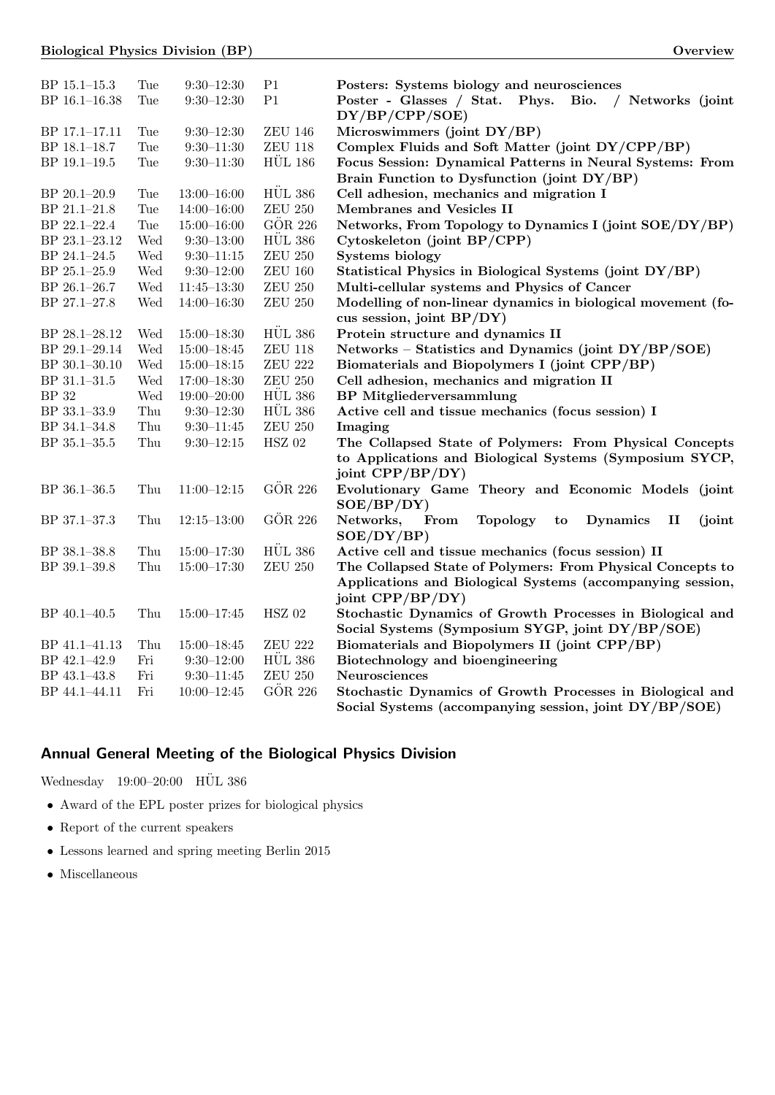| BP $15.1 - 15.3$ | Tue | $9:30 - 12:30$  | P <sub>1</sub>    | Posters: Systems biology and neurosciences                                               |
|------------------|-----|-----------------|-------------------|------------------------------------------------------------------------------------------|
| BP 16.1-16.38    | Tue | $9:30 - 12:30$  | P <sub>1</sub>    | Poster - Glasses / Stat. Phys.<br>Bio.<br>/ Networks (joint                              |
|                  |     |                 |                   | DY/BP/CPP/SOE)                                                                           |
| BP 17.1-17.11    | Tue | $9:30 - 12:30$  | <b>ZEU 146</b>    | Microswimmers (joint DY/BP)                                                              |
| BP 18.1-18.7     | Tue | $9:30 - 11:30$  | <b>ZEU 118</b>    | Complex Fluids and Soft Matter (joint DY/CPP/BP)                                         |
| BP 19.1-19.5     | Tue | $9:30 - 11:30$  | <b>HÜL 186</b>    | Focus Session: Dynamical Patterns in Neural Systems: From                                |
|                  |     |                 |                   | Brain Function to Dysfunction (joint DY/BP)                                              |
| BP 20.1-20.9     | Tue | $13:00 - 16:00$ | <b>HÜL 386</b>    | Cell adhesion, mechanics and migration I                                                 |
| BP 21.1-21.8     | Tue | $14:00 - 16:00$ | ${\rm ZEU}$ 250   | Membranes and Vesicles II                                                                |
| BP 22.1-22.4     | Tue | $15:00 - 16:00$ | GÖR 226           | Networks, From Topology to Dynamics I (joint SOE/DY/BP)                                  |
| BP 23.1-23.12    | Wed | $9:30 - 13:00$  | <b>HÜL 386</b>    | Cytoskeleton (joint BP/CPP)                                                              |
| BP 24.1-24.5     | Wed | $9:30 - 11:15$  | ${\rm ZEU}$ 250   | <b>Systems biology</b>                                                                   |
| BP 25.1-25.9     | Wed | $9:30 - 12:00$  | ${\rm ZEU}$ $160$ | Statistical Physics in Biological Systems (joint DY/BP)                                  |
| BP 26.1-26.7     | Wed | $11:45 - 13:30$ | ${\rm ZEU}$ 250   | Multi-cellular systems and Physics of Cancer                                             |
| BP 27.1-27.8     | Wed | $14:00 - 16:30$ | <b>ZEU 250</b>    | Modelling of non-linear dynamics in biological movement (fo-                             |
|                  |     |                 |                   | cus session, joint BP/DY)                                                                |
| BP 28.1-28.12    | Wed | $15:00 - 18:30$ | <b>HÜL 386</b>    | Protein structure and dynamics II                                                        |
| BP 29.1-29.14    | Wed | $15:00 - 18:45$ | <b>ZEU 118</b>    | Networks - Statistics and Dynamics (joint DY/BP/SOE)                                     |
| BP 30.1-30.10    | Wed | $15:00 - 18:15$ | ${\rm ZEU}$ 222   | Biomaterials and Biopolymers I (joint CPP/BP)                                            |
| BP 31.1-31.5     | Wed | $17:00 - 18:30$ | ${\rm ZEU}$ 250   | Cell adhesion, mechanics and migration II                                                |
| <b>BP</b> 32     | Wed | $19:00 - 20:00$ | <b>HÜL 386</b>    | <b>BP</b> Mitgliederversammlung                                                          |
| BP 33.1-33.9     | Thu | $9:30 - 12:30$  | <b>HÜL 386</b>    | Active cell and tissue mechanics (focus session) I                                       |
| BP 34.1-34.8     | Thu | $9:30 - 11:45$  | ${\rm ZEU}$ 250   | Imaging                                                                                  |
| BP 35.1-35.5     | Thu | $9:30 - 12:15$  | $\rm{HSZ}$ 02     | The Collapsed State of Polymers: From Physical Concepts                                  |
|                  |     |                 |                   | to Applications and Biological Systems (Symposium SYCP,                                  |
|                  |     |                 |                   | joint $\text{CPP}/\text{BP}/\text{DY}$                                                   |
| BP 36.1-36.5     | Thu | $11:00 - 12:15$ | GÖR 226           | Evolutionary Game Theory and Economic Models (joint                                      |
|                  |     |                 |                   | SOE/BP/DY)                                                                               |
| BP 37.1-37.3     | Thu | $12:15 - 13:00$ | GÖR 226           | Networks,<br>From<br><b>Topology</b><br><b>Dynamics</b><br>$\mathbf{I}$<br>(joint)<br>to |
|                  |     |                 |                   | SOE/DY/BP)                                                                               |
| BP 38.1-38.8     | Thu | $15:00 - 17:30$ | <b>HÜL 386</b>    | Active cell and tissue mechanics (focus session) II                                      |
| BP 39.1-39.8     | Thu | $15:00 - 17:30$ | <b>ZEU 250</b>    | The Collapsed State of Polymers: From Physical Concepts to                               |
|                  |     |                 |                   | Applications and Biological Systems (accompanying session,                               |
|                  |     |                 |                   | joint CPP/BP/DY)                                                                         |
| BP 40.1-40.5     | Thu | $15:00 - 17:45$ | <b>HSZ 02</b>     | Stochastic Dynamics of Growth Processes in Biological and                                |
|                  |     |                 |                   | Social Systems (Symposium SYGP, joint DY/BP/SOE)                                         |
| BP 41.1-41.13    | Thu | $15:00 - 18:45$ | <b>ZEU 222</b>    | Biomaterials and Biopolymers II (joint CPP/BP)                                           |
| BP 42.1-42.9     | Fri | $9:30 - 12:00$  | <b>HÜL 386</b>    | Biotechnology and bioengineering                                                         |
| BP 43.1-43.8     | Fri | $9:30 - 11:45$  | ${\rm ZEU}$ 250   | Neurosciences                                                                            |
| BP 44.1-44.11    | Fri | $10:00 - 12:45$ | GÖR 226           | Stochastic Dynamics of Growth Processes in Biological and                                |
|                  |     |                 |                   | Social Systems (accompanying session, joint DY/BP/SOE)                                   |

# Annual General Meeting of the Biological Physics Division

Wednesday 19:00–20:00  $\,$  HÜL 386  $\,$ 

- Award of the EPL poster prizes for biological physics
- $\bullet~$  Report of the current speakers
- Lessons learned and spring meeting Berlin 2015
- Miscellaneous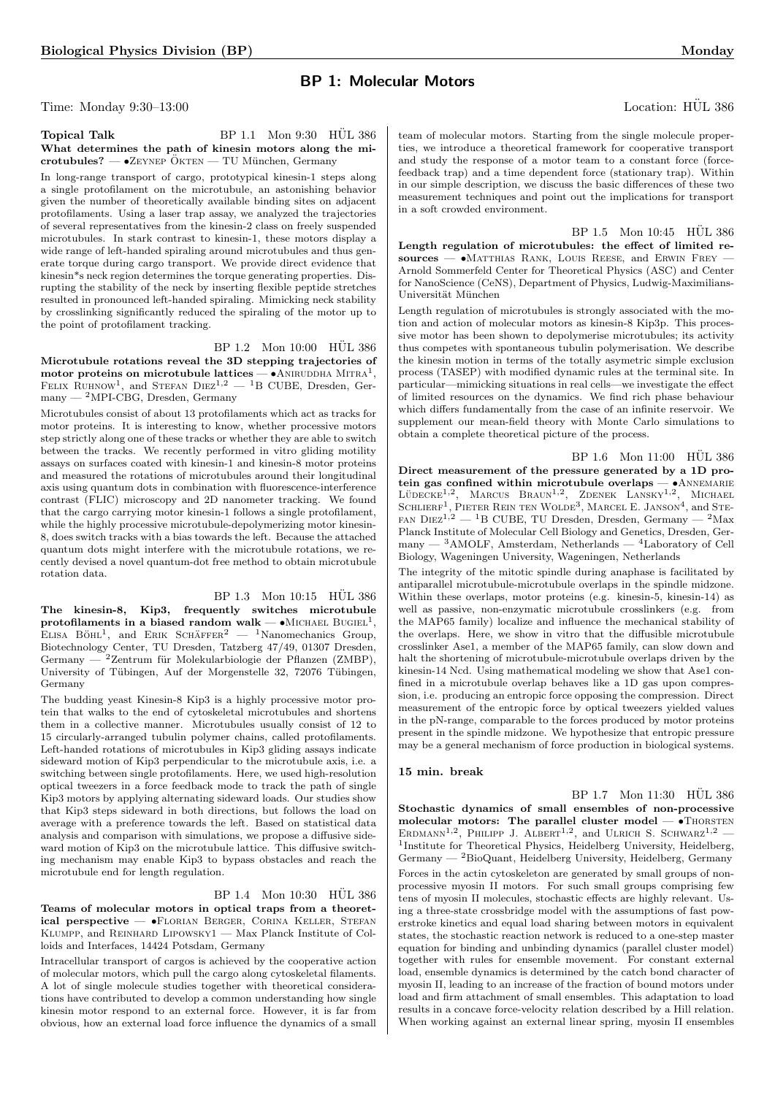# BP 1: Molecular Motors

Time: Monday 9:30–13:00 Location: HÜL 386

**Topical Talk** BP 1.1 Mon  $9:30$  HUL 386 What determines the path of kinesin motors along the mi- $\text{crotubules?} \longrightarrow \text{Zeyner ÖKTEN} \longrightarrow \text{TV München}, \text{Germany}$ 

In long-range transport of cargo, prototypical kinesin-1 steps along a single protofilament on the microtubule, an astonishing behavior given the number of theoretically available binding sites on adjacent protofilaments. Using a laser trap assay, we analyzed the trajectories of several representatives from the kinesin-2 class on freely suspended microtubules. In stark contrast to kinesin-1, these motors display a wide range of left-handed spiraling around microtubules and thus generate torque during cargo transport. We provide direct evidence that kinesin\*s neck region determines the torque generating properties. Disrupting the stability of the neck by inserting flexible peptide stretches resulted in pronounced left-handed spiraling. Mimicking neck stability by crosslinking significantly reduced the spiraling of the motor up to the point of protofilament tracking.

BP 1.2 Mon 10:00 HÜL 386 Microtubule rotations reveal the 3D stepping trajectories of motor proteins on microtubule lattices  $-$  • ANIRUDDHA MITRA<sup>1</sup>, FELIX RUHNOW<sup>1</sup>, and STEFAN  $DIEZ^{1,2}$  - <sup>1</sup>B CUBE, Dresden, Ger $m$ any — <sup>2</sup>MPI-CBG, Dresden, Germany

Microtubules consist of about 13 protofilaments which act as tracks for motor proteins. It is interesting to know, whether processive motors step strictly along one of these tracks or whether they are able to switch between the tracks. We recently performed in vitro gliding motility assays on surfaces coated with kinesin-1 and kinesin-8 motor proteins and measured the rotations of microtubules around their longitudinal axis using quantum dots in combination with fluorescence-interference contrast (FLIC) microscopy and 2D nanometer tracking. We found that the cargo carrying motor kinesin-1 follows a single protofilament, while the highly processive microtubule-depolymerizing motor kinesin-8, does switch tracks with a bias towards the left. Because the attached quantum dots might interfere with the microtubule rotations, we recently devised a novel quantum-dot free method to obtain microtubule rotation data.

BP 1.3 Mon 10:15 HUL 386

The kinesin-8, Kip3, frequently switches microtubule protofilaments in a biased random walk  $\bullet$ MICHAEL BUGIEL<sup>1</sup>, ELISA BÖHL<sup>1</sup>, and ERIK SCHÄFFER<sup>2</sup> - <sup>1</sup>Nanomechanics Group, Biotechnology Center, TU Dresden, Tatzberg 47/49, 01307 Dresden, Germany — <sup>2</sup>Zentrum für Molekularbiologie der Pflanzen (ZMBP), University of Tübingen, Auf der Morgenstelle 32, 72076 Tübingen, Germany

The budding yeast Kinesin-8 Kip3 is a highly processive motor protein that walks to the end of cytoskeletal microtubules and shortens them in a collective manner. Microtubules usually consist of 12 to 15 circularly-arranged tubulin polymer chains, called protofilaments. Left-handed rotations of microtubules in Kip3 gliding assays indicate sideward motion of Kip3 perpendicular to the microtubule axis, i.e. a switching between single protofilaments. Here, we used high-resolution optical tweezers in a force feedback mode to track the path of single Kip3 motors by applying alternating sideward loads. Our studies show that Kip3 steps sideward in both directions, but follows the load on average with a preference towards the left. Based on statistical data analysis and comparison with simulations, we propose a diffusive sideward motion of Kip3 on the microtubule lattice. This diffusive switching mechanism may enable Kip3 to bypass obstacles and reach the microtubule end for length regulation.

# <span id="page-3-6"></span> $BP$  1.4 Mon 10:30  $HÜL$  386

Teams of molecular motors in optical traps from a theoretical perspective — •FLORIAN BERGER, CORINA KELLER, STEFAN Klumpp, and Reinhard Lipowsky1 — Max Planck Institute of Colloids and Interfaces, 14424 Potsdam, Germany

Intracellular transport of cargos is achieved by the cooperative action of molecular motors, which pull the cargo along cytoskeletal filaments. A lot of single molecule studies together with theoretical considerations have contributed to develop a common understanding how single kinesin motor respond to an external force. However, it is far from obvious, how an external load force influence the dynamics of a small

<span id="page-3-3"></span>

<span id="page-3-0"></span>team of molecular motors. Starting from the single molecule properties, we introduce a theoretical framework for cooperative transport and study the response of a motor team to a constant force (forcefeedback trap) and a time dependent force (stationary trap). Within in our simple description, we discuss the basic differences of these two measurement techniques and point out the implications for transport in a soft crowded environment.

BP 1.5 Mon 10:45 HUL 386 Length regulation of microtubules: the effect of limited re $sources$   $\bullet$  Matthias Rank, Louis Reese, and Erwin Frey  $-$ Arnold Sommerfeld Center for Theoretical Physics (ASC) and Center for NanoScience (CeNS), Department of Physics, Ludwig-Maximilians-Universität München

<span id="page-3-4"></span>Length regulation of microtubules is strongly associated with the motion and action of molecular motors as kinesin-8 Kip3p. This processive motor has been shown to depolymerise microtubules; its activity thus competes with spontaneous tubulin polymerisation. We describe the kinesin motion in terms of the totally asymetric simple exclusion process (TASEP) with modified dynamic rules at the terminal site. In particular—mimicking situations in real cells—we investigate the effect of limited resources on the dynamics. We find rich phase behaviour which differs fundamentally from the case of an infinite reservoir. We supplement our mean-field theory with Monte Carlo simulations to obtain a complete theoretical picture of the process.

#### <span id="page-3-2"></span> $BP_1.6$  Mon  $11:00$  HÜL 386

Direct measurement of the pressure generated by a 1D protein gas confined within microtubule overlaps  $- \bullet$ ANNEMARIE<br>LÜDECKE<sup>1,2</sup>, MARCUS BRAUN<sup>1,2</sup>, ZDENEK LANSKY<sup>1,2</sup>, MICHAEL SCHLIERF<sup>1</sup>, PIETER REIN TEN WOLDE<sup>3</sup>, MARCEL E. JANSON<sup>4</sup>, and STE-FAN DIEZ<sup>1,2</sup> — <sup>1</sup>B CUBE, TU Dresden, Dresden, Germany — <sup>2</sup>Max Planck Institute of Molecular Cell Biology and Genetics, Dresden, Germany — <sup>3</sup>AMOLF, Amsterdam, Netherlands — <sup>4</sup>Laboratory of Cell Biology, Wageningen University, Wageningen, Netherlands

<span id="page-3-5"></span>The integrity of the mitotic spindle during anaphase is facilitated by antiparallel microtubule-microtubule overlaps in the spindle midzone. Within these overlaps, motor proteins (e.g. kinesin-5, kinesin-14) as well as passive, non-enzymatic microtubule crosslinkers (e.g. from the MAP65 family) localize and influence the mechanical stability of the overlaps. Here, we show in vitro that the diffusible microtubule crosslinker Ase1, a member of the MAP65 family, can slow down and halt the shortening of microtubule-microtubule overlaps driven by the kinesin-14 Ncd. Using mathematical modeling we show that Ase1 confined in a microtubule overlap behaves like a 1D gas upon compression, i.e. producing an entropic force opposing the compression. Direct measurement of the entropic force by optical tweezers yielded values in the pN-range, comparable to the forces produced by motor proteins present in the spindle midzone. We hypothesize that entropic pressure may be a general mechanism of force production in biological systems.

## 15 min. break

<span id="page-3-1"></span>BP 1.7 Mon 11:30 HÜL 386 Stochastic dynamics of small ensembles of non-processive molecular motors: The parallel cluster model  $\bullet$ Thorsten ERDMANN<sup>1,2</sup>, PHILIPP J. ALBERT<sup>1,2</sup>, and ULRICH S. SCHWARZ<sup>1,2</sup> -<sup>1</sup>Institute for Theoretical Physics, Heidelberg University, Heidelberg, Germany — <sup>2</sup>BioQuant, Heidelberg University, Heidelberg, Germany Forces in the actin cytoskeleton are generated by small groups of nonprocessive myosin II motors. For such small groups comprising few tens of myosin II molecules, stochastic effects are highly relevant. Using a three-state crossbridge model with the assumptions of fast powerstroke kinetics and equal load sharing between motors in equivalent states, the stochastic reaction network is reduced to a one-step master equation for binding and unbinding dynamics (parallel cluster model) together with rules for ensemble movement. For constant external load, ensemble dynamics is determined by the catch bond character of myosin II, leading to an increase of the fraction of bound motors under load and firm attachment of small ensembles. This adaptation to load results in a concave force-velocity relation described by a Hill relation. When working against an external linear spring, myosin II ensembles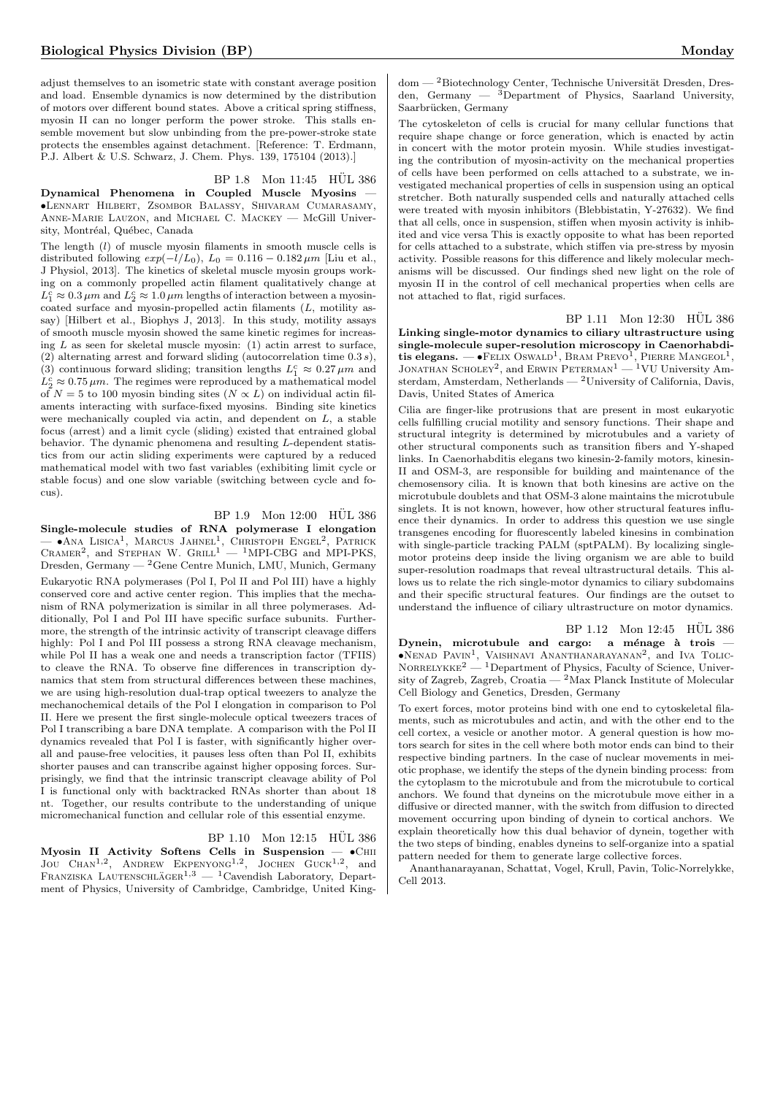adjust themselves to an isometric state with constant average position and load. Ensemble dynamics is now determined by the distribution of motors over different bound states. Above a critical spring stiffness, myosin II can no longer perform the power stroke. This stalls ensemble movement but slow unbinding from the pre-power-stroke state protects the ensembles against detachment. [Reference: T. Erdmann, P.J. Albert & U.S. Schwarz, J. Chem. Phys. 139, 175104 (2013).]

# BP 1.8 Mon 11:45 HÜL 386

Dynamical Phenomena in Coupled Muscle Myosins — •Lennart Hilbert, Zsombor Balassy, Shivaram Cumarasamy, Anne-Marie Lauzon, and Michael C. Mackey — McGill University, Montréal, Québec, Canada

The length (l) of muscle myosin filaments in smooth muscle cells is distributed following  $exp(-l/L_0)$ ,  $L_0 = 0.116 - 0.182 \,\mu m$  [Liu et al., J Physiol, 2013]. The kinetics of skeletal muscle myosin groups working on a commonly propelled actin filament qualitatively change at  $L_1^c\approx 0.3\,\mu m$  and  $L_2^c\approx 1.0\,\mu m$  lengths of interaction between a myosincoated surface and myosin-propelled actin filaments (L, motility assay) [Hilbert et al., Biophys J, 2013]. In this study, motility assays of smooth muscle myosin showed the same kinetic regimes for increasing L as seen for skeletal muscle myosin: (1) actin arrest to surface, (2) alternating arrest and forward sliding (autocorrelation time  $0.3 s$ ), (3) continuous forward sliding; transition lengths  $L_1^c \approx 0.27 \,\mu m$  and  $L_2^c \approx 0.75 \,\mu m$ . The regimes were reproduced by a mathematical model of  $N = 5$  to 100 myosin binding sites  $(N \propto L)$  on individual actin filaments interacting with surface-fixed myosins. Binding site kinetics were mechanically coupled via actin, and dependent on L, a stable focus (arrest) and a limit cycle (sliding) existed that entrained global behavior. The dynamic phenomena and resulting L-dependent statistics from our actin sliding experiments were captured by a reduced mathematical model with two fast variables (exhibiting limit cycle or stable focus) and one slow variable (switching between cycle and focus).

## $BP 1.9$  Mon  $12:00$  HUL 386

Single-molecule studies of RNA polymerase I elongation  $\bullet$ Ana Lisica<sup>1</sup>, Marcus Jahnel<sup>1</sup>, Christoph Engel<sup>2</sup>, Patrick<br>Cramer<sup>2</sup>, and Stephan W. Grill<sup>1</sup> — <sup>1</sup>MPI-CBG and MPI-PKS, Dresden, Germany — <sup>2</sup>Gene Centre Munich, LMU, Munich, Germany Eukaryotic RNA polymerases (Pol I, Pol II and Pol III) have a highly conserved core and active center region. This implies that the mechanism of RNA polymerization is similar in all three polymerases. Additionally, Pol I and Pol III have specific surface subunits. Furthermore, the strength of the intrinsic activity of transcript cleavage differs highly: Pol I and Pol III possess a strong RNA cleavage mechanism, while Pol II has a weak one and needs a transcription factor (TFIIS) to cleave the RNA. To observe fine differences in transcription dynamics that stem from structural differences between these machines, we are using high-resolution dual-trap optical tweezers to analyze the mechanochemical details of the Pol I elongation in comparison to Pol II. Here we present the first single-molecule optical tweezers traces of Pol I transcribing a bare DNA template. A comparison with the Pol II dynamics revealed that Pol I is faster, with significantly higher overall and pause-free velocities, it pauses less often than Pol II, exhibits shorter pauses and can transcribe against higher opposing forces. Surprisingly, we find that the intrinsic transcript cleavage ability of Pol I is functional only with backtracked RNAs shorter than about 18 nt. Together, our results contribute to the understanding of unique micromechanical function and cellular role of this essential enzyme.

BP 1.10 Mon 12:15 HUL 386 Myosin II Activity Softens Cells in Suspension  $\bullet$ CHII JOU CHAN<sup>1,2</sup>, ANDREW EKPENYONG<sup>1,2</sup>, JOCHEN GUCK<sup>1,2</sup>, and FRANZISKA LAUTENSCHLÄGER<sup>1,3</sup> — <sup>1</sup>Cavendish Laboratory, Department of Physics, University of Cambridge, Cambridge, United King-

 $dom - 2$ Biotechnology Center, Technische Universität Dresden, Dresden, Germany  $-$  3Department of Physics, Saarland University, Saarbrücken, Germany

The cytoskeleton of cells is crucial for many cellular functions that require shape change or force generation, which is enacted by actin in concert with the motor protein myosin. While studies investigating the contribution of myosin-activity on the mechanical properties of cells have been performed on cells attached to a substrate, we investigated mechanical properties of cells in suspension using an optical stretcher. Both naturally suspended cells and naturally attached cells were treated with myosin inhibitors (Blebbistatin, Y-27632). We find that all cells, once in suspension, stiffen when myosin activity is inhibited and vice versa This is exactly opposite to what has been reported for cells attached to a substrate, which stiffen via pre-stress by myosin activity. Possible reasons for this difference and likely molecular mechanisms will be discussed. Our findings shed new light on the role of myosin II in the control of cell mechanical properties when cells are not attached to flat, rigid surfaces.

<span id="page-4-0"></span>BP 1.11 Mon 12:30 HÜL 386

Linking single-motor dynamics to ciliary ultrastructure using single-molecule super-resolution microscopy in Caenorhabdi**tis elegans.** — •Felix Oswald<sup>1</sup>, Bram Prevo<sup>1</sup>, Pierre Mangeol<sup>1</sup>, Jonathan Scholey<sup>2</sup>, and Erwin Peterman<sup>1</sup> — <sup>1</sup>VU University Amsterdam, Amsterdam, Netherlands — <sup>2</sup>University of California, Davis, Davis, United States of America

Cilia are finger-like protrusions that are present in most eukaryotic cells fulfilling crucial motility and sensory functions. Their shape and structural integrity is determined by microtubules and a variety of other structural components such as transition fibers and Y-shaped links. In Caenorhabditis elegans two kinesin-2-family motors, kinesin-II and OSM-3, are responsible for building and maintenance of the chemosensory cilia. It is known that both kinesins are active on the microtubule doublets and that OSM-3 alone maintains the microtubule singlets. It is not known, however, how other structural features influence their dynamics. In order to address this question we use single transgenes encoding for fluorescently labeled kinesins in combination with single-particle tracking PALM (sptPALM). By localizing singlemotor proteins deep inside the living organism we are able to build super-resolution roadmaps that reveal ultrastructural details. This allows us to relate the rich single-motor dynamics to ciliary subdomains and their specific structural features. Our findings are the outset to understand the influence of ciliary ultrastructure on motor dynamics.

BP 1.12 Mon 12:45 HUL 386 Dynein, microtubule and cargo: a ménage à trois  $\bullet$ Nenad Pavin<sup>1</sup>, Vaishnavi Ananthanarayanan<sup>2</sup>, and Iva Tolic- $NORRELYKKE<sup>2</sup>$  — <sup>1</sup>Department of Physics, Faculty of Science, University of Zagreb, Zagreb, Croatia — <sup>2</sup>Max Planck Institute of Molecular Cell Biology and Genetics, Dresden, Germany

To exert forces, motor proteins bind with one end to cytoskeletal filaments, such as microtubules and actin, and with the other end to the cell cortex, a vesicle or another motor. A general question is how motors search for sites in the cell where both motor ends can bind to their respective binding partners. In the case of nuclear movements in meiotic prophase, we identify the steps of the dynein binding process: from the cytoplasm to the microtubule and from the microtubule to cortical anchors. We found that dyneins on the microtubule move either in a diffusive or directed manner, with the switch from diffusion to directed movement occurring upon binding of dynein to cortical anchors. We explain theoretically how this dual behavior of dynein, together with the two steps of binding, enables dyneins to self-organize into a spatial pattern needed for them to generate large collective forces.

Ananthanarayanan, Schattat, Vogel, Krull, Pavin, Tolic-Norrelykke, Cell 2013.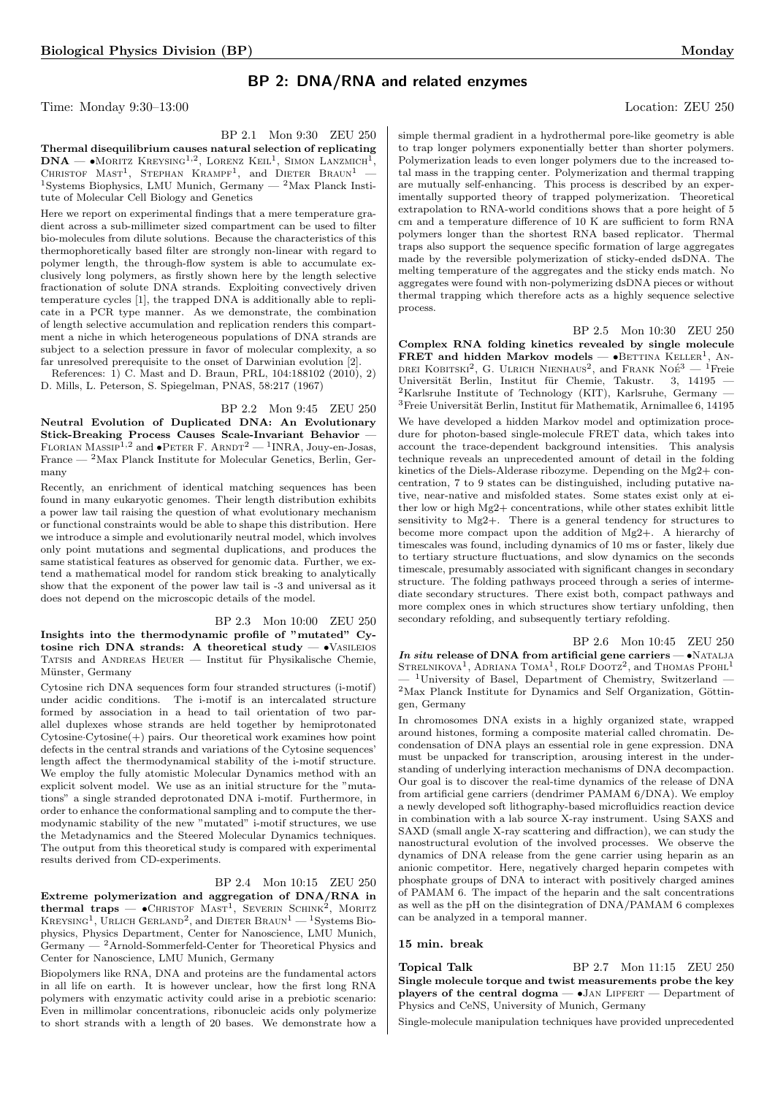# BP 2: DNA/RNA and related enzymes

Time: Monday 9:30–13:00 Location: ZEU 250

BP 2.1 Mon 9:30 ZEU 250

Thermal disequilibrium causes natural selection of replicating  $DNA - \bullet$ Moritz Kreysing<sup>1,2</sup>, Lorenz Keil<sup>1</sup>, Simon Lanzmich<sup>1</sup>, CHRISTOF  $MAST<sup>1</sup>$ , STEPHAN KRAMPF<sup>1</sup>, and DIETER BRAUN<sup>1</sup> -<sup>1</sup>Systems Biophysics, LMU Munich, Germany  $-$  <sup>2</sup>Max Planck Institute of Molecular Cell Biology and Genetics

Here we report on experimental findings that a mere temperature gradient across a sub-millimeter sized compartment can be used to filter bio-molecules from dilute solutions. Because the characteristics of this thermophoretically based filter are strongly non-linear with regard to polymer length, the through-flow system is able to accumulate exclusively long polymers, as firstly shown here by the length selective fractionation of solute DNA strands. Exploiting convectively driven temperature cycles [1], the trapped DNA is additionally able to replicate in a PCR type manner. As we demonstrate, the combination of length selective accumulation and replication renders this compartment a niche in which heterogeneous populations of DNA strands are subject to a selection pressure in favor of molecular complexity, a so far unresolved prerequisite to the onset of Darwinian evolution [2].

References: 1) C. Mast and D. Braun, PRL, 104:188102 (2010), 2) D. Mills, L. Peterson, S. Spiegelman, PNAS, 58:217 (1967)

BP 2.2 Mon 9:45 ZEU 250 Neutral Evolution of Duplicated DNA: An Evolutionary Stick-Breaking Process Causes Scale-Invariant Behavior —<br>FLORIAN MASSIP<sup>1,2</sup> and •PETER F. ARNDT<sup>2</sup> — <sup>1</sup>INRA, Jouy-en-Josas, France  $-$  <sup>2</sup>Max Planck Institute for Molecular Genetics, Berlin, Germany

Recently, an enrichment of identical matching sequences has been found in many eukaryotic genomes. Their length distribution exhibits a power law tail raising the question of what evolutionary mechanism or functional constraints would be able to shape this distribution. Here we introduce a simple and evolutionarily neutral model, which involves only point mutations and segmental duplications, and produces the same statistical features as observed for genomic data. Further, we extend a mathematical model for random stick breaking to analytically show that the exponent of the power law tail is -3 and universal as it does not depend on the microscopic details of the model.

BP 2.3 Mon 10:00 ZEU 250 Insights into the thermodynamic profile of "mutated" Cytosine rich DNA strands: A theoretical study  $-$  •VASILEIOS TATSIS and ANDREAS HEUER — Institut für Physikalische Chemie, Münster, Germany

Cytosine rich DNA sequences form four stranded structures (i-motif) under acidic conditions. The i-motif is an intercalated structure formed by association in a head to tail orientation of two parallel duplexes whose strands are held together by hemiprotonated  $Cytosine-Cytosine(+)$  pairs. Our theoretical work examines how point defects in the central strands and variations of the Cytosine sequences' length affect the thermodynamical stability of the i-motif structure. We employ the fully atomistic Molecular Dynamics method with an explicit solvent model. We use as an initial structure for the "mutations" a single stranded deprotonated DNA i-motif. Furthermore, in order to enhance the conformational sampling and to compute the thermodynamic stability of the new "mutated" i-motif structures, we use the Metadynamics and the Steered Molecular Dynamics techniques. The output from this theoretical study is compared with experimental results derived from CD-experiments.

#### BP 2.4 Mon 10:15 ZEU 250

Extreme polymerization and aggregation of DNA/RNA in thermal traps —  $\bullet$ CHRISTOF MAST<sup>1</sup>, SEVERIN SCHINK<sup>2</sup>, MORITZ KREYSING<sup>1</sup>, URLICH GERLAND<sup>2</sup>, and DIETER  $\text{Braun}^{1}-\text{1}$ Systems Biophysics, Physics Department, Center for Nanoscience, LMU Munich, Germany — <sup>2</sup>Arnold-Sommerfeld-Center for Theoretical Physics and Center for Nanoscience, LMU Munich, Germany

Biopolymers like RNA, DNA and proteins are the fundamental actors in all life on earth. It is however unclear, how the first long RNA polymers with enzymatic activity could arise in a prebiotic scenario: Even in millimolar concentrations, ribonucleic acids only polymerize to short strands with a length of 20 bases. We demonstrate how a simple thermal gradient in a hydrothermal pore-like geometry is able to trap longer polymers exponentially better than shorter polymers. Polymerization leads to even longer polymers due to the increased total mass in the trapping center. Polymerization and thermal trapping are mutually self-enhancing. This process is described by an experimentally supported theory of trapped polymerization. Theoretical extrapolation to RNA-world conditions shows that a pore height of 5 cm and a temperature difference of 10 K are sufficient to form RNA polymers longer than the shortest RNA based replicator. Thermal traps also support the sequence specific formation of large aggregates made by the reversible polymerization of sticky-ended dsDNA. The melting temperature of the aggregates and the sticky ends match. No aggregates were found with non-polymerizing dsDNA pieces or without thermal trapping which therefore acts as a highly sequence selective process.

BP 2.5 Mon 10:30 ZEU 250

Complex RNA folding kinetics revealed by single molecule FRET and hidden Markov models  $\bullet$ BETTINA KELLER<sup>1</sup>, AN-DREI KOBITSKI<sup>2</sup>, G. ULRICH NIENHAUS<sup>2</sup>, and FRANK NOE<sup>3</sup> — <sup>1</sup>Freie Universität Berlin, Institut für Chemie, Takustr. 3, 14195  $2$ Karlsruhe Institute of Technology (KIT), Karlsruhe, Germany —  $3$ Freie Universität Berlin, Institut für Mathematik, Arnimallee 6, 14195 We have developed a hidden Markov model and optimization procedure for photon-based single-molecule FRET data, which takes into account the trace-dependent background intensities. This analysis technique reveals an unprecedented amount of detail in the folding kinetics of the Diels-Alderase ribozyme. Depending on the Mg2+ concentration, 7 to 9 states can be distinguished, including putative native, near-native and misfolded states. Some states exist only at either low or high  $Mg2+$  concentrations, while other states exhibit little sensitivity to Mg2+. There is a general tendency for structures to become more compact upon the addition of Mg2+. A hierarchy of timescales was found, including dynamics of 10 ms or faster, likely due to tertiary structure fluctuations, and slow dynamics on the seconds timescale, presumably associated with significant changes in secondary structure. The folding pathways proceed through a series of intermediate secondary structures. There exist both, compact pathways and more complex ones in which structures show tertiary unfolding, then secondary refolding, and subsequently tertiary refolding.

BP 2.6 Mon 10:45 ZEU 250 In situ release of DNA from artificial gene carriers  $\bullet$ NATALJA STRELNIKOVA<sup>1</sup>, ADRIANA TOMA<sup>1</sup>, ROLF DOOTZ<sup>2</sup>, and THOMAS PFOHL<sup>1</sup> <sup>1</sup>University of Basel, Department of Chemistry, Switzerland —  $2$ Max Planck Institute for Dynamics and Self Organization, Göttingen, Germany

In chromosomes DNA exists in a highly organized state, wrapped around histones, forming a composite material called chromatin. Decondensation of DNA plays an essential role in gene expression. DNA must be unpacked for transcription, arousing interest in the understanding of underlying interaction mechanisms of DNA decompaction. Our goal is to discover the real-time dynamics of the release of DNA from artificial gene carriers (dendrimer PAMAM 6/DNA). We employ a newly developed soft lithography-based microfluidics reaction device in combination with a lab source X-ray instrument. Using SAXS and SAXD (small angle X-ray scattering and diffraction), we can study the nanostructural evolution of the involved processes. We observe the dynamics of DNA release from the gene carrier using heparin as an anionic competitor. Here, negatively charged heparin competes with phosphate groups of DNA to interact with positively charged amines of PAMAM 6. The impact of the heparin and the salt concentrations as well as the pH on the disintegration of DNA/PAMAM 6 complexes can be analyzed in a temporal manner.

## 15 min. break

**Topical Talk** BP 2.7 Mon 11:15 ZEU 250 Single molecule torque and twist measurements probe the key players of the central dogma  $-$  •Jan LIPFERT  $-$  Department of Physics and CeNS, University of Munich, Germany

Single-molecule manipulation techniques have provided unprecedented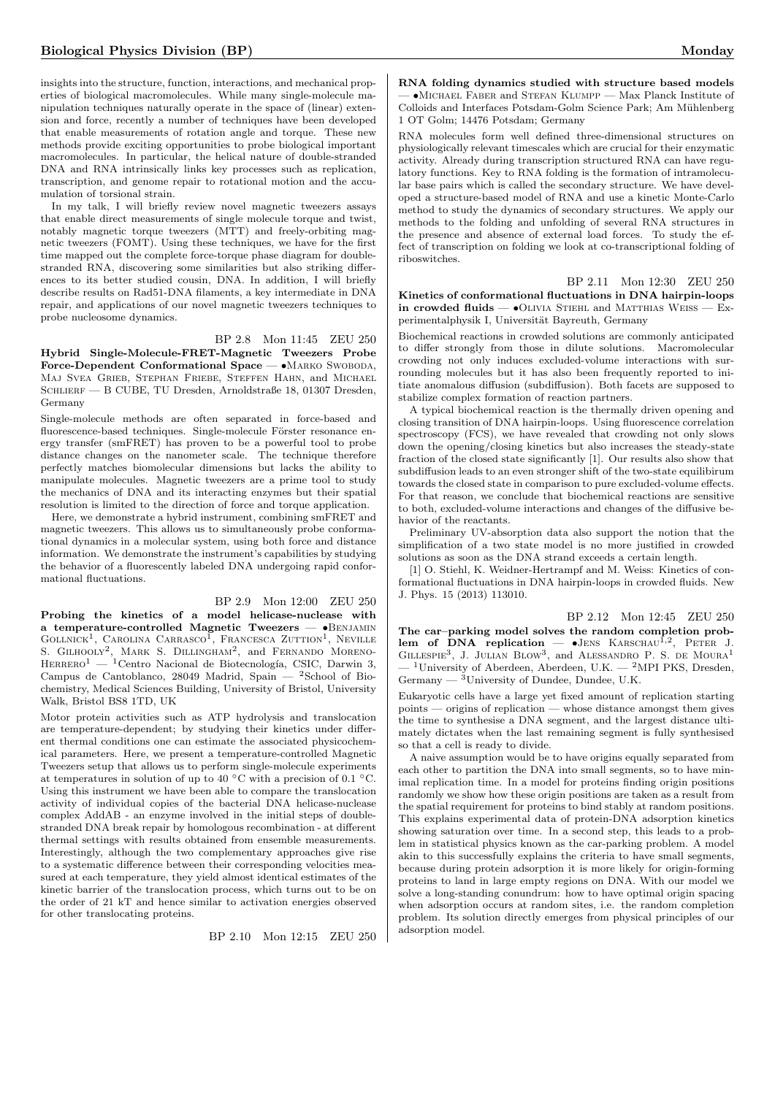insights into the structure, function, interactions, and mechanical properties of biological macromolecules. While many single-molecule manipulation techniques naturally operate in the space of (linear) extension and force, recently a number of techniques have been developed that enable measurements of rotation angle and torque. These new methods provide exciting opportunities to probe biological important macromolecules. In particular, the helical nature of double-stranded DNA and RNA intrinsically links key processes such as replication, transcription, and genome repair to rotational motion and the accumulation of torsional strain.

In my talk, I will briefly review novel magnetic tweezers assays that enable direct measurements of single molecule torque and twist, notably magnetic torque tweezers (MTT) and freely-orbiting magnetic tweezers (FOMT). Using these techniques, we have for the first time mapped out the complete force-torque phase diagram for doublestranded RNA, discovering some similarities but also striking differences to its better studied cousin, DNA. In addition, I will briefly describe results on Rad51-DNA filaments, a key intermediate in DNA repair, and applications of our novel magnetic tweezers techniques to probe nucleosome dynamics.

BP 2.8 Mon 11:45 ZEU 250 Hybrid Single-Molecule-FRET-Magnetic Tweezers Probe Force-Dependent Conformational Space — •MARKO SWOBODA, Maj Svea Grieb, Stephan Friebe, Steffen Hahn, and Michael SCHLIERF — B CUBE, TU Dresden, Arnoldstraße 18, 01307 Dresden, Germany

Single-molecule methods are often separated in force-based and fluorescence-based techniques. Single-molecule Förster resonance energy transfer (smFRET) has proven to be a powerful tool to probe distance changes on the nanometer scale. The technique therefore perfectly matches biomolecular dimensions but lacks the ability to manipulate molecules. Magnetic tweezers are a prime tool to study the mechanics of DNA and its interacting enzymes but their spatial resolution is limited to the direction of force and torque application.

Here, we demonstrate a hybrid instrument, combining smFRET and magnetic tweezers. This allows us to simultaneously probe conformational dynamics in a molecular system, using both force and distance information. We demonstrate the instrument's capabilities by studying the behavior of a fluorescently labeled DNA undergoing rapid conformational fluctuations.

## BP 2.9 Mon 12:00 ZEU 250

Probing the kinetics of a model helicase-nuclease with a temperature-controlled Magnetic Tweezers — •Benjamin GOLLNICK<sup>1</sup>, CAROLINA CARRASCO<sup>I</sup>, FRANCESCA ZUTTION<sup>1</sup>, NEVILLE S. GILHOOLY<sup>2</sup>, MARK S. DILLINGHAM<sup>2</sup>, and FERNANDO MORENO- $HERRERO<sup>1</sup>$  — <sup>1</sup>Centro Nacional de Biotecnología, CSIC, Darwin 3, Campus de Cantoblanco, 28049 Madrid, Spain — <sup>2</sup>School of Biochemistry, Medical Sciences Building, University of Bristol, University Walk, Bristol BS8 1TD, UK

Motor protein activities such as ATP hydrolysis and translocation are temperature-dependent; by studying their kinetics under different thermal conditions one can estimate the associated physicochemical parameters. Here, we present a temperature-controlled Magnetic Tweezers setup that allows us to perform single-molecule experiments at temperatures in solution of up to 40 °C with a precision of 0.1 °C. Using this instrument we have been able to compare the translocation activity of individual copies of the bacterial DNA helicase-nuclease complex AddAB - an enzyme involved in the initial steps of doublestranded DNA break repair by homologous recombination - at different thermal settings with results obtained from ensemble measurements. Interestingly, although the two complementary approaches give rise to a systematic difference between their corresponding velocities measured at each temperature, they yield almost identical estimates of the kinetic barrier of the translocation process, which turns out to be on the order of 21 kT and hence similar to activation energies observed for other translocating proteins.

BP 2.10 Mon 12:15 ZEU 250

RNA folding dynamics studied with structure based models — •Michael Faber and Stefan Klumpp — Max Planck Institute of Colloids and Interfaces Potsdam-Golm Science Park; Am Mühlenberg 1 OT Golm; 14476 Potsdam; Germany

RNA molecules form well defined three-dimensional structures on physiologically relevant timescales which are crucial for their enzymatic activity. Already during transcription structured RNA can have regulatory functions. Key to RNA folding is the formation of intramolecular base pairs which is called the secondary structure. We have developed a structure-based model of RNA and use a kinetic Monte-Carlo method to study the dynamics of secondary structures. We apply our methods to the folding and unfolding of several RNA structures in the presence and absence of external load forces. To study the effect of transcription on folding we look at co-transcriptional folding of riboswitches.

BP 2.11 Mon 12:30 ZEU 250 Kinetics of conformational fluctuations in DNA hairpin-loops in crowded fluids  $\bullet$ OLIVIA STIEHL and MATTHIAS WEISS  $-$  Experimentalphysik I, Universität Bayreuth, Germany

Biochemical reactions in crowded solutions are commonly anticipated to differ strongly from those in dilute solutions. Macromolecular crowding not only induces excluded-volume interactions with surrounding molecules but it has also been frequently reported to initiate anomalous diffusion (subdiffusion). Both facets are supposed to stabilize complex formation of reaction partners.

A typical biochemical reaction is the thermally driven opening and closing transition of DNA hairpin-loops. Using fluorescence correlation spectroscopy (FCS), we have revealed that crowding not only slows down the opening/closing kinetics but also increases the steady-state fraction of the closed state significantly [1]. Our results also show that subdiffusion leads to an even stronger shift of the two-state equilibirum towards the closed state in comparison to pure excluded-volume effects. For that reason, we conclude that biochemical reactions are sensitive to both, excluded-volume interactions and changes of the diffusive behavior of the reactants.

Preliminary UV-absorption data also support the notion that the simplification of a two state model is no more justified in crowded solutions as soon as the DNA strand exceeds a certain length.

[1] O. Stiehl, K. Weidner-Hertrampf and M. Weiss: Kinetics of conformational fluctuations in DNA hairpin-loops in crowded fluids. New J. Phys. 15 (2013) 113010.

BP 2.12 Mon 12:45 ZEU 250

The car–parking model solves the random completion problem of DNA replication  $-$  JENS KARSCHAU<sup>1,2</sup>, PETER J. GILLESPIE<sup>3</sup>, J. JULIAN BLOW<sup>3</sup>, and ALESSANDRO P. S. DE MOURA<sup>1</sup> <sup>1</sup>University of Aberdeen, Aberdeen, U.K. — <sup>2</sup>MPI PKS, Dresden, Germany  $-$ <sup>3</sup>University of Dundee, Dundee, U.K.

Eukaryotic cells have a large yet fixed amount of replication starting points — origins of replication — whose distance amongst them gives the time to synthesise a DNA segment, and the largest distance ultimately dictates when the last remaining segment is fully synthesised so that a cell is ready to divide.

A naive assumption would be to have origins equally separated from each other to partition the DNA into small segments, so to have minimal replication time. In a model for proteins finding origin positions randomly we show how these origin positions are taken as a result from the spatial requirement for proteins to bind stably at random positions. This explains experimental data of protein-DNA adsorption kinetics showing saturation over time. In a second step, this leads to a problem in statistical physics known as the car-parking problem. A model akin to this successfully explains the criteria to have small segments, because during protein adsorption it is more likely for origin-forming proteins to land in large empty regions on DNA. With our model we solve a long-standing conundrum: how to have optimal origin spacing when adsorption occurs at random sites, i.e. the random completion problem. Its solution directly emerges from physical principles of our adsorption model.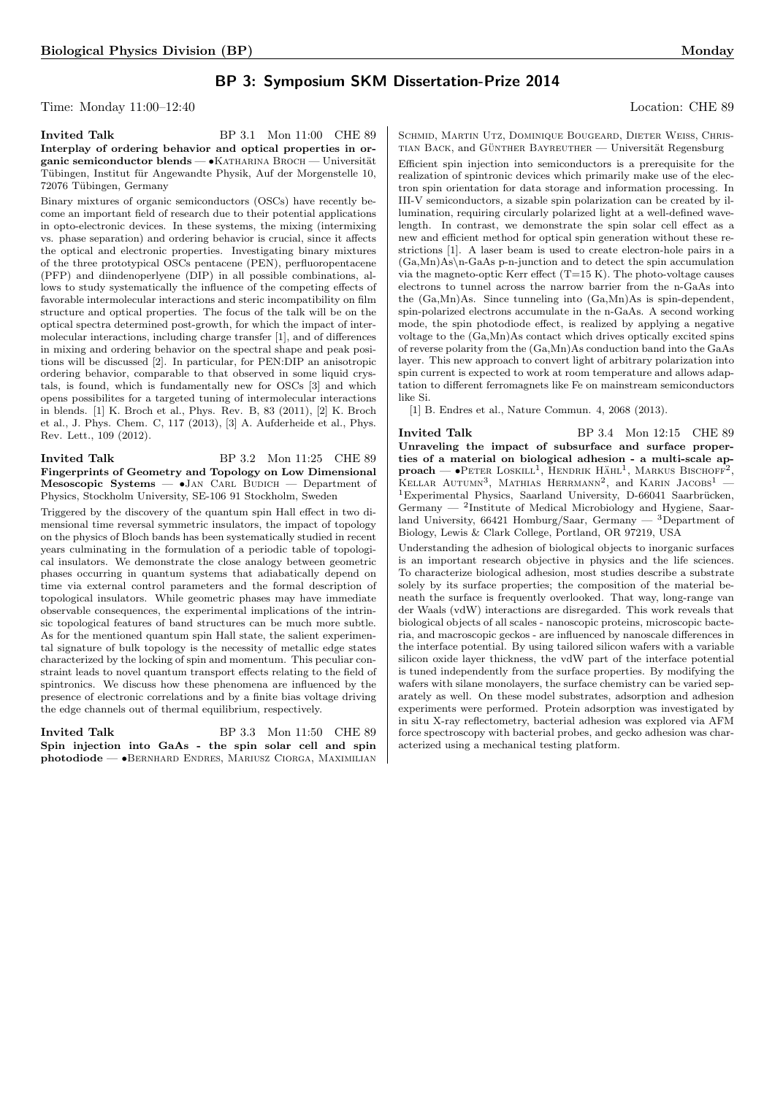# BP 3: Symposium SKM Dissertation-Prize 2014

Time: Monday 11:00–12:40 Location: CHE 89

Invited Talk BP 3.1 Mon 11:00 CHE 89 Interplay of ordering behavior and optical properties in organic semiconductor blends — • KATHARINA BROCH — Universität Tübingen, Institut für Angewandte Physik, Auf der Morgenstelle 10, 72076 Tübingen, Germany

Binary mixtures of organic semiconductors (OSCs) have recently become an important field of research due to their potential applications in opto-electronic devices. In these systems, the mixing (intermixing vs. phase separation) and ordering behavior is crucial, since it affects the optical and electronic properties. Investigating binary mixtures of the three prototypical OSCs pentacene (PEN), perfluoropentacene (PFP) and diindenoperlyene (DIP) in all possible combinations, allows to study systematically the influence of the competing effects of favorable intermolecular interactions and steric incompatibility on film structure and optical properties. The focus of the talk will be on the optical spectra determined post-growth, for which the impact of intermolecular interactions, including charge transfer [1], and of differences in mixing and ordering behavior on the spectral shape and peak positions will be discussed [2]. In particular, for PEN:DIP an anisotropic ordering behavior, comparable to that observed in some liquid crystals, is found, which is fundamentally new for OSCs [3] and which opens possibilites for a targeted tuning of intermolecular interactions in blends. [1] K. Broch et al., Phys. Rev. B, 83 (2011), [2] K. Broch et al., J. Phys. Chem. C, 117 (2013), [3] A. Aufderheide et al., Phys. Rev. Lett., 109 (2012).

Invited Talk BP 3.2 Mon 11:25 CHE 89 Fingerprints of Geometry and Topology on Low Dimensional Mesoscopic Systems  $\bullet$ JAN CARL BUDICH  $-$  Department of Physics, Stockholm University, SE-106 91 Stockholm, Sweden

Triggered by the discovery of the quantum spin Hall effect in two dimensional time reversal symmetric insulators, the impact of topology on the physics of Bloch bands has been systematically studied in recent years culminating in the formulation of a periodic table of topological insulators. We demonstrate the close analogy between geometric phases occurring in quantum systems that adiabatically depend on time via external control parameters and the formal description of topological insulators. While geometric phases may have immediate observable consequences, the experimental implications of the intrinsic topological features of band structures can be much more subtle. As for the mentioned quantum spin Hall state, the salient experimental signature of bulk topology is the necessity of metallic edge states characterized by the locking of spin and momentum. This peculiar constraint leads to novel quantum transport effects relating to the field of spintronics. We discuss how these phenomena are influenced by the presence of electronic correlations and by a finite bias voltage driving the edge channels out of thermal equilibrium, respectively.

Invited Talk BP 3.3 Mon 11:50 CHE 89 Spin injection into GaAs - the spin solar cell and spin photodiode — •Bernhard Endres, Mariusz Ciorga, Maximilian Schmid, Martin Utz, Dominique Bougeard, Dieter Weiss, Chris-TIAN BACK, and GÜNTHER BAYREUTHER  $-$  Universität Regensburg

Efficient spin injection into semiconductors is a prerequisite for the realization of spintronic devices which primarily make use of the electron spin orientation for data storage and information processing. In III-V semiconductors, a sizable spin polarization can be created by illumination, requiring circularly polarized light at a well-defined wavelength. In contrast, we demonstrate the spin solar cell effect as a new and efficient method for optical spin generation without these restrictions [1]. A laser beam is used to create electron-hole pairs in a  $(Ga, Mn)As\n<sub>n-GaAs</sub> p-n-junction and to detect the spin accumulation$ via the magneto-optic Kerr effect  $(T=15 \text{ K})$ . The photo-voltage causes electrons to tunnel across the narrow barrier from the n-GaAs into the (Ga,Mn)As. Since tunneling into (Ga,Mn)As is spin-dependent, spin-polarized electrons accumulate in the n-GaAs. A second working mode, the spin photodiode effect, is realized by applying a negative voltage to the (Ga,Mn)As contact which drives optically excited spins of reverse polarity from the (Ga,Mn)As conduction band into the GaAs layer. This new approach to convert light of arbitrary polarization into spin current is expected to work at room temperature and allows adaptation to different ferromagnets like Fe on mainstream semiconductors like Si.

[1] B. Endres et al., Nature Commun. 4, 2068 (2013).

Invited Talk BP 3.4 Mon 12:15 CHE 89 Unraveling the impact of subsurface and surface properties of a material on biological adhesion - a multi-scale ap- $\mathbf{proad} \leftarrow \bullet \mathbf{PETER} \text{ LosKILL}^1, \text{ HENDRIK} \text{ HÄHL}^1, \text{ MARKUS} \text{ BISCHOFF}^2,$ KELLAR AUTUMN<sup>3</sup>, MATHIAS HERRMANN<sup>2</sup>, and KARIN JACOBS<sup>1</sup> - ${}^{1}$ Experimental Physics, Saarland University, D-66041 Saarbrücken, Germany  $-$  <sup>2</sup>Institute of Medical Microbiology and Hygiene, Saarland University, 66421 Homburg/Saar, Germany — <sup>3</sup>Department of Biology, Lewis & Clark College, Portland, OR 97219, USA

Understanding the adhesion of biological objects to inorganic surfaces is an important research objective in physics and the life sciences. To characterize biological adhesion, most studies describe a substrate solely by its surface properties; the composition of the material beneath the surface is frequently overlooked. That way, long-range van der Waals (vdW) interactions are disregarded. This work reveals that biological objects of all scales - nanoscopic proteins, microscopic bacteria, and macroscopic geckos - are influenced by nanoscale differences in the interface potential. By using tailored silicon wafers with a variable silicon oxide layer thickness, the vdW part of the interface potential is tuned independently from the surface properties. By modifying the wafers with silane monolayers, the surface chemistry can be varied separately as well. On these model substrates, adsorption and adhesion experiments were performed. Protein adsorption was investigated by in situ X-ray reflectometry, bacterial adhesion was explored via AFM force spectroscopy with bacterial probes, and gecko adhesion was characterized using a mechanical testing platform.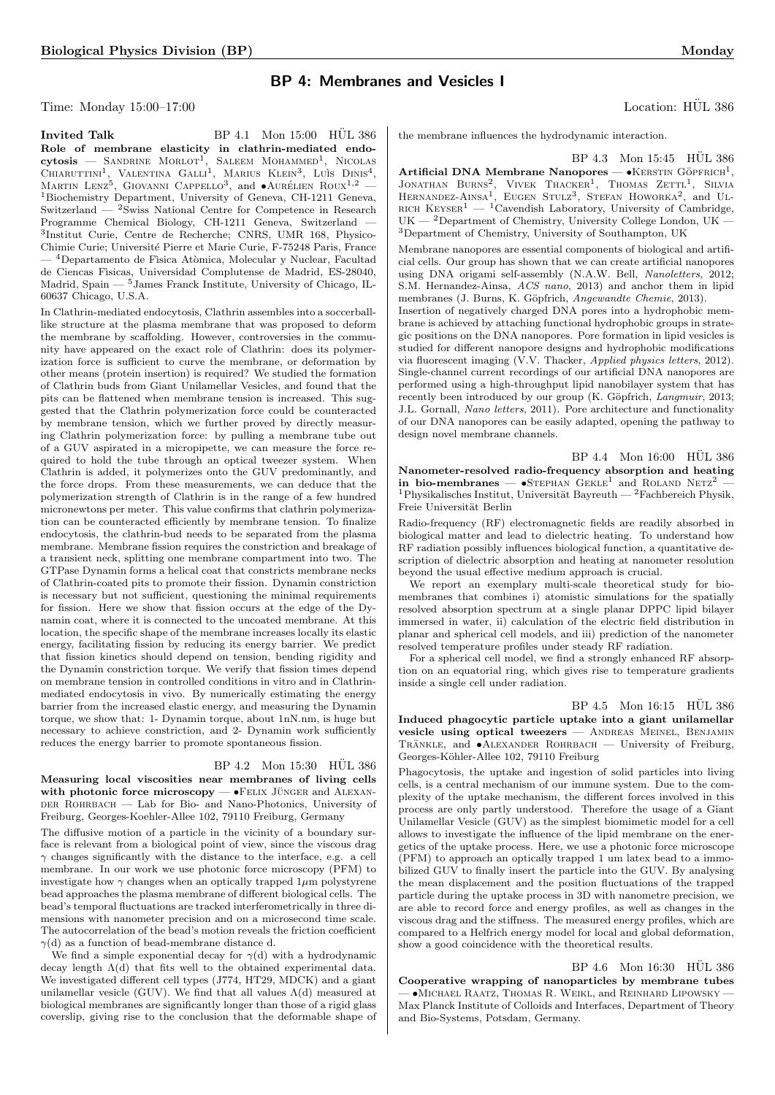# BP 4: Membranes and Vesicles I

Time: Monday 15:00–17:00 Location: HÜL 386

Invited Talk  $BP\ 4.1$  Mon  $15:00$  HUL 386 Role of membrane elasticity in clathrin-mediated endo-<br>cytosis — SANDRINE MORLOT<sup>1</sup>, SALEEM MOHAMMED<sup>1</sup>, NICOLAS<br>CHIARUTTINI<sup>1</sup>, VALENTINA GALLI<sup>1</sup>, MARIUS KLEIN<sup>3</sup>, LUÌS DINIS<sup>4</sup>, MARTIN LENZ<sup>5</sup>, GIOVANNI CAPPELLO<sup>3</sup>, and  $\bullet$ AURÉLIEN ROUX<sup>1,2</sup> — <sup>1</sup>Biochemistry Department, University of Geneva, CH-1211 Geneva, Switzerland — <sup>2</sup>Swiss National Centre for Competence in Research Programme Chemical Biology, CH-1211 Geneva, Switzerland — 3 Institut Curie, Centre de Recherche; CNRS, UMR 168, Physico-Chimie Curie; Université Pierre et Marie Curie, F-75248 Paris, France <sup>4</sup>Departamento de Física Atòmica, Molecular y Nuclear, Facultad

de Ciencas Fìsicas, Universidad Complutense de Madrid, ES-28040, Madrid, Spain — <sup>5</sup>James Franck Institute, University of Chicago, IL-60637 Chicago, U.S.A.

In Clathrin-mediated endocytosis, Clathrin assembles into a soccerballlike structure at the plasma membrane that was proposed to deform the membrane by scaffolding. However, controversies in the community have appeared on the exact role of Clathrin: does its polymerization force is sufficient to curve the membrane, or deformation by other means (protein insertion) is required? We studied the formation of Clathrin buds from Giant Unilamellar Vesicles, and found that the pits can be flattened when membrane tension is increased. This suggested that the Clathrin polymerization force could be counteracted by membrane tension, which we further proved by directly measuring Clathrin polymerization force: by pulling a membrane tube out of a GUV aspirated in a micropipette, we can measure the force required to hold the tube through an optical tweezer system. When Clathrin is added, it polymerizes onto the GUV predominantly, and the force drops. From these measurements, we can deduce that the polymerization strength of Clathrin is in the range of a few hundred micronewtons per meter. This value confirms that clathrin polymerization can be counteracted efficiently by membrane tension. To finalize endocytosis, the clathrin-bud needs to be separated from the plasma membrane. Membrane fission requires the constriction and breakage of a transient neck, splitting one membrane compartment into two. The GTPase Dynamin forms a helical coat that constricts membrane necks of Clathrin-coated pits to promote their fission. Dynamin constriction is necessary but not sufficient, questioning the minimal requirements for fission. Here we show that fission occurs at the edge of the Dynamin coat, where it is connected to the uncoated membrane. At this location, the specific shape of the membrane increases locally its elastic energy, facilitating fission by reducing its energy barrier. We predict that fission kinetics should depend on tension, bending rigidity and the Dynamin constriction torque. We verify that fission times depend on membrane tension in controlled conditions in vitro and in Clathrinmediated endocytosis in vivo. By numerically estimating the energy barrier from the increased elastic energy, and measuring the Dynamin torque, we show that: 1- Dynamin torque, about 1nN.nm, is huge but necessary to achieve constriction, and 2- Dynamin work sufficiently reduces the energy barrier to promote spontaneous fission.

## BP 4.2 Mon 15:30 HÜL 386

Measuring local viscosities near membranes of living cells with photonic force microscopy  $\bullet$  FELIX JÜNGER and ALEXAN-DER ROHRBACH — Lab for Bio- and Nano-Photonics, University of Freiburg, Georges-Koehler-Allee 102, 79110 Freiburg, Germany

The diffusive motion of a particle in the vicinity of a boundary surface is relevant from a biological point of view, since the viscous drag  $\gamma$  changes significantly with the distance to the interface, e.g. a cell membrane. In our work we use photonic force microscopy (PFM) to investigate how  $\gamma$  changes when an optically trapped  $1\mu$ m polystyrene bead approaches the plasma membrane of different biological cells. The bead's temporal fluctuations are tracked interferometrically in three dimensions with nanometer precision and on a microsecond time scale. The autocorrelation of the bead's motion reveals the friction coefficient  $\gamma$ (d) as a function of bead-membrane distance d.

We find a simple exponential decay for  $\gamma(d)$  with a hydrodynamic decay length  $\Lambda(d)$  that fits well to the obtained experimental data. We investigated different cell types (J774, HT29, MDCK) and a giant unilamellar vesicle (GUV). We find that all values  $\Lambda(d)$  measured at biological membranes are significantly longer than those of a rigid glass coverslip, giving rise to the conclusion that the deformable shape of

the membrane influences the hydrodynamic interaction.

BP 4.3 Mon 15:45 HÜL 386

Artificial DNA Membrane Nanopores —  $\bullet$ KERSTIN GÖPFRICH<sup>1</sup> JONATHAN BURNS<sup>2</sup>, VIVEK THACKER<sup>1</sup>, THOMAS ZETTL<sup>1</sup>, SILVIA<br>HERNANDEZ-AINSA<sup>1</sup>, EUGEN STULZ<sup>3</sup>, STEFAN HOWORKA<sup>2</sup>, and UL-RICH KEYSER<sup>1</sup> — <sup>1</sup>Cavendish Laboratory, University of Cambridge, UK — <sup>2</sup>Department of Chemistry, University College London, UK — <sup>3</sup>Department of Chemistry, University of Southampton, UK

Membrane nanopores are essential components of biological and artificial cells. Our group has shown that we can create artificial nanopores using DNA origami self-assembly (N.A.W. Bell, Nanoletters, 2012; S.M. Hernandez-Ainsa, ACS nano, 2013) and anchor them in lipid membranes (J. Burns, K. Göpfrich, Angewandte Chemie, 2013).

Insertion of negatively charged DNA pores into a hydrophobic membrane is achieved by attaching functional hydrophobic groups in strategic positions on the DNA nanopores. Pore formation in lipid vesicles is studied for different nanopore designs and hydrophobic modifications via fluorescent imaging (V.V. Thacker, Applied physics letters, 2012). Single-channel current recordings of our artificial DNA nanopores are performed using a high-throughput lipid nanobilayer system that has recently been introduced by our group (K. Göpfrich, Langmuir, 2013; J.L. Gornall, Nano letters, 2011). Pore architecture and functionality of our DNA nanopores can be easily adapted, opening the pathway to design novel membrane channels.

 $BP_4.4$  Mon  $16:00$  HÜL 386 Nanometer-resolved radio-frequency absorption and heating in bio-membranes —  $\bullet$ STEPHAN GEKLE<sup>1</sup> and ROLAND NETZ<sup>2</sup> <sup>1</sup>Physikalisches Institut, Universität Bayreuth — <sup>2</sup>Fachbereich Physik, Freie Universität Berlin

Radio-frequency (RF) electromagnetic fields are readily absorbed in biological matter and lead to dielectric heating. To understand how RF radiation possibly influences biological function, a quantitative description of dielectric absorption and heating at nanometer resolution beyond the usual effective medium approach is crucial.

We report an exemplary multi-scale theoretical study for biomembranes that combines i) atomistic simulations for the spatially resolved absorption spectrum at a single planar DPPC lipid bilayer immersed in water, ii) calculation of the electric field distribution in planar and spherical cell models, and iii) prediction of the nanometer resolved temperature profiles under steady RF radiation.

For a spherical cell model, we find a strongly enhanced RF absorption on an equatorial ring, which gives rise to temperature gradients inside a single cell under radiation.

 $BP$  4.5 Mon 16:15 HÜL 386 Induced phagocytic particle uptake into a giant unilamellar vesicle using optical tweezers — Andreas Meinel, Benjamin TRÄNKLE, and  $\bullet$ ALEXANDER ROHRBACH — University of Freiburg, Georges-Köhler-Allee 102, 79110 Freiburg

Phagocytosis, the uptake and ingestion of solid particles into living cells, is a central mechanism of our immune system. Due to the complexity of the uptake mechanism, the different forces involved in this process are only partly understood. Therefore the usage of a Giant Unilamellar Vesicle (GUV) as the simplest biomimetic model for a cell allows to investigate the influence of the lipid membrane on the energetics of the uptake process. Here, we use a photonic force microscope (PFM) to approach an optically trapped 1 um latex bead to a immobilized GUV to finally insert the particle into the GUV. By analysing the mean displacement and the position fluctuations of the trapped particle during the uptake process in 3D with nanometre precision, we are able to record force and energy profiles, as well as changes in the viscous drag and the stiffness. The measured energy profiles, which are compared to a Helfrich energy model for local and global deformation, show a good coincidence with the theoretical results.

 $BP$  4.6 Mon 16:30 HUL 386 Cooperative wrapping of nanoparticles by membrane tubes — •Michael Raatz, Thomas R. Weikl, and Reinhard Lipowsky — Max Planck Institute of Colloids and Interfaces, Department of Theory and Bio-Systems, Potsdam, Germany.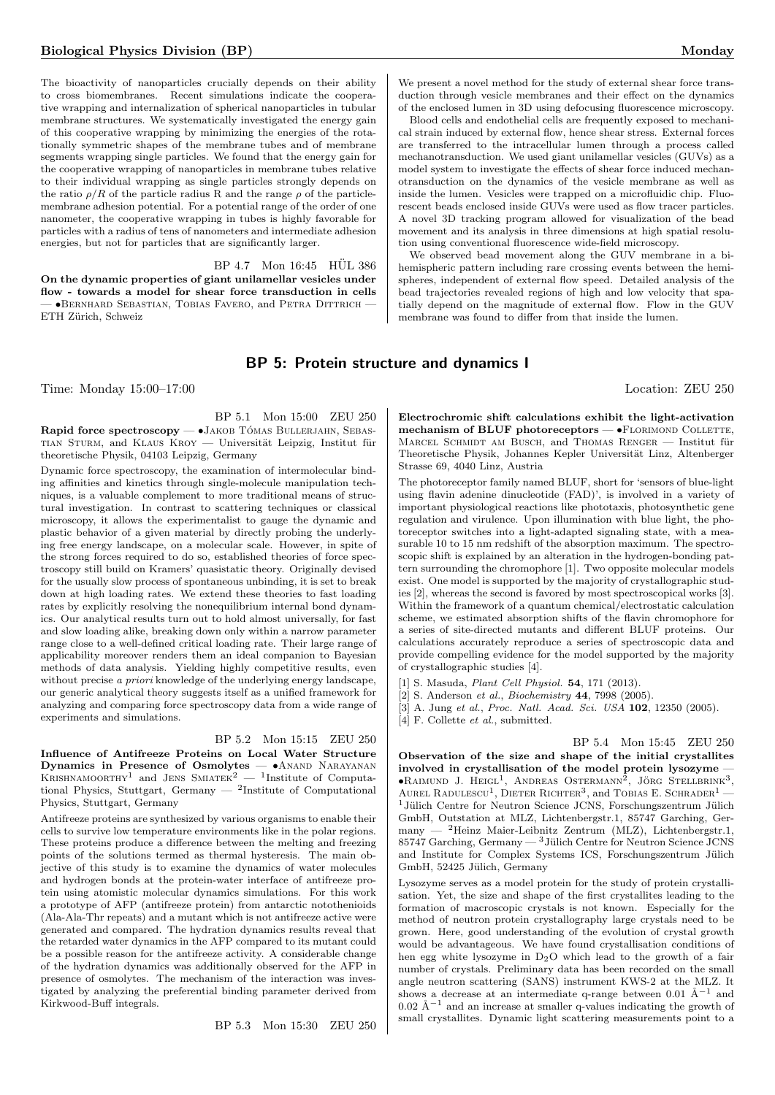The bioactivity of nanoparticles crucially depends on their ability to cross biomembranes. Recent simulations indicate the cooperative wrapping and internalization of spherical nanoparticles in tubular membrane structures. We systematically investigated the energy gain of this cooperative wrapping by minimizing the energies of the rotationally symmetric shapes of the membrane tubes and of membrane segments wrapping single particles. We found that the energy gain for the cooperative wrapping of nanoparticles in membrane tubes relative to their individual wrapping as single particles strongly depends on the ratio  $\rho/R$  of the particle radius R and the range  $\rho$  of the particlemembrane adhesion potential. For a potential range of the order of one nanometer, the cooperative wrapping in tubes is highly favorable for particles with a radius of tens of nanometers and intermediate adhesion energies, but not for particles that are significantly larger.

 $BP$  4.7 Mon 16:45  $HÜL$  386 On the dynamic properties of giant unilamellar vesicles under flow - towards a model for shear force transduction in cells — •Bernhard Sebastian, Tobias Favero, and Petra Dittrich — ETH Zürich, Schweiz

We present a novel method for the study of external shear force transduction through vesicle membranes and their effect on the dynamics of the enclosed lumen in 3D using defocusing fluorescence microscopy.

Blood cells and endothelial cells are frequently exposed to mechanical strain induced by external flow, hence shear stress. External forces are transferred to the intracellular lumen through a process called mechanotransduction. We used giant unilamellar vesicles (GUVs) as a model system to investigate the effects of shear force induced mechanotransduction on the dynamics of the vesicle membrane as well as inside the lumen. Vesicles were trapped on a microfluidic chip. Fluorescent beads enclosed inside GUVs were used as flow tracer particles. A novel 3D tracking program allowed for visualization of the bead movement and its analysis in three dimensions at high spatial resolution using conventional fluorescence wide-field microscopy.

We observed bead movement along the GUV membrane in a bihemispheric pattern including rare crossing events between the hemispheres, independent of external flow speed. Detailed analysis of the bead trajectories revealed regions of high and low velocity that spatially depend on the magnitude of external flow. Flow in the GUV membrane was found to differ from that inside the lumen.

# BP 5: Protein structure and dynamics I

Time: Monday 15:00–17:00 Location: ZEU 250

BP 5.1 Mon 15:00 ZEU 250

Rapid force spectroscopy - •JAKOB TÓMAS BULLERJAHN, SEBAS-TIAN STURM, and KLAUS KROY — Universität Leipzig, Institut für theoretische Physik, 04103 Leipzig, Germany

Dynamic force spectroscopy, the examination of intermolecular binding affinities and kinetics through single-molecule manipulation techniques, is a valuable complement to more traditional means of structural investigation. In contrast to scattering techniques or classical microscopy, it allows the experimentalist to gauge the dynamic and plastic behavior of a given material by directly probing the underlying free energy landscape, on a molecular scale. However, in spite of the strong forces required to do so, established theories of force spectroscopy still build on Kramers' quasistatic theory. Originally devised for the usually slow process of spontaneous unbinding, it is set to break down at high loading rates. We extend these theories to fast loading rates by explicitly resolving the nonequilibrium internal bond dynamics. Our analytical results turn out to hold almost universally, for fast and slow loading alike, breaking down only within a narrow parameter range close to a well-defined critical loading rate. Their large range of applicability moreover renders them an ideal companion to Bayesian methods of data analysis. Yielding highly competitive results, even without precise a priori knowledge of the underlying energy landscape. our generic analytical theory suggests itself as a unified framework for analyzing and comparing force spectroscopy data from a wide range of experiments and simulations.

#### BP 5.2 Mon 15:15 ZEU 250

Influence of Antifreeze Proteins on Local Water Structure Dynamics in Presence of Osmolytes -  $\bullet$ ANAND NARAYANAN KRISHNAMOORTHY<sup>1</sup> and JENS SMIATEK<sup>2</sup> — <sup>1</sup>Institute of Computational Physics, Stuttgart, Germany  $-$  <sup>2</sup>Institute of Computational Physics, Stuttgart, Germany

Antifreeze proteins are synthesized by various organisms to enable their cells to survive low temperature environments like in the polar regions. These proteins produce a difference between the melting and freezing points of the solutions termed as thermal hysteresis. The main objective of this study is to examine the dynamics of water molecules and hydrogen bonds at the protein-water interface of antifreeze protein using atomistic molecular dynamics simulations. For this work a prototype of AFP (antifreeze protein) from antarctic notothenioids (Ala-Ala-Thr repeats) and a mutant which is not antifreeze active were generated and compared. The hydration dynamics results reveal that the retarded water dynamics in the AFP compared to its mutant could be a possible reason for the antifreeze activity. A considerable change of the hydration dynamics was additionally observed for the AFP in presence of osmolytes. The mechanism of the interaction was investigated by analyzing the preferential binding parameter derived from Kirkwood-Buff integrals.

BP 5.3 Mon 15:30 ZEU 250

Electrochromic shift calculations exhibit the light-activation mechanism of BLUF photoreceptors - •FLORIMOND COLLETTE, MARCEL SCHMIDT AM BUSCH, and THOMAS RENGER — Institut für Theoretische Physik, Johannes Kepler Universität Linz, Altenberger Strasse 69, 4040 Linz, Austria

The photoreceptor family named BLUF, short for 'sensors of blue-light using flavin adenine dinucleotide (FAD)', is involved in a variety of important physiological reactions like phototaxis, photosynthetic gene regulation and virulence. Upon illumination with blue light, the photoreceptor switches into a light-adapted signaling state, with a measurable 10 to 15 nm redshift of the absorption maximum. The spectroscopic shift is explained by an alteration in the hydrogen-bonding pattern surrounding the chromophore [1]. Two opposite molecular models exist. One model is supported by the majority of crystallographic studies [2], whereas the second is favored by most spectroscopical works [3]. Within the framework of a quantum chemical/electrostatic calculation scheme, we estimated absorption shifts of the flavin chromophore for a series of site-directed mutants and different BLUF proteins. Our calculations accurately reproduce a series of spectroscopic data and provide compelling evidence for the model supported by the majority of crystallographic studies [4].

- [1] S. Masuda, Plant Cell Physiol. 54, 171 (2013).
- [2] S. Anderson et al., Biochemistry 44, 7998 (2005).
- [3] A. Jung et al., Proc. Natl. Acad. Sci. USA 102, 12350 (2005).

[4] F. Collette et al., submitted.

BP 5.4 Mon 15:45 ZEU 250 Observation of the size and shape of the initial crystallites involved in crystallisation of the model protein lysozyme —  $\bullet$ Raimund J. Heigl<sup>1</sup>, Andreas Ostermann<sup>2</sup>, Jörg Stellbrink<sup>3</sup>, AUREL RADULESCU<sup>1</sup>, DIETER RICHTER<sup>3</sup>, and TOBIAS E. SCHRADER<sup>1</sup> - $1$ Jülich Centre for Neutron Science JCNS, Forschungszentrum Jülich GmbH, Outstation at MLZ, Lichtenbergstr.1, 85747 Garching, Germany — <sup>2</sup>Heinz Maier-Leibnitz Zentrum (MLZ), Lichtenbergstr.1, 85747 Garching, Germany —  $3$  Jülich Centre for Neutron Science JCNS and Institute for Complex Systems ICS, Forschungszentrum Jülich GmbH, 52425 Jülich, Germany

Lysozyme serves as a model protein for the study of protein crystallisation. Yet, the size and shape of the first crystallites leading to the formation of macroscopic crystals is not known. Especially for the method of neutron protein crystallography large crystals need to be grown. Here, good understanding of the evolution of crystal growth would be advantageous. We have found crystallisation conditions of hen egg white lysozyme in  $D_2O$  which lead to the growth of a fair number of crystals. Preliminary data has been recorded on the small angle neutron scattering (SANS) instrument KWS-2 at the MLZ. It shows a decrease at an intermediate q-range between 0.01  $\AA^{-1}$  and 0.02 Å<sup> $-1$ </sup> and an increase at smaller q-values indicating the growth of small crystallites. Dynamic light scattering measurements point to a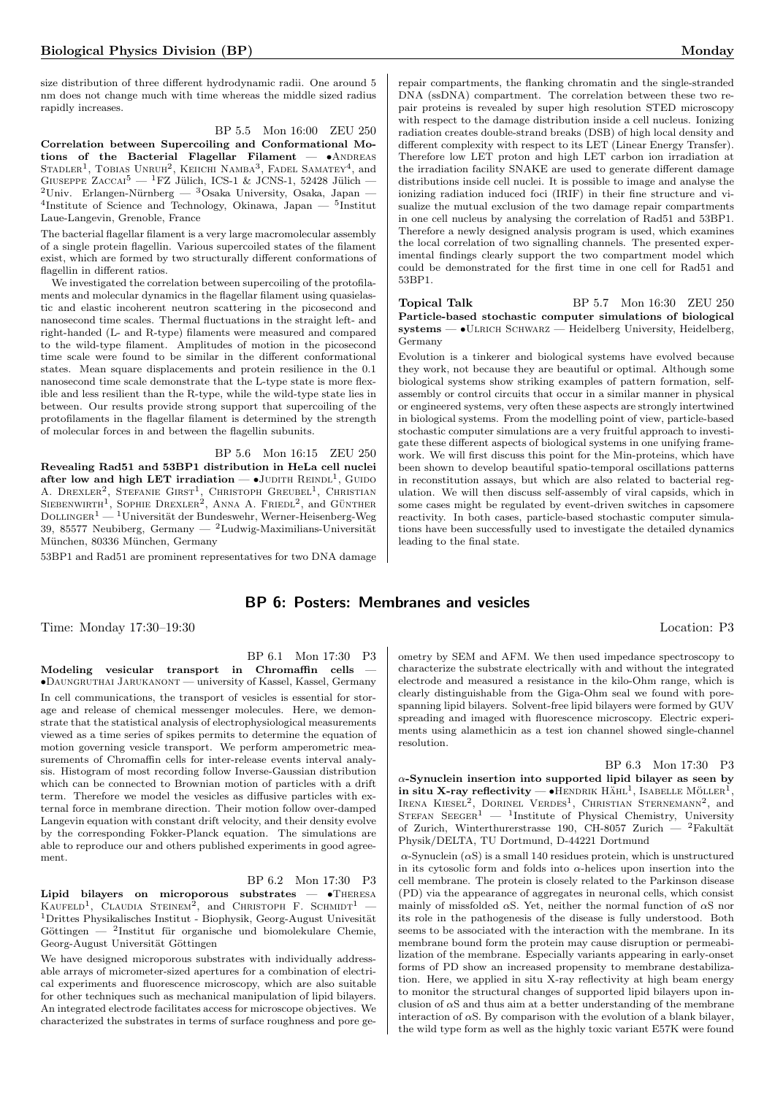size distribution of three different hydrodynamic radii. One around 5 nm does not change much with time whereas the middle sized radius rapidly increases.

BP 5.5 Mon 16:00 ZEU 250 Correlation between Supercoiling and Conformational Motions of the Bacterial Flagellar Filament  $\bullet$  ANDREAS STADLER<sup>1</sup>, TOBIAS UNRUH<sup>2</sup>, KEIICHI NAMBA<sup>3</sup>, FADEL SAMATEY<sup>4</sup>, and GIUSEPPE ZACCAI<sup>5</sup> — <sup>1</sup>FZ Jülich, ICS-1 & JCNS-1, 52428 Jülich — <sup>2</sup>Univ. Erlangen-Nürnberg — <sup>3</sup>Osaka University, Osaka, Japan — 4 Institute of Science and Technology, Okinawa, Japan — <sup>5</sup> Institut Laue-Langevin, Grenoble, France

The bacterial flagellar filament is a very large macromolecular assembly of a single protein flagellin. Various supercoiled states of the filament exist, which are formed by two structurally different conformations of flagellin in different ratios.

We investigated the correlation between supercoiling of the protofilaments and molecular dynamics in the flagellar filament using quasielastic and elastic incoherent neutron scattering in the picosecond and nanosecond time scales. Thermal fluctuations in the straight left- and right-handed (L- and R-type) filaments were measured and compared to the wild-type filament. Amplitudes of motion in the picosecond time scale were found to be similar in the different conformational states. Mean square displacements and protein resilience in the 0.1 nanosecond time scale demonstrate that the L-type state is more flexible and less resilient than the R-type, while the wild-type state lies in between. Our results provide strong support that supercoiling of the protofilaments in the flagellar filament is determined by the strength of molecular forces in and between the flagellin subunits.

BP 5.6 Mon 16:15 ZEU 250

Revealing Rad51 and 53BP1 distribution in HeLa cell nuclei after low and high LET irradiation  $\bullet$ JUDITH REINDL<sup>1</sup>, GUIDO A. DREXLER<sup>2</sup>, STEFANIE GIRST<sup>1</sup>, CHRISTOPH GREUBEL<sup>1</sup>, CHRISTIAN<br>SIEBENWIRTH<sup>1</sup>, SOPHIE DREXLER<sup>2</sup>, ANNA A. FRIEDL<sup>2</sup>, and GÜNTHER  $\mathrm{D}\textsc{olm}$ GER $^1 ^1\textsc{Universität}$  der Bundeswehr, Werner-Heisenberg-Weg 39, 85577 Neubiberg, Germany —  $2$ Ludwig-Maximilians-Universität München, 80336 München, Germany

53BP1 and Rad51 are prominent representatives for two DNA damage

# BP 6: Posters: Membranes and vesicles

Time: Monday 17:30–19:30 Location: P3

BP 6.1 Mon 17:30 P3 Modeling vesicular transport in Chromaffin cells — •Daungruthai Jarukanont — university of Kassel, Kassel, Germany In cell communications, the transport of vesicles is essential for storage and release of chemical messenger molecules. Here, we demonstrate that the statistical analysis of electrophysiological measurements viewed as a time series of spikes permits to determine the equation of motion governing vesicle transport. We perform amperometric measurements of Chromaffin cells for inter-release events interval analysis. Histogram of most recording follow Inverse-Gaussian distribution which can be connected to Brownian motion of particles with a drift term. Therefore we model the vesicles as diffusive particles with external force in membrane direction. Their motion follow over-damped Langevin equation with constant drift velocity, and their density evolve by the corresponding Fokker-Planck equation. The simulations are able to reproduce our and others published experiments in good agreement.

BP 6.2 Mon 17:30 P3

Lipid bilayers on microporous substrates — •Theresa KAUFELD<sup>1</sup>, CLAUDIA STEINEM<sup>2</sup>, and CHRISTOPH F. SCHMIDT<sup>1</sup> –  $1$ Drittes Physikalisches Institut - Biophysik, Georg-August Univesität Göttingen — <sup>2</sup>Institut für organische und biomolekulare Chemie, Georg-August Universität Göttingen

We have designed microporous substrates with individually addressable arrays of micrometer-sized apertures for a combination of electrical experiments and fluorescence microscopy, which are also suitable for other techniques such as mechanical manipulation of lipid bilayers. An integrated electrode facilitates access for microscope objectives. We characterized the substrates in terms of surface roughness and pore gerepair compartments, the flanking chromatin and the single-stranded DNA (ssDNA) compartment. The correlation between these two repair proteins is revealed by super high resolution STED microscopy with respect to the damage distribution inside a cell nucleus. Ionizing radiation creates double-strand breaks (DSB) of high local density and different complexity with respect to its LET (Linear Energy Transfer). Therefore low LET proton and high LET carbon ion irradiation at the irradiation facility SNAKE are used to generate different damage distributions inside cell nuclei. It is possible to image and analyse the ionizing radiation induced foci (IRIF) in their fine structure and visualize the mutual exclusion of the two damage repair compartments in one cell nucleus by analysing the correlation of Rad51 and 53BP1. Therefore a newly designed analysis program is used, which examines the local correlation of two signalling channels. The presented experimental findings clearly support the two compartment model which could be demonstrated for the first time in one cell for Rad51 and 53BP1.

Topical Talk BP 5.7 Mon 16:30 ZEU 250 Particle-based stochastic computer simulations of biological  $s$ ystems —  $\bullet$ ULRICH SCHWARZ — Heidelberg University, Heidelberg, Germany

Evolution is a tinkerer and biological systems have evolved because they work, not because they are beautiful or optimal. Although some biological systems show striking examples of pattern formation, selfassembly or control circuits that occur in a similar manner in physical or engineered systems, very often these aspects are strongly intertwined in biological systems. From the modelling point of view, particle-based stochastic computer simulations are a very fruitful approach to investigate these different aspects of biological systems in one unifying framework. We will first discuss this point for the Min-proteins, which have been shown to develop beautiful spatio-temporal oscillations patterns in reconstitution assays, but which are also related to bacterial regulation. We will then discuss self-assembly of viral capsids, which in some cases might be regulated by event-driven switches in capsomere reactivity. In both cases, particle-based stochastic computer simulations have been successfully used to investigate the detailed dynamics leading to the final state.

ometry by SEM and AFM. We then used impedance spectroscopy to characterize the substrate electrically with and without the integrated electrode and measured a resistance in the kilo-Ohm range, which is clearly distinguishable from the Giga-Ohm seal we found with porespanning lipid bilayers. Solvent-free lipid bilayers were formed by GUV spreading and imaged with fluorescence microscopy. Electric experiments using alamethicin as a test ion channel showed single-channel resolution.

BP 6.3 Mon 17:30 P3  $\alpha$ -Synuclein insertion into supported lipid bilayer as seen by in situ X-ray reflectivity —  $\bullet$ HENDRIK HAHL<sup>1</sup>, ISABELLE MÖLLER<sup>I</sup>, IRENA KIESEL<sup>2</sup>, DORINEL VERDES<sup>1</sup>, CHRISTIAN STERNEMANN<sup>2</sup>, and STEFAN SEEGER<sup>1</sup> — <sup>1</sup>Institute of Physical Chemistry, University of Zurich, Winterthurerstrasse 190, CH-8057 Zurich — <sup>2</sup>Fakultät Physik/DELTA, TU Dortmund, D-44221 Dortmund

 $\alpha$ -Synuclein  $(\alpha S)$  is a small 140 residues protein, which is unstructured in its cytosolic form and folds into  $\alpha$ -helices upon insertion into the cell membrane. The protein is closely related to the Parkinson disease (PD) via the appearance of aggregates in neuronal cells, which consist mainly of missfolded  $\alpha S$ . Yet, neither the normal function of  $\alpha S$  nor its role in the pathogenesis of the disease is fully understood. Both seems to be associated with the interaction with the membrane. In its membrane bound form the protein may cause disruption or permeabilization of the membrane. Especially variants appearing in early-onset forms of PD show an increased propensity to membrane destabilization. Here, we applied in situ X-ray reflectivity at high beam energy to monitor the structural changes of supported lipid bilayers upon inclusion of  $\alpha S$  and thus aim at a better understanding of the membrane interaction of  $\alpha S$ . By comparison with the evolution of a blank bilayer, the wild type form as well as the highly toxic variant E57K were found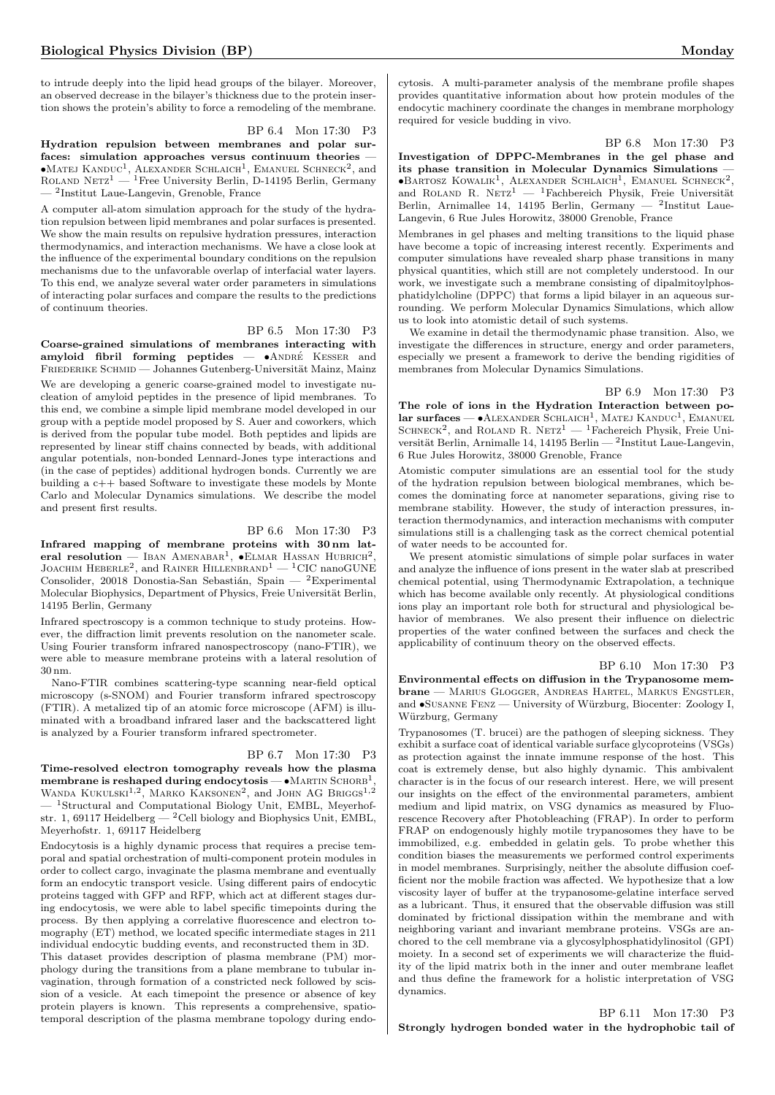to intrude deeply into the lipid head groups of the bilayer. Moreover, an observed decrease in the bilayer's thickness due to the protein insertion shows the protein's ability to force a remodeling of the membrane.

BP 6.4 Mon 17:30 P3

Hydration repulsion between membranes and polar surfaces: simulation approaches versus continuum theories —  $\bullet$ Matej Kanduc<sup>1</sup>, Alexander Schlaich<sup>1</sup>, Emanuel Schneck<sup>2</sup>, and<br>Roland Netz<sup>1</sup> — <sup>1</sup>Free University Berlin, D-14195 Berlin, Germany — <sup>2</sup> Institut Laue-Langevin, Grenoble, France

A computer all-atom simulation approach for the study of the hydration repulsion between lipid membranes and polar surfaces is presented. We show the main results on repulsive hydration pressures, interaction thermodynamics, and interaction mechanisms. We have a close look at the influence of the experimental boundary conditions on the repulsion mechanisms due to the unfavorable overlap of interfacial water layers. To this end, we analyze several water order parameters in simulations of interacting polar surfaces and compare the results to the predictions of continuum theories.

BP 6.5 Mon 17:30 P3

Coarse-grained simulations of membranes interacting with amyloid fibril forming peptides -  $\bullet$ ANDRÉ KESSER and FRIEDERIKE SCHMID — Johannes Gutenberg-Universität Mainz, Mainz We are developing a generic coarse-grained model to investigate nucleation of amyloid peptides in the presence of lipid membranes. To this end, we combine a simple lipid membrane model developed in our group with a peptide model proposed by S. Auer and coworkers, which is derived from the popular tube model. Both peptides and lipids are represented by linear stiff chains connected by beads, with additional angular potentials, non-bonded Lennard-Jones type interactions and (in the case of peptides) additional hydrogen bonds. Currently we are building a c++ based Software to investigate these models by Monte Carlo and Molecular Dynamics simulations. We describe the model and present first results.

# BP 6.6 Mon 17:30 P3

Infrared mapping of membrane proteins with 30 nm lateral resolution — Iban Amenabar<sup>1</sup>,  $\bullet$ Elmar Hassan Hubrich<sup>2</sup>, JOACHIM HEBERLE<sup>2</sup>, and RAINER HILLENBRAND<sup>1</sup> — <sup>1</sup>CIC nanoGUNE Consolider, 20018 Donostia-San Sebastián, Spain — <sup>2</sup>Experimental Molecular Biophysics, Department of Physics, Freie Universität Berlin, 14195 Berlin, Germany

Infrared spectroscopy is a common technique to study proteins. However, the diffraction limit prevents resolution on the nanometer scale. Using Fourier transform infrared nanospectroscopy (nano-FTIR), we were able to measure membrane proteins with a lateral resolution of 30 nm.

Nano-FTIR combines scattering-type scanning near-field optical microscopy (s-SNOM) and Fourier transform infrared spectroscopy (FTIR). A metalized tip of an atomic force microscope (AFM) is illuminated with a broadband infrared laser and the backscattered light is analyzed by a Fourier transform infrared spectrometer.

# BP 6.7 Mon 17:30 P3

Time-resolved electron tomography reveals how the plasma membrane is reshaped during endocytosis  $- \cdot$ MARTIN SCHORB<sup>1</sup> membrane is reshaped during endocytosis — •MARTIN SCHORB<sup>1</sup>,<br>WANDA KUKULSKI<sup>1,2</sup>, MARKO KAKSONEN<sup>2</sup>, and JOHN AG BRIGGS<sup>1,2</sup> - <sup>1</sup>Structural and Computational Biology Unit, EMBL, Meyerhofstr. 1, 69117 Heidelberg  $-$  <sup>2</sup>Cell biology and Biophysics Unit, EMBL, Meyerhofstr. 1, 69117 Heidelberg

Endocytosis is a highly dynamic process that requires a precise temporal and spatial orchestration of multi-component protein modules in order to collect cargo, invaginate the plasma membrane and eventually form an endocytic transport vesicle. Using different pairs of endocytic proteins tagged with GFP and RFP, which act at different stages during endocytosis, we were able to label specific timepoints during the process. By then applying a correlative fluorescence and electron tomography (ET) method, we located specific intermediate stages in 211 individual endocytic budding events, and reconstructed them in 3D. This dataset provides description of plasma membrane (PM) morphology during the transitions from a plane membrane to tubular invagination, through formation of a constricted neck followed by scission of a vesicle. At each timepoint the presence or absence of key protein players is known. This represents a comprehensive, spatiotemporal description of the plasma membrane topology during endocytosis. A multi-parameter analysis of the membrane profile shapes provides quantitative information about how protein modules of the endocytic machinery coordinate the changes in membrane morphology required for vesicle budding in vivo.

BP 6.8 Mon 17:30 P3

Investigation of DPPC-Membranes in the gel phase and its phase transition in Molecular Dynamics Simulations —  $\bullet$ Bartosz Kowalik<sup>1</sup>, Alexander Schlaich<sup>1</sup>, Emanuel Schneck<sup>2</sup>, and ROLAND R.  $NETZ^1$  — <sup>1</sup>Fachbereich Physik, Freie Universität Berlin, Arnimallee 14, 14195 Berlin, Germany  $-$  <sup>2</sup>Institut Laue-Langevin, 6 Rue Jules Horowitz, 38000 Grenoble, France

Membranes in gel phases and melting transitions to the liquid phase have become a topic of increasing interest recently. Experiments and computer simulations have revealed sharp phase transitions in many physical quantities, which still are not completely understood. In our work, we investigate such a membrane consisting of dipalmitoylphosphatidylcholine (DPPC) that forms a lipid bilayer in an aqueous surrounding. We perform Molecular Dynamics Simulations, which allow us to look into atomistic detail of such systems.

We examine in detail the thermodynamic phase transition. Also, we investigate the differences in structure, energy and order parameters, especially we present a framework to derive the bending rigidities of membranes from Molecular Dynamics Simulations.

## BP 6.9 Mon 17:30 P3

The role of ions in the Hydration Interaction between po $lar$  surfaces — • ALEXANDER SCHLAICH<sup>1</sup>, MATEJ KANDUC<sup>1</sup>, EMANUEL SCHNECK<sup>2</sup>, and ROLAND R. NETZ<sup>1</sup> — <sup>1</sup>Fachereich Physik, Freie Universität Berlin, Arnimalle 14, 14195 Berlin — <sup>2</sup>Institut Laue-Langevin, 6 Rue Jules Horowitz, 38000 Grenoble, France

Atomistic computer simulations are an essential tool for the study of the hydration repulsion between biological membranes, which becomes the dominating force at nanometer separations, giving rise to membrane stability. However, the study of interaction pressures, interaction thermodynamics, and interaction mechanisms with computer simulations still is a challenging task as the correct chemical potential of water needs to be accounted for.

We present atomistic simulations of simple polar surfaces in water and analyze the influence of ions present in the water slab at prescribed chemical potential, using Thermodynamic Extrapolation, a technique which has become available only recently. At physiological conditions ions play an important role both for structural and physiological behavior of membranes. We also present their influence on dielectric properties of the water confined between the surfaces and check the applicability of continuum theory on the observed effects.

BP 6.10 Mon 17:30 P3

Environmental effects on diffusion in the Trypanosome membrane — Marius Glogger, Andreas Hartel, Markus Engstler, and •SUSANNE FENZ — University of Würzburg, Biocenter: Zoology I, Würzburg, Germany

Trypanosomes (T. brucei) are the pathogen of sleeping sickness. They exhibit a surface coat of identical variable surface glycoproteins (VSGs) as protection against the innate immune response of the host. This coat is extremely dense, but also highly dynamic. This ambivalent character is in the focus of our research interest. Here, we will present our insights on the effect of the environmental parameters, ambient medium and lipid matrix, on VSG dynamics as measured by Fluorescence Recovery after Photobleaching (FRAP). In order to perform FRAP on endogenously highly motile trypanosomes they have to be immobilized, e.g. embedded in gelatin gels. To probe whether this condition biases the measurements we performed control experiments in model membranes. Surprisingly, neither the absolute diffusion coefficient nor the mobile fraction was affected. We hypothesize that a low viscosity layer of buffer at the trypanosome-gelatine interface served as a lubricant. Thus, it ensured that the observable diffusion was still dominated by frictional dissipation within the membrane and with neighboring variant and invariant membrane proteins. VSGs are anchored to the cell membrane via a glycosylphosphatidylinositol (GPI) moiety. In a second set of experiments we will characterize the fluidity of the lipid matrix both in the inner and outer membrane leaflet and thus define the framework for a holistic interpretation of VSG dynamics.

# BP 6.11 Mon 17:30 P3 Strongly hydrogen bonded water in the hydrophobic tail of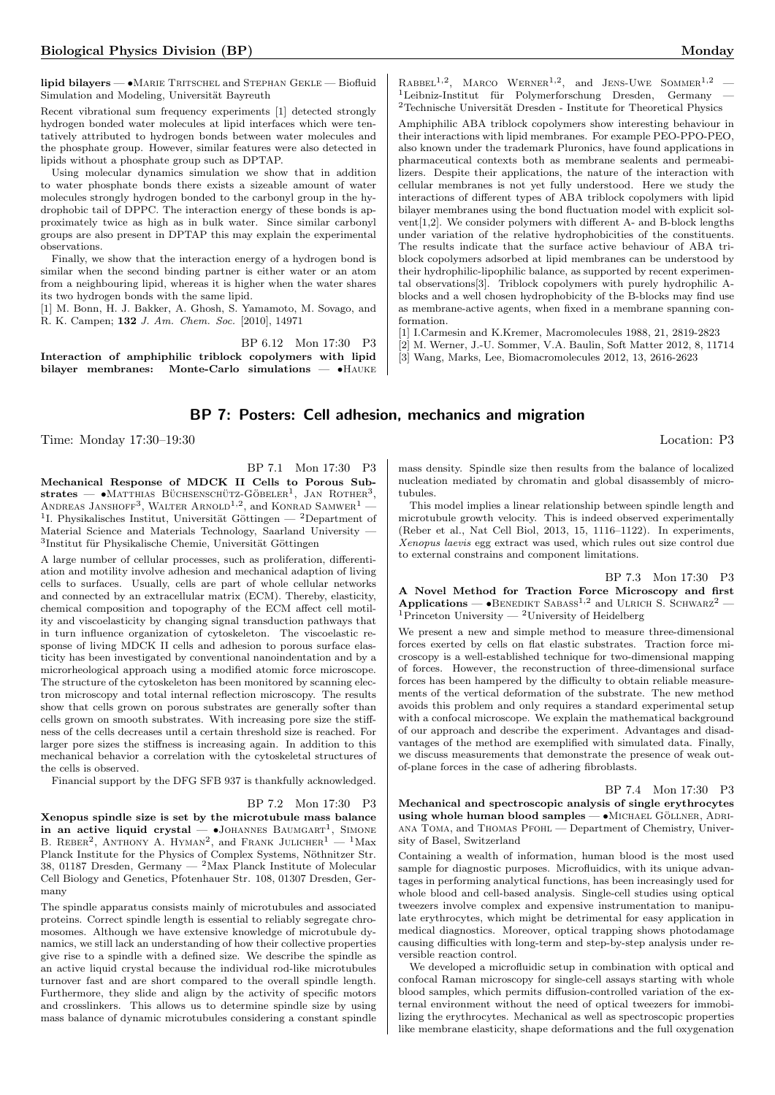lipid bilayers — •MARIE TRITSCHEL and STEPHAN GEKLE — Biofluid Simulation and Modeling, Universität Bayreuth

Recent vibrational sum frequency experiments [1] detected strongly hydrogen bonded water molecules at lipid interfaces which were tentatively attributed to hydrogen bonds between water molecules and the phosphate group. However, similar features were also detected in lipids without a phosphate group such as DPTAP.

Using molecular dynamics simulation we show that in addition to water phosphate bonds there exists a sizeable amount of water molecules strongly hydrogen bonded to the carbonyl group in the hydrophobic tail of DPPC. The interaction energy of these bonds is approximately twice as high as in bulk water. Since similar carbonyl groups are also present in DPTAP this may explain the experimental observations.

Finally, we show that the interaction energy of a hydrogen bond is similar when the second binding partner is either water or an atom from a neighbouring lipid, whereas it is higher when the water shares its two hydrogen bonds with the same lipid.

[1] M. Bonn, H. J. Bakker, A. Ghosh, S. Yamamoto, M. Sovago, and R. K. Campen; 132 J. Am. Chem. Soc. [2010], 14971

BP 6.12 Mon 17:30 P3 Interaction of amphiphilic triblock copolymers with lipid bilayer membranes: Monte-Carlo simulations — •Hauke

 $RABBEL<sup>1,2</sup>$ , MARCO WERNER<sup>1,2</sup>, and JENS-UWE SOMMER<sup>1,2</sup> - ${}^{1}$ Leibniz-Institut für Polymerforschung Dresden, Germany  $^2\mbox{Technische Universität Dresden - Institute for Theoretical Physics}$ 

Amphiphilic ABA triblock copolymers show interesting behaviour in their interactions with lipid membranes. For example PEO-PPO-PEO, also known under the trademark Pluronics, have found applications in pharmaceutical contexts both as membrane sealents and permeabilizers. Despite their applications, the nature of the interaction with cellular membranes is not yet fully understood. Here we study the interactions of different types of ABA triblock copolymers with lipid bilayer membranes using the bond fluctuation model with explicit solvent[1,2]. We consider polymers with different A- and B-block lengths under variation of the relative hydrophobicities of the constituents. The results indicate that the surface active behaviour of ABA triblock copolymers adsorbed at lipid membranes can be understood by their hydrophilic-lipophilic balance, as supported by recent experimental observations[3]. Triblock copolymers with purely hydrophilic Ablocks and a well chosen hydrophobicity of the B-blocks may find use as membrane-active agents, when fixed in a membrane spanning conformation.

[1] I.Carmesin and K.Kremer, Macromolecules 1988, 21, 2819-2823

[2] M. Werner, J.-U. Sommer, V.A. Baulin, Soft Matter 2012, 8, 11714

[3] Wang, Marks, Lee, Biomacromolecules 2012, 13, 2616-2623

# BP 7: Posters: Cell adhesion, mechanics and migration

Time: Monday 17:30–19:30 Location: P3

BP 7.1 Mon 17:30 P3 Mechanical Response of MDCK II Cells to Porous Sub-

strates —  $\bullet$ Matthias Büchsenschütz-Göbeler<sup>1</sup>, Jan Rother<sup>3</sup>, ANDREAS JANSHOFF<sup>3</sup>, WALTER ARNOLD<sup>1,2</sup>, and KONRAD SAMWER<sup>1</sup> — <sup>1</sup>I. Physikalisches Institut, Universität Göttingen — <sup>2</sup>Department of Material Science and Materials Technology, Saarland University — <sup>3</sup>Institut für Physikalische Chemie, Universität Göttingen

A large number of cellular processes, such as proliferation, differentiation and motility involve adhesion and mechanical adaption of living cells to surfaces. Usually, cells are part of whole cellular networks and connected by an extracellular matrix (ECM). Thereby, elasticity, chemical composition and topography of the ECM affect cell motility and viscoelasticity by changing signal transduction pathways that in turn influence organization of cytoskeleton. The viscoelastic response of living MDCK II cells and adhesion to porous surface elasticity has been investigated by conventional nanoindentation and by a microrheological approach using a modified atomic force microscope. The structure of the cytoskeleton has been monitored by scanning electron microscopy and total internal reflection microscopy. The results show that cells grown on porous substrates are generally softer than cells grown on smooth substrates. With increasing pore size the stiffness of the cells decreases until a certain threshold size is reached. For larger pore sizes the stiffness is increasing again. In addition to this mechanical behavior a correlation with the cytoskeletal structures of the cells is observed.

Financial support by the DFG SFB 937 is thankfully acknowledged.

## BP 7.2 Mon 17:30 P3

Xenopus spindle size is set by the microtubule mass balance in an active liquid crystal  $\bullet$ JOHANNES BAUMGART<sup>1</sup>, SIMONE B. REBER<sup>2</sup>, ANTHONY A. HYMAN<sup>2</sup>, and FRANK JULICHER<sup>1</sup> - <sup>1</sup>Max Planck Institute for the Physics of Complex Systems, Nöthnitzer Str. 38, 01187 Dresden, Germany —  $^{2}$ Max Planck Institute of Molecular Cell Biology and Genetics, Pfotenhauer Str. 108, 01307 Dresden, Germany

The spindle apparatus consists mainly of microtubules and associated proteins. Correct spindle length is essential to reliably segregate chromosomes. Although we have extensive knowledge of microtubule dynamics, we still lack an understanding of how their collective properties give rise to a spindle with a defined size. We describe the spindle as an active liquid crystal because the individual rod-like microtubules turnover fast and are short compared to the overall spindle length. Furthermore, they slide and align by the activity of specific motors and crosslinkers. This allows us to determine spindle size by using mass balance of dynamic microtubules considering a constant spindle mass density. Spindle size then results from the balance of localized nucleation mediated by chromatin and global disassembly of microtubules.

This model implies a linear relationship between spindle length and microtubule growth velocity. This is indeed observed experimentally (Reber et al., Nat Cell Biol, 2013, 15, 1116–1122). In experiments, Xenopus laevis egg extract was used, which rules out size control due to external constrains and component limitations.

#### BP 7.3 Mon 17:30 P3

A Novel Method for Traction Force Microscopy and first Applications —  $\bullet$ BENEDIKT SABASS<sup>1,2</sup> and ULRICH S. SCHWARZ<sup>2</sup> — <sup>1</sup>Princeton University — <sup>2</sup>University of Heidelberg

We present a new and simple method to measure three-dimensional forces exerted by cells on flat elastic substrates. Traction force microscopy is a well-established technique for two-dimensional mapping of forces. However, the reconstruction of three-dimensional surface forces has been hampered by the difficulty to obtain reliable measurements of the vertical deformation of the substrate. The new method avoids this problem and only requires a standard experimental setup with a confocal microscope. We explain the mathematical background of our approach and describe the experiment. Advantages and disadvantages of the method are exemplified with simulated data. Finally, we discuss measurements that demonstrate the presence of weak outof-plane forces in the case of adhering fibroblasts.

## BP 7.4 Mon 17:30 P3

Mechanical and spectroscopic analysis of single erythrocytes using whole human blood samples —  $\bullet$ MICHAEL GÖLLNER, ADRIana Toma, and Thomas Pfohl — Department of Chemistry, University of Basel, Switzerland

Containing a wealth of information, human blood is the most used sample for diagnostic purposes. Microfluidics, with its unique advantages in performing analytical functions, has been increasingly used for whole blood and cell-based analysis. Single-cell studies using optical tweezers involve complex and expensive instrumentation to manipulate erythrocytes, which might be detrimental for easy application in medical diagnostics. Moreover, optical trapping shows photodamage causing difficulties with long-term and step-by-step analysis under reversible reaction control.

We developed a microfluidic setup in combination with optical and confocal Raman microscopy for single-cell assays starting with whole blood samples, which permits diffusion-controlled variation of the external environment without the need of optical tweezers for immobilizing the erythrocytes. Mechanical as well as spectroscopic properties like membrane elasticity, shape deformations and the full oxygenation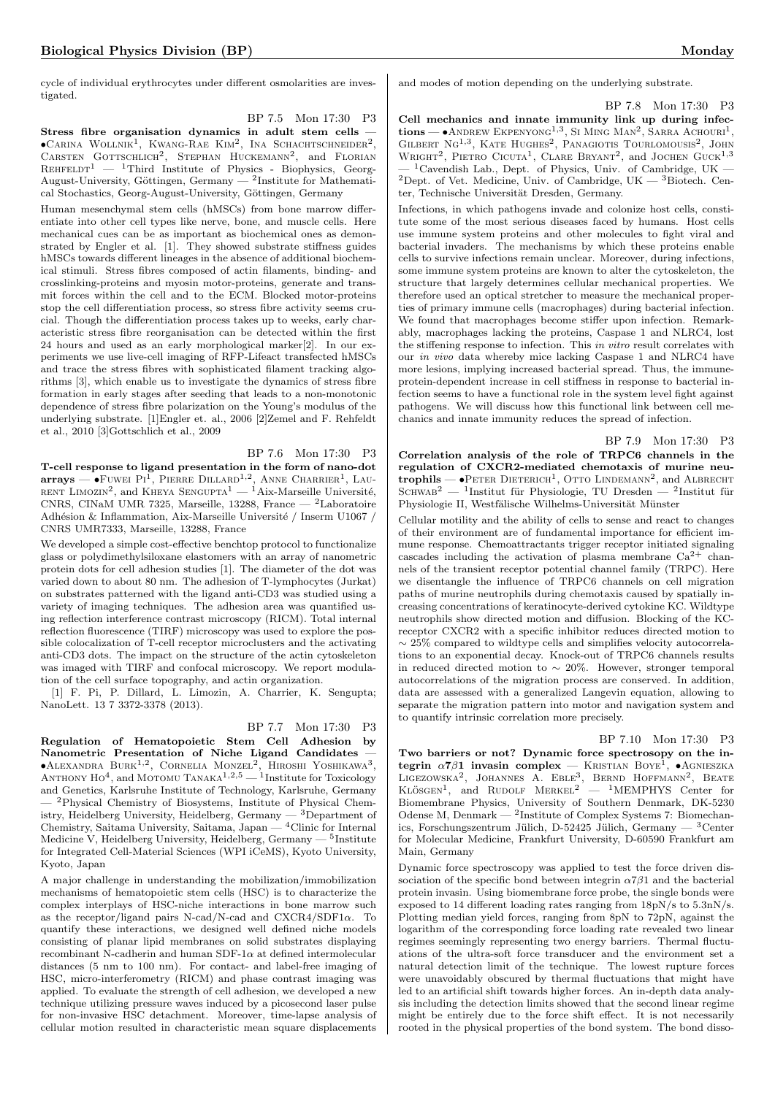cycle of individual erythrocytes under different osmolarities are investigated.

BP 7.5 Mon 17:30 P3 Stress fibre organisation dynamics in adult stem cells —  $\bullet$ Carina Wollnik<sup>1</sup>, Kwang-Rae Kim<sup>2</sup>, Ina Schachtschneider<sup>2</sup>, CARSTEN GOTTSCHLICH<sup>2</sup>, STEPHAN HUCKEMANN<sup>2</sup>, and FLORIAN  $REHFELDT<sup>1</sup>$  — <sup>1</sup>Third Institute of Physics - Biophysics, Georg-August-University, Göttingen, Germany —  $^2$ Institute for Mathematical Stochastics, Georg-August-University, Göttingen, Germany

Human mesenchymal stem cells (hMSCs) from bone marrow differentiate into other cell types like nerve, bone, and muscle cells. Here mechanical cues can be as important as biochemical ones as demonstrated by Engler et al. [1]. They showed substrate stiffness guides hMSCs towards different lineages in the absence of additional biochemical stimuli. Stress fibres composed of actin filaments, binding- and crosslinking-proteins and myosin motor-proteins, generate and transmit forces within the cell and to the ECM. Blocked motor-proteins stop the cell differentiation process, so stress fibre activity seems crucial. Though the differentiation process takes up to weeks, early characteristic stress fibre reorganisation can be detected within the first 24 hours and used as an early morphological marker[2]. In our experiments we use live-cell imaging of RFP-Lifeact transfected hMSCs and trace the stress fibres with sophisticated filament tracking algorithms [3], which enable us to investigate the dynamics of stress fibre formation in early stages after seeding that leads to a non-monotonic dependence of stress fibre polarization on the Young's modulus of the underlying substrate. [1]Engler et. al., 2006 [2]Zemel and F. Rehfeldt et al., 2010 [3]Gottschlich et al., 2009

BP 7.6 Mon 17:30 P3 T-cell response to ligand presentation in the form of nano-dot  $\textbf{array} = \bullet$ Fuwei Pi<sup>I</sup>, Pierre Dillard<sup>1,2</sup>, Anne Charrier<sup>1</sup>, Lau-RENT LIMOZIN<sup>2</sup>, and KHEYA SENGUPTA<sup>1</sup> — <sup>1</sup>Aix-Marseille Université, CNRS, CINaM UMR 7325, Marseille, 13288, France — <sup>2</sup>Laboratoire Adhésion & Inflammation, Aix-Marseille Université / Inserm U1067 / CNRS UMR7333, Marseille, 13288, France

We developed a simple cost-effective benchtop protocol to functionalize glass or polydimethylsiloxane elastomers with an array of nanometric protein dots for cell adhesion studies [1]. The diameter of the dot was varied down to about 80 nm. The adhesion of T-lymphocytes (Jurkat) on substrates patterned with the ligand anti-CD3 was studied using a variety of imaging techniques. The adhesion area was quantified using reflection interference contrast microscopy (RICM). Total internal reflection fluorescence (TIRF) microscopy was used to explore the possible colocalization of T-cell receptor microclusters and the activating anti-CD3 dots. The impact on the structure of the actin cytoskeleton was imaged with TIRF and confocal microscopy. We report modulation of the cell surface topography, and actin organization.

[1] F. Pi, P. Dillard, L. Limozin, A. Charrier, K. Sengupta; NanoLett. 13 7 3372-3378 (2013).

BP 7.7 Mon 17:30 P3

Regulation of Hematopoietic Stem Cell Adhesion by Nanometric Presentation of Niche Ligand Candidates —  $\bullet$ ALEXANDRA BURK<sup>1,2</sup>, CORNELIA MONZEL<sup>2</sup>, HIROSHI YOSHIKAWA<sup>3</sup>, ANTHONY HO<sup>4</sup>, and MOTOMU TANAKA<sup>1,2,5</sup> — <sup>1</sup>Institute for Toxicology and Genetics, Karlsruhe Institute of Technology, Karlsruhe, Germany — <sup>2</sup>Physical Chemistry of Biosystems, Institute of Physical Chemistry, Heidelberg University, Heidelberg, Germany  $-$  3Department of Chemistry, Saitama University, Saitama, Japan — <sup>4</sup>Clinic for Internal Medicine V, Heidelberg University, Heidelberg, Germany — <sup>5</sup>Institute for Integrated Cell-Material Sciences (WPI iCeMS), Kyoto University, Kyoto, Japan

A major challenge in understanding the mobilization/immobilization mechanisms of hematopoietic stem cells (HSC) is to characterize the complex interplays of HSC-niche interactions in bone marrow such as the receptor/ligand pairs N-cad/N-cad and CXCR4/SDF1α. To quantify these interactions, we designed well defined niche models consisting of planar lipid membranes on solid substrates displaying recombinant N-cadherin and human SDF-1 $\alpha$  at defined intermolecular distances (5 nm to 100 nm). For contact- and label-free imaging of HSC, micro-interferometry (RICM) and phase contrast imaging was applied. To evaluate the strength of cell adhesion, we developed a new technique utilizing pressure waves induced by a picosecond laser pulse for non-invasive HSC detachment. Moreover, time-lapse analysis of cellular motion resulted in characteristic mean square displacements

BP 7.8 Mon 17:30 P3 Cell mechanics and innate immunity link up during infec $tions$   $\rightarrow$  Andrew Ekpenyong<sup>1,3</sup>, Si Ming Man<sup>2</sup>, Sarra Achouri<sup>1</sup>, GILBERT NG<sup>1,3</sup>, KATE HUGHES<sup>2</sup>, PANAGIOTIS TOURLOMOUSIS<sup>2</sup>, JOHN WRIGHT<sup>2</sup>, PIETRO CICUTA<sup>1</sup>, CLARE BRYANT<sup>2</sup>, and JOCHEN GUCK<sup>1,3</sup> <sup>1</sup>Cavendish Lab., Dept. of Physics, Univ. of Cambridge, UK —  $^2\rm{Dept.}$  of Vet. Medicine, Univ. of Cambridge, UK —  $^3\rm{Biotechn.}$  Center, Technische Universität Dresden, Germany.

Infections, in which pathogens invade and colonize host cells, constitute some of the most serious diseases faced by humans. Host cells use immune system proteins and other molecules to fight viral and bacterial invaders. The mechanisms by which these proteins enable cells to survive infections remain unclear. Moreover, during infections, some immune system proteins are known to alter the cytoskeleton, the structure that largely determines cellular mechanical properties. We therefore used an optical stretcher to measure the mechanical properties of primary immune cells (macrophages) during bacterial infection. We found that macrophages become stiffer upon infection. Remarkably, macrophages lacking the proteins, Caspase 1 and NLRC4, lost the stiffening response to infection. This in vitro result correlates with our in vivo data whereby mice lacking Caspase 1 and NLRC4 have more lesions, implying increased bacterial spread. Thus, the immuneprotein-dependent increase in cell stiffness in response to bacterial infection seems to have a functional role in the system level fight against pathogens. We will discuss how this functional link between cell mechanics and innate immunity reduces the spread of infection.

BP 7.9 Mon 17:30 P3 Correlation analysis of the role of TRPC6 channels in the regulation of CXCR2-mediated chemotaxis of murine neutrophils —  $\bullet$ Peter Dieterich<sup>1</sup>, Otto LINDEMANN<sup>2</sup>, and ALBRECHT SCHWAB<sup>2</sup> — <sup>1</sup>Institut für Physiologie, TU Dresden — <sup>2</sup>Institut für Physiologie II, Westfälische Wilhelms-Universität Münster

Cellular motility and the ability of cells to sense and react to changes of their environment are of fundamental importance for efficient immune response. Chemoattractants trigger receptor initiated signaling cascades including the activation of plasma membrane  $Ca^{2+}$  channels of the transient receptor potential channel family (TRPC). Here we disentangle the influence of TRPC6 channels on cell migration paths of murine neutrophils during chemotaxis caused by spatially increasing concentrations of keratinocyte-derived cytokine KC. Wildtype neutrophils show directed motion and diffusion. Blocking of the KCreceptor CXCR2 with a specific inhibitor reduces directed motion to  $\sim$  25% compared to wildtype cells and simplifies velocity autocorrelations to an exponential decay. Knock-out of TRPC6 channels results in reduced directed motion to ∼ 20%. However, stronger temporal autocorrelations of the migration process are conserved. In addition, data are assessed with a generalized Langevin equation, allowing to separate the migration pattern into motor and navigation system and to quantify intrinsic correlation more precisely.

BP 7.10 Mon 17:30 P3

Two barriers or not? Dynamic force spectrosopy on the integrin  $\alpha$ 7 $\beta$ 1 invasin complex — KRISTIAN BOYE<sup>1</sup>, •AGNIESZKA LIGEZOWSKA<sup>2</sup>, JOHANNES A. EBLE<sup>3</sup>, BERND HOFFMANN<sup>2</sup>, BEATE<br>KLÖSGEN<sup>1</sup>, and RUDOLF MERKEL<sup>2</sup> — <sup>1</sup>MEMPHYS Center for Biomembrane Physics, University of Southern Denmark, DK-5230 Odense M, Denmark — <sup>2</sup> Institute of Complex Systems 7: Biomechanics, Forschungszentrum Jülich, D-52425 Jülich, Germany —  ${}^{3}$ Center for Molecular Medicine, Frankfurt University, D-60590 Frankfurt am Main, Germany

Dynamic force spectroscopy was applied to test the force driven dissociation of the specific bond between integrin  $\alpha$ 7 $\beta$ 1 and the bacterial protein invasin. Using biomembrane force probe, the single bonds were exposed to 14 different loading rates ranging from 18pN/s to 5.3nN/s. Plotting median yield forces, ranging from 8pN to 72pN, against the logarithm of the corresponding force loading rate revealed two linear regimes seemingly representing two energy barriers. Thermal fluctuations of the ultra-soft force transducer and the environment set a natural detection limit of the technique. The lowest rupture forces were unavoidably obscured by thermal fluctuations that might have led to an artificial shift towards higher forces. An in-depth data analysis including the detection limits showed that the second linear regime might be entirely due to the force shift effect. It is not necessarily rooted in the physical properties of the bond system. The bond disso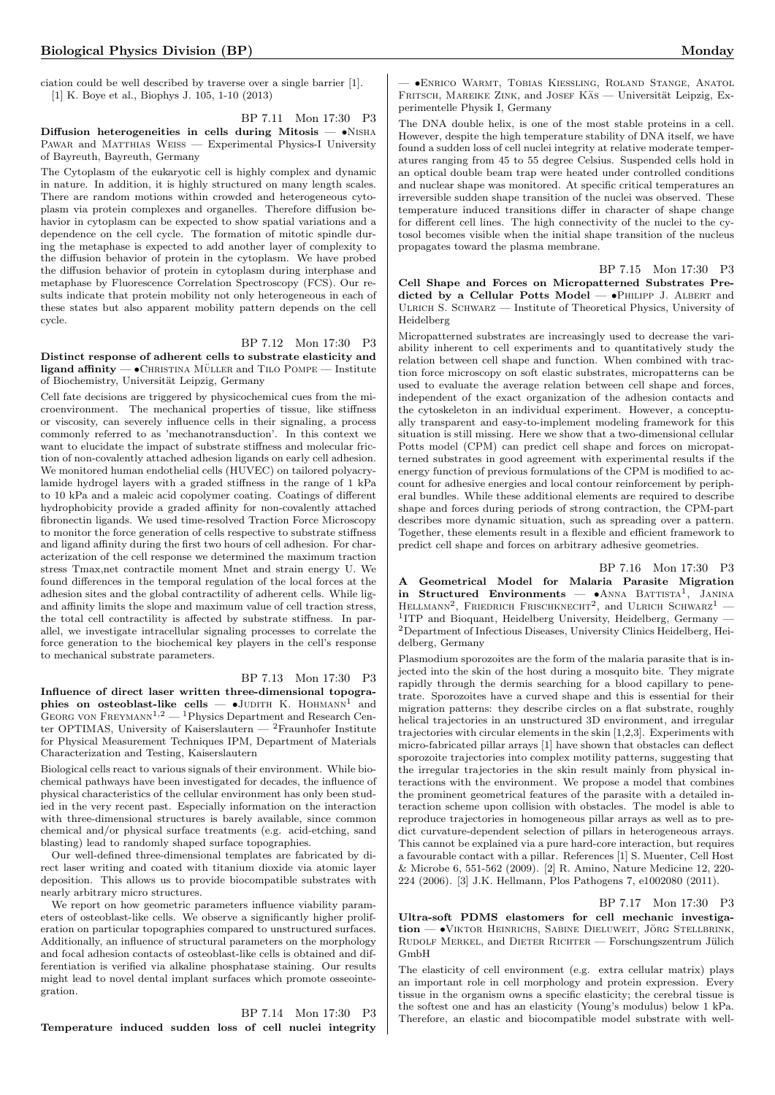ciation could be well described by traverse over a single barrier [1]. [1] K. Boye et al., Biophys J. 105, 1-10 (2013)

BP 7.11 Mon 17:30 P3 Diffusion heterogeneities in cells during Mitosis  $- \cdot$ NISHA PAWAR and MATTHIAS WEISS — Experimental Physics-I University of Bayreuth, Bayreuth, Germany

The Cytoplasm of the eukaryotic cell is highly complex and dynamic in nature. In addition, it is highly structured on many length scales. There are random motions within crowded and heterogeneous cytoplasm via protein complexes and organelles. Therefore diffusion behavior in cytoplasm can be expected to show spatial variations and a dependence on the cell cycle. The formation of mitotic spindle during the metaphase is expected to add another layer of complexity to the diffusion behavior of protein in the cytoplasm. We have probed the diffusion behavior of protein in cytoplasm during interphase and metaphase by Fluorescence Correlation Spectroscopy (FCS). Our results indicate that protein mobility not only heterogeneous in each of these states but also apparent mobility pattern depends on the cell cycle.

# BP 7.12 Mon 17:30 P3

Distinct response of adherent cells to substrate elasticity and  $ligand$  affinity  $\bullet$  CHRISTINA MÜLLER and TILO POMPE  $-$  Institute of Biochemistry, Universität Leipzig, Germany

Cell fate decisions are triggered by physicochemical cues from the microenvironment. The mechanical properties of tissue, like stiffness or viscosity, can severely influence cells in their signaling, a process commonly referred to as 'mechanotransduction'. In this context we want to elucidate the impact of substrate stiffness and molecular friction of non-covalently attached adhesion ligands on early cell adhesion. We monitored human endothelial cells (HUVEC) on tailored polyacrylamide hydrogel layers with a graded stiffness in the range of 1 kPa to 10 kPa and a maleic acid copolymer coating. Coatings of different hydrophobicity provide a graded affinity for non-covalently attached fibronectin ligands. We used time-resolved Traction Force Microscopy to monitor the force generation of cells respective to substrate stiffness and ligand affinity during the first two hours of cell adhesion. For characterization of the cell response we determined the maximum traction stress Tmax,net contractile moment Mnet and strain energy U. We found differences in the temporal regulation of the local forces at the adhesion sites and the global contractility of adherent cells. While ligand affinity limits the slope and maximum value of cell traction stress, the total cell contractility is affected by substrate stiffness. In parallel, we investigate intracellular signaling processes to correlate the force generation to the biochemical key players in the cell's response to mechanical substrate parameters.

#### BP 7.13 Mon 17:30 P3

Influence of direct laser written three-dimensional topographies on osteoblast-like cells  $\bullet$ JUDITH K. HOHMANN<sup>1</sup> and GEORG VON FREYMANN<sup>1,2</sup> — <sup>1</sup>Physics Department and Research Center OPTIMAS, University of Kaiserslautern —  ${}^{2}$ Fraunhofer Institute for Physical Measurement Techniques IPM, Department of Materials Characterization and Testing, Kaiserslautern

Biological cells react to various signals of their environment. While biochemical pathways have been investigated for decades, the influence of physical characteristics of the cellular environment has only been studied in the very recent past. Especially information on the interaction with three-dimensional structures is barely available, since common chemical and/or physical surface treatments (e.g. acid-etching, sand blasting) lead to randomly shaped surface topographies.

Our well-defined three-dimensional templates are fabricated by direct laser writing and coated with titanium dioxide via atomic layer deposition. This allows us to provide biocompatible substrates with nearly arbitrary micro structures.

We report on how geometric parameters influence viability parameters of osteoblast-like cells. We observe a significantly higher proliferation on particular topographies compared to unstructured surfaces. Additionally, an influence of structural parameters on the morphology and focal adhesion contacts of osteoblast-like cells is obtained and differentiation is verified via alkaline phosphatase staining. Our results might lead to novel dental implant surfaces which promote osseointegration.

BP 7.14 Mon 17:30 P3 Temperature induced sudden loss of cell nuclei integrity

— •Enrico Warmt, Tobias Kießling, Roland Stange, Anatol FRITSCH, MAREIKE ZINK, and JOSEF KAS — Universität Leipzig, Experimentelle Physik I, Germany

The DNA double helix, is one of the most stable proteins in a cell. However, despite the high temperature stability of DNA itself, we have found a sudden loss of cell nuclei integrity at relative moderate temperatures ranging from 45 to 55 degree Celsius. Suspended cells hold in an optical double beam trap were heated under controlled conditions and nuclear shape was monitored. At specific critical temperatures an irreversible sudden shape transition of the nuclei was observed. These temperature induced transitions differ in character of shape change for different cell lines. The high connectivity of the nuclei to the cytosol becomes visible when the initial shape transition of the nucleus propagates toward the plasma membrane.

BP 7.15 Mon 17:30 P3

Cell Shape and Forces on Micropatterned Substrates Predicted by a Cellular Potts Model  $\bullet$ PHILIPP J. ALBERT and ULRICH S. SCHWARZ — Institute of Theoretical Physics, University of Heidelberg

Micropatterned substrates are increasingly used to decrease the variability inherent to cell experiments and to quantitatively study the relation between cell shape and function. When combined with traction force microscopy on soft elastic substrates, micropatterns can be used to evaluate the average relation between cell shape and forces, independent of the exact organization of the adhesion contacts and the cytoskeleton in an individual experiment. However, a conceptually transparent and easy-to-implement modeling framework for this situation is still missing. Here we show that a two-dimensional cellular Potts model (CPM) can predict cell shape and forces on micropatterned substrates in good agreement with experimental results if the energy function of previous formulations of the CPM is modified to account for adhesive energies and local contour reinforcement by peripheral bundles. While these additional elements are required to describe shape and forces during periods of strong contraction, the CPM-part describes more dynamic situation, such as spreading over a pattern. Together, these elements result in a flexible and efficient framework to predict cell shape and forces on arbitrary adhesive geometries.

BP 7.16 Mon 17:30 P3

A Geometrical Model for Malaria Parasite Migration in Structured Environments  $\bullet$ ANNA BATTISTA<sup>1</sup>, JANINA HELLMANN<sup>2</sup>, FRIEDRICH FRISCHKNECHT<sup>2</sup>, and ULRICH SCHWARZ<sup>1</sup> -<sup>1</sup>ITP and Bioquant, Heidelberg University, Heidelberg, Germany -<sup>2</sup>Department of Infectious Diseases, University Clinics Heidelberg, Heidelberg, Germany

Plasmodium sporozoites are the form of the malaria parasite that is injected into the skin of the host during a mosquito bite. They migrate rapidly through the dermis searching for a blood capillary to penetrate. Sporozoites have a curved shape and this is essential for their migration patterns: they describe circles on a flat substrate, roughly helical trajectories in an unstructured 3D environment, and irregular trajectories with circular elements in the skin [1,2,3]. Experiments with micro-fabricated pillar arrays [1] have shown that obstacles can deflect sporozoite trajectories into complex motility patterns, suggesting that the irregular trajectories in the skin result mainly from physical interactions with the environment. We propose a model that combines the prominent geometrical features of the parasite with a detailed interaction scheme upon collision with obstacles. The model is able to reproduce trajectories in homogeneous pillar arrays as well as to predict curvature-dependent selection of pillars in heterogeneous arrays. This cannot be explained via a pure hard-core interaction, but requires a favourable contact with a pillar. References [1] S. Muenter, Cell Host & Microbe 6, 551-562 (2009). [2] R. Amino, Nature Medicine 12, 220- 224 (2006). [3] J.K. Hellmann, Plos Pathogens 7, e1002080 (2011).

## <span id="page-14-0"></span>BP 7.17 Mon 17:30 P3

Ultra-soft PDMS elastomers for cell mechanic investiga $tion - \cdot$ VIKTOR HEINRICHS, SABINE DIELUWEIT, JÖRG STELLBRINK, RUDOLF MERKEL, and DIETER RICHTER — Forschungszentrum Jülich GmbH

The elasticity of cell environment (e.g. extra cellular matrix) plays an important role in cell morphology and protein expression. Every tissue in the organism owns a specific elasticity; the cerebral tissue is the softest one and has an elasticity (Young's modulus) below 1 kPa. Therefore, an elastic and biocompatible model substrate with well-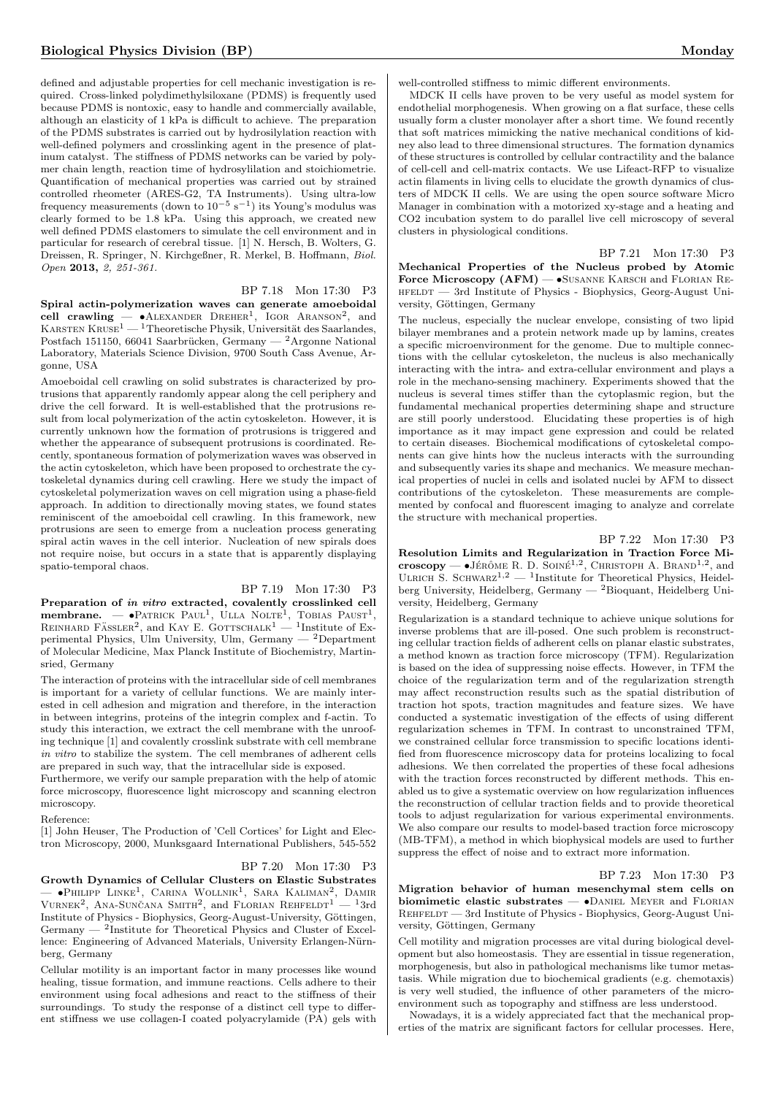defined and adjustable properties for cell mechanic investigation is required. Cross-linked polydimethylsiloxane (PDMS) is frequently used because PDMS is nontoxic, easy to handle and commercially available, although an elasticity of 1 kPa is difficult to achieve. The preparation of the PDMS substrates is carried out by hydrosilylation reaction with well-defined polymers and crosslinking agent in the presence of platinum catalyst. The stiffness of PDMS networks can be varied by polymer chain length, reaction time of hydrosylilation and stoichiometrie. Quantification of mechanical properties was carried out by strained controlled rheometer (ARES-G2, TA Instruments). Using ultra-low frequency measurements (down to 10−<sup>5</sup> s−<sup>1</sup> ) its Young's modulus was clearly formed to be 1.8 kPa. Using this approach, we created new well defined PDMS elastomers to simulate the cell environment and in particular for research of cerebral tissue. [1] N. Hersch, B. Wolters, G. Dreissen, R. Springer, N. Kirchgeßner, R. Merkel, B. Hoffmann, Biol. Open 2013, 2, 251-361.

## BP 7.18 Mon 17:30 P3

Spiral actin-polymerization waves can generate amoeboidal cell crawling —  $\bullet$ ALEXANDER DREHER<sup>1</sup>, IGOR ARANSON<sup>2</sup>, and<br>KARSTEN KRUSE<sup>1</sup> — <sup>1</sup>Theoretische Physik, Universität des Saarlandes, Postfach 151150, 66041 Saarbrücken, Germany — <sup>2</sup>Argonne National Laboratory, Materials Science Division, 9700 South Cass Avenue, Argonne, USA

Amoeboidal cell crawling on solid substrates is characterized by protrusions that apparently randomly appear along the cell periphery and drive the cell forward. It is well-established that the protrusions result from local polymerization of the actin cytoskeleton. However, it is currently unknown how the formation of protrusions is triggered and whether the appearance of subsequent protrusions is coordinated. Recently, spontaneous formation of polymerization waves was observed in the actin cytoskeleton, which have been proposed to orchestrate the cytoskeletal dynamics during cell crawling. Here we study the impact of cytoskeletal polymerization waves on cell migration using a phase-field approach. In addition to directionally moving states, we found states reminiscent of the amoeboidal cell crawling. In this framework, new protrusions are seen to emerge from a nucleation process generating spiral actin waves in the cell interior. Nucleation of new spirals does not require noise, but occurs in a state that is apparently displaying spatio-temporal chaos.

# BP 7.19 Mon 17:30 P3

Preparation of in vitro extracted, covalently crosslinked cell  $\text{membrane.} \longrightarrow \text{PARTRICK PAUL}^1$ , ULLA NOLTE<sup>1</sup>, TOBIAS  $\text{PAUST}^1$ , REINHARD FÄSSLER<sup>2</sup>, and KAY E. GOTTSCHALK<sup>1</sup> — <sup>1</sup>Institute of Experimental Physics, Ulm University, Ulm, Germany — <sup>2</sup>Department of Molecular Medicine, Max Planck Institute of Biochemistry, Martinsried, Germany

The interaction of proteins with the intracellular side of cell membranes is important for a variety of cellular functions. We are mainly interested in cell adhesion and migration and therefore, in the interaction in between integrins, proteins of the integrin complex and f-actin. To study this interaction, we extract the cell membrane with the unroofing technique [1] and covalently crosslink substrate with cell membrane in vitro to stabilize the system. The cell membranes of adherent cells are prepared in such way, that the intracellular side is exposed.

Furthermore, we verify our sample preparation with the help of atomic force microscopy, fluorescence light microscopy and scanning electron microscopy.

#### Reference:

[1] John Heuser, The Production of 'Cell Cortices' for Light and Electron Microscopy, 2000, Munksgaard International Publishers, 545-552

# BP 7.20 Mon 17:30 P3

Growth Dynamics of Cellular Clusters on Elastic Substrates — •Philipp Linke<sup>1</sup>, Carina Wollnik<sup>1</sup>, Sara Kaliman<sup>2</sup>, Damir VURNEK<sup>2</sup>, ANA-SUNCANA SMITH<sup>2</sup>, and FLORIAN REHFELDT<sup>1</sup> - <sup>1</sup>3rd Institute of Physics - Biophysics, Georg-August-University, Göttingen, Germany  $-$  <sup>2</sup>Institute for Theoretical Physics and Cluster of Excellence: Engineering of Advanced Materials, University Erlangen-Nürnberg, Germany

Cellular motility is an important factor in many processes like wound healing, tissue formation, and immune reactions. Cells adhere to their environment using focal adhesions and react to the stiffness of their surroundings. To study the response of a distinct cell type to different stiffness we use collagen-I coated polyacrylamide (PA) gels with well-controlled stiffness to mimic different environments.

MDCK II cells have proven to be very useful as model system for endothelial morphogenesis. When growing on a flat surface, these cells usually form a cluster monolayer after a short time. We found recently that soft matrices mimicking the native mechanical conditions of kidney also lead to three dimensional structures. The formation dynamics of these structures is controlled by cellular contractility and the balance of cell-cell and cell-matrix contacts. We use Lifeact-RFP to visualize actin filaments in living cells to elucidate the growth dynamics of clusters of MDCK II cells. We are using the open source software Micro Manager in combination with a motorized xy-stage and a heating and CO2 incubation system to do parallel live cell microscopy of several clusters in physiological conditions.

BP 7.21 Mon 17:30 P3 Mechanical Properties of the Nucleus probed by Atomic Force Microscopy  $(AFM)$  — •SUSANNE KARSCH and FLORIAN REhfeldt — 3rd Institute of Physics - Biophysics, Georg-August University, Göttingen, Germany

<span id="page-15-0"></span>The nucleus, especially the nuclear envelope, consisting of two lipid bilayer membranes and a protein network made up by lamins, creates a specific microenvironment for the genome. Due to multiple connections with the cellular cytoskeleton, the nucleus is also mechanically interacting with the intra- and extra-cellular environment and plays a role in the mechano-sensing machinery. Experiments showed that the nucleus is several times stiffer than the cytoplasmic region, but the fundamental mechanical properties determining shape and structure are still poorly understood. Elucidating these properties is of high importance as it may impact gene expression and could be related to certain diseases. Biochemical modifications of cytoskeletal components can give hints how the nucleus interacts with the surrounding and subsequently varies its shape and mechanics. We measure mechanical properties of nuclei in cells and isolated nuclei by AFM to dissect contributions of the cytoskeleton. These measurements are complemented by confocal and fluorescent imaging to analyze and correlate the structure with mechanical properties.

BP 7.22 Mon 17:30 P3

Resolution Limits and Regularization in Traction Force Microscopy —  $\bullet$ JÉRÔME R. D. SOINÉ<sup>1,2</sup>, CHRISTOPH A. BRAND<sup>1,2</sup>, and ULRICH S. SCHWARZ<sup>1,2</sup>  $-$ <sup>1</sup>Institute for Theoretical Physics, Heidelberg University, Heidelberg, Germany — <sup>2</sup>Bioquant, Heidelberg University, Heidelberg, Germany

Regularization is a standard technique to achieve unique solutions for inverse problems that are ill-posed. One such problem is reconstructing cellular traction fields of adherent cells on planar elastic substrates, a method known as traction force microscopy (TFM). Regularization is based on the idea of suppressing noise effects. However, in TFM the choice of the regularization term and of the regularization strength may affect reconstruction results such as the spatial distribution of traction hot spots, traction magnitudes and feature sizes. We have conducted a systematic investigation of the effects of using different regularization schemes in TFM. In contrast to unconstrained TFM, we constrained cellular force transmission to specific locations identified from fluorescence microscopy data for proteins localizing to focal adhesions. We then correlated the properties of these focal adhesions with the traction forces reconstructed by different methods. This enabled us to give a systematic overview on how regularization influences the reconstruction of cellular traction fields and to provide theoretical tools to adjust regularization for various experimental environments. We also compare our results to model-based traction force microscopy (MB-TFM), a method in which biophysical models are used to further suppress the effect of noise and to extract more information.

#### BP 7.23 Mon 17:30 P3

Migration behavior of human mesenchymal stem cells on biomimetic elastic substrates  $\bullet$ DANIEL MEYER and FLORIAN REHFELDT — 3rd Institute of Physics - Biophysics, Georg-August University, Göttingen, Germany

Cell motility and migration processes are vital during biological development but also homeostasis. They are essential in tissue regeneration, morphogenesis, but also in pathological mechanisms like tumor metastasis. While migration due to biochemical gradients (e.g. chemotaxis) is very well studied, the influence of other parameters of the microenvironment such as topography and stiffness are less understood.

Nowadays, it is a widely appreciated fact that the mechanical properties of the matrix are significant factors for cellular processes. Here,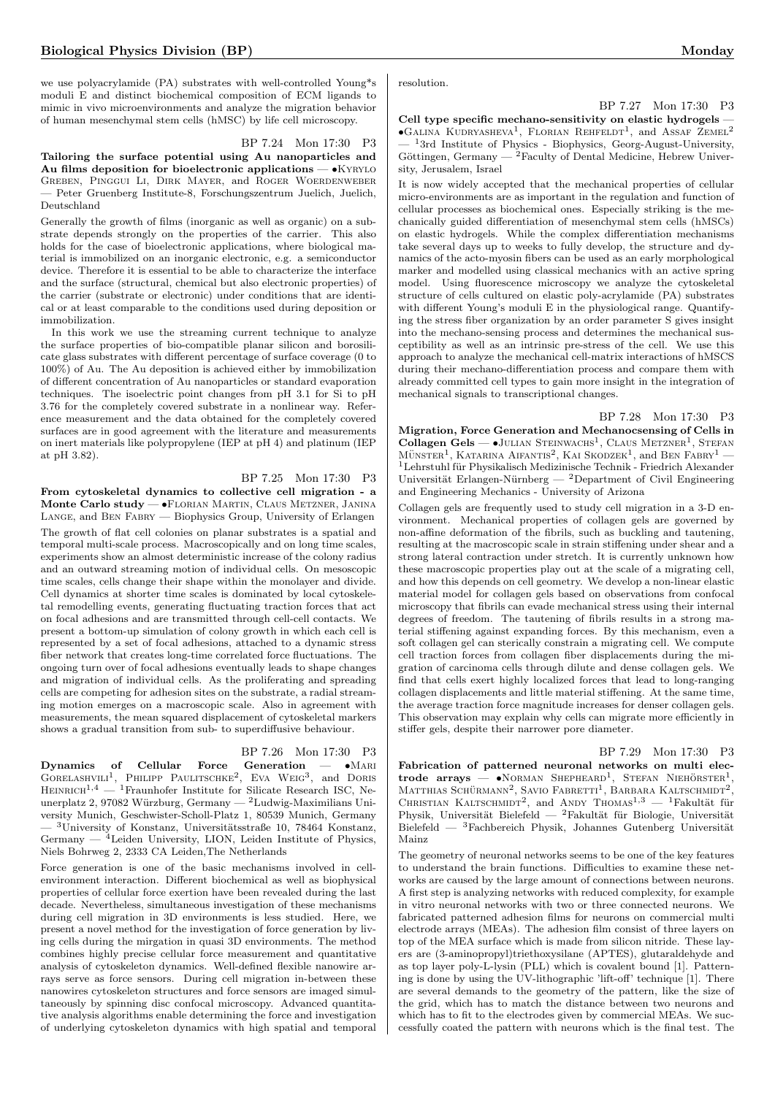we use polyacrylamide (PA) substrates with well-controlled Young\*s moduli E and distinct biochemical composition of ECM ligands to mimic in vivo microenvironments and analyze the migration behavior of human mesenchymal stem cells (hMSC) by life cell microscopy.

# BP 7.24 Mon 17:30 P3

Tailoring the surface potential using Au nanoparticles and Au films deposition for bioelectronic applications — • KYRYLO Greben, Pinggui Li, Dirk Mayer, and Roger Woerdenweber — Peter Gruenberg Institute-8, Forschungszentrum Juelich, Juelich, Deutschland

Generally the growth of films (inorganic as well as organic) on a substrate depends strongly on the properties of the carrier. This also holds for the case of bioelectronic applications, where biological material is immobilized on an inorganic electronic, e.g. a semiconductor device. Therefore it is essential to be able to characterize the interface and the surface (structural, chemical but also electronic properties) of the carrier (substrate or electronic) under conditions that are identical or at least comparable to the conditions used during deposition or immobilization.

In this work we use the streaming current technique to analyze the surface properties of bio-compatible planar silicon and borosilicate glass substrates with different percentage of surface coverage (0 to 100%) of Au. The Au deposition is achieved either by immobilization of different concentration of Au nanoparticles or standard evaporation techniques. The isoelectric point changes from pH 3.1 for Si to pH 3.76 for the completely covered substrate in a nonlinear way. Reference measurement and the data obtained for the completely covered surfaces are in good agreement with the literature and measurements on inert materials like polypropylene (IEP at pH 4) and platinum (IEP at pH 3.82).

# BP 7.25 Mon 17:30 P3

From cytoskeletal dynamics to collective cell migration - a Monte Carlo study — •Florian Martin, Claus Metzner, Janina Lange, and Ben Fabry — Biophysics Group, University of Erlangen

The growth of flat cell colonies on planar substrates is a spatial and temporal multi-scale process. Macroscopically and on long time scales, experiments show an almost deterministic increase of the colony radius and an outward streaming motion of individual cells. On mesoscopic time scales, cells change their shape within the monolayer and divide. Cell dynamics at shorter time scales is dominated by local cytoskeletal remodelling events, generating fluctuating traction forces that act on focal adhesions and are transmitted through cell-cell contacts. We present a bottom-up simulation of colony growth in which each cell is represented by a set of focal adhesions, attached to a dynamic stress fiber network that creates long-time correlated force fluctuations. The ongoing turn over of focal adhesions eventually leads to shape changes and migration of individual cells. As the proliferating and spreading cells are competing for adhesion sites on the substrate, a radial streaming motion emerges on a macroscopic scale. Also in agreement with measurements, the mean squared displacement of cytoskeletal markers shows a gradual transition from sub- to superdiffusive behaviour.

## BP 7.26 Mon 17:30 P3

Dynamics of Cellular Force Generation — •MARI<br>GORELASHVILI<sup>1</sup>, PHILIPP PAULITSCHKE<sup>2</sup>, EVA WEIG<sup>3</sup>, and DORIS  $H$ EINRICH<sup>1,4</sup> — <sup>1</sup>Fraunhofer Institute for Silicate Research ISC, Neunerplatz 2, 97082 Würzburg, Germany —  $2$ Ludwig-Maximilians University Munich, Geschwister-Scholl-Platz 1, 80539 Munich, Germany  $-$ <sup>3</sup>University of Konstanz, Universitätsstraße 10, 78464 Konstanz, Germany  $-$ <sup>4</sup>Leiden University, LION, Leiden Institute of Physics, Niels Bohrweg 2, 2333 CA Leiden,The Netherlands

Force generation is one of the basic mechanisms involved in cellenvironment interaction. Different biochemical as well as biophysical properties of cellular force exertion have been revealed during the last decade. Nevertheless, simultaneous investigation of these mechanisms during cell migration in 3D environments is less studied. Here, we present a novel method for the investigation of force generation by living cells during the mirgation in quasi 3D environments. The method combines highly precise cellular force measurement and quantitative analysis of cytoskeleton dynamics. Well-defined flexible nanowire arrays serve as force sensors. During cell migration in-between these nanowires cytoskeleton structures and force sensors are imaged simultaneously by spinning disc confocal microscopy. Advanced quantitative analysis algorithms enable determining the force and investigation of underlying cytoskeleton dynamics with high spatial and temporal resolution.

Cell type specific mechano-sensitivity on elastic hydrogels - $\bullet$ Galina Kudryasheva<sup>1</sup>, Florian Rehfeldt<sup>1</sup>, and Assaf Zemel<sup>2</sup>  $-$ <sup>1</sup>3rd Institute of Physics - Biophysics, Georg-August-University, Göttingen, Germany —  ${}^{2}$ Faculty of Dental Medicine, Hebrew University, Jerusalem, Israel

It is now widely accepted that the mechanical properties of cellular micro-environments are as important in the regulation and function of cellular processes as biochemical ones. Especially striking is the mechanically guided differentiation of mesenchymal stem cells (hMSCs) on elastic hydrogels. While the complex differentiation mechanisms take several days up to weeks to fully develop, the structure and dynamics of the acto-myosin fibers can be used as an early morphological marker and modelled using classical mechanics with an active spring model. Using fluorescence microscopy we analyze the cytoskeletal structure of cells cultured on elastic poly-acrylamide (PA) substrates with different Young's moduli E in the physiological range. Quantifying the stress fiber organization by an order parameter S gives insight into the mechano-sensing process and determines the mechanical susceptibility as well as an intrinsic pre-stress of the cell. We use this approach to analyze the mechanical cell-matrix interactions of hMSCS during their mechano-differentiation process and compare them with already committed cell types to gain more insight in the integration of mechanical signals to transcriptional changes.

#### BP 7.28 Mon 17:30 P3

Migration, Force Generation and Mechanocsensing of Cells in Collagen Gels —  $\bullet$ Julian Steinwachs<sup>1</sup>, Claus Metzner<sup>1</sup>, Stefan  $M\ddot{\text{UNSTER}}^1,$ KATARINA AIFANTIS<sup>2</sup>, KAI SKODZEK<sup>1</sup>, and BEN FABRY<sup>1</sup> — <sup>1</sup>Lehrstuhl für Physikalisch Medizinische Technik - Friedrich Alexander Universität Erlangen-Nürnberg —  ${}^{2}$ Department of Civil Engineering and Engineering Mechanics - University of Arizona

Collagen gels are frequently used to study cell migration in a 3-D environment. Mechanical properties of collagen gels are governed by non-affine deformation of the fibrils, such as buckling and tautening, resulting at the macroscopic scale in strain stiffening under shear and a strong lateral contraction under stretch. It is currently unknown how these macroscopic properties play out at the scale of a migrating cell, and how this depends on cell geometry. We develop a non-linear elastic material model for collagen gels based on observations from confocal microscopy that fibrils can evade mechanical stress using their internal degrees of freedom. The tautening of fibrils results in a strong material stiffening against expanding forces. By this mechanism, even a soft collagen gel can sterically constrain a migrating cell. We compute cell traction forces from collagen fiber displacements during the migration of carcinoma cells through dilute and dense collagen gels. We find that cells exert highly localized forces that lead to long-ranging collagen displacements and little material stiffening. At the same time, the average traction force magnitude increases for denser collagen gels. This observation may explain why cells can migrate more efficiently in stiffer gels, despite their narrower pore diameter.

#### BP 7.29 Mon 17:30 P3

Fabrication of patterned neuronal networks on multi electrode arrays —  $\bullet$ NORMAN SHEPHEARD<sup>1</sup>, STEFAN NIEHÖRSTER<sup>1</sup>, MATTHIAS SCHÜRMANN<sup>2</sup>, SAVIO FABRETTI<sup>1</sup>, BARBARA KALTSCHMIDT<sup>2</sup>, CHRISTIAN KALTSCHMIDT<sup>2</sup>, and ANDY THOMAS<sup>1,3</sup> - <sup>1</sup>Fakultät für Physik, Universität Bielefeld — <sup>2</sup>Fakultät für Biologie, Universität Bielefeld — <sup>3</sup>Fachbereich Physik, Johannes Gutenberg Universität Mainz

The geometry of neuronal networks seems to be one of the key features to understand the brain functions. Difficulties to examine these networks are caused by the large amount of connections between neurons. A first step is analyzing networks with reduced complexity, for example in vitro neuronal networks with two or three connected neurons. We fabricated patterned adhesion films for neurons on commercial multi electrode arrays (MEAs). The adhesion film consist of three layers on top of the MEA surface which is made from silicon nitride. These layers are (3-aminopropyl)triethoxysilane (APTES), glutaraldehyde and as top layer poly-L-lysin (PLL) which is covalent bound [1]. Patterning is done by using the UV-lithographic 'lift-off' technique [1]. There are several demands to the geometry of the pattern, like the size of the grid, which has to match the distance between two neurons and which has to fit to the electrodes given by commercial MEAs. We successfully coated the pattern with neurons which is the final test. The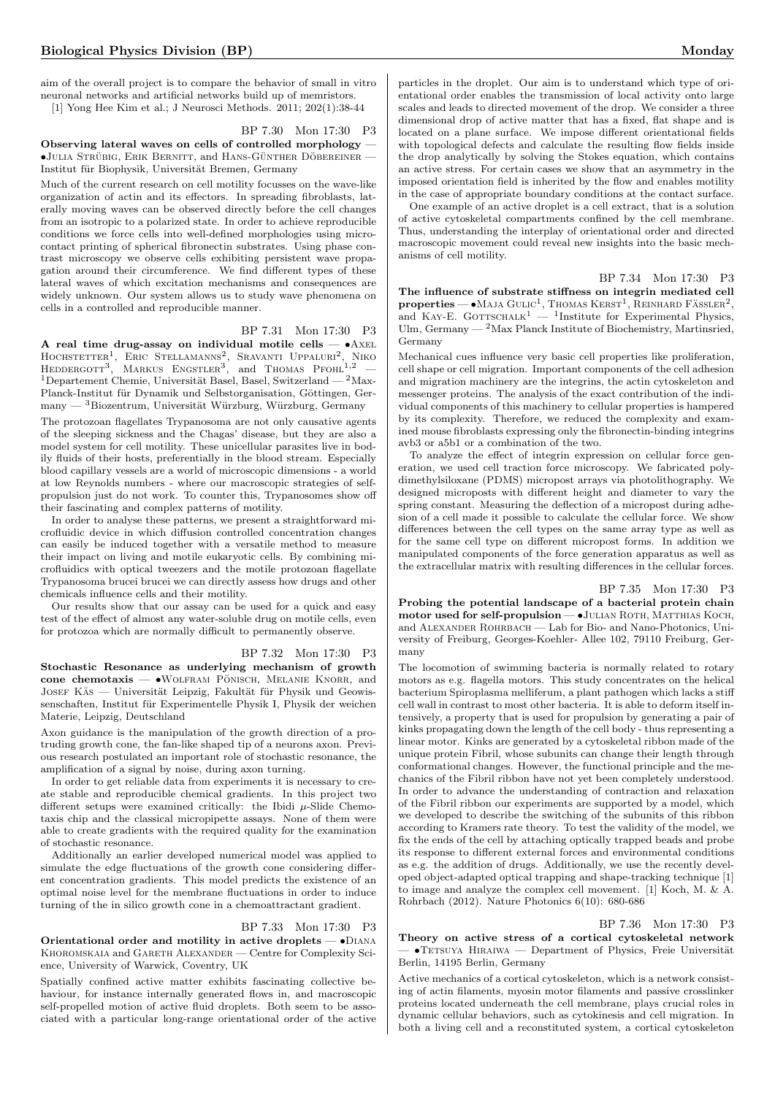aim of the overall project is to compare the behavior of small in vitro neuronal networks and artificial networks build up of memristors.

[1] Yong Hee Kim et al.; J Neurosci Methods. 2011; 202(1):38-44

BP 7.30 Mon 17:30 P3

Observing lateral waves on cells of controlled morphology  $\cdot$  $\bullet$ Julia Strübig, Erik Bernitt, and Hans-Günther Döbereiner -Institut für Biophysik, Universität Bremen, Germany

Much of the current research on cell motility focusses on the wave-like organization of actin and its effectors. In spreading fibroblasts, laterally moving waves can be observed directly before the cell changes from an isotropic to a polarized state. In order to achieve reproducible conditions we force cells into well-defined morphologies using microcontact printing of spherical fibronectin substrates. Using phase contrast microscopy we observe cells exhibiting persistent wave propagation around their circumference. We find different types of these lateral waves of which excitation mechanisms and consequences are widely unknown. Our system allows us to study wave phenomena on cells in a controlled and reproducible manner.

#### BP 7.31 Mon 17:30 P3

A real time drug-assay on individual motile cells  $- \bullet$ Axel<br>Hochstetter<sup>1</sup>, Eric Stellamanns<sup>2</sup>, Sravanti Uppaluri<sup>2</sup>, Niko<br>Heddergott<sup>3</sup>, Markus Engstler<sup>3</sup>, and Thomas Pfohl<sup>1,2</sup>  $1$ Departement Chemie, Universität Basel, Basel, Switzerland —  $2$ Max-Planck-Institut für Dynamik und Selbstorganisation, Göttingen, Germany —  ${}^{3}$ Biozentrum, Universität Würzburg, Würzburg, Germany

The protozoan flagellates Trypanosoma are not only causative agents of the sleeping sickness and the Chagas' disease, but they are also a model system for cell motility. These unicellular parasites live in bodily fluids of their hosts, preferentially in the blood stream. Especially blood capillary vessels are a world of microscopic dimensions - a world at low Reynolds numbers - where our macroscopic strategies of selfpropulsion just do not work. To counter this, Trypanosomes show off their fascinating and complex patterns of motility.

In order to analyse these patterns, we present a straightforward microfluidic device in which diffusion controlled concentration changes can easily be induced together with a versatile method to measure their impact on living and motile eukaryotic cells. By combining microfluidics with optical tweezers and the motile protozoan flagellate Trypanosoma brucei brucei we can directly assess how drugs and other chemicals influence cells and their motility.

Our results show that our assay can be used for a quick and easy test of the effect of almost any water-soluble drug on motile cells, even for protozoa which are normally difficult to permanently observe.

#### BP 7.32 Mon 17:30 P3

Stochastic Resonance as underlying mechanism of growth  $cone$   $chemotaxis$   $\bullet$  WOLFRAM PÖNISCH, MELANIE KNORR, and JOSEF KÄS — Universität Leipzig, Fakultät für Physik und Geowissenschaften, Institut für Experimentelle Physik I, Physik der weichen Materie, Leipzig, Deutschland

Axon guidance is the manipulation of the growth direction of a protruding growth cone, the fan-like shaped tip of a neurons axon. Previous research postulated an important role of stochastic resonance, the amplification of a signal by noise, during axon turning.

In order to get reliable data from experiments it is necessary to create stable and reproducible chemical gradients. In this project two different setups were examined critically: the Ibidi  $\mu$ -Slide Chemotaxis chip and the classical micropipette assays. None of them were able to create gradients with the required quality for the examination of stochastic resonance.

Additionally an earlier developed numerical model was applied to simulate the edge fluctuations of the growth cone considering different concentration gradients. This model predicts the existence of an optimal noise level for the membrane fluctuations in order to induce turning of the in silico growth cone in a chemoattractant gradient.

#### BP 7.33 Mon 17:30 P3

Orientational order and motility in active droplets — •Diana KHOROMSKAIA and GARETH ALEXANDER — Centre for Complexity Science, University of Warwick, Coventry, UK

Spatially confined active matter exhibits fascinating collective behaviour, for instance internally generated flows in, and macroscopic self-propelled motion of active fluid droplets. Both seem to be associated with a particular long-range orientational order of the active

particles in the droplet. Our aim is to understand which type of orientational order enables the transmission of local activity onto large scales and leads to directed movement of the drop. We consider a three dimensional drop of active matter that has a fixed, flat shape and is located on a plane surface. We impose different orientational fields with topological defects and calculate the resulting flow fields inside the drop analytically by solving the Stokes equation, which contains an active stress. For certain cases we show that an asymmetry in the imposed orientation field is inherited by the flow and enables motility in the case of appropriate boundary conditions at the contact surface.

One example of an active droplet is a cell extract, that is a solution of active cytoskeletal compartments confined by the cell membrane. Thus, understanding the interplay of orientational order and directed macroscopic movement could reveal new insights into the basic mechanisms of cell motility.

## BP 7.34 Mon 17:30 P3

The influence of substrate stiffness on integrin mediated cell **properties** — •Maja Gulic<sup>1</sup>, Thomas KERST<sup>1</sup>, REINHARD FÄSSLER<sup>2</sup>, and KAY-E. GOTTSCHALK<sup>1</sup> — <sup>1</sup>Institute for Experimental Physics, Ulm, Germany  $-2$  Max Planck Institute of Biochemistry, Martinsried, Germany

Mechanical cues influence very basic cell properties like proliferation, cell shape or cell migration. Important components of the cell adhesion and migration machinery are the integrins, the actin cytoskeleton and messenger proteins. The analysis of the exact contribution of the individual components of this machinery to cellular properties is hampered by its complexity. Therefore, we reduced the complexity and examined mouse fibroblasts expressing only the fibronectin-binding integrins avb3 or a5b1 or a combination of the two.

To analyze the effect of integrin expression on cellular force generation, we used cell traction force microscopy. We fabricated polydimethylsiloxane (PDMS) micropost arrays via photolithography. We designed microposts with different height and diameter to vary the spring constant. Measuring the deflection of a micropost during adhesion of a cell made it possible to calculate the cellular force. We show differences between the cell types on the same array type as well as for the same cell type on different micropost forms. In addition we manipulated components of the force generation apparatus as well as the extracellular matrix with resulting differences in the cellular forces.

#### BP 7.35 Mon 17:30 P3

Probing the potential landscape of a bacterial protein chain motor used for self-propulsion - JULIAN ROTH, MATTHIAS KOCH, and ALEXANDER ROHRBACH — Lab for Bio- and Nano-Photonics, University of Freiburg, Georges-Koehler- Allee 102, 79110 Freiburg, Germany

The locomotion of swimming bacteria is normally related to rotary motors as e.g. flagella motors. This study concentrates on the helical bacterium Spiroplasma melliferum, a plant pathogen which lacks a stiff cell wall in contrast to most other bacteria. It is able to deform itself intensively, a property that is used for propulsion by generating a pair of kinks propagating down the length of the cell body - thus representing a linear motor. Kinks are generated by a cytoskeletal ribbon made of the unique protein Fibril, whose subunits can change their length through conformational changes. However, the functional principle and the mechanics of the Fibril ribbon have not yet been completely understood. In order to advance the understanding of contraction and relaxation of the Fibril ribbon our experiments are supported by a model, which we developed to describe the switching of the subunits of this ribbon according to Kramers rate theory. To test the validity of the model, we fix the ends of the cell by attaching optically trapped beads and probe its response to different external forces and environmental conditions as e.g. the addition of drugs. Additionally, we use the recently developed object-adapted optical trapping and shape-tracking technique [1] to image and analyze the complex cell movement. [1] Koch, M. & A. Rohrbach (2012). Nature Photonics 6(10): 680-686

#### BP 7.36 Mon 17:30 P3

Theory on active stress of a cortical cytoskeletal network  $\bullet$ TETSUYA HIRAIWA — Department of Physics, Freie Universität Berlin, 14195 Berlin, Germany

Active mechanics of a cortical cytoskeleton, which is a network consisting of actin filaments, myosin motor filaments and passive crosslinker proteins located underneath the cell membrane, plays crucial roles in dynamic cellular behaviors, such as cytokinesis and cell migration. In both a living cell and a reconstituted system, a cortical cytoskeleton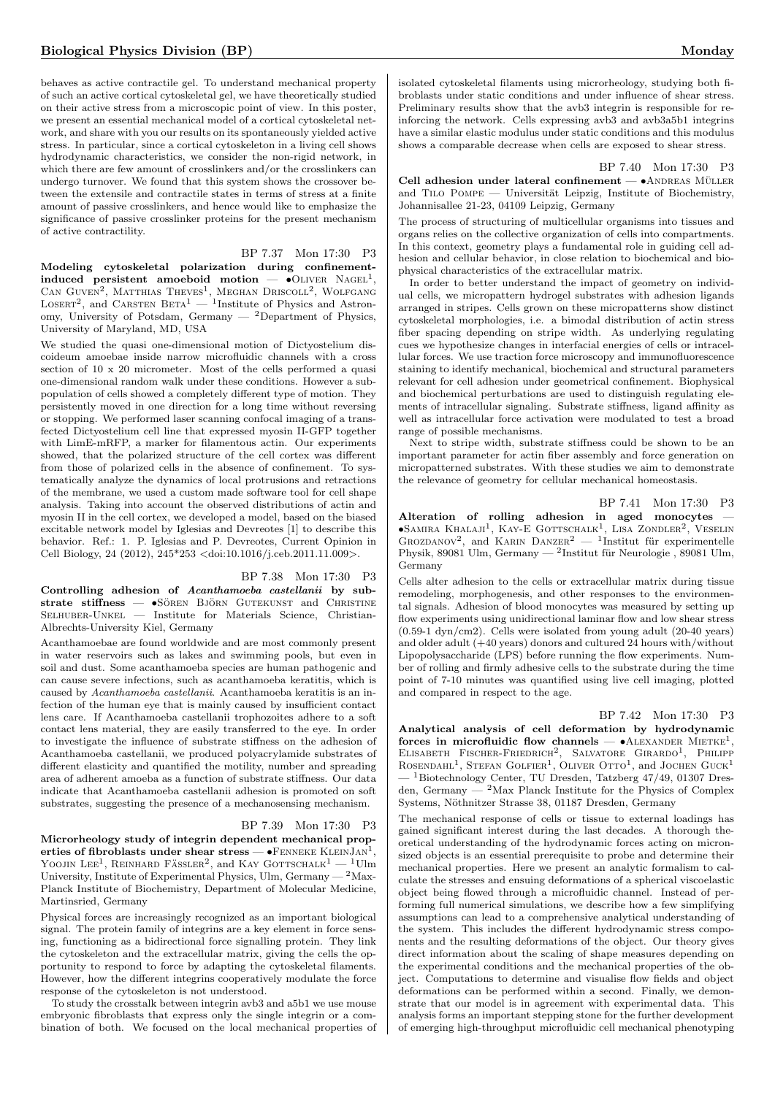behaves as active contractile gel. To understand mechanical property of such an active cortical cytoskeletal gel, we have theoretically studied on their active stress from a microscopic point of view. In this poster, we present an essential mechanical model of a cortical cytoskeletal network, and share with you our results on its spontaneously yielded active stress. In particular, since a cortical cytoskeleton in a living cell shows hydrodynamic characteristics, we consider the non-rigid network, in which there are few amount of crosslinkers and/or the crosslinkers can undergo turnover. We found that this system shows the crossover between the extensile and contractile states in terms of stress at a finite amount of passive crosslinkers, and hence would like to emphasize the significance of passive crosslinker proteins for the present mechanism of active contractility.

# BP 7.37 Mon 17:30 P3

Modeling cytoskeletal polarization during confinementinduced persistent amoeboid motion  $\bullet$ OLIVER NAGEL<sup>1</sup>, CAN GUVEN<sup>2</sup>, MATTHIAS THEVES<sup>1</sup>, MEGHAN DRISCOLL<sup>2</sup>, WOLFGANG<br>LOSERT<sup>2</sup>, and CARSTEN BETA<sup>1</sup> — <sup>1</sup>Institute of Physics and Astronomy, University of Potsdam, Germany — <sup>2</sup>Department of Physics, University of Maryland, MD, USA

We studied the quasi one-dimensional motion of Dictyostelium discoideum amoebae inside narrow microfluidic channels with a cross section of 10 x 20 micrometer. Most of the cells performed a quasi one-dimensional random walk under these conditions. However a subpopulation of cells showed a completely different type of motion. They persistently moved in one direction for a long time without reversing or stopping. We performed laser scanning confocal imaging of a transfected Dictyostelium cell line that expressed myosin II-GFP together with LimE-mRFP, a marker for filamentous actin. Our experiments showed, that the polarized structure of the cell cortex was different from those of polarized cells in the absence of confinement. To systematically analyze the dynamics of local protrusions and retractions of the membrane, we used a custom made software tool for cell shape analysis. Taking into account the observed distributions of actin and myosin II in the cell cortex, we developed a model, based on the biased excitable network model by Iglesias and Devreotes [1] to describe this behavior. Ref.: 1. P. Iglesias and P. Devreotes, Current Opinion in Cell Biology, 24 (2012), 245\*253 <doi:10.1016/j.ceb.2011.11.009>.

## BP 7.38 Mon 17:30 P3

Controlling adhesion of Acanthamoeba castellanii by sub $strate$   $stiffness$   $\rightarrow$   $sören$   $Björn$  Gutekunst and Christine SELHUBER-UNKEL — Institute for Materials Science, Christian-Albrechts-University Kiel, Germany

Acanthamoebae are found worldwide and are most commonly present in water reservoirs such as lakes and swimming pools, but even in soil and dust. Some acanthamoeba species are human pathogenic and can cause severe infections, such as acanthamoeba keratitis, which is caused by Acanthamoeba castellanii. Acanthamoeba keratitis is an infection of the human eye that is mainly caused by insufficient contact lens care. If Acanthamoeba castellanii trophozoites adhere to a soft contact lens material, they are easily transferred to the eye. In order to investigate the influence of substrate stiffness on the adhesion of Acanthamoeba castellanii, we produced polyacrylamide substrates of different elasticity and quantified the motility, number and spreading area of adherent amoeba as a function of substrate stiffness. Our data indicate that Acanthamoeba castellanii adhesion is promoted on soft substrates, suggesting the presence of a mechanosensing mechanism.

## BP 7.39 Mon 17:30 P3

Microrheology study of integrin dependent mechanical prop- $\text{erties of fibroblasts under shear stress} - \text{\textbullet} \text{FenneKE KLENNJAN}^1,$ YOOJIN LEE<sup>1</sup>, REINHARD FÄSSLER<sup>2</sup>, and KAY GOTTSCHALK<sup>1</sup>  $-$  <sup>1</sup>Ulm University, Institute of Experimental Physics, Ulm,  $Germany - 2Max-$ Planck Institute of Biochemistry, Department of Molecular Medicine, Martinsried, Germany

Physical forces are increasingly recognized as an important biological signal. The protein family of integrins are a key element in force sensing, functioning as a bidirectional force signalling protein. They link the cytoskeleton and the extracellular matrix, giving the cells the opportunity to respond to force by adapting the cytoskeletal filaments. However, how the different integrins cooperatively modulate the force response of the cytoskeleton is not understood.

To study the crosstalk between integrin avb3 and a5b1 we use mouse embryonic fibroblasts that express only the single integrin or a combination of both. We focused on the local mechanical properties of

isolated cytoskeletal filaments using microrheology, studying both fibroblasts under static conditions and under influence of shear stress. Preliminary results show that the avb3 integrin is responsible for reinforcing the network. Cells expressing avb3 and avb3a5b1 integrins have a similar elastic modulus under static conditions and this modulus shows a comparable decrease when cells are exposed to shear stress.

### BP 7.40 Mon 17:30 P3

Cell adhesion under lateral confinement —  $\bullet$ ANDREAS MÜLLER and TILO POMPE — Universität Leipzig, Institute of Biochemistry, Johannisallee 21-23, 04109 Leipzig, Germany

The process of structuring of multicellular organisms into tissues and organs relies on the collective organization of cells into compartments. In this context, geometry plays a fundamental role in guiding cell adhesion and cellular behavior, in close relation to biochemical and biophysical characteristics of the extracellular matrix.

In order to better understand the impact of geometry on individual cells, we micropattern hydrogel substrates with adhesion ligands arranged in stripes. Cells grown on these micropatterns show distinct cytoskeletal morphologies, i.e. a bimodal distribution of actin stress fiber spacing depending on stripe width. As underlying regulating cues we hypothesize changes in interfacial energies of cells or intracellular forces. We use traction force microscopy and immunofluorescence staining to identify mechanical, biochemical and structural parameters relevant for cell adhesion under geometrical confinement. Biophysical and biochemical perturbations are used to distinguish regulating elements of intracellular signaling. Substrate stiffness, ligand affinity as well as intracellular force activation were modulated to test a broad range of possible mechanisms.

Next to stripe width, substrate stiffness could be shown to be an important parameter for actin fiber assembly and force generation on micropatterned substrates. With these studies we aim to demonstrate the relevance of geometry for cellular mechanical homeostasis.

BP 7.41 Mon 17:30 P3 Alteration of rolling adhesion in aged monocytes —  $\bullet$ Samira Khalaji<sup>1</sup>, Kay-E Gottschalk<sup>1</sup>, Lisa Zondler<sup>2</sup>, Veselin GROZDANOV<sup>2</sup>, and KARIN DANZER<sup>2</sup> — <sup>1</sup>Institut für experimentelle Physik, 89081 Ulm, Germany — <sup>2</sup>Institut für Neurologie, 89081 Ulm, Germany

Cells alter adhesion to the cells or extracellular matrix during tissue remodeling, morphogenesis, and other responses to the environmental signals. Adhesion of blood monocytes was measured by setting up flow experiments using unidirectional laminar flow and low shear stress (0.59-1 dyn/cm2). Cells were isolated from young adult (20-40 years) and older adult (+40 years) donors and cultured 24 hours with/without Lipopolysaccharide (LPS) before running the flow experiments. Number of rolling and firmly adhesive cells to the substrate during the time point of 7-10 minutes was quantified using live cell imaging, plotted and compared in respect to the age.

## BP 7.42 Mon 17:30 P3

Analytical analysis of cell deformation by hydrodynamic forces in microfluidic flow channels  $\bullet$ ALEXANDER MIETKE<sup>1</sup>, ELISABETH FISCHER-FRIEDRICH<sup>2</sup>, SALVATORE GIRARDO<sup>1</sup>, PHILIPP ROSENDAHL<sup>1</sup>, STEFAN GOLFIER<sup>1</sup>, OLIVER OTTO<sup>1</sup>, and JOCHEN GUCK<sup>1</sup>  $-$ <sup>1</sup>Biotechnology Center, TU Dresden, Tatzberg 47/49, 01307 Dresden, Germany  $-$  <sup>2</sup>Max Planck Institute for the Physics of Complex Systems, Nöthnitzer Strasse 38, 01187 Dresden, Germany

The mechanical response of cells or tissue to external loadings has gained significant interest during the last decades. A thorough theoretical understanding of the hydrodynamic forces acting on micronsized objects is an essential prerequisite to probe and determine their mechanical properties. Here we present an analytic formalism to calculate the stresses and ensuing deformations of a spherical viscoelastic object being flowed through a microfluidic channel. Instead of performing full numerical simulations, we describe how a few simplifying assumptions can lead to a comprehensive analytical understanding of the system. This includes the different hydrodynamic stress components and the resulting deformations of the object. Our theory gives direct information about the scaling of shape measures depending on the experimental conditions and the mechanical properties of the object. Computations to determine and visualise flow fields and object deformations can be performed within a second. Finally, we demonstrate that our model is in agreement with experimental data. This analysis forms an important stepping stone for the further development of emerging high-throughput microfluidic cell mechanical phenotyping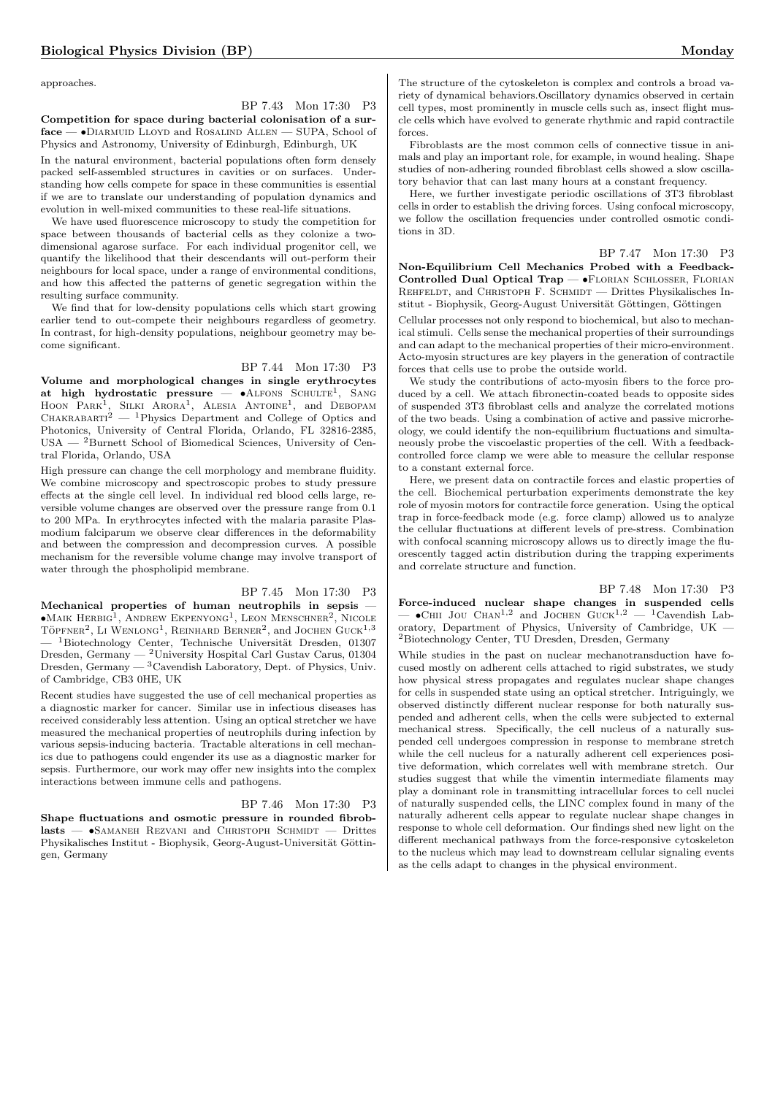approaches.

# BP 7.43 Mon 17:30 P3

Competition for space during bacterial colonisation of a surface — •Diarmuid Lloyd and Rosalind Allen — SUPA, School of Physics and Astronomy, University of Edinburgh, Edinburgh, UK

In the natural environment, bacterial populations often form densely packed self-assembled structures in cavities or on surfaces. Understanding how cells compete for space in these communities is essential if we are to translate our understanding of population dynamics and evolution in well-mixed communities to these real-life situations.

We have used fluorescence microscopy to study the competition for space between thousands of bacterial cells as they colonize a twodimensional agarose surface. For each individual progenitor cell, we quantify the likelihood that their descendants will out-perform their neighbours for local space, under a range of environmental conditions, and how this affected the patterns of genetic segregation within the resulting surface community.

We find that for low-density populations cells which start growing earlier tend to out-compete their neighbours regardless of geometry. In contrast, for high-density populations, neighbour geometry may become significant.

# BP 7.44 Mon 17:30 P3

Volume and morphological changes in single erythrocytes at high hydrostatic pressure -  $\bullet$ ALFONS SCHULTE<sup>1</sup>, SANG HOON PARK<sup>1</sup>, SILKI ARORA<sup>1</sup>, ALESIA ANTOINE<sup>1</sup>, and DEBOPAM  $\textsc{ChAKRABART}^2$  —  $^1\textsc{Physics}$  Department and College of Optics and Photonics, University of Central Florida, Orlando, FL 32816-2385, USA — <sup>2</sup>Burnett School of Biomedical Sciences, University of Central Florida, Orlando, USA

High pressure can change the cell morphology and membrane fluidity. We combine microscopy and spectroscopic probes to study pressure effects at the single cell level. In individual red blood cells large, reversible volume changes are observed over the pressure range from 0.1 to 200 MPa. In erythrocytes infected with the malaria parasite Plasmodium falciparum we observe clear differences in the deformability and between the compression and decompression curves. A possible mechanism for the reversible volume change may involve transport of water through the phospholipid membrane.

# BP 7.45 Mon 17:30 P3

Mechanical properties of human neutrophils in sepsis —  $\bullet$ Maik Herbig<sup>1</sup>, Andrew Ekpenyong<sup>1</sup>, Leon Menschner<sup>2</sup>, Nicole TÖPFNER<sup>2</sup>, LI WENLONG<sup>1</sup>, REINHARD BERNER<sup>2</sup>, and JOCHEN GUCK<sup>1,3</sup>  $-$ <sup>1</sup>Biotechnology Center, Technische Universität Dresden, 01307 Dresden, Germany — <sup>2</sup>University Hospital Carl Gustav Carus, 01304 Dresden, Germany — <sup>3</sup>Cavendish Laboratory, Dept. of Physics, Univ. of Cambridge, CB3 0HE, UK

Recent studies have suggested the use of cell mechanical properties as a diagnostic marker for cancer. Similar use in infectious diseases has received considerably less attention. Using an optical stretcher we have measured the mechanical properties of neutrophils during infection by various sepsis-inducing bacteria. Tractable alterations in cell mechanics due to pathogens could engender its use as a diagnostic marker for sepsis. Furthermore, our work may offer new insights into the complex interactions between immune cells and pathogens.

# BP 7.46 Mon 17:30 P3

Shape fluctuations and osmotic pressure in rounded fibroblasts — •Samaneh Rezvani and Christoph Schmidt — Drittes Physikalisches Institut - Biophysik, Georg-August-Universität Göttingen, Germany

The structure of the cytoskeleton is complex and controls a broad variety of dynamical behaviors.Oscillatory dynamics observed in certain cell types, most prominently in muscle cells such as, insect flight muscle cells which have evolved to generate rhythmic and rapid contractile forces.

Fibroblasts are the most common cells of connective tissue in animals and play an important role, for example, in wound healing. Shape studies of non-adhering rounded fibroblast cells showed a slow oscillatory behavior that can last many hours at a constant frequency.

Here, we further investigate periodic oscillations of 3T3 fibroblast cells in order to establish the driving forces. Using confocal microscopy, we follow the oscillation frequencies under controlled osmotic conditions in 3D.

# BP 7.47 Mon 17:30 P3

Non-Equilibrium Cell Mechanics Probed with a Feedback-Controlled Dual Optical Trap — •Florian Schlosser, Florian REHFELDT, and CHRISTOPH F. SCHMIDT — Drittes Physikalisches Institut - Biophysik, Georg-August Universität Göttingen, Göttingen

Cellular processes not only respond to biochemical, but also to mechanical stimuli. Cells sense the mechanical properties of their surroundings and can adapt to the mechanical properties of their micro-environment. Acto-myosin structures are key players in the generation of contractile forces that cells use to probe the outside world.

We study the contributions of acto-myosin fibers to the force produced by a cell. We attach fibronectin-coated beads to opposite sides of suspended 3T3 fibroblast cells and analyze the correlated motions of the two beads. Using a combination of active and passive microrheology, we could identify the non-equilibrium fluctuations and simultaneously probe the viscoelastic properties of the cell. With a feedbackcontrolled force clamp we were able to measure the cellular response to a constant external force.

Here, we present data on contractile forces and elastic properties of the cell. Biochemical perturbation experiments demonstrate the key role of myosin motors for contractile force generation. Using the optical trap in force-feedback mode (e.g. force clamp) allowed us to analyze the cellular fluctuations at different levels of pre-stress. Combination with confocal scanning microscopy allows us to directly image the fluorescently tagged actin distribution during the trapping experiments and correlate structure and function.

## BP 7.48 Mon 17:30 P3

Force-induced nuclear shape changes in suspended cells  $\bullet$ CHII JOU CHAN<sup>1,2</sup> and JOCHEN GUCK<sup>1,2</sup> — <sup>1</sup>Cavendish Laboratory, Department of Physics, University of Cambridge, UK — <sup>2</sup>Biotechnology Center, TU Dresden, Dresden, Germany

While studies in the past on nuclear mechanotransduction have focused mostly on adherent cells attached to rigid substrates, we study how physical stress propagates and regulates nuclear shape changes for cells in suspended state using an optical stretcher. Intriguingly, we observed distinctly different nuclear response for both naturally suspended and adherent cells, when the cells were subjected to external mechanical stress. Specifically, the cell nucleus of a naturally suspended cell undergoes compression in response to membrane stretch while the cell nucleus for a naturally adherent cell experiences positive deformation, which correlates well with membrane stretch. Our studies suggest that while the vimentin intermediate filaments may play a dominant role in transmitting intracellular forces to cell nuclei of naturally suspended cells, the LINC complex found in many of the naturally adherent cells appear to regulate nuclear shape changes in response to whole cell deformation. Our findings shed new light on the different mechanical pathways from the force-responsive cytoskeleton to the nucleus which may lead to downstream cellular signaling events as the cells adapt to changes in the physical environment.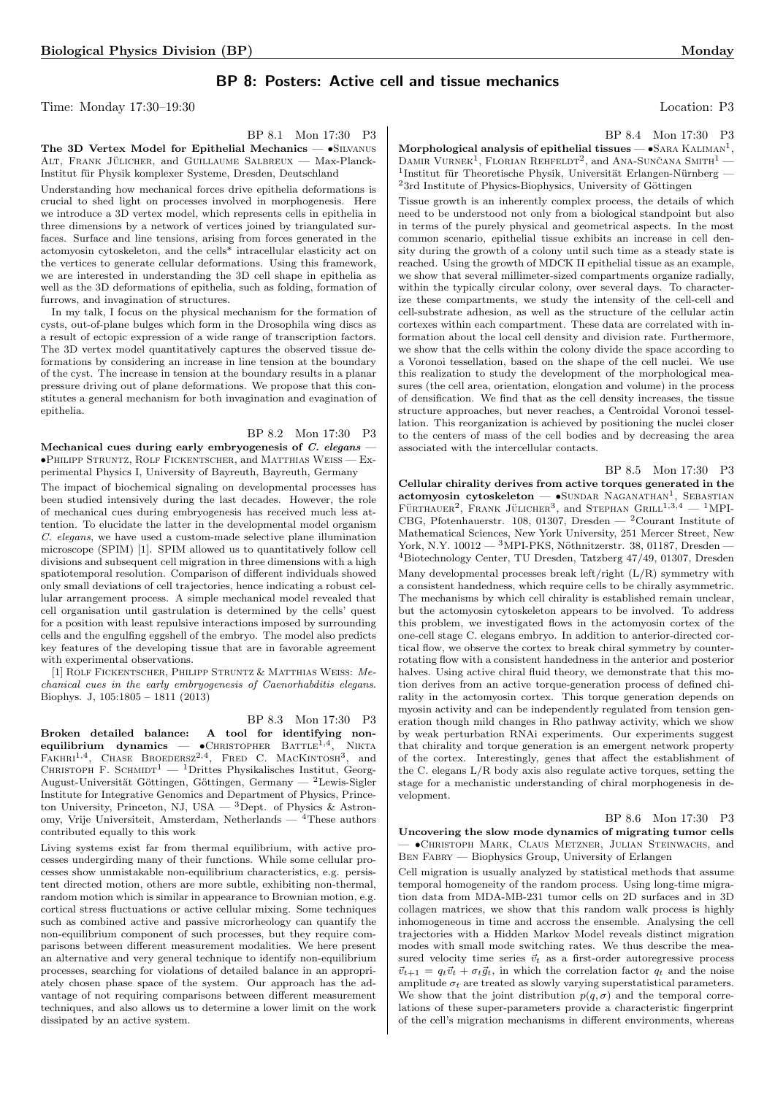# BP 8: Posters: Active cell and tissue mechanics

Time: Monday 17:30–19:30 Location: P3

BP 8.1 Mon 17:30 P3

The 3D Vertex Model for Epithelial Mechanics — •Silvanus ALT, FRANK JÜLICHER, and GUILLAUME SALBREUX — Max-Planck-Institut für Physik komplexer Systeme, Dresden, Deutschland

Understanding how mechanical forces drive epithelia deformations is crucial to shed light on processes involved in morphogenesis. Here we introduce a 3D vertex model, which represents cells in epithelia in three dimensions by a network of vertices joined by triangulated surfaces. Surface and line tensions, arising from forces generated in the actomyosin cytoskeleton, and the cells\* intracellular elasticity act on the vertices to generate cellular deformations. Using this framework, we are interested in understanding the 3D cell shape in epithelia as well as the 3D deformations of epithelia, such as folding, formation of furrows, and invagination of structures.

In my talk, I focus on the physical mechanism for the formation of cysts, out-of-plane bulges which form in the Drosophila wing discs as a result of ectopic expression of a wide range of transcription factors. The 3D vertex model quantitatively captures the observed tissue deformations by considering an increase in line tension at the boundary of the cyst. The increase in tension at the boundary results in a planar pressure driving out of plane deformations. We propose that this constitutes a general mechanism for both invagination and evagination of epithelia.

BP 8.2 Mon 17:30 P3 Mechanical cues during early embryogenesis of C. elegans -•Philipp Struntz, Rolf Fickentscher, and Matthias Weiss — Experimental Physics I, University of Bayreuth, Bayreuth, Germany

The impact of biochemical signaling on developmental processes has been studied intensively during the last decades. However, the role of mechanical cues during embryogenesis has received much less attention. To elucidate the latter in the developmental model organism C. elegans, we have used a custom-made selective plane illumination microscope (SPIM) [1]. SPIM allowed us to quantitatively follow cell divisions and subsequent cell migration in three dimensions with a high spatiotemporal resolution. Comparison of different individuals showed only small deviations of cell trajectories, hence indicating a robust cellular arrangement process. A simple mechanical model revealed that cell organisation until gastrulation is determined by the cells' quest for a position with least repulsive interactions imposed by surrounding cells and the engulfing eggshell of the embryo. The model also predicts key features of the developing tissue that are in favorable agreement with experimental observations.

[1] Rolf Fickentscher, Philipp Struntz & Matthias Weiss: Mechanical cues in the early embryogenesis of Caenorhabditis elegans. Biophys. J, 105:1805 – 1811 (2013)

BP 8.3 Mon 17:30 P3

Broken detailed balance: A tool for identifying nonequilibrium dynamics —  $\bullet$ CHRISTOPHER BATTLE<sup>1,4</sup>, , Nikta FAKHRI<sup>1,4</sup>, CHASE BROEDERSZ<sup>2,4</sup>, FRED C. MACKINTOSH<sup>3</sup>, and CHRISTOPH F. SCHMIDT<sup>1</sup> — <sup>1</sup>Drittes Physikalisches Institut, Georg-August-Universität Göttingen, Göttingen, Germany —  $2$ Lewis-Sigler Institute for Integrative Genomics and Department of Physics, Princeton University, Princeton, NJ, USA  $-$ <sup>3</sup>Dept. of Physics & Astronomy, Vrije Universiteit, Amsterdam, Netherlands — <sup>4</sup>These authors contributed equally to this work

Living systems exist far from thermal equilibrium, with active processes undergirding many of their functions. While some cellular processes show unmistakable non-equilibrium characteristics, e.g. persistent directed motion, others are more subtle, exhibiting non-thermal, random motion which is similar in appearance to Brownian motion, e.g. cortical stress fluctuations or active cellular mixing. Some techniques such as combined active and passive microrheology can quantify the non-equilibrium component of such processes, but they require comparisons between different measurement modalities. We here present an alternative and very general technique to identify non-equilibrium processes, searching for violations of detailed balance in an appropriately chosen phase space of the system. Our approach has the advantage of not requiring comparisons between different measurement techniques, and also allows us to determine a lower limit on the work dissipated by an active system.

BP 8.4 Mon 17:30 P3

Morphological analysis of epithelial tissues  $\bullet$ SARA KALIMAN<sup>1</sup>, DAMIR VURNEK<sup>1</sup>, FLORIAN REHFELDT<sup>2</sup>, and ANA-SUNCANA SMITH<sup>1</sup> — <sup>1</sup>Institut für Theoretische Physik, Universität Erlangen-Nürnberg - $23$ rd Institute of Physics-Biophysics, University of Göttingen

Tissue growth is an inherently complex process, the details of which need to be understood not only from a biological standpoint but also in terms of the purely physical and geometrical aspects. In the most common scenario, epithelial tissue exhibits an increase in cell density during the growth of a colony until such time as a steady state is reached. Using the growth of MDCK II epithelial tissue as an example, we show that several millimeter-sized compartments organize radially, within the typically circular colony, over several days. To characterize these compartments, we study the intensity of the cell-cell and cell-substrate adhesion, as well as the structure of the cellular actin cortexes within each compartment. These data are correlated with information about the local cell density and division rate. Furthermore, we show that the cells within the colony divide the space according to a Voronoi tessellation, based on the shape of the cell nuclei. We use this realization to study the development of the morphological measures (the cell area, orientation, elongation and volume) in the process of densification. We find that as the cell density increases, the tissue structure approaches, but never reaches, a Centroidal Voronoi tessellation. This reorganization is achieved by positioning the nuclei closer to the centers of mass of the cell bodies and by decreasing the area associated with the intercellular contacts.

BP 8.5 Mon 17:30 P3 Cellular chirality derives from active torques generated in the actomyosin cytoskeleton — · SUNDAR NAGANATHAN<sup>1</sup>, SEBASTIAN FÜRTHAUER<sup>2</sup>, FRANK JÜLICHER<sup>3</sup>, and STEPHAN GRILL<sup>1,3,4</sup> - <sup>1</sup>MPI-CBG, Pfotenhauerstr. 108, 01307, Dresden — <sup>2</sup>Courant Institute of Mathematical Sciences, New York University, 251 Mercer Street, New York, N.Y. 10012 —  $\rm{^{3}MPI\text{-}PKS},$  Nöthnitzerstr. 38, 01187, Dresden — <sup>4</sup>Biotechnology Center, TU Dresden, Tatzberg 47/49, 01307, Dresden Many developmental processes break left/right (L/R) symmetry with a consistent handedness, which require cells to be chirally asymmetric. The mechanisms by which cell chirality is established remain unclear, but the actomyosin cytoskeleton appears to be involved. To address this problem, we investigated flows in the actomyosin cortex of the one-cell stage C. elegans embryo. In addition to anterior-directed cortical flow, we observe the cortex to break chiral symmetry by counterrotating flow with a consistent handedness in the anterior and posterior halves. Using active chiral fluid theory, we demonstrate that this motion derives from an active torque-generation process of defined chirality in the actomyosin cortex. This torque generation depends on myosin activity and can be independently regulated from tension generation though mild changes in Rho pathway activity, which we show by weak perturbation RNAi experiments. Our experiments suggest that chirality and torque generation is an emergent network property of the cortex. Interestingly, genes that affect the establishment of the C. elegans L/R body axis also regulate active torques, setting the stage for a mechanistic understanding of chiral morphogenesis in development.

## BP 8.6 Mon 17:30 P3

Uncovering the slow mode dynamics of migrating tumor cells — •Christoph Mark, Claus Metzner, Julian Steinwachs, and Ben Fabry — Biophysics Group, University of Erlangen

Cell migration is usually analyzed by statistical methods that assume temporal homogeneity of the random process. Using long-time migration data from MDA-MB-231 tumor cells on 2D surfaces and in 3D collagen matrices, we show that this random walk process is highly inhomogeneous in time and accross the ensemble. Analysing the cell trajectories with a Hidden Markov Model reveals distinct migration modes with small mode switching rates. We thus describe the measured velocity time series  $\vec{v}_t$  as a first-order autoregressive process  $\vec{v}_{t+1} = q_t \vec{v}_t + \sigma_t \vec{g}_t$ , in which the correlation factor  $q_t$  and the noise amplitude  $\sigma_t$  are treated as slowly varying superstatistical parameters. We show that the joint distribution  $p(q, \sigma)$  and the temporal correlations of these super-parameters provide a characteristic fingerprint of the cell's migration mechanisms in different environments, whereas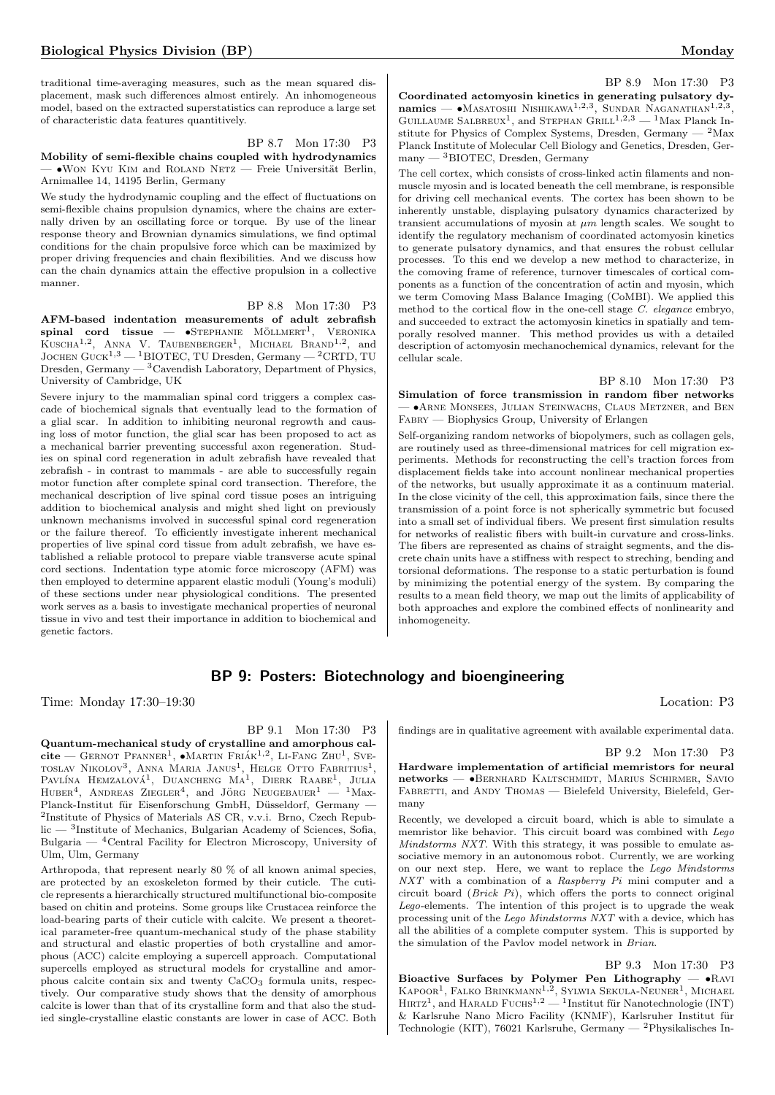traditional time-averaging measures, such as the mean squared displacement, mask such differences almost entirely. An inhomogeneous model, based on the extracted superstatistics can reproduce a large set of characteristic data features quantitively.

BP 8.7 Mon 17:30 P3 Mobility of semi-flexible chains coupled with hydrodynamics - ●WON KYU KIM and ROLAND NETZ — Freie Universität Berlin, Arnimallee 14, 14195 Berlin, Germany

We study the hydrodynamic coupling and the effect of fluctuations on semi-flexible chains propulsion dynamics, where the chains are externally driven by an oscillating force or torque. By use of the linear response theory and Brownian dynamics simulations, we find optimal conditions for the chain propulsive force which can be maximized by proper driving frequencies and chain flexibilities. And we discuss how can the chain dynamics attain the effective propulsion in a collective manner.

BP 8.8 Mon 17:30 P3 AFM-based indentation measurements of adult zebrafish  $\mathbf{spinal}$  cord tissue —  $\bullet$ Stephanie Möllmert<sup>1</sup>, Veronika KUSCHA<sup>1,2</sup>, ANNA V. TAUBENBERGER<sup>1</sup>, MICHAEL BRAND<sup>1,2</sup>, and JOCHEN GUCK<sup>1,3</sup> — <sup>1</sup>BIOTEC, TU Dresden, Germany — <sup>2</sup>CRTD, TU Dresden, Germany  $-$  <sup>3</sup>Cavendish Laboratory, Department of Physics, University of Cambridge, UK

Severe injury to the mammalian spinal cord triggers a complex cascade of biochemical signals that eventually lead to the formation of a glial scar. In addition to inhibiting neuronal regrowth and causing loss of motor function, the glial scar has been proposed to act as a mechanical barrier preventing successful axon regeneration. Studies on spinal cord regeneration in adult zebrafish have revealed that zebrafish - in contrast to mammals - are able to successfully regain motor function after complete spinal cord transection. Therefore, the mechanical description of live spinal cord tissue poses an intriguing addition to biochemical analysis and might shed light on previously unknown mechanisms involved in successful spinal cord regeneration or the failure thereof. To efficiently investigate inherent mechanical properties of live spinal cord tissue from adult zebrafish, we have established a reliable protocol to prepare viable transverse acute spinal cord sections. Indentation type atomic force microscopy (AFM) was then employed to determine apparent elastic moduli (Young's moduli) of these sections under near physiological conditions. The presented work serves as a basis to investigate mechanical properties of neuronal tissue in vivo and test their importance in addition to biochemical and genetic factors.

BP 8.9 Mon 17:30 P3 Coordinated actomyosin kinetics in generating pulsatory dynamics — •Masatoshi Nishikawa<sup>1,2,3</sup>, Sundar Naganathan<sup>1,2,3</sup> GUILLAUME SALBREUX<sup>1</sup>, and STEPHAN GRILL<sup>1,2,3</sup> — <sup>1</sup>Max Planck Institute for Physics of Complex Systems, Dresden, Germany  $-2$  Max Planck Institute of Molecular Cell Biology and Genetics, Dresden, Germany — <sup>3</sup>BIOTEC, Dresden, Germany

The cell cortex, which consists of cross-linked actin filaments and nonmuscle myosin and is located beneath the cell membrane, is responsible for driving cell mechanical events. The cortex has been shown to be inherently unstable, displaying pulsatory dynamics characterized by transient accumulations of myosin at  $\mu$ m length scales. We sought to identify the regulatory mechanism of coordinated actomyosin kinetics to generate pulsatory dynamics, and that ensures the robust cellular processes. To this end we develop a new method to characterize, in the comoving frame of reference, turnover timescales of cortical components as a function of the concentration of actin and myosin, which we term Comoving Mass Balance Imaging (CoMBI). We applied this method to the cortical flow in the one-cell stage C. elegance embryo, and succeeded to extract the actomyosin kinetics in spatially and temporally resolved manner. This method provides us with a detailed description of actomyosin mechanochemical dynamics, relevant for the cellular scale.

BP 8.10 Mon 17:30 P3 Simulation of force transmission in random fiber networks — •Arne Monsees, Julian Steinwachs, Claus Metzner, and Ben Fabry — Biophysics Group, University of Erlangen

Self-organizing random networks of biopolymers, such as collagen gels, are routinely used as three-dimensional matrices for cell migration experiments. Methods for reconstructing the cell's traction forces from displacement fields take into account nonlinear mechanical properties of the networks, but usually approximate it as a continuum material. In the close vicinity of the cell, this approximation fails, since there the transmission of a point force is not spherically symmetric but focused into a small set of individual fibers. We present first simulation results for networks of realistic fibers with built-in curvature and cross-links. The fibers are represented as chains of straight segments, and the discrete chain units have a stiffness with respect to streching, bending and torsional deformations. The response to a static perturbation is found by minimizing the potential energy of the system. By comparing the results to a mean field theory, we map out the limits of applicability of both approaches and explore the combined effects of nonlinearity and inhomogeneity.

# BP 9: Posters: Biotechnology and bioengineering

Time: Monday 17:30–19:30 Location: P3

BP 9.1 Mon 17:30 P3

Quantum-mechanical study of crystalline and amorphous calcite — GERNOT PFANNER<sup>1</sup>,  $\bullet$ MARTIN FRIÁK<sup>1,2</sup>, LI-FANG ZHU<sup>1</sup>, SVEtoslav Nikolov<sup>3</sup>, Anna Maria Janus<sup>1</sup>, Helge Otto Fabritius<sup>1</sup>, Pavlína Hemzalová<sup>1</sup>, Duancheng Ma<sup>1</sup>, Dierk Raabe<sup>1</sup>, Julia  $HUBER<sup>4</sup>$ , ANDREAS ZIEGLER<sup>4</sup>, and JÖRG NEUGEBAUER<sup>1</sup> - <sup>1</sup>Max-Planck-Institut für Eisenforschung GmbH, Düsseldorf, Germany -2 Institute of Physics of Materials AS CR, v.v.i. Brno, Czech Republic — <sup>3</sup>Institute of Mechanics, Bulgarian Academy of Sciences, Sofia, Bulgaria — <sup>4</sup>Central Facility for Electron Microscopy, University of Ulm, Ulm, Germany

Arthropoda, that represent nearly 80 % of all known animal species, are protected by an exoskeleton formed by their cuticle. The cuticle represents a hierarchically structured multifunctional bio-composite based on chitin and proteins. Some groups like Crustacea reinforce the load-bearing parts of their cuticle with calcite. We present a theoretical parameter-free quantum-mechanical study of the phase stability and structural and elastic properties of both crystalline and amorphous (ACC) calcite employing a supercell approach. Computational supercells employed as structural models for crystalline and amorphous calcite contain six and twenty CaCO<sub>3</sub> formula units, respectively. Our comparative study shows that the density of amorphous calcite is lower than that of its crystalline form and that also the studied single-crystalline elastic constants are lower in case of ACC. Both

findings are in qualitative agreement with available experimental data.

BP 9.2 Mon 17:30 P3

Hardware implementation of artificial memristors for neural networks — •BERNHARD KALTSCHMIDT, MARIUS SCHIRMER, SAVIO FABRETTI, and ANDY THOMAS — Bielefeld University, Bielefeld, Germany

Recently, we developed a circuit board, which is able to simulate a memristor like behavior. This circuit board was combined with Lego Mindstorms NXT. With this strategy, it was possible to emulate associative memory in an autonomous robot. Currently, we are working on our next step. Here, we want to replace the Lego Mindstorms NXT with a combination of a Raspberry Pi mini computer and a circuit board  $(Brick\ Pi)$ , which offers the ports to connect original Lego-elements. The intention of this project is to upgrade the weak processing unit of the Lego Mindstorms NXT with a device, which has all the abilities of a complete computer system. This is supported by the simulation of the Pavlov model network in Brian.

# BP 9.3 Mon 17:30 P3

Bioactive Surfaces by Polymer Pen Lithography  $-\bullet$ RAVI KAPOOR<sup>1</sup>, FALKO BRINKMANN<sup>1,2</sup>, SYLWIA SEKULA-NEUNER<sup>1</sup>, MICHAEL<br>HIRTZ<sup>1</sup>, and HARALD FUCHS<sup>1,2</sup> — <sup>1</sup>Institut für Nanotechnologie (INT) & Karlsruhe Nano Micro Facility (KNMF), Karlsruher Institut für Technologie (KIT), 76021 Karlsruhe, Germany — <sup>2</sup>Physikalisches In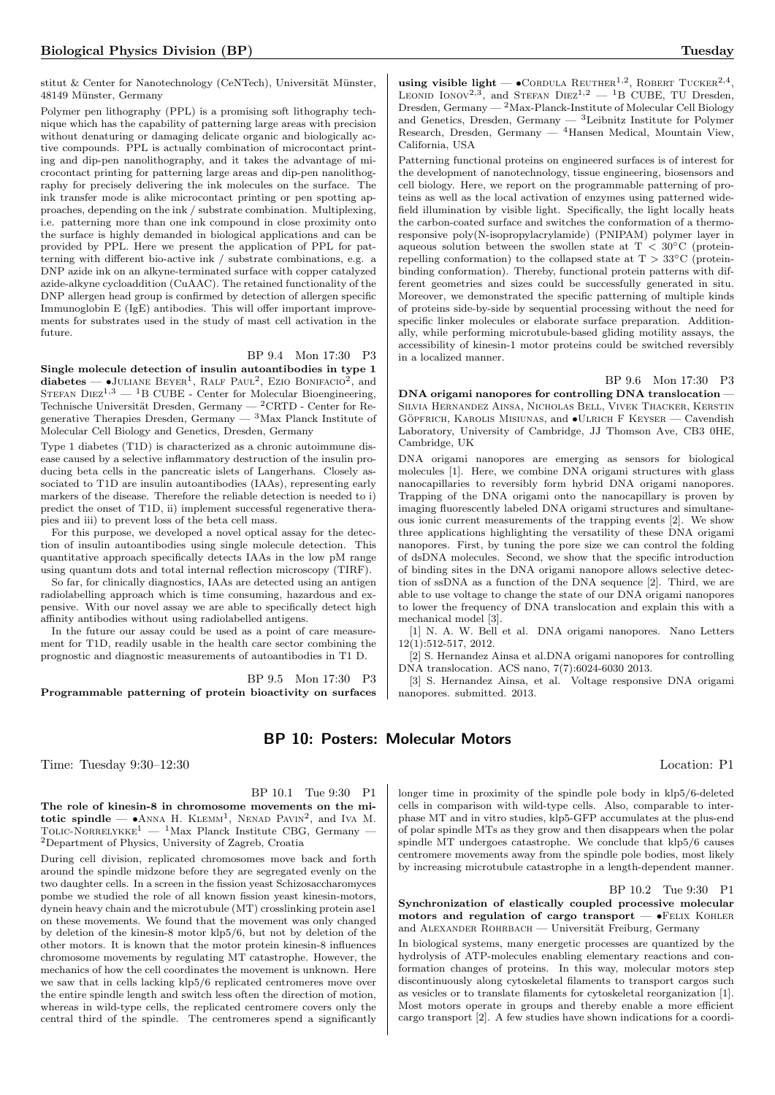stitut & Center for Nanotechnology (CeNTech), Universität Münster, 48149 Münster, Germany

Polymer pen lithography (PPL) is a promising soft lithography technique which has the capability of patterning large areas with precision without denaturing or damaging delicate organic and biologically active compounds. PPL is actually combination of microcontact printing and dip-pen nanolithography, and it takes the advantage of microcontact printing for patterning large areas and dip-pen nanolithography for precisely delivering the ink molecules on the surface. The ink transfer mode is alike microcontact printing or pen spotting approaches, depending on the ink / substrate combination. Multiplexing, i.e. patterning more than one ink compound in close proximity onto the surface is highly demanded in biological applications and can be provided by PPL. Here we present the application of PPL for patterning with different bio-active ink / substrate combinations, e.g. a DNP azide ink on an alkyne-terminated surface with copper catalyzed azide-alkyne cycloaddition (CuAAC). The retained functionality of the DNP allergen head group is confirmed by detection of allergen specific Immunoglobin E (IgE) antibodies. This will offer important improvements for substrates used in the study of mast cell activation in the future.

# BP 9.4 Mon 17:30 P3

Single molecule detection of insulin autoantibodies in type 1 diabetes —  $\bullet$ JULIANE BEYER<sup>1</sup>, RALF PAUL<sup>2</sup>, EZIO BONIFACIO<sup>2</sup>, and STEFAN  $\text{DIEZ}^{1,3}$  — <sup>1</sup>B CUBE - Center for Molecular Bioengineering, Technische Universität Dresden, Germany — <sup>2</sup>CRTD - Center for Regenerative Therapies Dresden, Germany  $-3$  Max Planck Institute of Molecular Cell Biology and Genetics, Dresden, Germany

Type 1 diabetes (T1D) is characterized as a chronic autoimmune disease caused by a selective inflammatory destruction of the insulin producing beta cells in the pancreatic islets of Langerhans. Closely associated to T1D are insulin autoantibodies (IAAs), representing early markers of the disease. Therefore the reliable detection is needed to i) predict the onset of T1D, ii) implement successful regenerative therapies and iii) to prevent loss of the beta cell mass.

For this purpose, we developed a novel optical assay for the detection of insulin autoantibodies using single molecule detection. This quantitative approach specifically detects IAAs in the low pM range using quantum dots and total internal reflection microscopy (TIRF).

So far, for clinically diagnostics, IAAs are detected using an antigen radiolabelling approach which is time consuming, hazardous and expensive. With our novel assay we are able to specifically detect high affinity antibodies without using radiolabelled antigens.

In the future our assay could be used as a point of care measurement for T1D, readily usable in the health care sector combining the prognostic and diagnostic measurements of autoantibodies in T1 D.

BP 9.5 Mon 17:30 P3 Programmable patterning of protein bioactivity on surfaces

BP 10: Posters: Molecular Motors

Time: Tuesday 9:30–12:30 Location: P1

BP 10.1 Tue 9:30 P1

The role of kinesin-8 in chromosome movements on the mitotic spindle  $\bullet$ ANNA H. KLEMM<sup>1</sup>, NENAD PAVIN<sup>2</sup>, and IVA M. TOLIC-NORRELYKKE<sup>1</sup> — <sup>1</sup>Max Planck Institute CBG, Germany <sup>2</sup>Department of Physics, University of Zagreb, Croatia

During cell division, replicated chromosomes move back and forth around the spindle midzone before they are segregated evenly on the two daughter cells. In a screen in the fission yeast Schizosaccharomyces pombe we studied the role of all known fission yeast kinesin-motors, dynein heavy chain and the microtubule (MT) crosslinking protein ase1 on these movements. We found that the movement was only changed by deletion of the kinesin-8 motor klp5/6, but not by deletion of the other motors. It is known that the motor protein kinesin-8 influences chromosome movements by regulating MT catastrophe. However, the mechanics of how the cell coordinates the movement is unknown. Here we saw that in cells lacking klp5/6 replicated centromeres move over the entire spindle length and switch less often the direction of motion, whereas in wild-type cells, the replicated centromere covers only the central third of the spindle. The centromeres spend a significantly

using visible light —  $\bullet$  CORDULA REUTHER<sup>1,2</sup>, ROBERT TUCKER<sup>2,4</sup>, LEONID IONOV<sup>2,3</sup>, and STEFAN DIEZ<sup>1,2</sup> - <sup>1</sup>B CUBE, TU Dresden, Dresden, Germany — <sup>2</sup>Max-Planck-Institute of Molecular Cell Biology and Genetics, Dresden, Germany  $-$  <sup>3</sup>Leibnitz Institute for Polymer Research, Dresden, Germany — <sup>4</sup>Hansen Medical, Mountain View, California, USA

Patterning functional proteins on engineered surfaces is of interest for the development of nanotechnology, tissue engineering, biosensors and cell biology. Here, we report on the programmable patterning of proteins as well as the local activation of enzymes using patterned widefield illumination by visible light. Specifically, the light locally heats the carbon-coated surface and switches the conformation of a thermoresponsive poly(N-isopropylacrylamide) (PNIPAM) polymer layer in aqueous solution between the swollen state at T <  $30^{\circ}$ C (proteinrepelling conformation) to the collapsed state at  $T > 33°C$  (proteinbinding conformation). Thereby, functional protein patterns with different geometries and sizes could be successfully generated in situ. Moreover, we demonstrated the specific patterning of multiple kinds of proteins side-by-side by sequential processing without the need for specific linker molecules or elaborate surface preparation. Additionally, while performing microtubule-based gliding motility assays, the accessibility of kinesin-1 motor proteins could be switched reversibly in a localized manner.

#### BP 9.6 Mon 17:30 P3

DNA origami nanopores for controlling DNA translocation — Silvia Hernandez Ainsa, Nicholas Bell, Vivek Thacker, Kerstin GÖPFRICH, KAROLIS MISIUNAS, and  $\bullet$ ULRICH F KEYSER — Cavendish Laboratory, University of Cambridge, JJ Thomson Ave, CB3 0HE, Cambridge, UK

DNA origami nanopores are emerging as sensors for biological molecules [1]. Here, we combine DNA origami structures with glass nanocapillaries to reversibly form hybrid DNA origami nanopores. Trapping of the DNA origami onto the nanocapillary is proven by imaging fluorescently labeled DNA origami structures and simultaneous ionic current measurements of the trapping events [2]. We show three applications highlighting the versatility of these DNA origami nanopores. First, by tuning the pore size we can control the folding of dsDNA molecules. Second, we show that the specific introduction of binding sites in the DNA origami nanopore allows selective detection of ssDNA as a function of the DNA sequence [2]. Third, we are able to use voltage to change the state of our DNA origami nanopores to lower the frequency of DNA translocation and explain this with a mechanical model [3].

[1] N. A. W. Bell et al. DNA origami nanopores. Nano Letters 12(1):512-517, 2012.

[2] S. Hernandez Ainsa et al.DNA origami nanopores for controlling DNA translocation. ACS nano, 7(7):6024-6030 2013.

[3] S. Hernandez Ainsa, et al. Voltage responsive DNA origami nanopores. submitted. 2013.

longer time in proximity of the spindle pole body in klp5/6-deleted cells in comparison with wild-type cells. Also, comparable to interphase MT and in vitro studies, klp5-GFP accumulates at the plus-end of polar spindle MTs as they grow and then disappears when the polar spindle MT undergoes catastrophe. We conclude that klp5/6 causes centromere movements away from the spindle pole bodies, most likely by increasing microtubule catastrophe in a length-dependent manner.

BP 10.2 Tue 9:30 P1

Synchronization of elastically coupled processive molecular motors and regulation of cargo transport  $\bullet$ FELIX KOHLER and ALEXANDER ROHRBACH — Universität Freiburg, Germany

In biological systems, many energetic processes are quantized by the hydrolysis of ATP-molecules enabling elementary reactions and conformation changes of proteins. In this way, molecular motors step discontinuously along cytoskeletal filaments to transport cargos such as vesicles or to translate filaments for cytoskeletal reorganization [1]. Most motors operate in groups and thereby enable a more efficient cargo transport [2]. A few studies have shown indications for a coordi-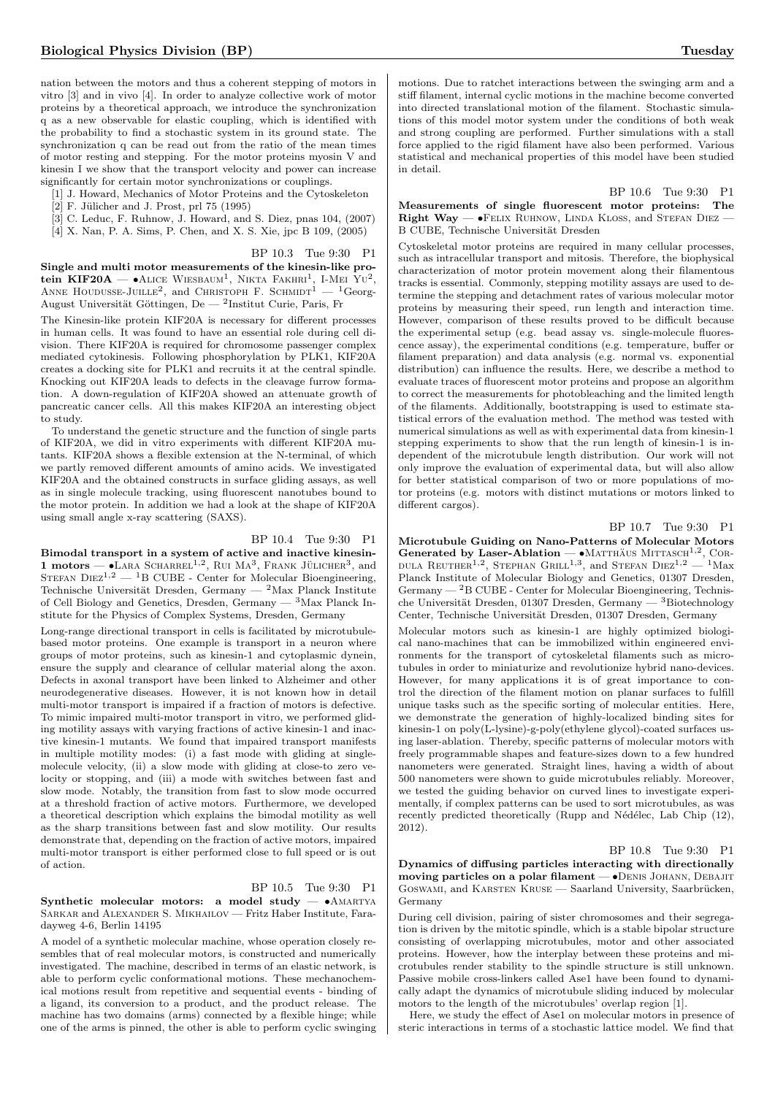nation between the motors and thus a coherent stepping of motors in vitro [3] and in vivo [4]. In order to analyze collective work of motor proteins by a theoretical approach, we introduce the synchronization q as a new observable for elastic coupling, which is identified with the probability to find a stochastic system in its ground state. The synchronization q can be read out from the ratio of the mean times of motor resting and stepping. For the motor proteins myosin V and kinesin I we show that the transport velocity and power can increase significantly for certain motor synchronizations or couplings.

- [1] J. Howard, Mechanics of Motor Proteins and the Cytoskeleton
- $[2]$  F. Jülicher and J. Prost, prl 75 (1995)
- [3] C. Leduc, F. Ruhnow, J. Howard, and S. Diez, pnas 104, (2007)
- [4] X. Nan, P. A. Sims, P. Chen, and X. S. Xie, jpc B 109, (2005)

BP 10.3 Tue 9:30 P1

Single and multi motor measurements of the kinesin-like protein KIF20A —  $\bullet$ Alice Wiesbaum<sup>1</sup>, Nikta Fakhri<sup>1</sup>, I-Mei Yu<sup>2</sup>, ANNE HOUDUSSE-JUILLE<sup>2</sup>, and CHRISTOPH F. SCHMIDT<sup>1</sup> - <sup>1</sup>Georg-August Universität Göttingen, De — <sup>2</sup>Institut Curie, Paris, Fr

The Kinesin-like protein KIF20A is necessary for different processes in human cells. It was found to have an essential role during cell division. There KIF20A is required for chromosome passenger complex mediated cytokinesis. Following phosphorylation by PLK1, KIF20A creates a docking site for PLK1 and recruits it at the central spindle. Knocking out KIF20A leads to defects in the cleavage furrow formation. A down-regulation of KIF20A showed an attenuate growth of pancreatic cancer cells. All this makes KIF20A an interesting object to study.

To understand the genetic structure and the function of single parts of KIF20A, we did in vitro experiments with different KIF20A mutants. KIF20A shows a flexible extension at the N-terminal, of which we partly removed different amounts of amino acids. We investigated KIF20A and the obtained constructs in surface gliding assays, as well as in single molecule tracking, using fluorescent nanotubes bound to the motor protein. In addition we had a look at the shape of KIF20A using small angle x-ray scattering (SAXS).

BP 10.4 Tue 9:30 P1 Bimodal transport in a system of active and inactive kinesin-1 motors —  $\bullet$ LARA SCHARREL<sup>1,2</sup>, RUI MA<sup>3</sup>, FRANK JÜLICHER<sup>3</sup>, and STEFAN  $\text{DIEZ}^{1,2}$  — <sup>1</sup>B CUBE - Center for Molecular Bioengineering, Technische Universität Dresden, Germany —  ${}^{2}$ Max Planck Institute of Cell Biology and Genetics, Dresden, Germany  $-3$  Max Planck Institute for the Physics of Complex Systems, Dresden, Germany

Long-range directional transport in cells is facilitated by microtubulebased motor proteins. One example is transport in a neuron where groups of motor proteins, such as kinesin-1 and cytoplasmic dynein, ensure the supply and clearance of cellular material along the axon. Defects in axonal transport have been linked to Alzheimer and other neurodegenerative diseases. However, it is not known how in detail multi-motor transport is impaired if a fraction of motors is defective. To mimic impaired multi-motor transport in vitro, we performed gliding motility assays with varying fractions of active kinesin-1 and inactive kinesin-1 mutants. We found that impaired transport manifests in multiple motility modes: (i) a fast mode with gliding at singlemolecule velocity, (ii) a slow mode with gliding at close-to zero velocity or stopping, and (iii) a mode with switches between fast and slow mode. Notably, the transition from fast to slow mode occurred at a threshold fraction of active motors. Furthermore, we developed a theoretical description which explains the bimodal motility as well as the sharp transitions between fast and slow motility. Our results demonstrate that, depending on the fraction of active motors, impaired multi-motor transport is either performed close to full speed or is out of action.

# BP 10.5 Tue 9:30 P1

Synthetic molecular motors: a model study  $- \cdot$  AMARTYA Sarkar and Alexander S. Mikhailov — Fritz Haber Institute, Faradayweg 4-6, Berlin 14195

A model of a synthetic molecular machine, whose operation closely resembles that of real molecular motors, is constructed and numerically investigated. The machine, described in terms of an elastic network, is able to perform cyclic conformational motions. These mechanochemical motions result from repetitive and sequential events - binding of a ligand, its conversion to a product, and the product release. The machine has two domains (arms) connected by a flexible hinge; while one of the arms is pinned, the other is able to perform cyclic swinging motions. Due to ratchet interactions between the swinging arm and a stiff filament, internal cyclic motions in the machine become converted into directed translational motion of the filament. Stochastic simulations of this model motor system under the conditions of both weak and strong coupling are performed. Further simulations with a stall force applied to the rigid filament have also been performed. Various statistical and mechanical properties of this model have been studied in detail.

#### BP 10.6 Tue 9:30 P1

Measurements of single fluorescent motor proteins: The Right Way — •FELIX RUHNOW, LINDA KLOSS, and STEFAN DIEZ -B CUBE, Technische Universität Dresden

Cytoskeletal motor proteins are required in many cellular processes, such as intracellular transport and mitosis. Therefore, the biophysical characterization of motor protein movement along their filamentous tracks is essential. Commonly, stepping motility assays are used to determine the stepping and detachment rates of various molecular motor proteins by measuring their speed, run length and interaction time. However, comparison of these results proved to be difficult because the experimental setup (e.g. bead assay vs. single-molecule fluorescence assay), the experimental conditions (e.g. temperature, buffer or filament preparation) and data analysis (e.g. normal vs. exponential distribution) can influence the results. Here, we describe a method to evaluate traces of fluorescent motor proteins and propose an algorithm to correct the measurements for photobleaching and the limited length of the filaments. Additionally, bootstrapping is used to estimate statistical errors of the evaluation method. The method was tested with numerical simulations as well as with experimental data from kinesin-1 stepping experiments to show that the run length of kinesin-1 is independent of the microtubule length distribution. Our work will not only improve the evaluation of experimental data, but will also allow for better statistical comparison of two or more populations of motor proteins (e.g. motors with distinct mutations or motors linked to different cargos).

## BP 10.7 Tue 9:30 P1

Microtubule Guiding on Nano-Patterns of Molecular Motors Generated by Laser-Ablation -  $\bullet$ MATTHÄUS MITTASCH<sup>1,2</sup>, COR-DULA REUTHER<sup>1,2</sup>, STEPHAN GRILL<sup>1,3</sup>, and STEFAN  $DIEZ^{1,2}$  — <sup>1</sup>Max Planck Institute of Molecular Biology and Genetics, 01307 Dresden, Germany  $-{}^{2}B$  CUBE - Center for Molecular Bioengineering, Technische Universität Dresden, 01307 Dresden, Germany — 3Biotechnology Center, Technische Universität Dresden, 01307 Dresden, Germany

Molecular motors such as kinesin-1 are highly optimized biological nano-machines that can be immobilized within engineered environments for the transport of cytoskeletal filaments such as microtubules in order to miniaturize and revolutionize hybrid nano-devices. However, for many applications it is of great importance to control the direction of the filament motion on planar surfaces to fulfill unique tasks such as the specific sorting of molecular entities. Here, we demonstrate the generation of highly-localized binding sites for kinesin-1 on poly(L-lysine)-g-poly(ethylene glycol)-coated surfaces using laser-ablation. Thereby, specific patterns of molecular motors with freely programmable shapes and feature-sizes down to a few hundred nanometers were generated. Straight lines, having a width of about 500 nanometers were shown to guide microtubules reliably. Moreover, we tested the guiding behavior on curved lines to investigate experimentally, if complex patterns can be used to sort microtubules, as was recently predicted theoretically (Rupp and Nédélec, Lab Chip  $(12)$ , 2012).

## BP 10.8 Tue 9:30 P1

Dynamics of diffusing particles interacting with directionally moving particles on a polar filament - · DENIS JOHANN, DEBAJIT GOSWAMI, and KARSTEN KRUSE - Saarland University, Saarbrücken, Germany

During cell division, pairing of sister chromosomes and their segregation is driven by the mitotic spindle, which is a stable bipolar structure consisting of overlapping microtubules, motor and other associated proteins. However, how the interplay between these proteins and microtubules render stability to the spindle structure is still unknown. Passive mobile cross-linkers called Ase1 have been found to dynamically adapt the dynamics of microtubule sliding induced by molecular motors to the length of the microtubules' overlap region [1].

Here, we study the effect of Ase1 on molecular motors in presence of steric interactions in terms of a stochastic lattice model. We find that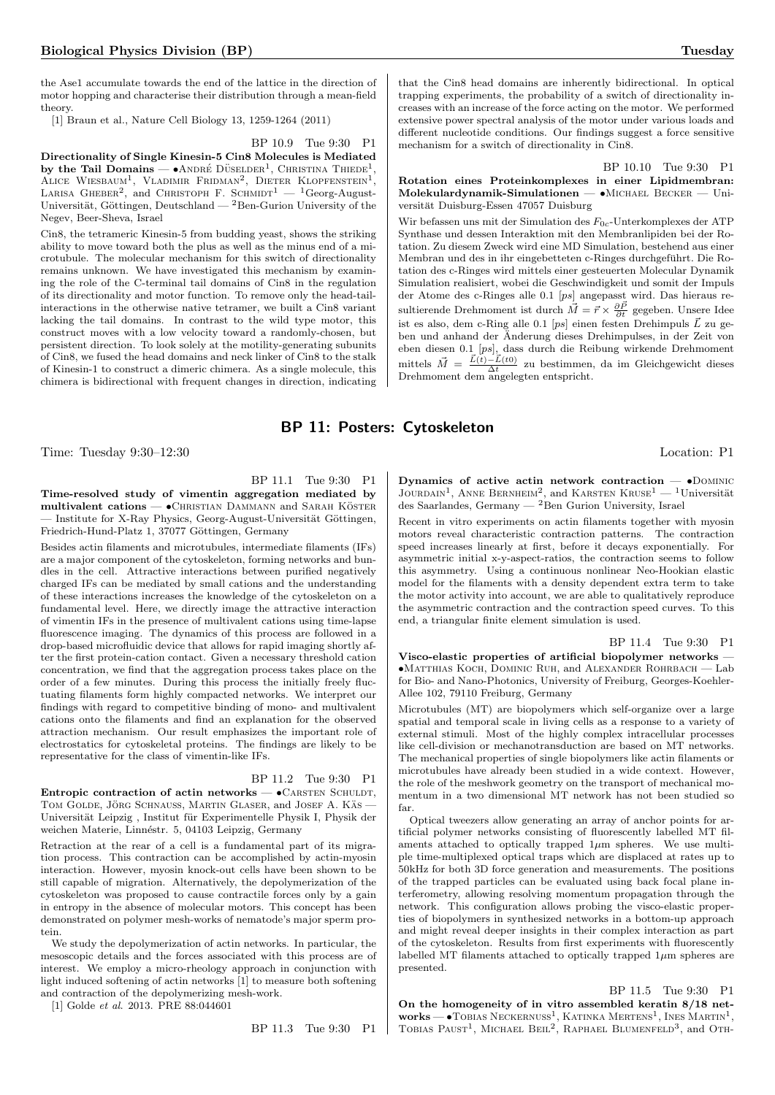the Ase1 accumulate towards the end of the lattice in the direction of motor hopping and characterise their distribution through a mean-field theory.

[1] Braun et al., Nature Cell Biology 13, 1259-1264 (2011)

BP 10.9 Tue 9:30 P1

Directionality of Single Kinesin-5 Cin8 Molecules is Mediated by the Tail Domains —  $\bullet$  ANDRÉ DÜSELDER<sup>1</sup>, CHRISTINA THIEDE<sup>1</sup>, ALICE WIESBAUM<sup>1</sup>, VLADIMIR FRIDMAN<sup>2</sup>, DIETER KLOPFENSTEIN<sup>1</sup>, LARISA GHEBER<sup>2</sup>, and CHRISTOPH F. SCHMIDT<sup>1</sup> - <sup>1</sup>Georg-August-Universität, Göttingen, Deutschland —  ${}^{2}$ Ben-Gurion University of the Negev, Beer-Sheva, Israel

Cin8, the tetrameric Kinesin-5 from budding yeast, shows the striking ability to move toward both the plus as well as the minus end of a microtubule. The molecular mechanism for this switch of directionality remains unknown. We have investigated this mechanism by examining the role of the C-terminal tail domains of Cin8 in the regulation of its directionality and motor function. To remove only the head-tailinteractions in the otherwise native tetramer, we built a Cin8 variant lacking the tail domains. In contrast to the wild type motor, this construct moves with a low velocity toward a randomly-chosen, but persistent direction. To look solely at the motility-generating subunits of Cin8, we fused the head domains and neck linker of Cin8 to the stalk of Kinesin-1 to construct a dimeric chimera. As a single molecule, this chimera is bidirectional with frequent changes in direction, indicating

that the Cin8 head domains are inherently bidirectional. In optical trapping experiments, the probability of a switch of directionality increases with an increase of the force acting on the motor. We performed extensive power spectral analysis of the motor under various loads and different nucleotide conditions. Our findings suggest a force sensitive mechanism for a switch of directionality in Cin8.

## BP 10.10 Tue 9:30 P1 Rotation eines Proteinkomplexes in einer Lipidmembran: Molekulardynamik-Simulationen — •Michael Becker — Universität Duisburg-Essen 47057 Duisburg

Wir befassen uns mit der Simulation des  $F_{0c}$ -Unterkomplexes der ATP Synthase und dessen Interaktion mit den Membranlipiden bei der Rotation. Zu diesem Zweck wird eine MD Simulation, bestehend aus einer Membran und des in ihr eingebetteten c-Ringes durchgeführt. Die Rotation des c-Ringes wird mittels einer gesteuerten Molecular Dynamik Simulation realisiert, wobei die Geschwindigkeit und somit der Impuls der Atome des c-Ringes alle 0.1 [ps] angepasst wird. Das hieraus resultierende Drehmoment ist durch  $\vec{M} = \vec{r} \times \frac{\partial \vec{P}}{\partial t}$  gegeben. Unsere Idee ist es also, dem c-Ring alle 0.1 [ps] einen festen Drehimpuls  $\vec{L}$  zu geben und anhand der Änderung dieses Drehimpulses, in der Zeit von eben diesen 0.1 [ps], dass durch die Reibung wirkende Drehmoment mittels  $\vec{M} = \frac{\vec{L}(t) - \vec{L}(t_0)}{\Delta t}$  zu bestimmen, da im Gleichgewicht dieses Drehmoment dem angelegten entspricht.

# BP 11: Posters: Cytoskeleton

Time: Tuesday 9:30–12:30 Location: P1

BP 11.1 Tue 9:30 P1

Time-resolved study of vimentin aggregation mediated by  $multivalent$  cations  $\bullet$ CHRISTIAN DAMMANN and SARAH KÖSTER – Institute for X-Ray Physics, Georg-August-Universität Göttingen, Friedrich-Hund-Platz 1, 37077 Göttingen, Germany

Besides actin filaments and microtubules, intermediate filaments (IFs) are a major component of the cytoskeleton, forming networks and bundles in the cell. Attractive interactions between purified negatively charged IFs can be mediated by small cations and the understanding of these interactions increases the knowledge of the cytoskeleton on a fundamental level. Here, we directly image the attractive interaction of vimentin IFs in the presence of multivalent cations using time-lapse fluorescence imaging. The dynamics of this process are followed in a drop-based microfluidic device that allows for rapid imaging shortly after the first protein-cation contact. Given a necessary threshold cation concentration, we find that the aggregation process takes place on the order of a few minutes. During this process the initially freely fluctuating filaments form highly compacted networks. We interpret our findings with regard to competitive binding of mono- and multivalent cations onto the filaments and find an explanation for the observed attraction mechanism. Our result emphasizes the important role of electrostatics for cytoskeletal proteins. The findings are likely to be representative for the class of vimentin-like IFs.

BP 11.2 Tue 9:30 P1

Entropic contraction of actin networks  $\bullet$ CARSTEN SCHULDT, TOM GOLDE, JÖRG SCHNAUSS, MARTIN GLASER, and JOSEF A. KÄS -Universität Leipzig, Institut für Experimentelle Physik I, Physik der weichen Materie, Linnéstr. 5, 04103 Leipzig, Germany

Retraction at the rear of a cell is a fundamental part of its migration process. This contraction can be accomplished by actin-myosin interaction. However, myosin knock-out cells have been shown to be still capable of migration. Alternatively, the depolymerization of the cytoskeleton was proposed to cause contractile forces only by a gain in entropy in the absence of molecular motors. This concept has been demonstrated on polymer mesh-works of nematode's major sperm protein.

We study the depolymerization of actin networks. In particular, the mesoscopic details and the forces associated with this process are of interest. We employ a micro-rheology approach in conjunction with light induced softening of actin networks [1] to measure both softening and contraction of the depolymerizing mesh-work.

[1] Golde et al. 2013. PRE 88:044601

BP 11.3 Tue 9:30 P1

Dynamics of active actin network contraction  $\bullet$ DOMINIC JOURDAIN<sup>1</sup>, ANNE BERNHEIM<sup>2</sup>, and KARSTEN KRUSE<sup>1</sup> — <sup>1</sup>Universität des Saarlandes, Germany — <sup>2</sup>Ben Gurion University, Israel

Recent in vitro experiments on actin filaments together with myosin motors reveal characteristic contraction patterns. The contraction speed increases linearly at first, before it decays exponentially. For asymmetric initial x-y-aspect-ratios, the contraction seems to follow this asymmetry. Using a continuous nonlinear Neo-Hookian elastic model for the filaments with a density dependent extra term to take the motor activity into account, we are able to qualitatively reproduce the asymmetric contraction and the contraction speed curves. To this end, a triangular finite element simulation is used.

BP 11.4 Tue 9:30 P1

Visco-elastic properties of artificial biopolymer networks — •Matthias Koch, Dominic Ruh, and Alexander Rohrbach — Lab for Bio- and Nano-Photonics, University of Freiburg, Georges-Koehler-Allee 102, 79110 Freiburg, Germany

Microtubules (MT) are biopolymers which self-organize over a large spatial and temporal scale in living cells as a response to a variety of external stimuli. Most of the highly complex intracellular processes like cell-division or mechanotransduction are based on MT networks. The mechanical properties of single biopolymers like actin filaments or microtubules have already been studied in a wide context. However, the role of the meshwork geometry on the transport of mechanical momentum in a two dimensional MT network has not been studied so far.

Optical tweezers allow generating an array of anchor points for artificial polymer networks consisting of fluorescently labelled MT filaments attached to optically trapped  $1\mu$ m spheres. We use multiple time-multiplexed optical traps which are displaced at rates up to 50kHz for both 3D force generation and measurements. The positions of the trapped particles can be evaluated using back focal plane interferometry, allowing resolving momentum propagation through the network. This configuration allows probing the visco-elastic properties of biopolymers in synthesized networks in a bottom-up approach and might reveal deeper insights in their complex interaction as part of the cytoskeleton. Results from first experiments with fluorescently labelled MT filaments attached to optically trapped  $1\mu$ m spheres are presented.

## BP 11.5 Tue 9:30 P1

On the homogeneity of in vitro assembled keratin 8/18 net**works** — • Tobias Neckernuss<sup>1</sup>, Katinka Mertens<sup>1</sup>, Ines Martin<sup>1</sup>, Tobias Paust<sup>1</sup>, Michael Beil<sup>2</sup>, Raphael Blumenfeld<sup>3</sup>, and Oth-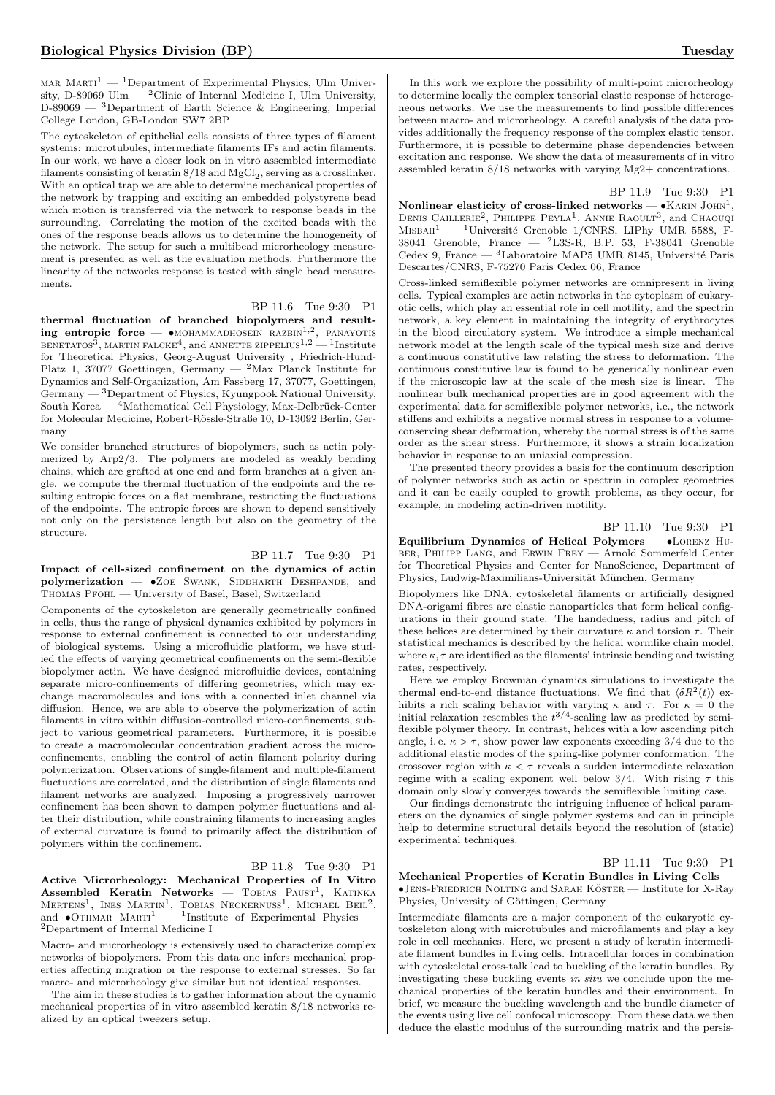MAR  $MART^1$  — <sup>1</sup>Department of Experimental Physics, Ulm University, D-89069 Ulm  $-$  <sup>2</sup>Clinic of Internal Medicine I, Ulm University,  $D-89069$  — <sup>3</sup>Department of Earth Science & Engineering, Imperial College London, GB-London SW7 2BP

The cytoskeleton of epithelial cells consists of three types of filament systems: microtubules, intermediate filaments IFs and actin filaments. In our work, we have a closer look on in vitro assembled intermediate filaments consisting of keratin  $8/18$  and  $\text{MgCl}_2$ , serving as a crosslinker. With an optical trap we are able to determine mechanical properties of the network by trapping and exciting an embedded polystyrene bead which motion is transferred via the network to response beads in the surrounding. Correlating the motion of the excited beads with the ones of the response beads allows us to determine the homogeneity of the network. The setup for such a multibead microrheology measurement is presented as well as the evaluation methods. Furthermore the linearity of the networks response is tested with single bead measurements.

BP 11.6 Tue 9:30 P1 thermal fluctuation of branched biopolymers and result**ing entropic force** —  $\bullet$ MOHAMMADHOSEIN RAZBIN<sup>1,2</sup>, PANAYOTIS<br>BENETATOS<sup>3</sup>, MARTIN FALCKE<sup>4</sup>, and ANNETTE ZIPPELIUS<sup>1,2</sup> — <sup>1</sup>Institute for Theoretical Physics, Georg-August University , Friedrich-Hund-Platz 1, 37077 Goettingen, Germany —  $^2$ Max Planck Institute for Dynamics and Self-Organization, Am Fassberg 17, 37077, Goettingen, Germany  $-3$  Department of Physics, Kyungpook National University, South Korea —  $\frac{4}{}$ Mathematical Cell Physiology, Max-Delbrück-Center for Molecular Medicine, Robert-Rössle-Straße 10, D-13092 Berlin, Germany

We consider branched structures of biopolymers, such as actin polymerized by Arp2/3. The polymers are modeled as weakly bending chains, which are grafted at one end and form branches at a given angle. we compute the thermal fluctuation of the endpoints and the resulting entropic forces on a flat membrane, restricting the fluctuations of the endpoints. The entropic forces are shown to depend sensitively not only on the persistence length but also on the geometry of the structure.

BP 11.7 Tue 9:30 P1 Impact of cell-sized confinement on the dynamics of actin polymerization —  $\bullet$ ZOE SWANK, SIDDHARTH DESHPANDE, and Thomas Pfohl — University of Basel, Basel, Switzerland

Components of the cytoskeleton are generally geometrically confined in cells, thus the range of physical dynamics exhibited by polymers in response to external confinement is connected to our understanding of biological systems. Using a microfluidic platform, we have studied the effects of varying geometrical confinements on the semi-flexible biopolymer actin. We have designed microfluidic devices, containing separate micro-confinements of differing geometries, which may exchange macromolecules and ions with a connected inlet channel via diffusion. Hence, we are able to observe the polymerization of actin filaments in vitro within diffusion-controlled micro-confinements, subject to various geometrical parameters. Furthermore, it is possible to create a macromolecular concentration gradient across the microconfinements, enabling the control of actin filament polarity during polymerization. Observations of single-filament and multiple-filament fluctuations are correlated, and the distribution of single filaments and filament networks are analyzed. Imposing a progressively narrower confinement has been shown to dampen polymer fluctuations and alter their distribution, while constraining filaments to increasing angles of external curvature is found to primarily affect the distribution of polymers within the confinement.

BP 11.8 Tue 9:30 P1

Active Microrheology: Mechanical Properties of In Vitro  $\textbf{Assembled}$  Keratin Networks — TOBIAS  $\text{PAUST}^1$ , KATINKA  $M$ ertens<sup>1</sup>, Ines Martin<sup>1</sup>, Tobias Neckernuss<sup>1</sup>, Michael Beil<sup>2</sup>, and  $\bullet$ OTHMAR MARTI<sup>1</sup> — <sup>1</sup>Institute of Experimental Physics — <sup>2</sup>Department of Internal Medicine I

Macro- and microrheology is extensively used to characterize complex networks of biopolymers. From this data one infers mechanical properties affecting migration or the response to external stresses. So far macro- and microrheology give similar but not identical responses.

The aim in these studies is to gather information about the dynamic mechanical properties of in vitro assembled keratin 8/18 networks realized by an optical tweezers setup.

In this work we explore the possibility of multi-point microrheology to determine locally the complex tensorial elastic response of heterogeneous networks. We use the measurements to find possible differences between macro- and microrheology. A careful analysis of the data provides additionally the frequency response of the complex elastic tensor. Furthermore, it is possible to determine phase dependencies between excitation and response. We show the data of measurements of in vitro assembled keratin 8/18 networks with varying Mg2+ concentrations.

#### BP 11.9 Tue 9:30 P1

Nonlinear elasticity of cross-linked networks  $- \cdot$  KARIN JOHN<sup>1</sup>, DENIS CAILLERIE<sup>2</sup>, PHILIPPE PEYLA<sup>1</sup>, ANNIE RAOULT<sup>3</sup>, and CHAOUQI  $M$ ISBAH<sup>1</sup> — <sup>1</sup>Université Grenoble 1/CNRS, LIPhy UMR 5588, F-38041 Grenoble, France  $-$  <sup>2</sup>L3S-R, B.P. 53, F-38041 Grenoble Cedex 9, France —  $^3\mathit{Laboratoire\; MAP5\; UMR\;8145, Université Paris}$ Descartes/CNRS, F-75270 Paris Cedex 06, France

Cross-linked semiflexible polymer networks are omnipresent in living cells. Typical examples are actin networks in the cytoplasm of eukaryotic cells, which play an essential role in cell motility, and the spectrin network, a key element in maintaining the integrity of erythrocytes in the blood circulatory system. We introduce a simple mechanical network model at the length scale of the typical mesh size and derive a continuous constitutive law relating the stress to deformation. The continuous constitutive law is found to be generically nonlinear even if the microscopic law at the scale of the mesh size is linear. The nonlinear bulk mechanical properties are in good agreement with the experimental data for semiflexible polymer networks, i.e., the network stiffens and exhibits a negative normal stress in response to a volumeconserving shear deformation, whereby the normal stress is of the same order as the shear stress. Furthermore, it shows a strain localization behavior in response to an uniaxial compression.

The presented theory provides a basis for the continuum description of polymer networks such as actin or spectrin in complex geometries and it can be easily coupled to growth problems, as they occur, for example, in modeling actin-driven motility.

BP 11.10 Tue 9:30 P1

Equilibrium Dynamics of Helical Polymers — •Lorenz Huber, Philipp Lang, and Erwin Frey — Arnold Sommerfeld Center for Theoretical Physics and Center for NanoScience, Department of Physics, Ludwig-Maximilians-Universität München, Germany

Biopolymers like DNA, cytoskeletal filaments or artificially designed DNA-origami fibres are elastic nanoparticles that form helical configurations in their ground state. The handedness, radius and pitch of these helices are determined by their curvature  $\kappa$  and torsion  $\tau$ . Their statistical mechanics is described by the helical wormlike chain model, where  $\kappa$ ,  $\tau$  are identified as the filaments' intrinsic bending and twisting rates, respectively.

Here we employ Brownian dynamics simulations to investigate the thermal end-to-end distance fluctuations. We find that  $\langle \delta R^2(t) \rangle$  exhibits a rich scaling behavior with varying  $\kappa$  and  $\tau$ . For  $\kappa = 0$  the initial relaxation resembles the  $t^{3/4}$ -scaling law as predicted by semiflexible polymer theory. In contrast, helices with a low ascending pitch angle, i.e.  $\kappa > \tau$ , show power law exponents exceeding 3/4 due to the additional elastic modes of the spring-like polymer conformation. The crossover region with  $\kappa < \tau$  reveals a sudden intermediate relaxation regime with a scaling exponent well below 3/4. With rising  $\tau$  this domain only slowly converges towards the semiflexible limiting case.

Our findings demonstrate the intriguing influence of helical parameters on the dynamics of single polymer systems and can in principle help to determine structural details beyond the resolution of (static) experimental techniques.

# BP 11.11 Tue 9:30 P1

Mechanical Properties of Keratin Bundles in Living Cells —  $\bullet$  JENS-FRIEDRICH NOLTING and SARAH KÖSTER — Institute for X-Ray Physics, University of Göttingen, Germany

Intermediate filaments are a major component of the eukaryotic cytoskeleton along with microtubules and microfilaments and play a key role in cell mechanics. Here, we present a study of keratin intermediate filament bundles in living cells. Intracellular forces in combination with cytoskeletal cross-talk lead to buckling of the keratin bundles. By investigating these buckling events in situ we conclude upon the mechanical properties of the keratin bundles and their environment. In brief, we measure the buckling wavelength and the bundle diameter of the events using live cell confocal microscopy. From these data we then deduce the elastic modulus of the surrounding matrix and the persis-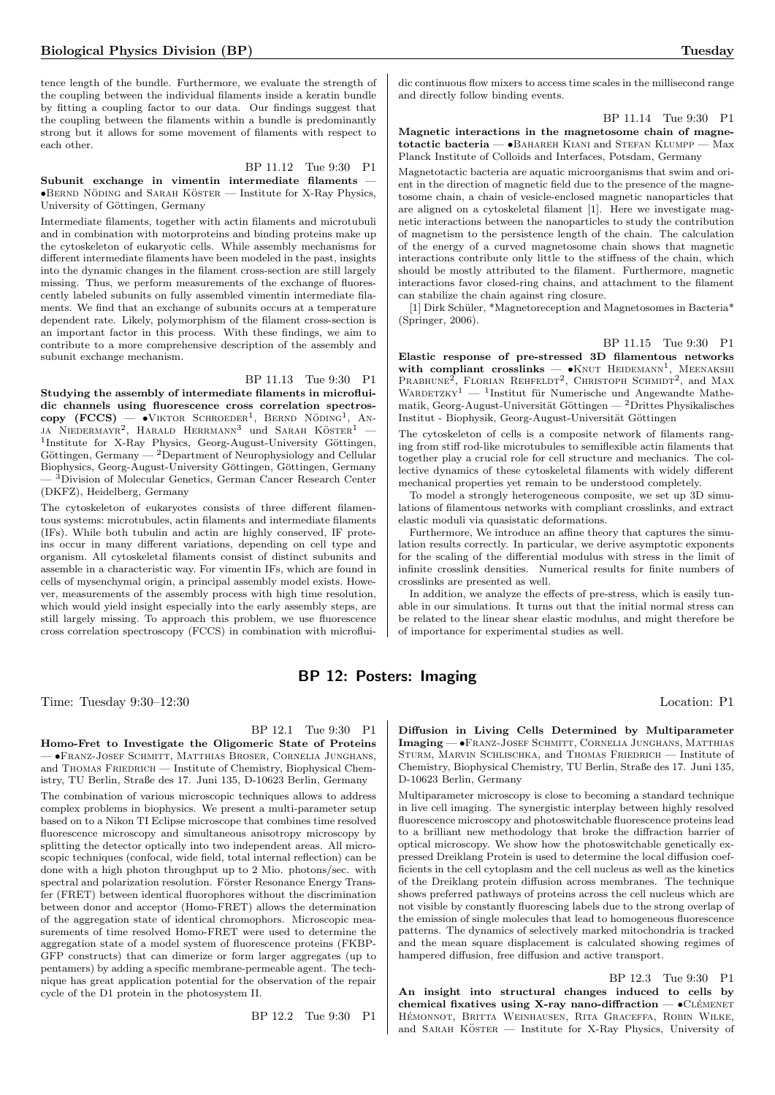tence length of the bundle. Furthermore, we evaluate the strength of the coupling between the individual filaments inside a keratin bundle by fitting a coupling factor to our data. Our findings suggest that the coupling between the filaments within a bundle is predominantly strong but it allows for some movement of filaments with respect to each other.

BP 11.12 Tue 9:30 P1

Subunit exchange in vimentin intermediate filaments — •BERND NÖDING and SARAH KÖSTER — Institute for X-Ray Physics, University of Göttingen, Germany

Intermediate filaments, together with actin filaments and microtubuli and in combination with motorproteins and binding proteins make up the cytoskeleton of eukaryotic cells. While assembly mechanisms for different intermediate filaments have been modeled in the past, insights into the dynamic changes in the filament cross-section are still largely missing. Thus, we perform measurements of the exchange of fluorescently labeled subunits on fully assembled vimentin intermediate filaments. We find that an exchange of subunits occurs at a temperature dependent rate. Likely, polymorphism of the filament cross-section is an important factor in this process. With these findings, we aim to contribute to a more comprehensive description of the assembly and subunit exchange mechanism.

BP 11.13 Tue 9:30 P1 Studying the assembly of intermediate filaments in microfluidic channels using fluorescence cross correlation spectros $copy$  (FCCS) —  $\bullet$ VIKTOR SCHROEDER<sup>1</sup>, BERND NÖDING<sup>1</sup>, AN-JA NIEDERMAYR<sup>2</sup>, HARALD HERRMANN<sup>3</sup> und SARAH KÖSTER<sup>1</sup> -<sup>1</sup>Institute for X-Ray Physics, Georg-August-University Göttingen, Göttingen, Germany  $-2$ Department of Neurophysiology and Cellular Biophysics, Georg-August-University Göttingen, Göttingen, Germany — <sup>3</sup>Division of Molecular Genetics, German Cancer Research Center

(DKFZ), Heidelberg, Germany The cytoskeleton of eukaryotes consists of three different filamentous systems: microtubules, actin filaments and intermediate filaments (IFs). While both tubulin and actin are highly conserved, IF proteins occur in many different variations, depending on cell type and organism. All cytoskeletal filaments consist of distinct subunits and assemble in a characteristic way. For vimentin IFs, which are found in cells of mysenchymal origin, a principal assembly model exists. However, measurements of the assembly process with high time resolution, which would yield insight especially into the early assembly steps, are still largely missing. To approach this problem, we use fluorescence cross correlation spectroscopy (FCCS) in combination with microflui-

dic continuous flow mixers to access time scales in the millisecond range and directly follow binding events.

#### BP 11.14 Tue 9:30 P1

Magnetic interactions in the magnetosome chain of magnetotactic bacteria —  $\bullet$ BAHAREH KIANI and STEFAN KLUMPP — Max Planck Institute of Colloids and Interfaces, Potsdam, Germany

Magnetotactic bacteria are aquatic microorganisms that swim and orient in the direction of magnetic field due to the presence of the magnetosome chain, a chain of vesicle-enclosed magnetic nanoparticles that are aligned on a cytoskeletal filament [1]. Here we investigate magnetic interactions between the nanoparticles to study the contribution of magnetism to the persistence length of the chain. The calculation of the energy of a curved magnetosome chain shows that magnetic interactions contribute only little to the stiffness of the chain, which should be mostly attributed to the filament. Furthermore, magnetic interactions favor closed-ring chains, and attachment to the filament can stabilize the chain against ring closure.

[1] Dirk Schüler, \*Magnetoreception and Magnetosomes in Bacteria\* (Springer, 2006).

## BP 11.15 Tue 9:30 P1

Elastic response of pre-stressed 3D filamentous networks with compliant crosslinks  $- \bullet$ KNUT HEIDEMANN<sup>1</sup>, MEENAKSHI PRABHUNE<sup>2</sup>, FLORIAN REHFELDT<sup>2</sup>, CHRISTOPH SCHMIDT<sup>2</sup>, and MAX WARDETZKY<sup>1</sup> — <sup>1</sup>Institut für Numerische und Angewandte Mathematik, Georg-August-Universität Göttingen —  $^2$ Drittes Physikalisches  $\;$ Institut - Biophysik, Georg-August-Universität Göttingen

The cytoskeleton of cells is a composite network of filaments ranging from stiff rod-like microtubules to semiflexible actin filaments that together play a crucial role for cell structure and mechanics. The collective dynamics of these cytoskeletal filaments with widely different mechanical properties yet remain to be understood completely.

To model a strongly heterogeneous composite, we set up 3D simulations of filamentous networks with compliant crosslinks, and extract elastic moduli via quasistatic deformations.

Furthermore, We introduce an affine theory that captures the simulation results correctly. In particular, we derive asymptotic exponents for the scaling of the differential modulus with stress in the limit of infinite crosslink densities. Numerical results for finite numbers of crosslinks are presented as well.

In addition, we analyze the effects of pre-stress, which is easily tunable in our simulations. It turns out that the initial normal stress can be related to the linear shear elastic modulus, and might therefore be of importance for experimental studies as well.

# BP 12: Posters: Imaging

Time: Tuesday 9:30–12:30 Location: P1

# BP 12.1 Tue 9:30 P1

Homo-Fret to Investigate the Oligomeric State of Proteins — •Franz-Josef Schmitt, Matthias Broser, Cornelia Junghans, and THOMAS FRIEDRICH — Institute of Chemistry, Biophysical Chemistry, TU Berlin, Straße des 17. Juni 135, D-10623 Berlin, Germany The combination of various microscopic techniques allows to address

complex problems in biophysics. We present a multi-parameter setup based on to a Nikon TI Eclipse microscope that combines time resolved fluorescence microscopy and simultaneous anisotropy microscopy by splitting the detector optically into two independent areas. All microscopic techniques (confocal, wide field, total internal reflection) can be done with a high photon throughput up to 2 Mio. photons/sec. with spectral and polarization resolution. Förster Resonance Energy Transfer (FRET) between identical fluorophores without the discrimination between donor and acceptor (Homo-FRET) allows the determination of the aggregation state of identical chromophors. Microscopic measurements of time resolved Homo-FRET were used to determine the aggregation state of a model system of fluorescence proteins (FKBP-GFP constructs) that can dimerize or form larger aggregates (up to pentamers) by adding a specific membrane-permeable agent. The technique has great application potential for the observation of the repair cycle of the D1 protein in the photosystem II.

BP 12.2 Tue 9:30 P1

Diffusion in Living Cells Determined by Multiparameter Imaging — •Franz-Josef Schmitt, Cornelia Junghans, Matthias STURM, MARVIN SCHLISCHKA, and THOMAS FRIEDRICH — Institute of Chemistry, Biophysical Chemistry, TU Berlin, Straße des 17. Juni 135, D-10623 Berlin, Germany

Multiparameter microscopy is close to becoming a standard technique in live cell imaging. The synergistic interplay between highly resolved fluorescence microscopy and photoswitchable fluorescence proteins lead to a brilliant new methodology that broke the diffraction barrier of optical microscopy. We show how the photoswitchable genetically expressed Dreiklang Protein is used to determine the local diffusion coefficients in the cell cytoplasm and the cell nucleus as well as the kinetics of the Dreiklang protein diffusion across membranes. The technique shows preferred pathways of proteins across the cell nucleus which are not visible by constantly fluorescing labels due to the strong overlap of the emission of single molecules that lead to homogeneous fluorescence patterns. The dynamics of selectively marked mitochondria is tracked and the mean square displacement is calculated showing regimes of hampered diffusion, free diffusion and active transport.

BP 12.3 Tue 9:30 P1 An insight into structural changes induced to cells by chemical fixatives using X-ray nano-diffraction  $\bullet$ CLÉMENET HÉMONNOT, BRITTA WEINHAUSEN, RITA GRACEFFA, ROBIN WILKE, and SARAH KÖSTER — Institute for X-Ray Physics, University of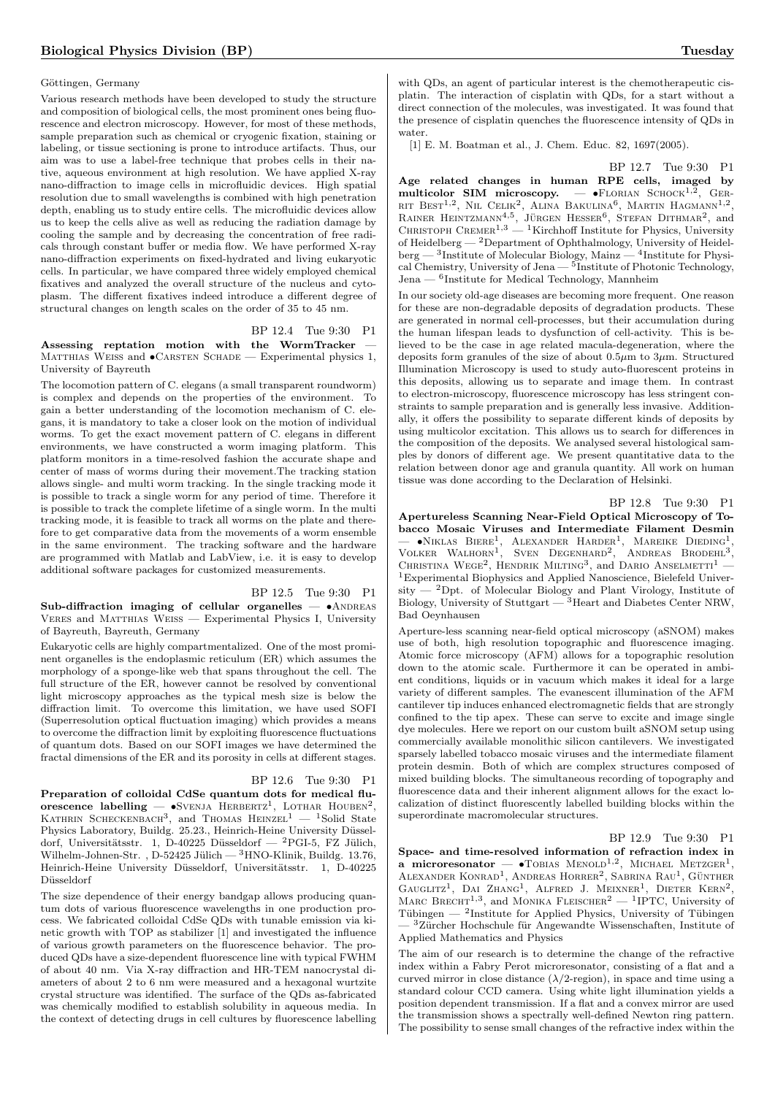#### Göttingen, Germany

Various research methods have been developed to study the structure and composition of biological cells, the most prominent ones being fluorescence and electron microscopy. However, for most of these methods, sample preparation such as chemical or cryogenic fixation, staining or labeling, or tissue sectioning is prone to introduce artifacts. Thus, our aim was to use a label-free technique that probes cells in their native, aqueous environment at high resolution. We have applied X-ray nano-diffraction to image cells in microfluidic devices. High spatial resolution due to small wavelengths is combined with high penetration depth, enabling us to study entire cells. The microfluidic devices allow us to keep the cells alive as well as reducing the radiation damage by cooling the sample and by decreasing the concentration of free radicals through constant buffer or media flow. We have performed X-ray nano-diffraction experiments on fixed-hydrated and living eukaryotic cells. In particular, we have compared three widely employed chemical fixatives and analyzed the overall structure of the nucleus and cytoplasm. The different fixatives indeed introduce a different degree of structural changes on length scales on the order of 35 to 45 nm.

BP 12.4 Tue 9:30 P1 Assessing reptation motion with the WormTracker — MATTHIAS WEISS and  $\bullet$ CARSTEN SCHADE — Experimental physics 1, University of Bayreuth

The locomotion pattern of C. elegans (a small transparent roundworm) is complex and depends on the properties of the environment. To gain a better understanding of the locomotion mechanism of C. elegans, it is mandatory to take a closer look on the motion of individual worms. To get the exact movement pattern of C. elegans in different environments, we have constructed a worm imaging platform. This platform monitors in a time-resolved fashion the accurate shape and center of mass of worms during their movement.The tracking station allows single- and multi worm tracking. In the single tracking mode it is possible to track a single worm for any period of time. Therefore it is possible to track the complete lifetime of a single worm. In the multi tracking mode, it is feasible to track all worms on the plate and therefore to get comparative data from the movements of a worm ensemble in the same environment. The tracking software and the hardware are programmed with Matlab and LabView, i.e. it is easy to develop additional software packages for customized measurements.

BP 12.5 Tue 9:30 P1

Sub-diffraction imaging of cellular organelles  $- \cdot$  ANDREAS VERES and MATTHIAS WEISS — Experimental Physics I, University of Bayreuth, Bayreuth, Germany

Eukaryotic cells are highly compartmentalized. One of the most prominent organelles is the endoplasmic reticulum (ER) which assumes the morphology of a sponge-like web that spans throughout the cell. The full structure of the ER, however cannot be resolved by conventional light microscopy approaches as the typical mesh size is below the diffraction limit. To overcome this limitation, we have used SOFI (Superresolution optical fluctuation imaging) which provides a means to overcome the diffraction limit by exploiting fluorescence fluctuations of quantum dots. Based on our SOFI images we have determined the fractal dimensions of the ER and its porosity in cells at different stages.

#### BP 12.6 Tue 9:30 P1

Preparation of colloidal CdSe quantum dots for medical fluorescence labelling  $\bullet$ SVENJA HERBERTZ<sup>1</sup>, LOTHAR HOUBEN<sup>2</sup>, KATHRIN SCHECKENBACH<sup>3</sup>, and THOMAS HEINZEL<sup>1</sup> - <sup>1</sup>Solid State Physics Laboratory, Buildg. 25.23., Heinrich-Heine University Düsseldorf, Universitätsstr. 1, D-40225 Düsseldorf — <sup>2</sup>PGI-5, FZ Jülich, Wilhelm-Johnen-Str., D-52425 Jülich —  $^3$ HNO-Klinik, Buildg. 13.76, Heinrich-Heine University Düsseldorf, Universitätsstr. 1, D-40225 Düsseldorf

The size dependence of their energy bandgap allows producing quantum dots of various fluorescence wavelengths in one production process. We fabricated colloidal CdSe QDs with tunable emission via kinetic growth with TOP as stabilizer [1] and investigated the influence of various growth parameters on the fluorescence behavior. The produced QDs have a size-dependent fluorescence line with typical FWHM of about 40 nm. Via X-ray diffraction and HR-TEM nanocrystal diameters of about 2 to 6 nm were measured and a hexagonal wurtzite crystal structure was identified. The surface of the QDs as-fabricated was chemically modified to establish solubility in aqueous media. In the context of detecting drugs in cell cultures by fluorescence labelling

with QDs, an agent of particular interest is the chemotherapeutic cisplatin. The interaction of cisplatin with QDs, for a start without a direct connection of the molecules, was investigated. It was found that the presence of cisplatin quenches the fluorescence intensity of QDs in water.

[1] E. M. Boatman et al., J. Chem. Educ. 82, 1697(2005).

BP 12.7 Tue 9:30 P1 Age related changes in human RPE cells, imaged by multicolor SIM microscopy.  $\rightarrow$  • FLORIAN SCHOCK<sup>1,2</sup>, GER-RIT BEST<sup>1,2</sup>, NIL CELIK<sup>2</sup>, ALINA BAKULINA<sup>6</sup>, MARTIN HAGMANN<sup>1,2</sup>, RAINER HEINTZMANN<sup>4,5</sup>, JÜRGEN HESSER<sup>6</sup>, STEFAN DITHMAR<sup>2</sup>, and<br>CHRISTOPH CREMER<sup>1,3</sup> — <sup>1</sup>Kirchhoff Institute for Physics, University of Heidelberg  $-2$ Department of Ophthalmology, University of Heidelberg — <sup>3</sup>Institute of Molecular Biology, Mainz — <sup>4</sup>Institute for Physical Chemistry, University of Jena — <sup>5</sup> Institute of Photonic Technology, Jena — <sup>6</sup> Institute for Medical Technology, Mannheim

In our society old-age diseases are becoming more frequent. One reason for these are non-degradable deposits of degradation products. These are generated in normal cell-processes, but their accumulation during the human lifespan leads to dysfunction of cell-activity. This is believed to be the case in age related macula-degeneration, where the deposits form granules of the size of about  $0.5\mu$ m to  $3\mu$ m. Structured Illumination Microscopy is used to study auto-fluorescent proteins in this deposits, allowing us to separate and image them. In contrast to electron-microscopy, fluorescence microscopy has less stringent constraints to sample preparation and is generally less invasive. Additionally, it offers the possibility to separate different kinds of deposits by using multicolor excitation. This allows us to search for differences in the composition of the deposits. We analysed several histological samples by donors of different age. We present quantitative data to the relation between donor age and granula quantity. All work on human tissue was done according to the Declaration of Helsinki.

BP 12.8 Tue 9:30 P1

Apertureless Scanning Near-Field Optical Microscopy of Tobacco Mosaic Viruses and Intermediate Filament Desmin — ●NIKLAS BIERE<sup>1</sup>, ALEXANDER HARDER<sup>1</sup>, MAREIKE DIEDING<sup>1</sup>, VOLKER WALHORN<sup>1</sup>, SVEN DEGENHARD<sup>2</sup>, ANDREAS BRODEHL<sup>3</sup>, CHRISTINA WEGE<sup>2</sup>, HENDRIK MILTING<sup>3</sup>, and DARIO ANSELMETTI<sup>1</sup> -<sup>1</sup>Experimental Biophysics and Applied Nanoscience, Bielefeld University — <sup>2</sup>Dpt. of Molecular Biology and Plant Virology, Institute of Biology, University of Stuttgart — <sup>3</sup>Heart and Diabetes Center NRW, Bad Oeynhausen

Aperture-less scanning near-field optical microscopy (aSNOM) makes use of both, high resolution topographic and fluorescence imaging. Atomic force microscopy (AFM) allows for a topographic resolution down to the atomic scale. Furthermore it can be operated in ambient conditions, liquids or in vacuum which makes it ideal for a large variety of different samples. The evanescent illumination of the AFM cantilever tip induces enhanced electromagnetic fields that are strongly confined to the tip apex. These can serve to excite and image single dye molecules. Here we report on our custom built aSNOM setup using commercially available monolithic silicon cantilevers. We investigated sparsely labelled tobacco mosaic viruses and the intermediate filament protein desmin. Both of which are complex structures composed of mixed building blocks. The simultaneous recording of topography and fluorescence data and their inherent alignment allows for the exact localization of distinct fluorescently labelled building blocks within the superordinate macromolecular structures.

BP 12.9 Tue 9:30 P1 Space- and time-resolved information of refraction index in a microresonator —  $\bullet$ TOBIAS MENOLD<sup>1,2</sup>, MICHAEL METZGER<sup>1</sup>, ALEXANDER KONRAD<sup>1</sup>, ANDREAS HORRER<sup>2</sup>, SABRINA RAU<sup>1</sup>, GÜNTHER GAUGLITZ<sup>1</sup>, DAI ZHANG<sup>1</sup>, ALFRED J. MEIXNER<sup>1</sup>, DIETER KERN<sup>2</sup>, MARC BRECHT<sup>1,3</sup>, and MONIKA FLEISCHER<sup>2</sup> — <sup>1</sup>IPTC, University of Tübingen —  $^2$ Institute for Applied Physics, University of Tübingen  $-$ <sup>3</sup>Zürcher Hochschule für Angewandte Wissenschaften, Institute of Applied Mathematics and Physics

The aim of our research is to determine the change of the refractive index within a Fabry Perot microresonator, consisting of a flat and a curved mirror in close distance  $(\lambda/2$ -region), in space and time using a standard colour CCD camera. Using white light illumination yields a position dependent transmission. If a flat and a convex mirror are used the transmission shows a spectrally well-defined Newton ring pattern. The possibility to sense small changes of the refractive index within the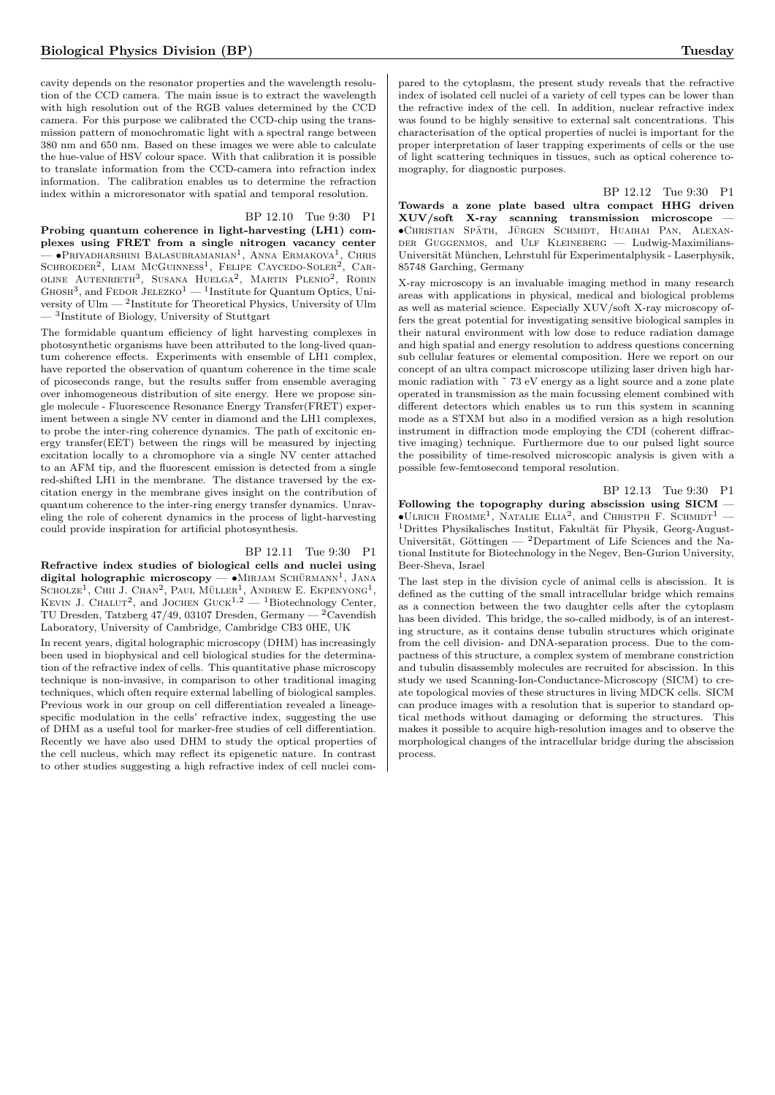cavity depends on the resonator properties and the wavelength resolution of the CCD camera. The main issue is to extract the wavelength with high resolution out of the RGB values determined by the CCD camera. For this purpose we calibrated the CCD-chip using the transmission pattern of monochromatic light with a spectral range between 380 nm and 650 nm. Based on these images we were able to calculate the hue-value of HSV colour space. With that calibration it is possible to translate information from the CCD-camera into refraction index information. The calibration enables us to determine the refraction index within a microresonator with spatial and temporal resolution.

#### BP 12.10 Tue 9:30 P1

Probing quantum coherence in light-harvesting (LH1) complexes using FRET from a single nitrogen vacancy center  $-$  •Priyadharshini Balasubramanian<sup>1</sup>, Anna Ermakova<sup>1</sup>, Chris SCHROEDER<sup>2</sup>, LIAM MCGUINNESS<sup>1</sup>, FELIPE CAYCEDO-SOLER<sup>2</sup>, CAR-OLINE AUTENRIETH<sup>3</sup>, SUSANA HUELGA<sup>2</sup>, MARTIN PLENIO<sup>2</sup>, ROBIN  $G$ HOSH<sup>3</sup>, and FEDOR JELEZKO<sup>1</sup> — <sup>1</sup>Institute for Quantum Optics, University of Ulm — <sup>2</sup> Institute for Theoretical Physics, University of Ulm — <sup>3</sup> Institute of Biology, University of Stuttgart

The formidable quantum efficiency of light harvesting complexes in photosynthetic organisms have been attributed to the long-lived quantum coherence effects. Experiments with ensemble of LH1 complex, have reported the observation of quantum coherence in the time scale of picoseconds range, but the results suffer from ensemble averaging over inhomogeneous distribution of site energy. Here we propose single molecule - Fluorescence Resonance Energy Transfer(FRET) experiment between a single NV center in diamond and the LH1 complexes, to probe the inter-ring coherence dynamics. The path of excitonic energy transfer(EET) between the rings will be measured by injecting excitation locally to a chromophore via a single NV center attached to an AFM tip, and the fluorescent emission is detected from a single red-shifted LH1 in the membrane. The distance traversed by the excitation energy in the membrane gives insight on the contribution of quantum coherence to the inter-ring energy transfer dynamics. Unraveling the role of coherent dynamics in the process of light-harvesting could provide inspiration for artificial photosynthesis.

# BP 12.11 Tue 9:30 P1

Refractive index studies of biological cells and nuclei using digital holographic microscopy  $-\bullet$ MIRJAM SCHÜRMANN<sup>1</sup>, JANA SCHOLZE<sup>1</sup>, CHII J. CHAN<sup>2</sup>, PAUL MÜLLER<sup>1</sup>, ANDREW E. EKPENYONG<sup>1</sup>, KEVIN J. CHALUT<sup>2</sup>, and JOCHEN GUCK<sup>1,2</sup> — <sup>1</sup>Biotechnology Center, TU Dresden, Tatzberg 47/49, 03107 Dresden, Germany —  $2\tilde{C}$ avendish Laboratory, University of Cambridge, Cambridge CB3 0HE, UK

In recent years, digital holographic microscopy (DHM) has increasingly been used in biophysical and cell biological studies for the determination of the refractive index of cells. This quantitative phase microscopy technique is non-invasive, in comparison to other traditional imaging techniques, which often require external labelling of biological samples. Previous work in our group on cell differentiation revealed a lineagespecific modulation in the cells' refractive index, suggesting the use of DHM as a useful tool for marker-free studies of cell differentiation. Recently we have also used DHM to study the optical properties of the cell nucleus, which may reflect its epigenetic nature. In contrast to other studies suggesting a high refractive index of cell nuclei compared to the cytoplasm, the present study reveals that the refractive index of isolated cell nuclei of a variety of cell types can be lower than the refractive index of the cell. In addition, nuclear refractive index was found to be highly sensitive to external salt concentrations. This characterisation of the optical properties of nuclei is important for the proper interpretation of laser trapping experiments of cells or the use of light scattering techniques in tissues, such as optical coherence tomography, for diagnostic purposes.

BP 12.12 Tue 9:30 P1

Towards a zone plate based ultra compact HHG driven XUV/soft X-ray scanning transmission microscope — •Christian Spath ¨ , Jurgen Schmidt ¨ , Huaihai Pan, Alexander Guggenmos, and Ulf Kleineberg — Ludwig-Maximilians-Universität München, Lehrstuhl für Experimentalphysik - Laserphysik, 85748 Garching, Germany

X-ray microscopy is an invaluable imaging method in many research areas with applications in physical, medical and biological problems as well as material science. Especially XUV/soft X-ray microscopy offers the great potential for investigating sensitive biological samples in their natural environment with low dose to reduce radiation damage and high spatial and energy resolution to address questions concerning sub cellular features or elemental composition. Here we report on our concept of an ultra compact microscope utilizing laser driven high harmonic radiation with ~73 eV energy as a light source and a zone plate operated in transmission as the main focussing element combined with different detectors which enables us to run this system in scanning mode as a STXM but also in a modified version as a high resolution instrument in diffraction mode employing the CDI (coherent diffractive imaging) technique. Furthermore due to our pulsed light source the possibility of time-resolved microscopic analysis is given with a possible few-femtosecond temporal resolution.

BP 12.13 Tue 9:30 P1

Following the topography during abscission using SICM —  $\bullet$ ULRICH FROMME<sup>1</sup>, NATALIE ELIA<sup>2</sup>, and CHRISTPH F. SCHMIDT<sup>1</sup> -<sup>1</sup>Drittes Physikalisches Institut, Fakultät für Physik, Georg-August-Universität, Göttingen — <sup>2</sup>Department of Life Sciences and the National Institute for Biotechnology in the Negev, Ben-Gurion University, Beer-Sheva, Israel

The last step in the division cycle of animal cells is abscission. It is defined as the cutting of the small intracellular bridge which remains as a connection between the two daughter cells after the cytoplasm has been divided. This bridge, the so-called midbody, is of an interesting structure, as it contains dense tubulin structures which originate from the cell division- and DNA-separation process. Due to the compactness of this structure, a complex system of membrane constriction and tubulin disassembly molecules are recruited for abscission. In this study we used Scanning-Ion-Conductance-Microscopy (SICM) to create topological movies of these structures in living MDCK cells. SICM can produce images with a resolution that is superior to standard optical methods without damaging or deforming the structures. This makes it possible to acquire high-resolution images and to observe the morphological changes of the intracellular bridge during the abscission process.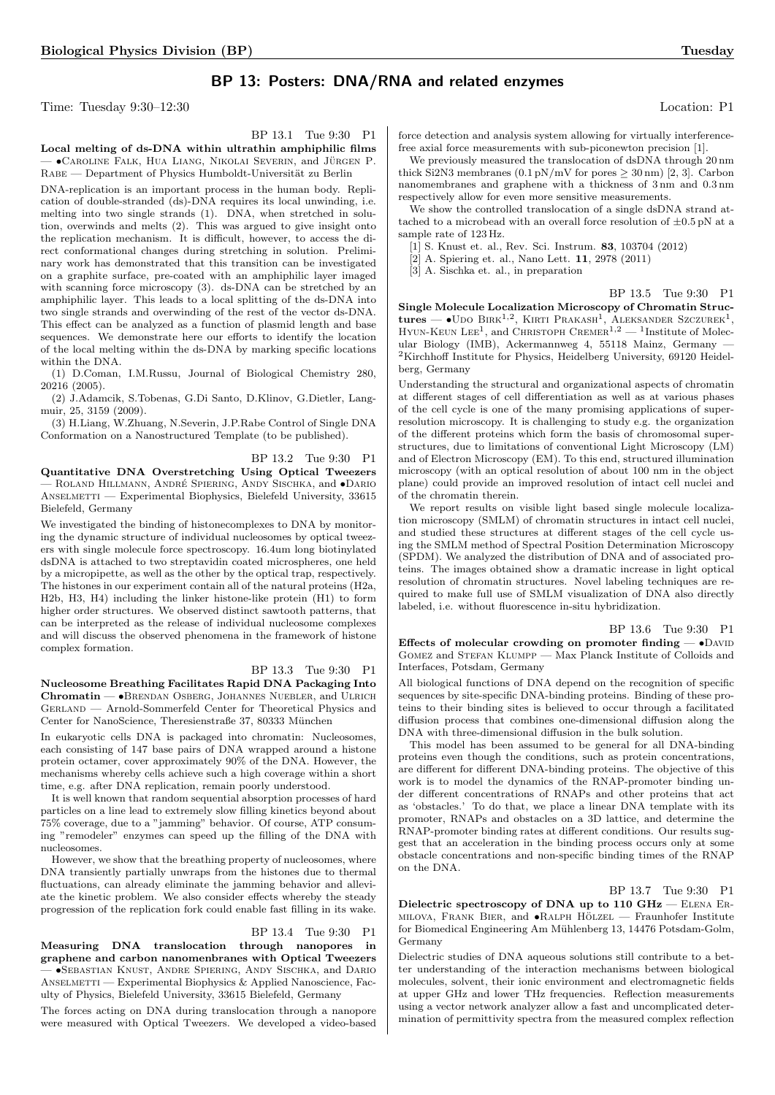# BP 13: Posters: DNA/RNA and related enzymes

Time: Tuesday 9:30–12:30 Location: P1

Local melting of ds-DNA within ultrathin amphiphilic films — •Caroline Falk, Hua Liang, Nikolai Severin, and Jurgen P. ¨ RABE — Department of Physics Humboldt-Universität zu Berlin

DNA-replication is an important process in the human body. Replication of double-stranded (ds)-DNA requires its local unwinding, i.e. melting into two single strands (1). DNA, when stretched in solution, overwinds and melts (2). This was argued to give insight onto the replication mechanism. It is difficult, however, to access the direct conformational changes during stretching in solution. Preliminary work has demonstrated that this transition can be investigated on a graphite surface, pre-coated with an amphiphilic layer imaged with scanning force microscopy (3). ds-DNA can be stretched by an amphiphilic layer. This leads to a local splitting of the ds-DNA into two single strands and overwinding of the rest of the vector ds-DNA. This effect can be analyzed as a function of plasmid length and base sequences. We demonstrate here our efforts to identify the location of the local melting within the ds-DNA by marking specific locations within the DNA.

(1) D.Coman, I.M.Russu, Journal of Biological Chemistry 280, 20216 (2005).

(2) J.Adamcik, S.Tobenas, G.Di Santo, D.Klinov, G.Dietler, Langmuir, 25, 3159 (2009).

(3) H.Liang, W.Zhuang, N.Severin, J.P.Rabe Control of Single DNA Conformation on a Nanostructured Template (to be published).

BP 13.2 Tue 9:30 P1

Quantitative DNA Overstretching Using Optical Tweezers – ROLAND HILLMANN, ANDRÉ SPIERING, ANDY SISCHKA, and  $\bullet$ DARIO ANSELMETTI — Experimental Biophysics, Bielefeld University, 33615 Bielefeld, Germany

We investigated the binding of histonecomplexes to DNA by monitoring the dynamic structure of individual nucleosomes by optical tweezers with single molecule force spectroscopy. 16.4um long biotinylated dsDNA is attached to two streptavidin coated microspheres, one held by a micropipette, as well as the other by the optical trap, respectively. The histones in our experiment contain all of the natural proteins (H2a, H2b, H3, H4) including the linker histone-like protein (H1) to form higher order structures. We observed distinct sawtooth patterns, that can be interpreted as the release of individual nucleosome complexes and will discuss the observed phenomena in the framework of histone complex formation.

BP 13.3 Tue 9:30 P1 Nucleosome Breathing Facilitates Rapid DNA Packaging Into Chromatin — •Brendan Osberg, Johannes Nuebler, and Ulrich

Gerland — Arnold-Sommerfeld Center for Theoretical Physics and Center for NanoScience, Theresienstraße 37, 80333 München In eukaryotic cells DNA is packaged into chromatin: Nucleosomes, each consisting of 147 base pairs of DNA wrapped around a histone

protein octamer, cover approximately 90% of the DNA. However, the mechanisms whereby cells achieve such a high coverage within a short time, e.g. after DNA replication, remain poorly understood.

It is well known that random sequential absorption processes of hard particles on a line lead to extremely slow filling kinetics beyond about 75% coverage, due to a "jamming" behavior. Of course, ATP consuming "remodeler" enzymes can speed up the filling of the DNA with nucleosomes.

However, we show that the breathing property of nucleosomes, where DNA transiently partially unwraps from the histones due to thermal fluctuations, can already eliminate the jamming behavior and alleviate the kinetic problem. We also consider effects whereby the steady progression of the replication fork could enable fast filling in its wake.

# BP 13.4 Tue 9:30 P1

Measuring DNA translocation through nanopores in graphene and carbon nanomenbranes with Optical Tweezers — •Sebastian Knust, Andre Spiering, Andy Sischka, and Dario ANSELMETTI — Experimental Biophysics & Applied Nanoscience, Faculty of Physics, Bielefeld University, 33615 Bielefeld, Germany

The forces acting on DNA during translocation through a nanopore were measured with Optical Tweezers. We developed a video-based

force detection and analysis system allowing for virtually interferencefree axial force measurements with sub-piconewton precision [1].

We previously measured the translocation of dsDNA through 20 nm thick Si2N3 membranes  $(0.1 \text{ pN/mV}$  for pores  $\geq 30 \text{ nm}$  [2, 3]. Carbon nanomembranes and graphene with a thickness of 3 nm and 0.3 nm respectively allow for even more sensitive measurements.

We show the controlled translocation of a single dsDNA strand attached to a microbead with an overall force resolution of  $\pm 0.5$  pN at a sample rate of 123 Hz.

[1] S. Knust et. al., Rev. Sci. Instrum. 83, 103704 (2012)

[2] A. Spiering et. al., Nano Lett. 11, 2978 (2011)

[3] A. Sischka et. al., in preparation

BP 13.5 Tue 9:30 P1

Single Molecule Localization Microscopy of Chromatin Struc- $\tt{tures}$   $\bullet$  Udo Birk<sup>1,2</sup>, Kirti Prakash<sup>1</sup>, Aleksander Szczurek<sup>1</sup>, HYUN-KEUN LEE<sup>1</sup>, and CHRISTOPH CREMER<sup>1,2</sup> - <sup>1</sup>Institute of Molecular Biology (IMB), Ackermannweg 4, 55118 Mainz, Germany — <sup>2</sup>Kirchhoff Institute for Physics, Heidelberg University, 69120 Heidelberg, Germany

Understanding the structural and organizational aspects of chromatin at different stages of cell differentiation as well as at various phases of the cell cycle is one of the many promising applications of superresolution microscopy. It is challenging to study e.g. the organization of the different proteins which form the basis of chromosomal superstructures, due to limitations of conventional Light Microscopy (LM) and of Electron Microscopy (EM). To this end, structured illumination microscopy (with an optical resolution of about 100 nm in the object plane) could provide an improved resolution of intact cell nuclei and of the chromatin therein.

We report results on visible light based single molecule localization microscopy (SMLM) of chromatin structures in intact cell nuclei, and studied these structures at different stages of the cell cycle using the SMLM method of Spectral Position Determination Microscopy (SPDM). We analyzed the distribution of DNA and of associated proteins. The images obtained show a dramatic increase in light optical resolution of chromatin structures. Novel labeling techniques are required to make full use of SMLM visualization of DNA also directly labeled, i.e. without fluorescence in-situ hybridization.

#### BP 13.6 Tue 9:30 P1

Effects of molecular crowding on promoter finding  $-\bullet$  DAVID GOMEZ and STEFAN KLUMPP — Max Planck Institute of Colloids and Interfaces, Potsdam, Germany

All biological functions of DNA depend on the recognition of specific sequences by site-specific DNA-binding proteins. Binding of these proteins to their binding sites is believed to occur through a facilitated diffusion process that combines one-dimensional diffusion along the DNA with three-dimensional diffusion in the bulk solution.

This model has been assumed to be general for all DNA-binding proteins even though the conditions, such as protein concentrations, are different for different DNA-binding proteins. The objective of this work is to model the dynamics of the RNAP-promoter binding under different concentrations of RNAPs and other proteins that act as 'obstacles.' To do that, we place a linear DNA template with its promoter, RNAPs and obstacles on a 3D lattice, and determine the RNAP-promoter binding rates at different conditions. Our results suggest that an acceleration in the binding process occurs only at some obstacle concentrations and non-specific binding times of the RNAP on the DNA.

BP 13.7 Tue 9:30 P1

Dielectric spectroscopy of DNA up to 110 GHz — Elena Er-MILOVA, FRANK BIER, and  $\bullet$ RALPH HÖLZEL — Fraunhofer Institute for Biomedical Engineering Am Mühlenberg 13, 14476 Potsdam-Golm, Germany

Dielectric studies of DNA aqueous solutions still contribute to a better understanding of the interaction mechanisms between biological molecules, solvent, their ionic environment and electromagnetic fields at upper GHz and lower THz frequencies. Reflection measurements using a vector network analyzer allow a fast and uncomplicated determination of permittivity spectra from the measured complex reflection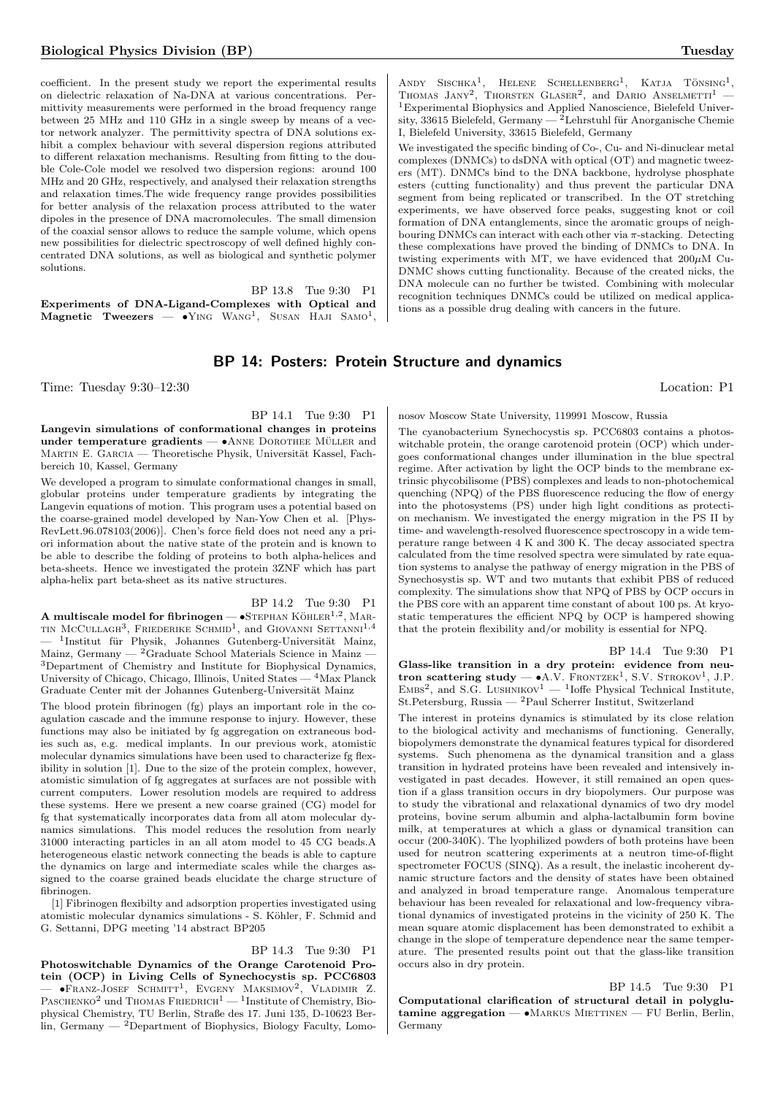coefficient. In the present study we report the experimental results on dielectric relaxation of Na-DNA at various concentrations. Permittivity measurements were performed in the broad frequency range between 25 MHz and 110 GHz in a single sweep by means of a vector network analyzer. The permittivity spectra of DNA solutions exhibit a complex behaviour with several dispersion regions attributed to different relaxation mechanisms. Resulting from fitting to the double Cole-Cole model we resolved two dispersion regions: around 100 MHz and 20 GHz, respectively, and analysed their relaxation strengths and relaxation times.The wide frequency range provides possibilities for better analysis of the relaxation process attributed to the water dipoles in the presence of DNA macromolecules. The small dimension of the coaxial sensor allows to reduce the sample volume, which opens new possibilities for dielectric spectroscopy of well defined highly concentrated DNA solutions, as well as biological and synthetic polymer solutions.

BP 13.8 Tue 9:30 P1 Experiments of DNA-Ligand-Complexes with Optical and  $\mathbf{Magnetic}$  Tweezers  $\bullet$  Ying Wang<sup>1</sup>, Susan Haji Samo<sup>1</sup>,

# BP 14: Posters: Protein Structure and dynamics

Time: Tuesday 9:30–12:30 Location: P1

BP 14.1 Tue 9:30 P1

Langevin simulations of conformational changes in proteins under temperature gradients —  $\bullet$ ANNE DOROTHEE MÜLLER and MARTIN E. GARCIA — Theoretische Physik, Universität Kassel, Fachbereich 10, Kassel, Germany

We developed a program to simulate conformational changes in small, globular proteins under temperature gradients by integrating the Langevin equations of motion. This program uses a potential based on the coarse-grained model developed by Nan-Yow Chen et al. [Phys-RevLett.96.078103(2006)]. Chen's force field does not need any a priori information about the native state of the protein and is known to be able to describe the folding of proteins to both alpha-helices and beta-sheets. Hence we investigated the protein 3ZNF which has part alpha-helix part beta-sheet as its native structures.

BP 14.2 Tue 9:30 P1 **A** multiscale model for fibrinogen —  $\bullet$ STEPHAN KÖHLER $^{1,2}$ , MAR-TIN MCCULLAGH<sup>3</sup>, FRIEDERIKE SCHMID<sup>1</sup>, and GIOVANNI SETTANNI<sup>1,4</sup> — <sup>1</sup>Institut für Physik, Johannes Gutenberg-Universität Mainz, Mainz, Germany —  $^2$ Graduate School Materials Science in Mainz -<sup>3</sup>Department of Chemistry and Institute for Biophysical Dynamics, University of Chicago, Chicago, Illinois, United States — <sup>4</sup>Max Planck Graduate Center mit der Johannes Gutenberg-Universität Mainz

The blood protein fibrinogen (fg) plays an important role in the coagulation cascade and the immune response to injury. However, these functions may also be initiated by fg aggregation on extraneous bodies such as, e.g. medical implants. In our previous work, atomistic molecular dynamics simulations have been used to characterize fg flexibility in solution [1]. Due to the size of the protein complex, however, atomistic simulation of fg aggregates at surfaces are not possible with current computers. Lower resolution models are required to address these systems. Here we present a new coarse grained (CG) model for fg that systematically incorporates data from all atom molecular dynamics simulations. This model reduces the resolution from nearly 31000 interacting particles in an all atom model to 45 CG beads.A heterogeneous elastic network connecting the beads is able to capture the dynamics on large and intermediate scales while the charges assigned to the coarse grained beads elucidate the charge structure of fibrinogen.

[1] Fibrinogen flexibilty and adsorption properties investigated using atomistic molecular dynamics simulations - S. Köhler, F. Schmid and G. Settanni, DPG meeting '14 abstract BP205

BP 14.3 Tue 9:30 P1 Photoswitchable Dynamics of the Orange Carotenoid Protein (OCP) in Living Cells of Synechocystis sp. PCC6803 — •Franz-Josef Schmitt<sup>1</sup> , Evgeny Maksimov<sup>2</sup> , Vladimir Z. PASCHENKO<sup>2</sup> und THOMAS FRIEDRICH<sup>1</sup> — <sup>1</sup>Institute of Chemistry, Biophysical Chemistry, TU Berlin, Straße des 17. Juni 135, D-10623 Ber- $\lim_{h \to 0}$  Germany  $-2$  Department of Biophysics, Biology Faculty, Lomo-

ANDY SISCHKA<sup>1</sup>, HELENE SCHELLENBERG<sup>1</sup>, KATJA TÖNSING<sup>1</sup>, THOMAS JANY<sup>2</sup>, THORSTEN GLASER<sup>2</sup>, and DARIO ANSELMETTI<sup>1</sup>  $^1\rm{Experiments}$  Biophysics and Applied Nanoscience, Bielefeld University, 33615 Bielefeld, Germany — <sup>2</sup>Lehrstuhl für Anorganische Chemie I, Bielefeld University, 33615 Bielefeld, Germany

We investigated the specific binding of Co-, Cu- and Ni-dinuclear metal complexes (DNMCs) to dsDNA with optical (OT) and magnetic tweezers (MT). DNMCs bind to the DNA backbone, hydrolyse phosphate esters (cutting functionality) and thus prevent the particular DNA segment from being replicated or transcribed. In the OT stretching experiments, we have observed force peaks, suggesting knot or coil formation of DNA entanglements, since the aromatic groups of neighbouring DNMCs can interact with each other via  $\pi$ -stacking. Detecting these complexations have proved the binding of DNMCs to DNA. In twisting experiments with MT, we have evidenced that  $200\mu$ M Cu-DNMC shows cutting functionality. Because of the created nicks, the DNA molecule can no further be twisted. Combining with molecular recognition techniques DNMCs could be utilized on medical applications as a possible drug dealing with cancers in the future.

nosov Moscow State University, 119991 Moscow, Russia

The cyanobacterium Synechocystis sp. PCC6803 contains a photoswitchable protein, the orange carotenoid protein (OCP) which undergoes conformational changes under illumination in the blue spectral regime. After activation by light the OCP binds to the membrane extrinsic phycobilisome (PBS) complexes and leads to non-photochemical quenching (NPQ) of the PBS fluorescence reducing the flow of energy into the photosystems (PS) under high light conditions as protection mechanism. We investigated the energy migration in the PS II by time- and wavelength-resolved fluorescence spectroscopy in a wide temperature range between 4 K and 300 K. The decay associated spectra calculated from the time resolved spectra were simulated by rate equation systems to analyse the pathway of energy migration in the PBS of Synechosystis sp. WT and two mutants that exhibit PBS of reduced complexity. The simulations show that NPQ of PBS by OCP occurs in the PBS core with an apparent time constant of about 100 ps. At kryostatic temperatures the efficient NPQ by OCP is hampered showing that the protein flexibility and/or mobility is essential for NPQ.

BP 14.4 Tue 9:30 P1 Glass-like transition in a dry protein: evidence from neu**tron scattering study — •**A.V. FRONTZEK<sup>1</sup>, S.V. STROKOV<sup>1</sup>, J.P.<br>EMBS<sup>2</sup>, and S.G. LUSHNIKOV<sup>1</sup> — <sup>1</sup>Ioffe Physical Technical Institute, St.Petersburg, Russia — <sup>2</sup>Paul Scherrer Institut, Switzerland

The interest in proteins dynamics is stimulated by its close relation to the biological activity and mechanisms of functioning. Generally, biopolymers demonstrate the dynamical features typical for disordered systems. Such phenomena as the dynamical transition and a glass transition in hydrated proteins have been revealed and intensively investigated in past decades. However, it still remained an open question if a glass transition occurs in dry biopolymers. Our purpose was to study the vibrational and relaxational dynamics of two dry model proteins, bovine serum albumin and alpha-lactalbumin form bovine milk, at temperatures at which a glass or dynamical transition can occur (200-340K). The lyophilized powders of both proteins have been used for neutron scattering experiments at a neutron time-of-flight spectrometer FOCUS (SINQ). As a result, the inelastic incoherent dynamic structure factors and the density of states have been obtained and analyzed in broad temperature range. Anomalous temperature behaviour has been revealed for relaxational and low-frequency vibrational dynamics of investigated proteins in the vicinity of 250 K. The mean square atomic displacement has been demonstrated to exhibit a change in the slope of temperature dependence near the same temperature. The presented results point out that the glass-like transition occurs also in dry protein.

BP 14.5 Tue 9:30 P1

Computational clarification of structural detail in polyglu $t$ amine aggregation —  $\bullet$ MARKUS MIETTINEN — FU Berlin, Berlin, Germany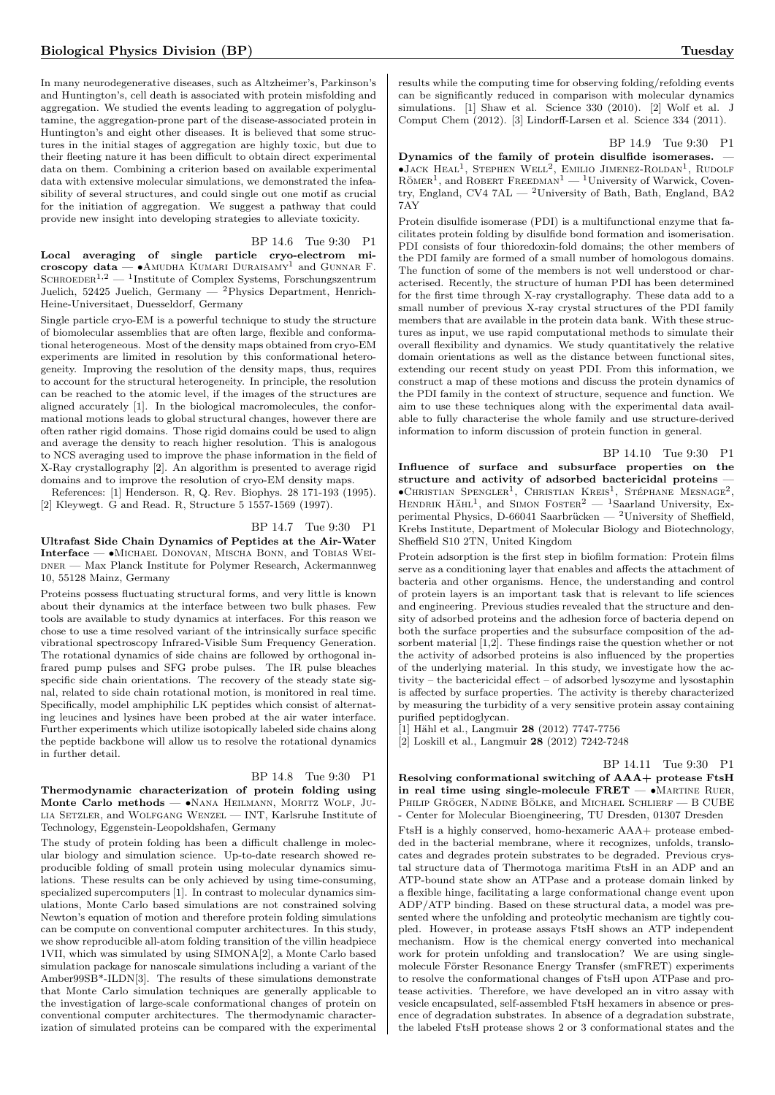In many neurodegenerative diseases, such as Altzheimer's, Parkinson's and Huntington's, cell death is associated with protein misfolding and aggregation. We studied the events leading to aggregation of polyglutamine, the aggregation-prone part of the disease-associated protein in Huntington's and eight other diseases. It is believed that some structures in the initial stages of aggregation are highly toxic, but due to their fleeting nature it has been difficult to obtain direct experimental data on them. Combining a criterion based on available experimental data with extensive molecular simulations, we demonstrated the infeasibility of several structures, and could single out one motif as crucial for the initiation of aggregation. We suggest a pathway that could provide new insight into developing strategies to alleviate toxicity.

BP 14.6 Tue 9:30 P1

Local averaging of single particle cryo-electrom microscopy data —  $\bullet$ AMUDHA KUMARI DURAISAMY<sup>1</sup> and GUNNAR F. SCHROEDER<sup>1,2</sup>  $-$  <sup>1</sup>Institute of Complex Systems, Forschungszentrum Juelich, 52425 Juelich, Germany — <sup>2</sup>Physics Department, Henrich-Heine-Universitaet, Duesseldorf, Germany

Single particle cryo-EM is a powerful technique to study the structure of biomolecular assemblies that are often large, flexible and conformational heterogeneous. Most of the density maps obtained from cryo-EM experiments are limited in resolution by this conformational heterogeneity. Improving the resolution of the density maps, thus, requires to account for the structural heterogeneity. In principle, the resolution can be reached to the atomic level, if the images of the structures are aligned accurately [1]. In the biological macromolecules, the conformational motions leads to global structural changes, however there are often rather rigid domains. Those rigid domains could be used to align and average the density to reach higher resolution. This is analogous to NCS averaging used to improve the phase information in the field of X-Ray crystallography [2]. An algorithm is presented to average rigid domains and to improve the resolution of cryo-EM density maps.

References: [1] Henderson. R, Q. Rev. Biophys. 28 171-193 (1995). [2] Kleywegt. G and Read. R, Structure 5 1557-1569 (1997).

# BP 14.7 Tue 9:30 P1

Ultrafast Side Chain Dynamics of Peptides at the Air-Water Interface — •Michael Donovan, Mischa Bonn, and Tobias Wei-DNER — Max Planck Institute for Polymer Research, Ackermannweg 10, 55128 Mainz, Germany

Proteins possess fluctuating structural forms, and very little is known about their dynamics at the interface between two bulk phases. Few tools are available to study dynamics at interfaces. For this reason we chose to use a time resolved variant of the intrinsically surface specific vibrational spectroscopy Infrared-Visible Sum Frequency Generation. The rotational dynamics of side chains are followed by orthogonal infrared pump pulses and SFG probe pulses. The IR pulse bleaches specific side chain orientations. The recovery of the steady state signal, related to side chain rotational motion, is monitored in real time. Specifically, model amphiphilic LK peptides which consist of alternating leucines and lysines have been probed at the air water interface. Further experiments which utilize isotopically labeled side chains along the peptide backbone will allow us to resolve the rotational dynamics in further detail.

### BP 14.8 Tue 9:30 P1 Thermodynamic characterization of protein folding using Monte Carlo methods - · NANA HEILMANN, MORITZ WOLF, JUlia Setzler, and Wolfgang Wenzel — INT, Karlsruhe Institute of Technology, Eggenstein-Leopoldshafen, Germany

The study of protein folding has been a difficult challenge in molecular biology and simulation science. Up-to-date research showed reproducible folding of small protein using molecular dynamics simulations. These results can be only achieved by using time-consuming, specialized supercomputers [1]. In contrast to molecular dynamics simulations, Monte Carlo based simulations are not constrained solving Newton's equation of motion and therefore protein folding simulations can be compute on conventional computer architectures. In this study, we show reproducible all-atom folding transition of the villin headpiece 1VII, which was simulated by using SIMONA[2], a Monte Carlo based simulation package for nanoscale simulations including a variant of the Amber99SB\*-ILDN[3]. The results of these simulations demonstrate that Monte Carlo simulation techniques are generally applicable to the investigation of large-scale conformational changes of protein on conventional computer architectures. The thermodynamic characterization of simulated proteins can be compared with the experimental results while the computing time for observing folding/refolding events can be significantly reduced in comparison with molecular dynamics simulations. [1] Shaw et al. Science 330 (2010). [2] Wolf et al. J Comput Chem (2012). [3] Lindorff-Larsen et al. Science 334 (2011).

BP 14.9 Tue 9:30 P1

Dynamics of the family of protein disulfide isomerases. —  $\bullet$ Jack Heal<sup>1</sup>, Stephen Well<sup>2</sup>, Emilio Jimenez-Roldan<sup>1</sup>, Rudolf  $R\ddot{o}$ MER<sup>1</sup>, and ROBERT FREEDMAN<sup>1</sup> — <sup>1</sup>University of Warwick, Coventry, England, CV4 7AL  $-$  <sup>2</sup>University of Bath, Bath, England, BA2 7AY

Protein disulfide isomerase (PDI) is a multifunctional enzyme that facilitates protein folding by disulfide bond formation and isomerisation. PDI consists of four thioredoxin-fold domains; the other members of the PDI family are formed of a small number of homologous domains. The function of some of the members is not well understood or characterised. Recently, the structure of human PDI has been determined for the first time through X-ray crystallography. These data add to a small number of previous X-ray crystal structures of the PDI family members that are available in the protein data bank. With these structures as input, we use rapid computational methods to simulate their overall flexibility and dynamics. We study quantitatively the relative domain orientations as well as the distance between functional sites, extending our recent study on yeast PDI. From this information, we construct a map of these motions and discuss the protein dynamics of the PDI family in the context of structure, sequence and function. We aim to use these techniques along with the experimental data available to fully characterise the whole family and use structure-derived information to inform discussion of protein function in general.

BP 14.10 Tue 9:30 P1

Influence of surface and subsurface properties on the structure and activity of adsorbed bactericidal proteins —  $\bullet$ Christian Spengler<sup>1</sup>, Christian Kreis<sup>1</sup>, Stéphane Mesnage<sup>2</sup>, HENDRIK HÄHL<sup>1</sup>, and SIMON FOSTER<sup>2</sup> - <sup>1</sup>Saarland University, Experimental Physics, D-66041 Saarbrücken — <sup>2</sup>University of Sheffield, Krebs Institute, Department of Molecular Biology and Biotechnology, Sheffield S10 2TN, United Kingdom

Protein adsorption is the first step in biofilm formation: Protein films serve as a conditioning layer that enables and affects the attachment of bacteria and other organisms. Hence, the understanding and control of protein layers is an important task that is relevant to life sciences and engineering. Previous studies revealed that the structure and density of adsorbed proteins and the adhesion force of bacteria depend on both the surface properties and the subsurface composition of the adsorbent material [1,2]. These findings raise the question whether or not the activity of adsorbed proteins is also influenced by the properties of the underlying material. In this study, we investigate how the activity – the bactericidal effect – of adsorbed lysozyme and lysostaphin is affected by surface properties. The activity is thereby characterized by measuring the turbidity of a very sensitive protein assay containing purified peptidoglycan.

[1] Hähl et al., Langmuir 28 (2012) 7747-7756

[2] Loskill et al., Langmuir 28 (2012) 7242-7248

BP 14.11 Tue 9:30 P1

Resolving conformational switching of AAA+ protease FtsH in real time using single-molecule  $FRET - \bullet$ MARTINE RUER, PHILIP GRÖGER, NADINE BÖLKE, and MICHAEL SCHLIERF  $-$  B CUBE - Center for Molecular Bioengineering, TU Dresden, 01307 Dresden

FtsH is a highly conserved, homo-hexameric AAA+ protease embedded in the bacterial membrane, where it recognizes, unfolds, translocates and degrades protein substrates to be degraded. Previous crystal structure data of Thermotoga maritima FtsH in an ADP and an ATP-bound state show an ATPase and a protease domain linked by a flexible hinge, facilitating a large conformational change event upon ADP/ATP binding. Based on these structural data, a model was presented where the unfolding and proteolytic mechanism are tightly coupled. However, in protease assays FtsH shows an ATP independent mechanism. How is the chemical energy converted into mechanical work for protein unfolding and translocation? We are using singlemolecule Förster Resonance Energy Transfer (smFRET) experiments to resolve the conformational changes of FtsH upon ATPase and protease activities. Therefore, we have developed an in vitro assay with vesicle encapsulated, self-assembled FtsH hexamers in absence or presence of degradation substrates. In absence of a degradation substrate, the labeled FtsH protease shows 2 or 3 conformational states and the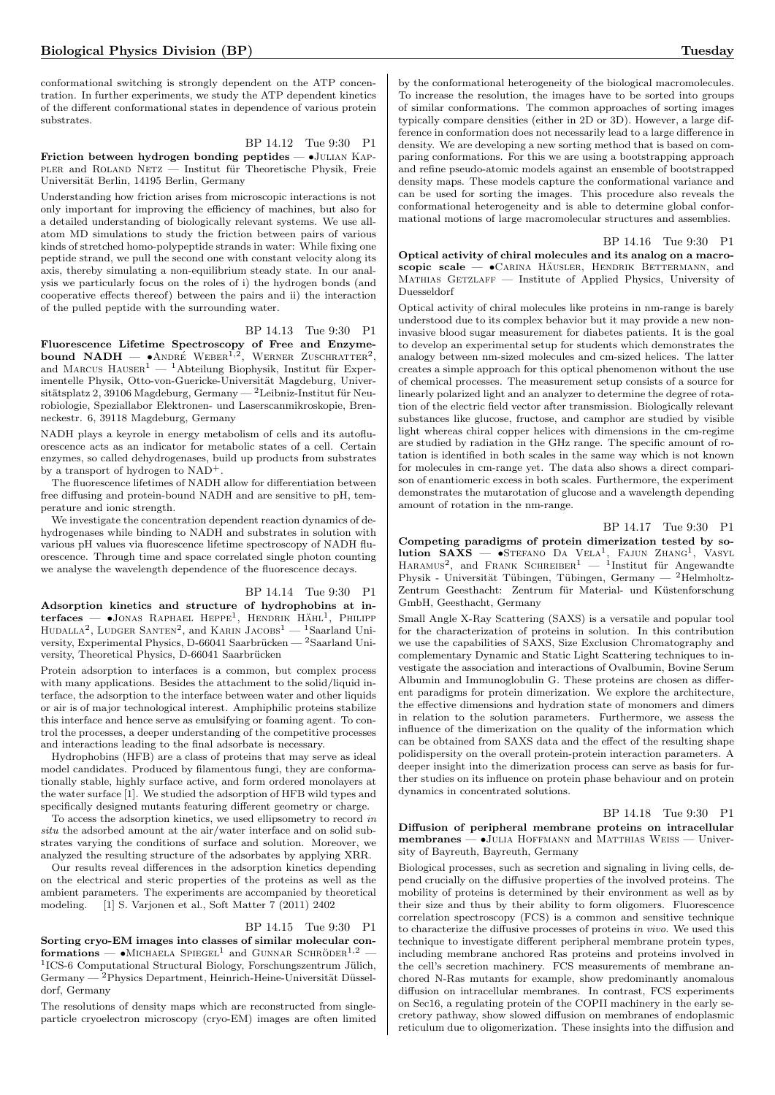conformational switching is strongly dependent on the ATP concentration. In further experiments, we study the ATP dependent kinetics of the different conformational states in dependence of various protein substrates.

BP 14.12 Tue 9:30 P1 Friction between hydrogen bonding peptides —  $\bullet$ JULIAN KAPpler and ROLAND NETZ — Institut für Theoretische Physik, Freie Universität Berlin, 14195 Berlin, Germany

Understanding how friction arises from microscopic interactions is not only important for improving the efficiency of machines, but also for a detailed understanding of biologically relevant systems. We use allatom MD simulations to study the friction between pairs of various kinds of stretched homo-polypeptide strands in water: While fixing one peptide strand, we pull the second one with constant velocity along its axis, thereby simulating a non-equilibrium steady state. In our analysis we particularly focus on the roles of i) the hydrogen bonds (and cooperative effects thereof) between the pairs and ii) the interaction of the pulled peptide with the surrounding water.

#### BP 14.13 Tue 9:30 P1

Fluorescence Lifetime Spectroscopy of Free and Enzyme-<br>bound NADH —  $\bullet$ ANDRÉ WEBER<sup>1,2</sup>, WERNER ZUSCHRATTER<sup>2</sup>, and MARCUS  $H$ AUSER<sup>1</sup> — <sup>1</sup>Abteilung Biophysik, Institut für Experimentelle Physik, Otto-von-Guericke-Universität Magdeburg, Universitätsplatz 2, 39106 Magdeburg, Germany — <sup>2</sup>Leibniz-Institut für Neurobiologie, Speziallabor Elektronen- und Laserscanmikroskopie, Brenneckestr. 6, 39118 Magdeburg, Germany

NADH plays a keyrole in energy metabolism of cells and its autofluorescence acts as an indicator for metabolic states of a cell. Certain enzymes, so called dehydrogenases, build up products from substrates by a transport of hydrogen to NAD+.

The fluorescence lifetimes of NADH allow for differentiation between free diffusing and protein-bound NADH and are sensitive to pH, temperature and ionic strength.

We investigate the concentration dependent reaction dynamics of dehydrogenases while binding to NADH and substrates in solution with various pH values via fluorescence lifetime spectroscopy of NADH fluorescence. Through time and space correlated single photon counting we analyse the wavelength dependence of the fluorescence decays.

## BP 14.14 Tue 9:30 P1

Adsorption kinetics and structure of hydrophobins at interfaces — •JONAS RAPHAEL HEPPE<sup>1</sup>, HENDRIK HÄHL<sup>1</sup>, PHILIPP HUDALLA<sup>2</sup>, LUDGER SANTEN<sup>2</sup>, and KARIN JACOBS<sup>1</sup> — <sup>1</sup>Saarland University, Experimental Physics, D-66041 Saarbrücken —  $^2$ Saarland University, Theoretical Physics, D-66041 Saarbrücken

Protein adsorption to interfaces is a common, but complex process with many applications. Besides the attachment to the solid/liquid interface, the adsorption to the interface between water and other liquids or air is of major technological interest. Amphiphilic proteins stabilize this interface and hence serve as emulsifying or foaming agent. To control the processes, a deeper understanding of the competitive processes and interactions leading to the final adsorbate is necessary.

Hydrophobins (HFB) are a class of proteins that may serve as ideal model candidates. Produced by filamentous fungi, they are conformationally stable, highly surface active, and form ordered monolayers at the water surface [1]. We studied the adsorption of HFB wild types and specifically designed mutants featuring different geometry or charge.

To access the adsorption kinetics, we used ellipsometry to record in situ the adsorbed amount at the air/water interface and on solid substrates varying the conditions of surface and solution. Moreover, we analyzed the resulting structure of the adsorbates by applying XRR.

Our results reveal differences in the adsorption kinetics depending on the electrical and steric properties of the proteins as well as the ambient parameters. The experiments are accompanied by theoretical modeling. [1] S. Varjonen et al., Soft Matter 7 (2011) 2402

#### BP 14.15 Tue 9:30 P1

Sorting cryo-EM images into classes of similar molecular con $formations$  — •MICHAELA SPIEGEL<sup>1</sup> and GUNNAR SCHRÖDER<sup>1,2</sup> — <sup>1</sup>ICS-6 Computational Structural Biology, Forschungszentrum Jülich,  $Germany - <sup>2</sup>Physics Department, Heinrich-Heine-Universität Düssel$ dorf, Germany

The resolutions of density maps which are reconstructed from singleparticle cryoelectron microscopy (cryo-EM) images are often limited

by the conformational heterogeneity of the biological macromolecules. To increase the resolution, the images have to be sorted into groups of similar conformations. The common approaches of sorting images typically compare densities (either in 2D or 3D). However, a large difference in conformation does not necessarily lead to a large difference in density. We are developing a new sorting method that is based on comparing conformations. For this we are using a bootstrapping approach and refine pseudo-atomic models against an ensemble of bootstrapped density maps. These models capture the conformational variance and can be used for sorting the images. This procedure also reveals the conformational heterogeneity and is able to determine global conformational motions of large macromolecular structures and assemblies.

#### BP 14.16 Tue 9:30 P1

Optical activity of chiral molecules and its analog on a macro $scopic \; scale \sim \bullet$ Carina Häusler, Hendrik Bettermann, and MATHIAS GETZLAFF — Institute of Applied Physics, University of Duesseldorf

Optical activity of chiral molecules like proteins in nm-range is barely understood due to its complex behavior but it may provide a new noninvasive blood sugar measurement for diabetes patients. It is the goal to develop an experimental setup for students which demonstrates the analogy between nm-sized molecules and cm-sized helices. The latter creates a simple approach for this optical phenomenon without the use of chemical processes. The measurement setup consists of a source for linearly polarized light and an analyzer to determine the degree of rotation of the electric field vector after transmission. Biologically relevant substances like glucose, fructose, and camphor are studied by visible light whereas chiral copper helices with dimensions in the cm-regime are studied by radiation in the GHz range. The specific amount of rotation is identified in both scales in the same way which is not known for molecules in cm-range yet. The data also shows a direct comparison of enantiomeric excess in both scales. Furthermore, the experiment demonstrates the mutarotation of glucose and a wavelength depending amount of rotation in the nm-range.

## BP 14.17 Tue 9:30 P1

Competing paradigms of protein dimerization tested by so**lution SAXS** — •STEFANO DA VELA<sup>1</sup>, FAJUN ZHANG<sup>1</sup>, VASYL HARAMUS<sup>2</sup>, and FRANK SCHREIBER<sup>1</sup> — <sup>1</sup>Institut für Angewandte Physik - Universität Tübingen, Tübingen, Germany — <sup>2</sup>Helmholtz-Zentrum Geesthacht: Zentrum für Material- und Küstenforschung GmbH, Geesthacht, Germany

Small Angle X-Ray Scattering (SAXS) is a versatile and popular tool for the characterization of proteins in solution. In this contribution we use the capabilities of SAXS, Size Exclusion Chromatography and complementary Dynamic and Static Light Scattering techniques to investigate the association and interactions of Ovalbumin, Bovine Serum Albumin and Immunoglobulin G. These proteins are chosen as different paradigms for protein dimerization. We explore the architecture, the effective dimensions and hydration state of monomers and dimers in relation to the solution parameters. Furthermore, we assess the influence of the dimerization on the quality of the information which can be obtained from SAXS data and the effect of the resulting shape polidispersity on the overall protein-protein interaction parameters. A deeper insight into the dimerization process can serve as basis for further studies on its influence on protein phase behaviour and on protein dynamics in concentrated solutions.

#### BP 14.18 Tue 9:30 P1

Diffusion of peripheral membrane proteins on intracellular membranes — •Julia Hoffmann and Matthias Weiss — University of Bayreuth, Bayreuth, Germany

Biological processes, such as secretion and signaling in living cells, depend crucially on the diffusive properties of the involved proteins. The mobility of proteins is determined by their environment as well as by their size and thus by their ability to form oligomers. Fluorescence correlation spectroscopy (FCS) is a common and sensitive technique to characterize the diffusive processes of proteins in vivo. We used this technique to investigate different peripheral membrane protein types, including membrane anchored Ras proteins and proteins involved in the cell's secretion machinery. FCS measurements of membrane anchored N-Ras mutants for example, show predominantly anomalous diffusion on intracellular membranes. In contrast, FCS experiments on Sec16, a regulating protein of the COPII machinery in the early secretory pathway, show slowed diffusion on membranes of endoplasmic reticulum due to oligomerization. These insights into the diffusion and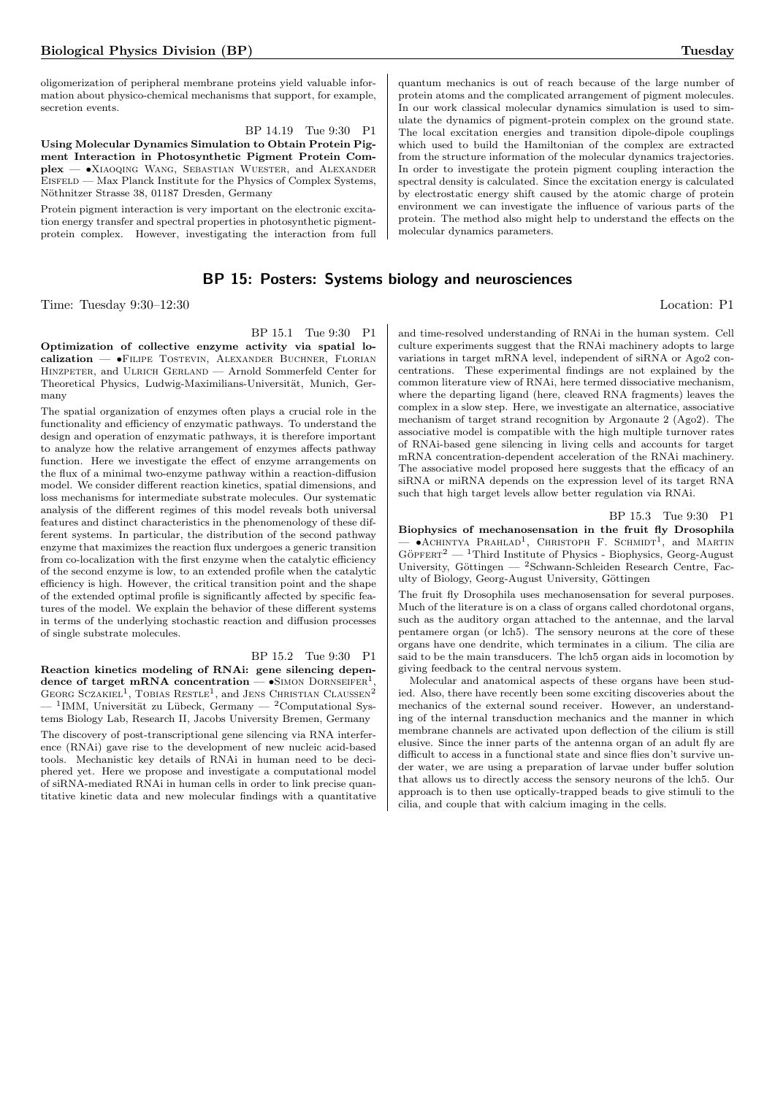oligomerization of peripheral membrane proteins yield valuable information about physico-chemical mechanisms that support, for example, secretion events.

BP 14.19 Tue 9:30 P1

Using Molecular Dynamics Simulation to Obtain Protein Pigment Interaction in Photosynthetic Pigment Protein Complex — •Xiaoqing Wang, Sebastian Wuester, and Alexander EISFELD — Max Planck Institute for the Physics of Complex Systems, Nöthnitzer Strasse 38, 01187 Dresden, Germany

Protein pigment interaction is very important on the electronic excitation energy transfer and spectral properties in photosynthetic pigmentprotein complex. However, investigating the interaction from full

# BP 15: Posters: Systems biology and neurosciences

Time: Tuesday 9:30–12:30 Location: P1

BP 15.1 Tue 9:30 P1

Optimization of collective enzyme activity via spatial localization — •Filipe Tostevin, Alexander Buchner, Florian HINZPETER, and ULRICH GERLAND — Arnold Sommerfeld Center for Theoretical Physics, Ludwig-Maximilians-Universität, Munich, Germany

The spatial organization of enzymes often plays a crucial role in the functionality and efficiency of enzymatic pathways. To understand the design and operation of enzymatic pathways, it is therefore important to analyze how the relative arrangement of enzymes affects pathway function. Here we investigate the effect of enzyme arrangements on the flux of a minimal two-enzyme pathway within a reaction-diffusion model. We consider different reaction kinetics, spatial dimensions, and loss mechanisms for intermediate substrate molecules. Our systematic analysis of the different regimes of this model reveals both universal features and distinct characteristics in the phenomenology of these different systems. In particular, the distribution of the second pathway enzyme that maximizes the reaction flux undergoes a generic transition from co-localization with the first enzyme when the catalytic efficiency of the second enzyme is low, to an extended profile when the catalytic efficiency is high. However, the critical transition point and the shape of the extended optimal profile is significantly affected by specific features of the model. We explain the behavior of these different systems in terms of the underlying stochastic reaction and diffusion processes of single substrate molecules.

BP 15.2 Tue 9:30 P1 Reaction kinetics modeling of RNAi: gene silencing dependence of target mRNA concentration  $\bullet$ SIMON DORNSEIFER<sup>1</sup> dence of target mRNA concentration —  $\bullet$ SIMON DORNSEIFER<sup>1</sup>,<br>GEORG SCZAKIEL<sup>1</sup>, TOBIAS RESTLE<sup>1</sup>, and JENS CHRISTIAN CLAUSSEN<sup>2</sup>  $-$  <sup>1</sup>IMM, Universität zu Lübeck, Germany  $-$  <sup>2</sup>Computational Systems Biology Lab, Research II, Jacobs University Bremen, Germany The discovery of post-transcriptional gene silencing via RNA interference (RNAi) gave rise to the development of new nucleic acid-based tools. Mechanistic key details of RNAi in human need to be deciphered yet. Here we propose and investigate a computational model of siRNA-mediated RNAi in human cells in order to link precise quantitative kinetic data and new molecular findings with a quantitative

quantum mechanics is out of reach because of the large number of protein atoms and the complicated arrangement of pigment molecules. In our work classical molecular dynamics simulation is used to simulate the dynamics of pigment-protein complex on the ground state. The local excitation energies and transition dipole-dipole couplings which used to build the Hamiltonian of the complex are extracted from the structure information of the molecular dynamics trajectories. In order to investigate the protein pigment coupling interaction the spectral density is calculated. Since the excitation energy is calculated by electrostatic energy shift caused by the atomic charge of protein environment we can investigate the influence of various parts of the protein. The method also might help to understand the effects on the molecular dynamics parameters.

and time-resolved understanding of RNAi in the human system. Cell culture experiments suggest that the RNAi machinery adopts to large variations in target mRNA level, independent of siRNA or Ago2 concentrations. These experimental findings are not explained by the common literature view of RNAi, here termed dissociative mechanism, where the departing ligand (here, cleaved RNA fragments) leaves the complex in a slow step. Here, we investigate an alternatice, associative mechanism of target strand recognition by Argonaute 2 (Ago2). The associative model is compatible with the high multiple turnover rates of RNAi-based gene silencing in living cells and accounts for target mRNA concentration-dependent acceleration of the RNAi machinery. The associative model proposed here suggests that the efficacy of an siRNA or miRNA depends on the expression level of its target RNA such that high target levels allow better regulation via RNAi.

BP 15.3 Tue 9:30 P1

Biophysics of mechanosensation in the fruit fly Drosophila  $-$  • ACHINTYA PRAHLAD<sup>1</sup>, CHRISTOPH F. SCHMIDT<sup>1</sup>, and MARTIN  $G\ddot{\text{o}}$ PFERT<sup>2</sup> — <sup>1</sup>Third Institute of Physics - Biophysics, Georg-August University, Göttingen —  ${}^{2}$ Schwann-Schleiden Research Centre, Faculty of Biology, Georg-August University, Göttingen

The fruit fly Drosophila uses mechanosensation for several purposes. Much of the literature is on a class of organs called chordotonal organs, such as the auditory organ attached to the antennae, and the larval pentamere organ (or lch5). The sensory neurons at the core of these organs have one dendrite, which terminates in a cilium. The cilia are said to be the main transducers. The lch5 organ aids in locomotion by giving feedback to the central nervous system.

Molecular and anatomical aspects of these organs have been studied. Also, there have recently been some exciting discoveries about the mechanics of the external sound receiver. However, an understanding of the internal transduction mechanics and the manner in which membrane channels are activated upon deflection of the cilium is still elusive. Since the inner parts of the antenna organ of an adult fly are difficult to access in a functional state and since flies don't survive under water, we are using a preparation of larvae under buffer solution that allows us to directly access the sensory neurons of the lch5. Our approach is to then use optically-trapped beads to give stimuli to the cilia, and couple that with calcium imaging in the cells.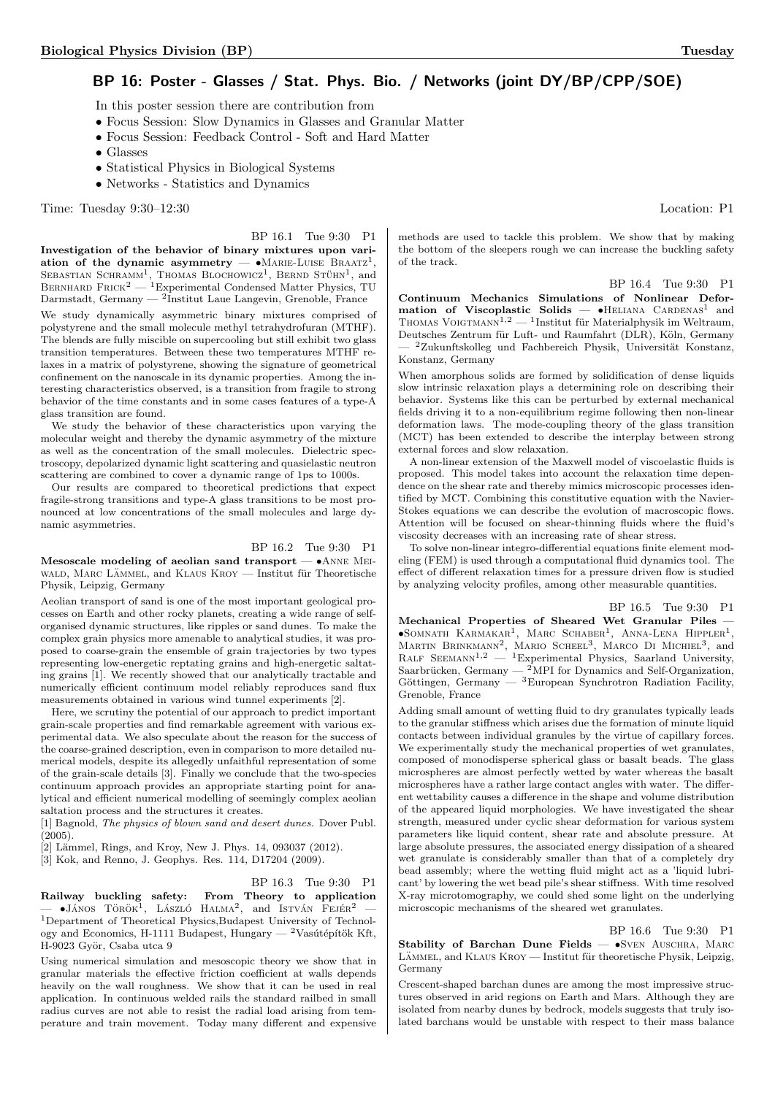# BP 16: Poster - Glasses / Stat. Phys. Bio. / Networks (joint DY/BP/CPP/SOE)

In this poster session there are contribution from

- Focus Session: Slow Dynamics in Glasses and Granular Matter
- Focus Session: Feedback Control Soft and Hard Matter
- Glasses
- Statistical Physics in Biological Systems
- Networks Statistics and Dynamics

Time: Tuesday 9:30–12:30 Location: P1

# BP 16.1 Tue 9:30 P1

Investigation of the behavior of binary mixtures upon variation of the dynamic asymmetry  $\bullet$  MARIE-LUISE BRAATZ<sup>1</sup>, SEBASTIAN SCHRAMM<sup>1</sup>, THOMAS BLOCHOWICZ<sup>1</sup>, BERND STÜHN<sup>1</sup>, and BERNHARD FRICK<sup>2</sup> — <sup>1</sup>Experimental Condensed Matter Physics, TU Darmstadt, Germany — <sup>2</sup> Institut Laue Langevin, Grenoble, France We study dynamically asymmetric binary mixtures comprised of polystyrene and the small molecule methyl tetrahydrofuran (MTHF). The blends are fully miscible on supercooling but still exhibit two glass transition temperatures. Between these two temperatures MTHF relaxes in a matrix of polystyrene, showing the signature of geometrical confinement on the nanoscale in its dynamic properties. Among the interesting characteristics observed, is a transition from fragile to strong behavior of the time constants and in some cases features of a type-A glass transition are found.

We study the behavior of these characteristics upon varying the molecular weight and thereby the dynamic asymmetry of the mixture as well as the concentration of the small molecules. Dielectric spectroscopy, depolarized dynamic light scattering and quasielastic neutron scattering are combined to cover a dynamic range of 1ps to 1000s.

Our results are compared to theoretical predictions that expect fragile-strong transitions and type-A glass transitions to be most pronounced at low concentrations of the small molecules and large dynamic asymmetries.

#### BP 16.2 Tue 9:30 P1

Mesoscale modeling of aeolian sand transport — •Anne Mei-WALD, MARC LÄMMEL, and KLAUS KROY — Institut für Theoretische Physik, Leipzig, Germany

Aeolian transport of sand is one of the most important geological processes on Earth and other rocky planets, creating a wide range of selforganised dynamic structures, like ripples or sand dunes. To make the complex grain physics more amenable to analytical studies, it was proposed to coarse-grain the ensemble of grain trajectories by two types representing low-energetic reptating grains and high-energetic saltating grains [1]. We recently showed that our analytically tractable and numerically efficient continuum model reliably reproduces sand flux measurements obtained in various wind tunnel experiments [2].

Here, we scrutiny the potential of our approach to predict important grain-scale properties and find remarkable agreement with various experimental data. We also speculate about the reason for the success of the coarse-grained description, even in comparison to more detailed numerical models, despite its allegedly unfaithful representation of some of the grain-scale details [3]. Finally we conclude that the two-species continuum approach provides an appropriate starting point for analytical and efficient numerical modelling of seemingly complex aeolian saltation process and the structures it creates.

[1] Bagnold, The physics of blown sand and desert dunes. Dover Publ.  $(2005)$ .

- $[2]$  Lämmel, Rings, and Kroy, New J. Phys. 14, 093037 (2012).
- [3] Kok, and Renno, J. Geophys. Res. 114, D17204 (2009).

#### BP 16.3 Tue 9:30 P1

Railway buckling safety: From Theory to application<br>
— •János Török<sup>1</sup>, László Halma<sup>2</sup>, and István Fejér<sup>2</sup> —  $^1$ Department of Theoretical Physics,Budapest University of Technology and Economics, H-1111 Budapest, Hungary —  $^2\rm Vas$ útépítök Kft, H-9023 Györ, Csaba utca 9

Using numerical simulation and mesoscopic theory we show that in granular materials the effective friction coefficient at walls depends heavily on the wall roughness. We show that it can be used in real application. In continuous welded rails the standard railbed in small radius curves are not able to resist the radial load arising from temperature and train movement. Today many different and expensive

methods are used to tackle this problem. We show that by making the bottom of the sleepers rough we can increase the buckling safety of the track.

BP 16.4 Tue 9:30 P1

Continuum Mechanics Simulations of Nonlinear Deformation of Viscoplastic Solids  $\bullet$ HELIANA CARDENAS<sup>1</sup> and THOMAS VOIGTMANN<sup>1,2</sup> — <sup>1</sup>Institut für Materialphysik im Weltraum, Deutsches Zentrum für Luft- und Raumfahrt (DLR), Köln, Germany - <sup>2</sup>Zukunftskolleg und Fachbereich Physik, Universität Konstanz, Konstanz, Germany

When amorphous solids are formed by solidification of dense liquids slow intrinsic relaxation plays a determining role on describing their behavior. Systems like this can be perturbed by external mechanical fields driving it to a non-equilibrium regime following then non-linear deformation laws. The mode-coupling theory of the glass transition (MCT) has been extended to describe the interplay between strong external forces and slow relaxation.

A non-linear extension of the Maxwell model of viscoelastic fluids is proposed. This model takes into account the relaxation time dependence on the shear rate and thereby mimics microscopic processes identified by MCT. Combining this constitutive equation with the Navier-Stokes equations we can describe the evolution of macroscopic flows. Attention will be focused on shear-thinning fluids where the fluid's viscosity decreases with an increasing rate of shear stress.

To solve non-linear integro-differential equations finite element modeling (FEM) is used through a computational fluid dynamics tool. The effect of different relaxation times for a pressure driven flow is studied by analyzing velocity profiles, among other measurable quantities.

## BP 16.5 Tue 9:30 P1

Mechanical Properties of Sheared Wet Granular Piles —  $\bullet$ SOMNATH KARMAKAR<sup>1</sup>, MARC SCHABER<sup>1</sup>, ANNA-LENA HIPPLER<sup>1</sup>, MARTIN BRINKMANN<sup>2</sup>, MARIO SCHEEL<sup>3</sup>, MARCO DI MICHIEL<sup>3</sup>, and RALF SEEMANN<sup>1,2</sup> — <sup>1</sup>Experimental Physics, Saarland University, Saarbrücken, Germany —  $^2$ MPI for Dynamics and Self-Organization, Göttingen, Germany —  ${}^{3}$ European Synchrotron Radiation Facility, Grenoble, France

Adding small amount of wetting fluid to dry granulates typically leads to the granular stiffness which arises due the formation of minute liquid contacts between individual granules by the virtue of capillary forces. We experimentally study the mechanical properties of wet granulates, composed of monodisperse spherical glass or basalt beads. The glass microspheres are almost perfectly wetted by water whereas the basalt microspheres have a rather large contact angles with water. The different wettability causes a difference in the shape and volume distribution of the appeared liquid morphologies. We have investigated the shear strength, measured under cyclic shear deformation for various system parameters like liquid content, shear rate and absolute pressure. At large absolute pressures, the associated energy dissipation of a sheared wet granulate is considerably smaller than that of a completely dry bead assembly; where the wetting fluid might act as a 'liquid lubricant' by lowering the wet bead pile's shear stiffness. With time resolved X-ray microtomography, we could shed some light on the underlying microscopic mechanisms of the sheared wet granulates.

BP 16.6 Tue 9:30 P1

Stability of Barchan Dune Fields -  $\bullet$ SVEN AUSCHRA, MARC LÄMMEL, and KLAUS KROY — Institut für theoretische Physik, Leipzig, Germany

Crescent-shaped barchan dunes are among the most impressive structures observed in arid regions on Earth and Mars. Although they are isolated from nearby dunes by bedrock, models suggests that truly isolated barchans would be unstable with respect to their mass balance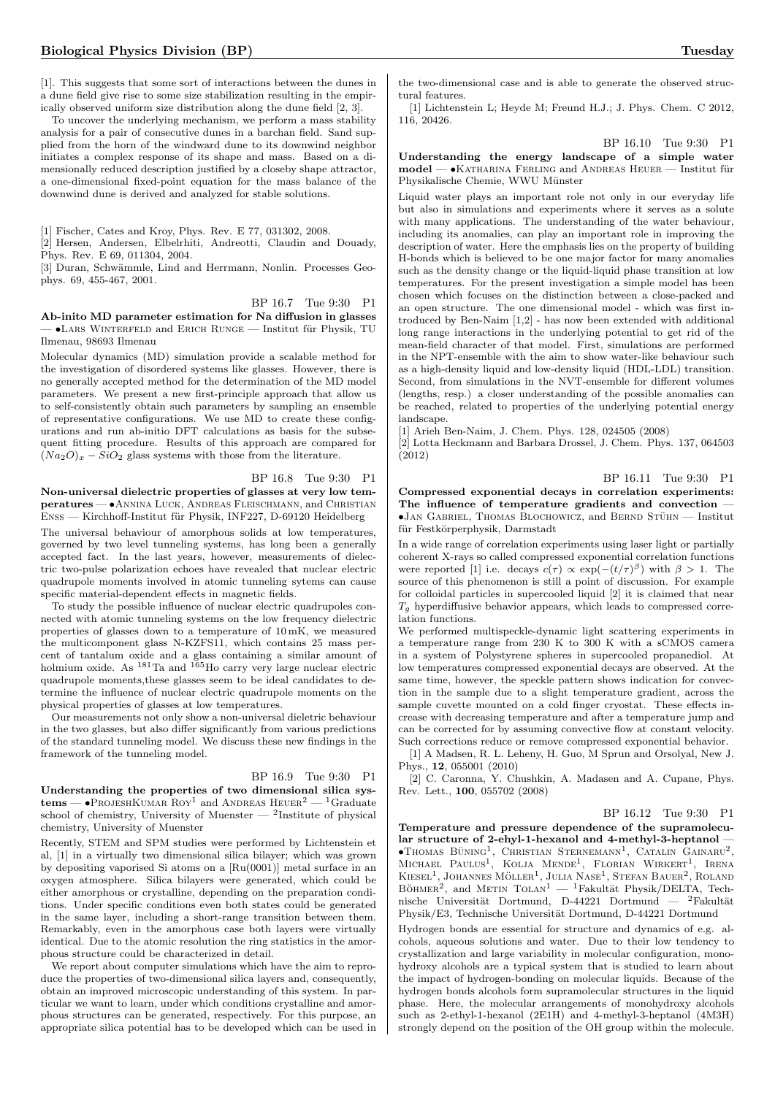[1]. This suggests that some sort of interactions between the dunes in a dune field give rise to some size stabilization resulting in the empirically observed uniform size distribution along the dune field [2, 3].

To uncover the underlying mechanism, we perform a mass stability analysis for a pair of consecutive dunes in a barchan field. Sand supplied from the horn of the windward dune to its downwind neighbor initiates a complex response of its shape and mass. Based on a dimensionally reduced description justified by a closeby shape attractor, a one-dimensional fixed-point equation for the mass balance of the downwind dune is derived and analyzed for stable solutions.

[1] Fischer, Cates and Kroy, Phys. Rev. E 77, 031302, 2008.

[2] Hersen, Andersen, Elbelrhiti, Andreotti, Claudin and Douady, Phys. Rev. E 69, 011304, 2004.

[3] Duran, Schwämmle, Lind and Herrmann, Nonlin. Processes Geophys. 69, 455-467, 2001.

BP 16.7 Tue 9:30 P1

Ab-inito MD parameter estimation for Na diffusion in glasses  $-$  •Lars WINTERFELD and Erich Runge — Institut für Physik, TU Ilmenau, 98693 Ilmenau

Molecular dynamics (MD) simulation provide a scalable method for the investigation of disordered systems like glasses. However, there is no generally accepted method for the determination of the MD model parameters. We present a new first-principle approach that allow us to self-consistently obtain such parameters by sampling an ensemble of representative configurations. We use MD to create these configurations and run ab-initio DFT calculations as basis for the subsequent fitting procedure. Results of this approach are compared for  $(Na_2O)_x - SiO_2$  glass systems with those from the literature.

BP 16.8 Tue 9:30 P1

Non-universal dielectric properties of glasses at very low temperatures — •Annina Luck, Andreas Fleischmann, and Christian ENSS — Kirchhoff-Institut für Physik, INF227, D-69120 Heidelberg

The universal behaviour of amorphous solids at low temperatures, governed by two level tunneling systems, has long been a generally accepted fact. In the last years, however, measurements of dielectric two-pulse polarization echoes have revealed that nuclear electric quadrupole moments involved in atomic tunneling sytems can cause specific material-dependent effects in magnetic fields.

To study the possible influence of nuclear electric quadrupoles connected with atomic tunneling systems on the low frequency dielectric properties of glasses down to a temperature of 10 mK, we measured the multicomponent glass N-KZFS11, which contains 25 mass percent of tantalum oxide and a glass containing a similar amount of holmium oxide. As <sup>181</sup>Ta and <sup>165</sup>Ho carry very large nuclear electric quadrupole moments,these glasses seem to be ideal candidates to determine the influence of nuclear electric quadrupole moments on the physical properties of glasses at low temperatures.

Our measurements not only show a non-universal dieletric behaviour in the two glasses, but also differ significantly from various predictions of the standard tunneling model. We discuss these new findings in the framework of the tunneling model.

# BP 16.9 Tue 9:30 P1

Understanding the properties of two dimensional silica systems —  $\bullet$ ProjeshKumar Roy<sup>1</sup> and Andreas Heuer<sup>2</sup> — <sup>1</sup>Graduate school of chemistry, University of Muenster —  $^2$ Institute of physical chemistry, University of Muenster

Recently, STEM and SPM studies were performed by Lichtenstein et al, [1] in a virtually two dimensional silica bilayer; which was grown by depositing vaporised Si atoms on a [Ru(0001)] metal surface in an oxygen atmosphere. Silica bilayers were generated, which could be either amorphous or crystalline, depending on the preparation conditions. Under specific conditions even both states could be generated in the same layer, including a short-range transition between them. Remarkably, even in the amorphous case both layers were virtually identical. Due to the atomic resolution the ring statistics in the amorphous structure could be characterized in detail.

We report about computer simulations which have the aim to reproduce the properties of two-dimensional silica layers and, consequently, obtain an improved microscopic understanding of this system. In particular we want to learn, under which conditions crystalline and amorphous structures can be generated, respectively. For this purpose, an appropriate silica potential has to be developed which can be used in

[1] Lichtenstein L; Heyde M; Freund H.J.; J. Phys. Chem. C 2012, 116, 20426.

BP 16.10 Tue 9:30 P1

Understanding the energy landscape of a simple water  $model - \bullet$ Katharina Ferling and Andreas Heuer — Institut für Physikalische Chemie, WWU Münster

Liquid water plays an important role not only in our everyday life but also in simulations and experiments where it serves as a solute with many applications. The understanding of the water behaviour, including its anomalies, can play an important role in improving the description of water. Here the emphasis lies on the property of building H-bonds which is believed to be one major factor for many anomalies such as the density change or the liquid-liquid phase transition at low temperatures. For the present investigation a simple model has been chosen which focuses on the distinction between a close-packed and an open structure. The one dimensional model - which was first introduced by Ben-Naim [1,2] - has now been extended with additional long range interactions in the underlying potential to get rid of the mean-field character of that model. First, simulations are performed in the NPT-ensemble with the aim to show water-like behaviour such as a high-density liquid and low-density liquid (HDL-LDL) transition. Second, from simulations in the NVT-ensemble for different volumes (lengths, resp.) a closer understanding of the possible anomalies can be reached, related to properties of the underlying potential energy landscape.

[1] Arieh Ben-Naim, J. Chem. Phys. 128, 024505 (2008)

[2] Lotta Heckmann and Barbara Drossel, J. Chem. Phys. 137, 064503 (2012)

BP 16.11 Tue 9:30 P1 Compressed exponential decays in correlation experiments: The influence of temperature gradients and convection —  $\bullet$ Jan Gabriel, Thomas Blochowicz, and Bernd Stühn — Institut für Festkörperphysik, Darmstadt

In a wide range of correlation experiments using laser light or partially coherent X-rays so called compressed exponential correlation functions were reported [1] i.e. decays  $c(\tau) \propto \exp(-(t/\tau)^{\beta})$  with  $\beta > 1$ . The source of this phenomenon is still a point of discussion. For example for colloidal particles in supercooled liquid [2] it is claimed that near  $T<sub>g</sub>$  hyperdiffusive behavior appears, which leads to compressed correlation functions.

We performed multispeckle-dynamic light scattering experiments in a temperature range from 230 K to 300 K with a sCMOS camera in a system of Polystyrene spheres in supercooled propanediol. At low temperatures compressed exponential decays are observed. At the same time, however, the speckle pattern shows indication for convection in the sample due to a slight temperature gradient, across the sample cuvette mounted on a cold finger cryostat. These effects increase with decreasing temperature and after a temperature jump and can be corrected for by assuming convective flow at constant velocity. Such corrections reduce or remove compressed exponential behavior.

[1] A Madsen, R. L. Leheny, H. Guo, M Sprun and Orsolyal, New J. Phys., 12, 055001 (2010)

[2] C. Caronna, Y. Chushkin, A. Madasen and A. Cupane, Phys. Rev. Lett., 100, 055702 (2008)

#### BP 16.12 Tue 9:30 P1

Temperature and pressure dependence of the supramolecular structure of 2-ehyl-1-hexanol and 4-methyl-3-heptanol —  $\bullet$ Thomas Büning<sup>1</sup>, Christian Sternemann<sup>1</sup>, Catalin Gainaru<sup>2</sup>, MICHAEL PAULUS<sup>1</sup>, KOLJA MENDE<sup>1</sup>, FLORIAN WIRKERT<sup>1</sup>, IRENA KIESEL<sup>1</sup>, JOHANNES MÖLLER<sup>1</sup>, JULIA NASE<sup>1</sup>, STEFAN BAUER<sup>2</sup>, ROLAND BÖHMER<sup>2</sup>, and METIN TOLAN<sup>1</sup> - <sup>1</sup>Fakultät Physik/DELTA, Technische Universität Dortmund, D-44221 Dortmund — <sup>2</sup>Fakultät Physik/E3, Technische Universität Dortmund, D-44221 Dortmund

Hydrogen bonds are essential for structure and dynamics of e.g. alcohols, aqueous solutions and water. Due to their low tendency to crystallization and large variability in molecular configuration, monohydroxy alcohols are a typical system that is studied to learn about the impact of hydrogen-bonding on molecular liquids. Because of the hydrogen bonds alcohols form supramolecular structures in the liquid phase. Here, the molecular arrangements of monohydroxy alcohols such as 2-ethyl-1-hexanol (2E1H) and 4-methyl-3-heptanol (4M3H) strongly depend on the position of the OH group within the molecule.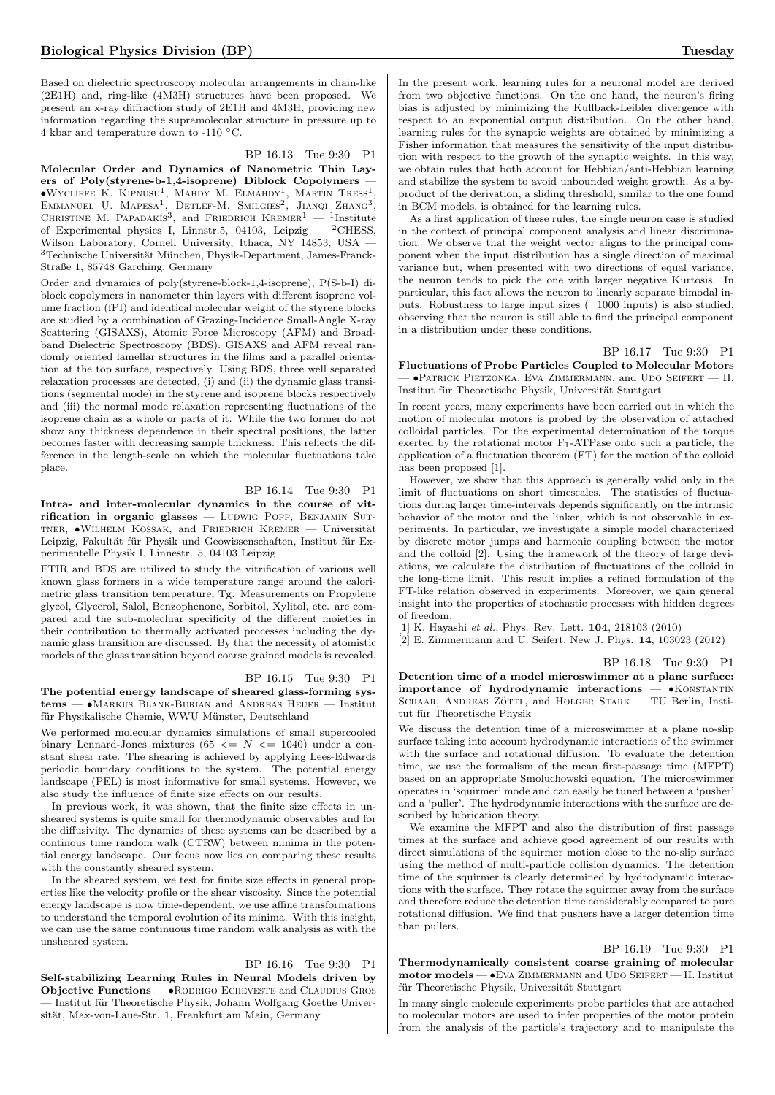Based on dielectric spectroscopy molecular arrangements in chain-like (2E1H) and, ring-like (4M3H) structures have been proposed. We present an x-ray diffraction study of 2E1H and 4M3H, providing new information regarding the supramolecular structure in pressure up to 4 kbar and temperature down to -110 ◦C.

#### BP 16.13 Tue 9:30 P1

Molecular Order and Dynamics of Nanometric Thin Layers of Poly(styrene-b-1,4-isoprene) Diblock Copolymers — •Wycliffe K. Kipnusu<sup>1</sup> , Mahdy M. Elmahdy<sup>1</sup> , Martin Tress<sup>1</sup> , Emmanuel U. Mapesa1 , Detlef-M. Smilgies<sup>2</sup> , Jianqi Zhang<sup>3</sup> , Christine M. Papadakis3 , and Friedrich Kremer<sup>1</sup> — <sup>1</sup> Institute of Experimental physics I, Linnstr.5, 04103, Leipzig  $-$  <sup>2</sup>CHESS, Wilson Laboratory, Cornell University, Ithaca, NY 14853, USA —  $^3$ Technische Universität München, Physik-Department, James-Franck-Straße 1, 85748 Garching, Germany

Order and dynamics of poly(styrene-block-1,4-isoprene), P(S-b-I) diblock copolymers in nanometer thin layers with different isoprene volume fraction (fPI) and identical molecular weight of the styrene blocks are studied by a combination of Grazing-Incidence Small-Angle X-ray Scattering (GISAXS), Atomic Force Microscopy (AFM) and Broadband Dielectric Spectroscopy (BDS). GISAXS and AFM reveal randomly oriented lamellar structures in the films and a parallel orientation at the top surface, respectively. Using BDS, three well separated relaxation processes are detected, (i) and (ii) the dynamic glass transitions (segmental mode) in the styrene and isoprene blocks respectively and (iii) the normal mode relaxation representing fluctuations of the isoprene chain as a whole or parts of it. While the two former do not show any thickness dependence in their spectral positions, the latter becomes faster with decreasing sample thickness. This reflects the difference in the length-scale on which the molecular fluctuations take place.

#### BP 16.14 Tue 9:30 P1

Intra- and inter-molecular dynamics in the course of vitrification in organic glasses - LUDWIG POPP, BENJAMIN SUT-TNER, •WILHELM KOSSAK, and FRIEDRICH KREMER - Universität Leipzig, Fakultät für Physik und Geowissenschaften, Institut für Experimentelle Physik I, Linnestr. 5, 04103 Leipzig

FTIR and BDS are utilized to study the vitrification of various well known glass formers in a wide temperature range around the calorimetric glass transition temperature, Tg. Measurements on Propylene glycol, Glycerol, Salol, Benzophenone, Sorbitol, Xylitol, etc. are compared and the sub-molecluar specificity of the different moieties in their contribution to thermally activated processes including the dynamic glass transition are discussed. By that the necessity of atomistic models of the glass transition beyond coarse grained models is revealed.

#### BP 16.15 Tue 9:30 P1

The potential energy landscape of sheared glass-forming systems — •Markus Blank-Burian and Andreas Heuer — Institut für Physikalische Chemie, WWU Münster, Deutschland

We performed molecular dynamics simulations of small supercooled binary Lennard-Jones mixtures (65  $\leq N \leq 1040$ ) under a constant shear rate. The shearing is achieved by applying Lees-Edwards periodic boundary conditions to the system. The potential energy landscape (PEL) is most informative for small systems. However, we also study the influence of finite size effects on our results.

In previous work, it was shown, that the finite size effects in unsheared systems is quite small for thermodynamic observables and for the diffusivity. The dynamics of these systems can be described by a continous time random walk (CTRW) between minima in the potential energy landscape. Our focus now lies on comparing these results with the constantly sheared system.

In the sheared system, we test for finite size effects in general properties like the velocity profile or the shear viscosity. Since the potential energy landscape is now time-dependent, we use affine transformations to understand the temporal evolution of its minima. With this insight, we can use the same continuous time random walk analysis as with the unsheared system.

#### BP 16.16 Tue 9:30 P1

Self-stabilizing Learning Rules in Neural Models driven by Objective Functions — •Rodrigo Echeveste and Claudius Gros - Institut für Theoretische Physik, Johann Wolfgang Goethe Universität, Max-von-Laue-Str. 1, Frankfurt am Main, Germany

In the present work, learning rules for a neuronal model are derived from two objective functions. On the one hand, the neuron's firing bias is adjusted by minimizing the Kullback-Leibler divergence with respect to an exponential output distribution. On the other hand, learning rules for the synaptic weights are obtained by minimizing a Fisher information that measures the sensitivity of the input distribution with respect to the growth of the synaptic weights. In this way, we obtain rules that both account for Hebbian/anti-Hebbian learning and stabilize the system to avoid unbounded weight growth. As a byproduct of the derivation, a sliding threshold, similar to the one found in BCM models, is obtained for the learning rules.

As a first application of these rules, the single neuron case is studied in the context of principal component analysis and linear discrimination. We observe that the weight vector aligns to the principal component when the input distribution has a single direction of maximal variance but, when presented with two directions of equal variance, the neuron tends to pick the one with larger negative Kurtosis. In particular, this fact allows the neuron to linearly separate bimodal inputs. Robustness to large input sizes ( 1000 inputs) is also studied, observing that the neuron is still able to find the principal component in a distribution under these conditions.

### BP 16.17 Tue 9:30 P1

Fluctuations of Probe Particles Coupled to Molecular Motors — •Patrick Pietzonka, Eva Zimmermann, and Udo Seifert — II. Institut für Theoretische Physik, Universität Stuttgart

In recent years, many experiments have been carried out in which the motion of molecular motors is probed by the observation of attached colloidal particles. For the experimental determination of the torque exerted by the rotational motor  $\mathrm{F_{1}\text{-}ATP}$  ase onto such a particle, the application of a fluctuation theorem (FT) for the motion of the colloid has been proposed [1].

However, we show that this approach is generally valid only in the limit of fluctuations on short timescales. The statistics of fluctuations during larger time-intervals depends significantly on the intrinsic behavior of the motor and the linker, which is not observable in experiments. In particular, we investigate a simple model characterized by discrete motor jumps and harmonic coupling between the motor and the colloid [2]. Using the framework of the theory of large deviations, we calculate the distribution of fluctuations of the colloid in the long-time limit. This result implies a refined formulation of the FT-like relation observed in experiments. Moreover, we gain general insight into the properties of stochastic processes with hidden degrees of freedom.

[1] K. Hayashi et al., Phys. Rev. Lett. 104, 218103 (2010)

[2] E. Zimmermann and U. Seifert, New J. Phys. 14, 103023 (2012)

BP 16.18 Tue 9:30 P1

Detention time of a model microswimmer at a plane surface: importance of hydrodynamic interactions -  $\bullet$ KONSTANTIN SCHAAR, ANDREAS ZÖTTL, and HOLGER STARK — TU Berlin, Institut für Theoretische Physik

We discuss the detention time of a microswimmer at a plane no-slip surface taking into account hydrodynamic interactions of the swimmer with the surface and rotational diffusion. To evaluate the detention time, we use the formalism of the mean first-passage time (MFPT) based on an appropriate Smoluchowski equation. The microswimmer operates in 'squirmer' mode and can easily be tuned between a 'pusher' and a 'puller'. The hydrodynamic interactions with the surface are described by lubrication theory.

We examine the MFPT and also the distribution of first passage times at the surface and achieve good agreement of our results with direct simulations of the squirmer motion close to the no-slip surface using the method of multi-particle collision dynamics. The detention time of the squirmer is clearly determined by hydrodynamic interactions with the surface. They rotate the squirmer away from the surface and therefore reduce the detention time considerably compared to pure rotational diffusion. We find that pushers have a larger detention time than pullers.

#### BP 16.19 Tue 9:30 P1

Thermodynamically consistent coarse graining of molecular motor models — • EVA ZIMMERMANN and UDO SEIFERT — II. Institut  $\operatorname{für}$  Theoretische Physik, Universität Stuttgart

In many single molecule experiments probe particles that are attached to molecular motors are used to infer properties of the motor protein from the analysis of the particle's trajectory and to manipulate the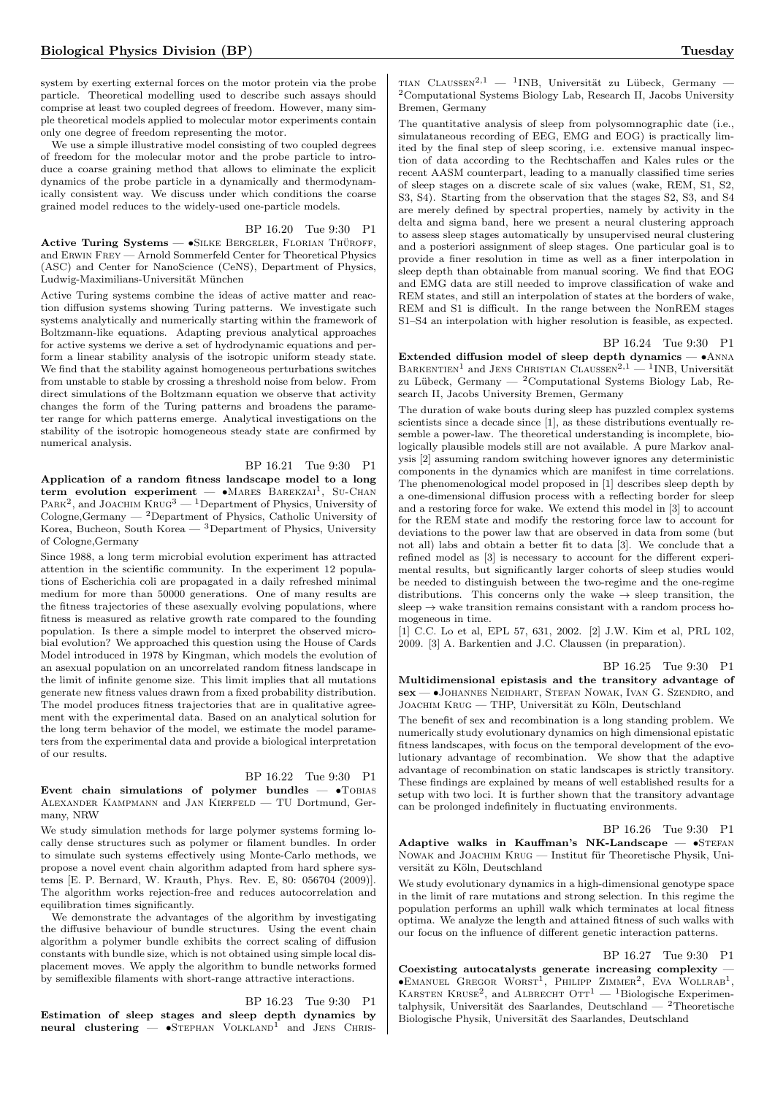system by exerting external forces on the motor protein via the probe particle. Theoretical modelling used to describe such assays should comprise at least two coupled degrees of freedom. However, many simple theoretical models applied to molecular motor experiments contain only one degree of freedom representing the motor.

We use a simple illustrative model consisting of two coupled degrees of freedom for the molecular motor and the probe particle to introduce a coarse graining method that allows to eliminate the explicit dynamics of the probe particle in a dynamically and thermodynamically consistent way. We discuss under which conditions the coarse grained model reduces to the widely-used one-particle models.

#### BP 16.20 Tue 9:30 P1

Active Turing Systems —  $\bullet$ SILKE BERGELER, FLORIAN THÜROFF, and Erwin Frey — Arnold Sommerfeld Center for Theoretical Physics (ASC) and Center for NanoScience (CeNS), Department of Physics, Ludwig-Maximilians-Universität München

Active Turing systems combine the ideas of active matter and reaction diffusion systems showing Turing patterns. We investigate such systems analytically and numerically starting within the framework of Boltzmann-like equations. Adapting previous analytical approaches for active systems we derive a set of hydrodynamic equations and perform a linear stability analysis of the isotropic uniform steady state. We find that the stability against homogeneous perturbations switches from unstable to stable by crossing a threshold noise from below. From direct simulations of the Boltzmann equation we observe that activity changes the form of the Turing patterns and broadens the parameter range for which patterns emerge. Analytical investigations on the stability of the isotropic homogeneous steady state are confirmed by numerical analysis.

BP 16.21 Tue 9:30 P1

Application of a random fitness landscape model to a long term evolution experiment -  $\bullet$ MARES BAREKZAI<sup>1</sup>, SU-CHAN PARK<sup>2</sup>, and JOACHIM  $\text{KRUG}^3 - 1$ Department of Physics, University of Cologne,Germany —  $^2$ Department of Physics, Catholic University of Korea, Bucheon, South Korea — <sup>3</sup>Department of Physics, University of Cologne,Germany

Since 1988, a long term microbial evolution experiment has attracted attention in the scientific community. In the experiment 12 populations of Escherichia coli are propagated in a daily refreshed minimal medium for more than 50000 generations. One of many results are the fitness trajectories of these asexually evolving populations, where fitness is measured as relative growth rate compared to the founding population. Is there a simple model to interpret the observed microbial evolution? We approached this question using the House of Cards Model introduced in 1978 by Kingman, which models the evolution of an asexual population on an uncorrelated random fitness landscape in the limit of infinite genome size. This limit implies that all mutations generate new fitness values drawn from a fixed probability distribution. The model produces fitness trajectories that are in qualitative agreement with the experimental data. Based on an analytical solution for the long term behavior of the model, we estimate the model parameters from the experimental data and provide a biological interpretation of our results.

BP 16.22 Tue 9:30 P1 Event chain simulations of polymer bundles  $\bullet$ TOBIAS Alexander Kampmann and Jan Kierfeld — TU Dortmund, Germany, NRW

We study simulation methods for large polymer systems forming locally dense structures such as polymer or filament bundles. In order to simulate such systems effectively using Monte-Carlo methods, we propose a novel event chain algorithm adapted from hard sphere systems [E. P. Bernard, W. Krauth, Phys. Rev. E, 80: 056704 (2009)]. The algorithm works rejection-free and reduces autocorrelation and equilibration times significantly.

We demonstrate the advantages of the algorithm by investigating the diffusive behaviour of bundle structures. Using the event chain algorithm a polymer bundle exhibits the correct scaling of diffusion constants with bundle size, which is not obtained using simple local displacement moves. We apply the algorithm to bundle networks formed by semiflexible filaments with short-range attractive interactions.

BP 16.23 Tue 9:30 P1

Estimation of sleep stages and sleep depth dynamics by neural clustering  $-$  •STEPHAN VOLKLAND<sup>1</sup> and JENS CHRIS-

TIAN CLAUSSEN<sup>2,1</sup> — <sup>1</sup>INB, Universität zu Lübeck, Germany — <sup>2</sup>Computational Systems Biology Lab, Research II, Jacobs University Bremen, Germany

The quantitative analysis of sleep from polysomnographic date (i.e., simulataneous recording of EEG, EMG and EOG) is practically limited by the final step of sleep scoring, i.e. extensive manual inspection of data according to the Rechtschaffen and Kales rules or the recent AASM counterpart, leading to a manually classified time series of sleep stages on a discrete scale of six values (wake, REM, S1, S2, S3, S4). Starting from the observation that the stages S2, S3, and S4 are merely defined by spectral properties, namely by activity in the delta and sigma band, here we present a neural clustering approach to assess sleep stages automatically by unsupervised neural clustering and a posteriori assignment of sleep stages. One particular goal is to provide a finer resolution in time as well as a finer interpolation in sleep depth than obtainable from manual scoring. We find that EOG and EMG data are still needed to improve classification of wake and REM states, and still an interpolation of states at the borders of wake, REM and S1 is difficult. In the range between the NonREM stages S1–S4 an interpolation with higher resolution is feasible, as expected.

#### BP 16.24 Tue 9:30 P1

Extended diffusion model of sleep depth dynamics  $- \cdot$  ANNA BARKENTIEN<sup>1</sup> and JENS CHRISTIAN CLAUSSEN<sup>2,1</sup> - <sup>1</sup>INB, Universität zu Lübeck, Germany —  $^2$ Computational Systems Biology Lab, Research II, Jacobs University Bremen, Germany

The duration of wake bouts during sleep has puzzled complex systems scientists since a decade since [1], as these distributions eventually resemble a power-law. The theoretical understanding is incomplete, biologically plausible models still are not available. A pure Markov analysis [2] assuming random switching however ignores any deterministic components in the dynamics which are manifest in time correlations. The phenomenological model proposed in [1] describes sleep depth by a one-dimensional diffusion process with a reflecting border for sleep and a restoring force for wake. We extend this model in [3] to account for the REM state and modify the restoring force law to account for deviations to the power law that are observed in data from some (but not all) labs and obtain a better fit to data [3]. We conclude that a refined model as [3] is necessary to account for the different experimental results, but significantly larger cohorts of sleep studies would be needed to distinguish between the two-regime and the one-regime distributions. This concerns only the wake  $\rightarrow$  sleep transition, the sleep  $\rightarrow$  wake transition remains consistant with a random process homogeneous in time.

[1] C.C. Lo et al, EPL 57, 631, 2002. [2] J.W. Kim et al, PRL 102, 2009. [3] A. Barkentien and J.C. Claussen (in preparation).

BP 16.25 Tue 9:30 P1

Multidimensional epistasis and the transitory advantage of sex — •Johannes Neidhart, Stefan Nowak, Ivan G. Szendro, and JOACHIM KRUG — THP, Universität zu Köln, Deutschland

The benefit of sex and recombination is a long standing problem. We numerically study evolutionary dynamics on high dimensional epistatic fitness landscapes, with focus on the temporal development of the evolutionary advantage of recombination. We show that the adaptive advantage of recombination on static landscapes is strictly transitory. These findings are explained by means of well established results for a setup with two loci. It is further shown that the transitory advantage can be prolonged indefinitely in fluctuating environments.

# BP 16.26 Tue 9:30 P1

Adaptive walks in Kauffman's NK-Landscape  $\bullet$ STEFAN NOWAK and JOACHIM KRUG — Institut für Theoretische Physik, Universität zu Köln, Deutschland

We study evolutionary dynamics in a high-dimensional genotype space in the limit of rare mutations and strong selection. In this regime the population performs an uphill walk which terminates at local fitness optima. We analyze the length and attained fitness of such walks with our focus on the influence of different genetic interaction patterns.

#### BP 16.27 Tue 9:30 P1

Coexisting autocatalysts generate increasing complexity —  $\bullet$ Emanuel Gregor Worst<sup>1</sup>, Philipp Zimmer<sup>2</sup>, Eva Wollrab<sup>1</sup>, KARSTEN KRUSE<sup>2</sup>, and ALBRECHT  $\text{OTT}^1$  — <sup>1</sup>Biologische Experimentalphysik, Universität des Saarlandes, Deutschland —  $^2\rm{Theoretische}$ Biologische Physik, Universität des Saarlandes, Deutschland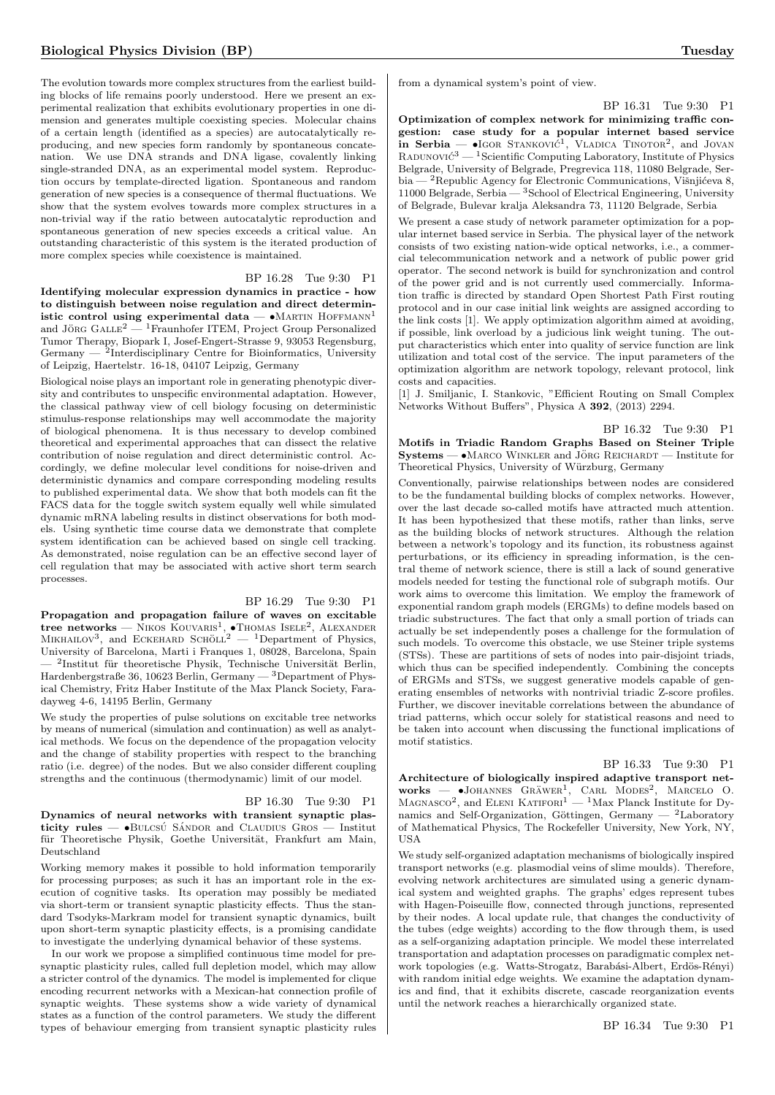The evolution towards more complex structures from the earliest building blocks of life remains poorly understood. Here we present an experimental realization that exhibits evolutionary properties in one dimension and generates multiple coexisting species. Molecular chains of a certain length (identified as a species) are autocatalytically reproducing, and new species form randomly by spontaneous concatenation. We use DNA strands and DNA ligase, covalently linking single-stranded DNA, as an experimental model system. Reproduction occurs by template-directed ligation. Spontaneous and random generation of new species is a consequence of thermal fluctuations. We show that the system evolves towards more complex structures in a non-trivial way if the ratio between autocatalytic reproduction and spontaneous generation of new species exceeds a critical value. An outstanding characteristic of this system is the iterated production of more complex species while coexistence is maintained.

#### BP 16.28 Tue 9:30 P1

Identifying molecular expression dynamics in practice - how to distinguish between noise regulation and direct deterministic control using experimental data  $- \bullet$ MARTIN HOFFMANN<sup>1</sup> and JÖRG  $GALLE<sup>2</sup>$  — <sup>1</sup>Fraunhofer ITEM, Project Group Personalized Tumor Therapy, Biopark I, Josef-Engert-Strasse 9, 93053 Regensburg, Germany — <sup>2</sup>Interdisciplinary Centre for Bioinformatics, University of Leipzig, Haertelstr. 16-18, 04107 Leipzig, Germany

Biological noise plays an important role in generating phenotypic diversity and contributes to unspecific environmental adaptation. However, the classical pathway view of cell biology focusing on deterministic stimulus-response relationships may well accommodate the majority of biological phenomena. It is thus necessary to develop combined theoretical and experimental approaches that can dissect the relative contribution of noise regulation and direct deterministic control. Accordingly, we define molecular level conditions for noise-driven and deterministic dynamics and compare corresponding modeling results to published experimental data. We show that both models can fit the FACS data for the toggle switch system equally well while simulated dynamic mRNA labeling results in distinct observations for both models. Using synthetic time course data we demonstrate that complete system identification can be achieved based on single cell tracking. As demonstrated, noise regulation can be an effective second layer of cell regulation that may be associated with active short term search processes.

#### BP 16.29 Tue 9:30 P1

Propagation and propagation failure of waves on excitable tree networks — NIKOS KOUVARIS<sup>1</sup>, •Thomas ISELE<sup>2</sup>, ALEXANDER MIKHAILOV<sup>3</sup>, and ECKEHARD SCHÖLL<sup>2</sup> — <sup>1</sup>Department of Physics, University of Barcelona, Marti i Franques 1, 08028, Barcelona, Spain — <sup>2</sup>Institut für theoretische Physik, Technische Universität Berlin, Hardenbergstraße 36, 10623 Berlin, Germany — <sup>3</sup>Department of Physical Chemistry, Fritz Haber Institute of the Max Planck Society, Faradayweg 4-6, 14195 Berlin, Germany

We study the properties of pulse solutions on excitable tree networks by means of numerical (simulation and continuation) as well as analytical methods. We focus on the dependence of the propagation velocity and the change of stability properties with respect to the branching ratio (i.e. degree) of the nodes. But we also consider different coupling strengths and the continuous (thermodynamic) limit of our model.

#### BP 16.30 Tue 9:30 P1 Dynamics of neural networks with transient synaptic plasticity rules  $-$  •BULCSU SÁNDOR and CLAUDIUS GROS — Institut für Theoretische Physik, Goethe Universität, Frankfurt am Main, Deutschland

Working memory makes it possible to hold information temporarily for processing purposes; as such it has an important role in the execution of cognitive tasks. Its operation may possibly be mediated via short-term or transient synaptic plasticity effects. Thus the standard Tsodyks-Markram model for transient synaptic dynamics, built upon short-term synaptic plasticity effects, is a promising candidate to investigate the underlying dynamical behavior of these systems.

In our work we propose a simplified continuous time model for presynaptic plasticity rules, called full depletion model, which may allow a stricter control of the dynamics. The model is implemented for clique encoding recurrent networks with a Mexican-hat connection profile of synaptic weights. These systems show a wide variety of dynamical states as a function of the control parameters. We study the different types of behaviour emerging from transient synaptic plasticity rules from a dynamical system's point of view.

#### BP 16.31 Tue 9:30 P1

Optimization of complex network for minimizing traffic congestion: case study for a popular internet based service in Serbia —  $\bullet$ IGOR STANKOVI $\acute{c}^1$ , VLADICA TINOTOR<sup>2</sup>, and JOVAN RADUNOVI $\acute{\text{c}}^3$  —  $^1$ Scientific Computing Laboratory, Institute of Physics Belgrade, University of Belgrade, Pregrevica 118, 11080 Belgrade, Serbia — <sup>2</sup>Republic Agency for Electronic Communications, Višnjićeva 8, 11000 Belgrade, Serbia — <sup>3</sup>School of Electrical Engineering, University of Belgrade, Bulevar kralja Aleksandra 73, 11120 Belgrade, Serbia

We present a case study of network parameter optimization for a popular internet based service in Serbia. The physical layer of the network consists of two existing nation-wide optical networks, i.e., a commercial telecommunication network and a network of public power grid operator. The second network is build for synchronization and control of the power grid and is not currently used commercially. Information traffic is directed by standard Open Shortest Path First routing protocol and in our case initial link weights are assigned according to the link costs [1]. We apply optimization algorithm aimed at avoiding, if possible, link overload by a judicious link weight tuning. The output characteristics which enter into quality of service function are link utilization and total cost of the service. The input parameters of the optimization algorithm are network topology, relevant protocol, link costs and capacities.

[1] J. Smiljanic, I. Stankovic, "Efficient Routing on Small Complex Networks Without Buffers", Physica A 392, (2013) 2294.

#### BP 16.32 Tue 9:30 P1 Motifs in Triadic Random Graphs Based on Steiner Triple Systems —  $\bullet$ MARCO WINKLER and JÖRG REICHARDT — Institute for Theoretical Physics, University of Würzburg, Germany

Conventionally, pairwise relationships between nodes are considered to be the fundamental building blocks of complex networks. However, over the last decade so-called motifs have attracted much attention. It has been hypothesized that these motifs, rather than links, serve as the building blocks of network structures. Although the relation between a network's topology and its function, its robustness against perturbations, or its efficiency in spreading information, is the central theme of network science, there is still a lack of sound generative models needed for testing the functional role of subgraph motifs. Our work aims to overcome this limitation. We employ the framework of exponential random graph models (ERGMs) to define models based on triadic substructures. The fact that only a small portion of triads can actually be set independently poses a challenge for the formulation of such models. To overcome this obstacle, we use Steiner triple systems (STSs). These are partitions of sets of nodes into pair-disjoint triads, which thus can be specified independently. Combining the concepts of ERGMs and STSs, we suggest generative models capable of generating ensembles of networks with nontrivial triadic Z-score profiles. Further, we discover inevitable correlations between the abundance of triad patterns, which occur solely for statistical reasons and need to be taken into account when discussing the functional implications of motif statistics.

#### BP 16.33 Tue 9:30 P1

Architecture of biologically inspired adaptive transport networks - •JOHANNES GRÄWER<sup>1</sup>, CARL MODES<sup>2</sup>, MARCELO O. MAGNASCO<sup>2</sup>, and ELENI KATIFORI<sup>1</sup> — <sup>1</sup>Max Planck Institute for Dynamics and Self-Organization, Göttingen, Germany —  $2$ Laboratory of Mathematical Physics, The Rockefeller University, New York, NY, USA

We study self-organized adaptation mechanisms of biologically inspired transport networks (e.g. plasmodial veins of slime moulds). Therefore, evolving network architectures are simulated using a generic dynamical system and weighted graphs. The graphs' edges represent tubes with Hagen-Poiseuille flow, connected through junctions, represented by their nodes. A local update rule, that changes the conductivity of the tubes (edge weights) according to the flow through them, is used as a self-organizing adaptation principle. We model these interrelated transportation and adaptation processes on paradigmatic complex network topologies (e.g. Watts-Strogatz, Barabási-Albert, Erdös-Rényi) with random initial edge weights. We examine the adaptation dynamics and find, that it exhibits discrete, cascade reorganization events until the network reaches a hierarchically organized state.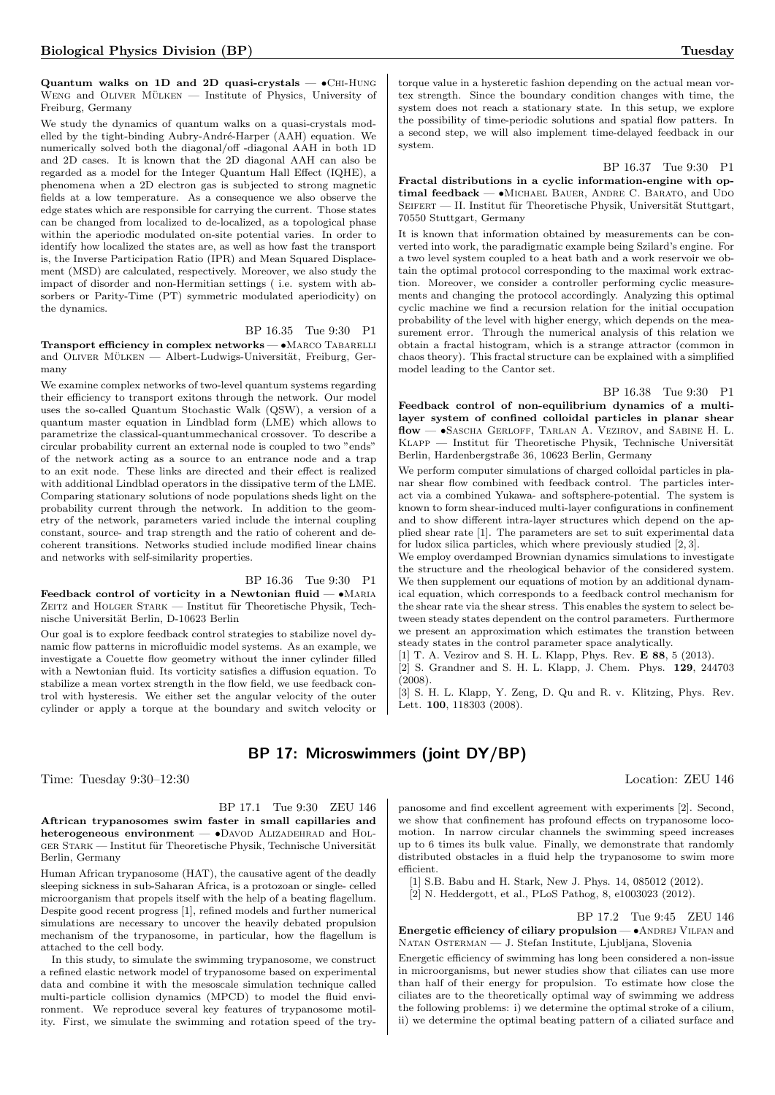Quantum walks on 1D and 2D quasi-crystals  $\bullet$ CHI-HUNG WENG and OLIVER  $MÜLKEN$  — Institute of Physics, University of Freiburg, Germany

We study the dynamics of quantum walks on a quasi-crystals modelled by the tight-binding Aubry-André-Harper (AAH) equation. We numerically solved both the diagonal/off -diagonal AAH in both 1D and 2D cases. It is known that the 2D diagonal AAH can also be regarded as a model for the Integer Quantum Hall Effect (IQHE), a phenomena when a 2D electron gas is subjected to strong magnetic fields at a low temperature. As a consequence we also observe the edge states which are responsible for carrying the current. Those states can be changed from localized to de-localized, as a topological phase within the aperiodic modulated on-site potential varies. In order to identify how localized the states are, as well as how fast the transport is, the Inverse Participation Ratio (IPR) and Mean Squared Displacement (MSD) are calculated, respectively. Moreover, we also study the impact of disorder and non-Hermitian settings ( i.e. system with absorbers or Parity-Time (PT) symmetric modulated aperiodicity) on the dynamics.

BP 16.35 Tue 9:30 P1 Transport efficiency in complex networks -  $\bullet$ MARCO TABARELLI and OLIVER MÜLKEN — Albert-Ludwigs-Universität, Freiburg, Germany

We examine complex networks of two-level quantum systems regarding their efficiency to transport exitons through the network. Our model uses the so-called Quantum Stochastic Walk (QSW), a version of a quantum master equation in Lindblad form (LME) which allows to parametrize the classical-quantummechanical crossover. To describe a circular probability current an external node is coupled to two "ends" of the network acting as a source to an entrance node and a trap to an exit node. These links are directed and their effect is realized with additional Lindblad operators in the dissipative term of the LME. Comparing stationary solutions of node populations sheds light on the probability current through the network. In addition to the geometry of the network, parameters varied include the internal coupling constant, source- and trap strength and the ratio of coherent and decoherent transitions. Networks studied include modified linear chains and networks with self-similarity properties.

BP 16.36 Tue 9:30 P1

Feedback control of vorticity in a Newtonian fluid  $\bullet$  MARIA ZEITZ and HOLGER STARK — Institut für Theoretische Physik, Technische Universität Berlin, D-10623 Berlin

Our goal is to explore feedback control strategies to stabilize novel dynamic flow patterns in microfluidic model systems. As an example, we investigate a Couette flow geometry without the inner cylinder filled with a Newtonian fluid. Its vorticity satisfies a diffusion equation. To stabilize a mean vortex strength in the flow field, we use feedback control with hysteresis. We either set the angular velocity of the outer cylinder or apply a torque at the boundary and switch velocity or

torque value in a hysteretic fashion depending on the actual mean vortex strength. Since the boundary condition changes with time, the system does not reach a stationary state. In this setup, we explore the possibility of time-periodic solutions and spatial flow patters. In a second step, we will also implement time-delayed feedback in our system.

BP 16.37 Tue 9:30 P1

Fractal distributions in a cyclic information-engine with optimal feedback —  $\bullet$ MICHAEL BAUER, ANDRE C. BARATO, and UDO SEIFERT — II. Institut für Theoretische Physik, Universität Stuttgart, 70550 Stuttgart, Germany

It is known that information obtained by measurements can be converted into work, the paradigmatic example being Szilard's engine. For a two level system coupled to a heat bath and a work reservoir we obtain the optimal protocol corresponding to the maximal work extraction. Moreover, we consider a controller performing cyclic measurements and changing the protocol accordingly. Analyzing this optimal cyclic machine we find a recursion relation for the initial occupation probability of the level with higher energy, which depends on the measurement error. Through the numerical analysis of this relation we obtain a fractal histogram, which is a strange attractor (common in chaos theory). This fractal structure can be explained with a simplified model leading to the Cantor set.

#### BP 16.38 Tue 9:30 P1

Feedback control of non-equilibrium dynamics of a multilayer system of confined colloidal particles in planar shear flow - •SASCHA GERLOFF, TARLAN A. VEZIROV, and SABINE H. L. KLAPP — Institut für Theoretische Physik, Technische Universität Berlin, Hardenbergstraße 36, 10623 Berlin, Germany

We perform computer simulations of charged colloidal particles in planar shear flow combined with feedback control. The particles interact via a combined Yukawa- and softsphere-potential. The system is known to form shear-induced multi-layer configurations in confinement and to show different intra-layer structures which depend on the applied shear rate [1]. The parameters are set to suit experimental data for ludox silica particles, which where previously studied [2, 3].

We employ overdamped Brownian dynamics simulations to investigate the structure and the rheological behavior of the considered system. We then supplement our equations of motion by an additional dynamical equation, which corresponds to a feedback control mechanism for the shear rate via the shear stress. This enables the system to select between steady states dependent on the control parameters. Furthermore we present an approximation which estimates the transtion between steady states in the control parameter space analytically.

[1] T. A. Vezirov and S. H. L. Klapp, Phys. Rev. E 88, 5 (2013).

[2] S. Grandner and S. H. L. Klapp, J. Chem. Phys. 129, 244703  $(2008)$ 

[3] S. H. L. Klapp, Y. Zeng, D. Qu and R. v. Klitzing, Phys. Rev. Lett. 100, 118303 (2008).

# BP 17: Microswimmers (joint DY/BP)

Time: Tuesday 9:30–12:30 Location: ZEU 146

BP 17.1 Tue 9:30 ZEU 146

Aftrican trypanosomes swim faster in small capillaries and heterogeneous environment —  $\bullet$ DAVOD ALIZADEHRAD and HOL- $GER$  STARK — Institut für Theoretische Physik, Technische Universität Berlin, Germany

Human African trypanosome (HAT), the causative agent of the deadly sleeping sickness in sub-Saharan Africa, is a protozoan or single- celled microorganism that propels itself with the help of a beating flagellum. Despite good recent progress [1], refined models and further numerical simulations are necessary to uncover the heavily debated propulsion mechanism of the trypanosome, in particular, how the flagellum is attached to the cell body.

In this study, to simulate the swimming trypanosome, we construct a refined elastic network model of trypanosome based on experimental data and combine it with the mesoscale simulation technique called multi-particle collision dynamics (MPCD) to model the fluid environment. We reproduce several key features of trypanosome motility. First, we simulate the swimming and rotation speed of the trypanosome and find excellent agreement with experiments [2]. Second, we show that confinement has profound effects on trypanosome locomotion. In narrow circular channels the swimming speed increases up to 6 times its bulk value. Finally, we demonstrate that randomly distributed obstacles in a fluid help the trypanosome to swim more efficient.

[1] S.B. Babu and H. Stark, New J. Phys. 14, 085012 (2012).

[2] N. Heddergott, et al., PLoS Pathog, 8, e1003023 (2012).

BP 17.2 Tue 9:45 ZEU 146 Energetic efficiency of ciliary propulsion —  $\bullet$  ANDREJ VILFAN and Natan Osterman — J. Stefan Institute, Ljubljana, Slovenia

Energetic efficiency of swimming has long been considered a non-issue in microorganisms, but newer studies show that ciliates can use more than half of their energy for propulsion. To estimate how close the ciliates are to the theoretically optimal way of swimming we address the following problems: i) we determine the optimal stroke of a cilium, ii) we determine the optimal beating pattern of a ciliated surface and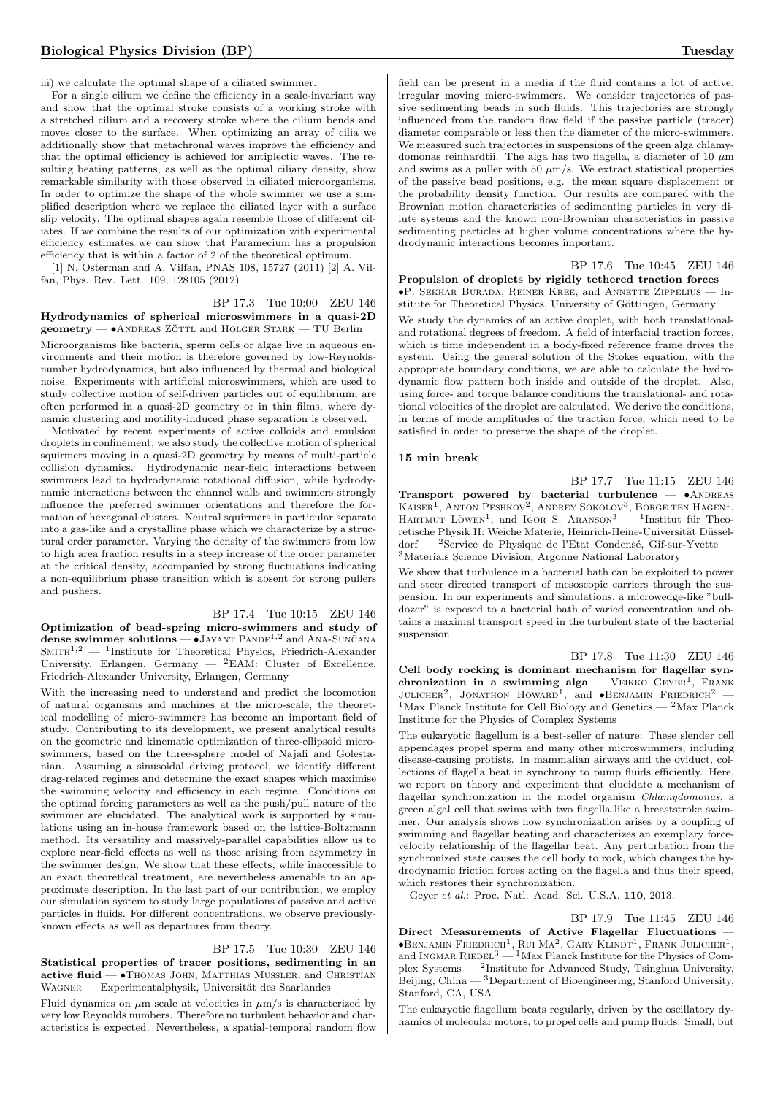iii) we calculate the optimal shape of a ciliated swimmer.

For a single cilium we define the efficiency in a scale-invariant way and show that the optimal stroke consists of a working stroke with a stretched cilium and a recovery stroke where the cilium bends and moves closer to the surface. When optimizing an array of cilia we additionally show that metachronal waves improve the efficiency and that the optimal efficiency is achieved for antiplectic waves. The resulting beating patterns, as well as the optimal ciliary density, show remarkable similarity with those observed in ciliated microorganisms. In order to optimize the shape of the whole swimmer we use a simplified description where we replace the ciliated layer with a surface slip velocity. The optimal shapes again resemble those of different ciliates. If we combine the results of our optimization with experimental efficiency estimates we can show that Paramecium has a propulsion efficiency that is within a factor of 2 of the theoretical optimum.

[1] N. Osterman and A. Vilfan, PNAS 108, 15727 (2011) [2] A. Vilfan, Phys. Rev. Lett. 109, 128105 (2012)

#### BP 17.3 Tue 10:00 ZEU 146 Hydrodynamics of spherical microswimmers in a quasi-2D

 $geometry - \bullet$ ANDREAS ZÖTTL and HOLGER STARK  $-$  TU Berlin

Microorganisms like bacteria, sperm cells or algae live in aqueous environments and their motion is therefore governed by low-Reynoldsnumber hydrodynamics, but also influenced by thermal and biological noise. Experiments with artificial microswimmers, which are used to study collective motion of self-driven particles out of equilibrium, are often performed in a quasi-2D geometry or in thin films, where dynamic clustering and motility-induced phase separation is observed.

Motivated by recent experiments of active colloids and emulsion droplets in confinement, we also study the collective motion of spherical squirmers moving in a quasi-2D geometry by means of multi-particle collision dynamics. Hydrodynamic near-field interactions between swimmers lead to hydrodynamic rotational diffusion, while hydrodynamic interactions between the channel walls and swimmers strongly influence the preferred swimmer orientations and therefore the formation of hexagonal clusters. Neutral squirmers in particular separate into a gas-like and a crystalline phase which we characterize by a structural order parameter. Varying the density of the swimmers from low to high area fraction results in a steep increase of the order parameter at the critical density, accompanied by strong fluctuations indicating a non-equilibrium phase transition which is absent for strong pullers and pushers.

#### BP 17.4 Tue 10:15 ZEU 146

Optimization of bead-spring micro-swimmers and study of dense swimmer solutions  $-\tilde{\bullet}$  JAYANT PANDE<sup>1,2</sup> and ANA-SUNCANA  $S$ MITH<sup>1,2</sup> — <sup>1</sup>Institute for Theoretical Physics, Friedrich-Alexander University, Erlangen, Germany —  ${}^{2}$ EAM: Cluster of Excellence, Friedrich-Alexander University, Erlangen, Germany

With the increasing need to understand and predict the locomotion of natural organisms and machines at the micro-scale, the theoretical modelling of micro-swimmers has become an important field of study. Contributing to its development, we present analytical results on the geometric and kinematic optimization of three-ellipsoid microswimmers, based on the three-sphere model of Najafi and Golestanian. Assuming a sinusoidal driving protocol, we identify different drag-related regimes and determine the exact shapes which maximise the swimming velocity and efficiency in each regime. Conditions on the optimal forcing parameters as well as the push/pull nature of the swimmer are elucidated. The analytical work is supported by simulations using an in-house framework based on the lattice-Boltzmann method. Its versatility and massively-parallel capabilities allow us to explore near-field effects as well as those arising from asymmetry in the swimmer design. We show that these effects, while inaccessible to an exact theoretical treatment, are nevertheless amenable to an approximate description. In the last part of our contribution, we employ our simulation system to study large populations of passive and active particles in fluids. For different concentrations, we observe previouslyknown effects as well as departures from theory.

#### BP 17.5 Tue 10:30 ZEU 146

Statistical properties of tracer positions, sedimenting in an active fluid — •Thomas John, Matthias Mußler, and Christian WAGNER — Experimentalphysik, Universität des Saarlandes

Fluid dynamics on  $\mu$ m scale at velocities in  $\mu$ m/s is characterized by very low Reynolds numbers. Therefore no turbulent behavior and characteristics is expected. Nevertheless, a spatial-temporal random flow field can be present in a media if the fluid contains a lot of active, irregular moving micro-swimmers. We consider trajectories of passive sedimenting beads in such fluids. This trajectories are strongly influenced from the random flow field if the passive particle (tracer) diameter comparable or less then the diameter of the micro-swimmers. We measured such trajectories in suspensions of the green alga chlamydomonas reinhardtii. The alga has two flagella, a diameter of 10  $\mu$ m and swims as a puller with 50  $\mu$ m/s. We extract statistical properties of the passive bead positions, e.g. the mean square displacement or the probability density function. Our results are compared with the Brownian motion characteristics of sedimenting particles in very dilute systems and the known non-Brownian characteristics in passive sedimenting particles at higher volume concentrations where the hydrodynamic interactions becomes important.

BP 17.6 Tue 10:45 ZEU 146 Propulsion of droplets by rigidly tethered traction forces -•P. Sekhar Burada, Reiner Kree, and Annette Zippelius — Institute for Theoretical Physics, University of Göttingen, Germany

We study the dynamics of an active droplet, with both translationaland rotational degrees of freedom. A field of interfacial traction forces, which is time independent in a body-fixed reference frame drives the system. Using the general solution of the Stokes equation, with the appropriate boundary conditions, we are able to calculate the hydrodynamic flow pattern both inside and outside of the droplet. Also, using force- and torque balance conditions the translational- and rotational velocities of the droplet are calculated. We derive the conditions, in terms of mode amplitudes of the traction force, which need to be satisfied in order to preserve the shape of the droplet.

#### 15 min break

BP 17.7 Tue 11:15 ZEU 146 Transport powered by bacterial turbulence  $\bullet$ ANDREAS KAISER<sup>1</sup>, ANTON PESHKOV<sup>2</sup>, ANDREY SOKOLOV<sup>3</sup>, BORGE TEN HAGEN<sup>1</sup>, HARTMUT LÖWEN<sup>1</sup>, and IGOR S. ARANSON<sup>3</sup> — <sup>1</sup>Institut für Theoretische Physik II: Weiche Materie, Heinrich-Heine-Universität Düsseldorf —  $^{2}$ Service de Physique de l'Etat Condensé, Gif-sur-Yvette — <sup>3</sup>Materials Science Division, Argonne National Laboratory

We show that turbulence in a bacterial bath can be exploited to power and steer directed transport of mesoscopic carriers through the suspension. In our experiments and simulations, a microwedge-like "bulldozer" is exposed to a bacterial bath of varied concentration and obtains a maximal transport speed in the turbulent state of the bacterial suspension.

BP 17.8 Tue 11:30 ZEU 146 Cell body rocking is dominant mechanism for flagellar synchronization in a swimming alga — VEIKKO  $G$ EYER<sup>1</sup>, FRANK JULICHER<sup>2</sup>, JONATHON HOWARD<sup>1</sup>, and  $\bullet$ BENJAMIN FRIEDRICH<sup>2</sup> – <sup>1</sup>Max Planck Institute for Cell Biology and Genetics — <sup>2</sup>Max Planck Institute for the Physics of Complex Systems

The eukaryotic flagellum is a best-seller of nature: These slender cell appendages propel sperm and many other microswimmers, including disease-causing protists. In mammalian airways and the oviduct, collections of flagella beat in synchrony to pump fluids efficiently. Here, we report on theory and experiment that elucidate a mechanism of flagellar synchronization in the model organism Chlamydomonas, a green algal cell that swims with two flagella like a breaststroke swimmer. Our analysis shows how synchronization arises by a coupling of swimming and flagellar beating and characterizes an exemplary forcevelocity relationship of the flagellar beat. Any perturbation from the synchronized state causes the cell body to rock, which changes the hydrodynamic friction forces acting on the flagella and thus their speed, which restores their synchronization.

Geyer et al.: Proc. Natl. Acad. Sci. U.S.A. 110, 2013.

BP 17.9 Tue 11:45 ZEU 146 Direct Measurements of Active Flagellar Fluctuations —  $\bullet$ Benjamin Friedrich<sup>1</sup>, Rui Ma<sup>2</sup>, Gary Klindt<sup>1</sup>, Frank Julicher<sup>1</sup>, and INGMAR RIEDEL<sup>3</sup> — <sup>1</sup>Max Planck Institute for the Physics of Complex Systems — <sup>2</sup> Institute for Advanced Study, Tsinghua University, Beijing, China — <sup>3</sup>Department of Bioengineering, Stanford University, Stanford, CA, USA

The eukaryotic flagellum beats regularly, driven by the oscillatory dynamics of molecular motors, to propel cells and pump fluids. Small, but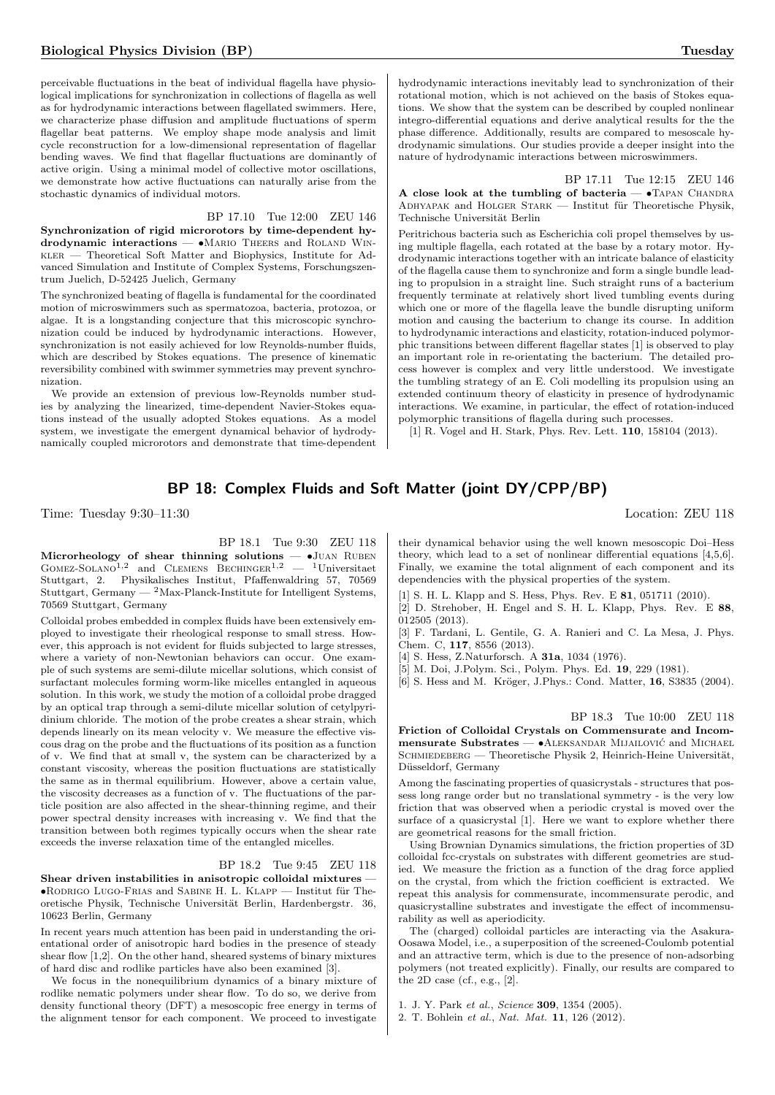perceivable fluctuations in the beat of individual flagella have physiological implications for synchronization in collections of flagella as well as for hydrodynamic interactions between flagellated swimmers. Here, we characterize phase diffusion and amplitude fluctuations of sperm flagellar beat patterns. We employ shape mode analysis and limit cycle reconstruction for a low-dimensional representation of flagellar bending waves. We find that flagellar fluctuations are dominantly of active origin. Using a minimal model of collective motor oscillations, we demonstrate how active fluctuations can naturally arise from the stochastic dynamics of individual motors.

BP 17.10 Tue 12:00 ZEU 146

Synchronization of rigid microrotors by time-dependent hy $d$ rodynamic interactions  $\bullet$ MARIO THEERS and ROLAND WINkler — Theoretical Soft Matter and Biophysics, Institute for Advanced Simulation and Institute of Complex Systems, Forschungszentrum Juelich, D-52425 Juelich, Germany

The synchronized beating of flagella is fundamental for the coordinated motion of microswimmers such as spermatozoa, bacteria, protozoa, or algae. It is a longstanding conjecture that this microscopic synchronization could be induced by hydrodynamic interactions. However, synchronization is not easily achieved for low Reynolds-number fluids, which are described by Stokes equations. The presence of kinematic reversibility combined with swimmer symmetries may prevent synchronization.

We provide an extension of previous low-Reynolds number studies by analyzing the linearized, time-dependent Navier-Stokes equations instead of the usually adopted Stokes equations. As a model system, we investigate the emergent dynamical behavior of hydrodynamically coupled microrotors and demonstrate that time-dependent hydrodynamic interactions inevitably lead to synchronization of their rotational motion, which is not achieved on the basis of Stokes equations. We show that the system can be described by coupled nonlinear integro-differential equations and derive analytical results for the the phase difference. Additionally, results are compared to mesoscale hydrodynamic simulations. Our studies provide a deeper insight into the nature of hydrodynamic interactions between microswimmers.

BP 17.11 Tue 12:15 ZEU 146 A close look at the tumbling of bacteria  $\bullet$ TAPAN CHANDRA ADHYAPAK and HOLGER STARK — Institut für Theoretische Physik, Technische Universität Berlin

Peritrichous bacteria such as Escherichia coli propel themselves by using multiple flagella, each rotated at the base by a rotary motor. Hydrodynamic interactions together with an intricate balance of elasticity of the flagella cause them to synchronize and form a single bundle leading to propulsion in a straight line. Such straight runs of a bacterium frequently terminate at relatively short lived tumbling events during which one or more of the flagella leave the bundle disrupting uniform motion and causing the bacterium to change its course. In addition to hydrodynamic interactions and elasticity, rotation-induced polymorphic transitions between different flagellar states [1] is observed to play an important role in re-orientating the bacterium. The detailed process however is complex and very little understood. We investigate the tumbling strategy of an E. Coli modelling its propulsion using an extended continuum theory of elasticity in presence of hydrodynamic interactions. We examine, in particular, the effect of rotation-induced polymorphic transitions of flagella during such processes.

[1] R. Vogel and H. Stark, Phys. Rev. Lett. 110, 158104 (2013).

# BP 18: Complex Fluids and Soft Matter (joint DY/CPP/BP)

Time: Tuesday 9:30–11:30 Location: ZEU 118

BP 18.1 Tue 9:30 ZEU 118 Microrheology of shear thinning solutions -  $\bullet$ JUAN RUBEN GOMEZ-SOLANO<sup>1,2</sup> and CLEMENS BECHINGER<sup>1,2</sup> - <sup>1</sup>Universitaet Stuttgart, 2. Physikalisches Institut, Pfaffenwaldring 57, 70569  $\text{Stuttgart, Germany} = \text{^2Max-Planck-Institute for Intelligent Systems},$ 70569 Stuttgart, Germany

Colloidal probes embedded in complex fluids have been extensively employed to investigate their rheological response to small stress. However, this approach is not evident for fluids subjected to large stresses, where a variety of non-Newtonian behaviors can occur. One example of such systems are semi-dilute micellar solutions, which consist of surfactant molecules forming worm-like micelles entangled in aqueous solution. In this work, we study the motion of a colloidal probe dragged by an optical trap through a semi-dilute micellar solution of cetylpyridinium chloride. The motion of the probe creates a shear strain, which depends linearly on its mean velocity v. We measure the effective viscous drag on the probe and the fluctuations of its position as a function of v. We find that at small v, the system can be characterized by a constant viscosity, whereas the position fluctuations are statistically the same as in thermal equilibrium. However, above a certain value, the viscosity decreases as a function of v. The fluctuations of the particle position are also affected in the shear-thinning regime, and their power spectral density increases with increasing v. We find that the transition between both regimes typically occurs when the shear rate exceeds the inverse relaxation time of the entangled micelles.

#### BP 18.2 Tue 9:45 ZEU 118

Shear driven instabilities in anisotropic colloidal mixtures - $\bullet$ RODRIGO LUGO-FRIAS and SABINE H. L. KLAPP — Institut für Theoretische Physik, Technische Universität Berlin, Hardenbergstr. 36, 10623 Berlin, Germany

In recent years much attention has been paid in understanding the orientational order of anisotropic hard bodies in the presence of steady shear flow [1,2]. On the other hand, sheared systems of binary mixtures of hard disc and rodlike particles have also been examined [3].

We focus in the nonequilibrium dynamics of a binary mixture of rodlike nematic polymers under shear flow. To do so, we derive from density functional theory (DFT) a mesoscopic free energy in terms of the alignment tensor for each component. We proceed to investigate

their dynamical behavior using the well known mesoscopic Doi–Hess theory, which lead to a set of nonlinear differential equations [4,5,6]. Finally, we examine the total alignment of each component and its dependencies with the physical properties of the system.

[1] S. H. L. Klapp and S. Hess, Phys. Rev. E 81, 051711 (2010).

[2] D. Strehober, H. Engel and S. H. L. Klapp, Phys. Rev. E 88, 012505 (2013).

[3] F. Tardani, L. Gentile, G. A. Ranieri and C. La Mesa, J. Phys. Chem. C, 117, 8556 (2013).

[4] S. Hess, Z.Naturforsch. A 31a, 1034 (1976).

[5] M. Doi, J.Polym. Sci., Polym. Phys. Ed. 19, 229 (1981).

[6] S. Hess and M. Kröger, J.Phys.: Cond. Matter, 16, S3835 (2004).

BP 18.3 Tue 10:00 ZEU 118

Friction of Colloidal Crystals on Commensurate and Incom $m$ ensurate Substrates — •ALEKSANDAR MIJAILOVIĆ and MICHAEL  $S$ CHMIEDEBERG — Theoretische Physik 2, Heinrich-Heine Universität, Düsseldorf, Germany

Among the fascinating properties of quasicrystals - structures that possess long range order but no translational symmetry - is the very low friction that was observed when a periodic crystal is moved over the surface of a quasicrystal [1]. Here we want to explore whether there are geometrical reasons for the small friction.

Using Brownian Dynamics simulations, the friction properties of 3D colloidal fcc-crystals on substrates with different geometries are studied. We measure the friction as a function of the drag force applied on the crystal, from which the friction coefficient is extracted. We repeat this analysis for commensurate, incommensurate perodic, and quasicrystalline substrates and investigate the effect of incommensurability as well as aperiodicity.

The (charged) colloidal particles are interacting via the Asakura-Oosawa Model, i.e., a superposition of the screened-Coulomb potential and an attractive term, which is due to the presence of non-adsorbing polymers (not treated explicitly). Finally, our results are compared to the 2D case (cf., e.g., [2].

1. J. Y. Park et al., Science 309, 1354 (2005).

<sup>2.</sup> T. Bohlein et al., Nat. Mat. 11, 126 (2012).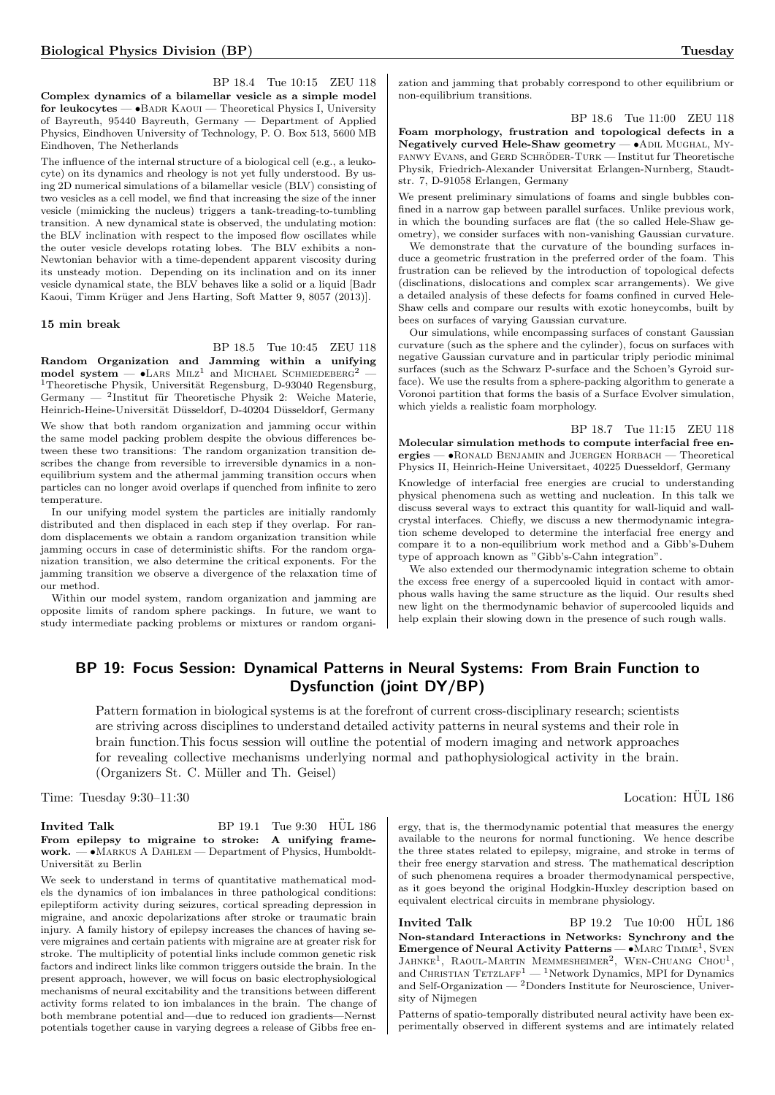BP 18.4 Tue 10:15 ZEU 118 Complex dynamics of a bilamellar vesicle as a simple model for leukocytes — •BADR KAOUI — Theoretical Physics I, University of Bayreuth, 95440 Bayreuth, Germany — Department of Applied Physics, Eindhoven University of Technology, P. O. Box 513, 5600 MB Eindhoven, The Netherlands

The influence of the internal structure of a biological cell (e.g., a leukocyte) on its dynamics and rheology is not yet fully understood. By using 2D numerical simulations of a bilamellar vesicle (BLV) consisting of two vesicles as a cell model, we find that increasing the size of the inner vesicle (mimicking the nucleus) triggers a tank-treading-to-tumbling transition. A new dynamical state is observed, the undulating motion: the BLV inclination with respect to the imposed flow oscillates while the outer vesicle develops rotating lobes. The BLV exhibits a non-Newtonian behavior with a time-dependent apparent viscosity during its unsteady motion. Depending on its inclination and on its inner vesicle dynamical state, the BLV behaves like a solid or a liquid [Badr Kaoui, Timm Krüger and Jens Harting, Soft Matter 9, 8057 (2013)].

#### 15 min break

BP 18.5 Tue 10:45 ZEU 118

Random Organization and Jamming within a unifying  $\text{model system} - \bullet \text{LARS} \text{ M}\text{LZ}^1$  and MICHAEL SCHMIEDEBERG<sup>2</sup> - $^1\rm Theoretische\ Physik,$  Universität Regensburg, D-93040 Regensburg, Germany — <sup>2</sup>Institut für Theoretische Physik 2: Weiche Materie, Heinrich-Heine-Universität Düsseldorf, D-40204 Düsseldorf, Germany

We show that both random organization and jamming occur within the same model packing problem despite the obvious differences between these two transitions: The random organization transition describes the change from reversible to irreversible dynamics in a nonequilibrium system and the athermal jamming transition occurs when particles can no longer avoid overlaps if quenched from infinite to zero temperature.

In our unifying model system the particles are initially randomly distributed and then displaced in each step if they overlap. For random displacements we obtain a random organization transition while jamming occurs in case of deterministic shifts. For the random organization transition, we also determine the critical exponents. For the jamming transition we observe a divergence of the relaxation time of our method.

Within our model system, random organization and jamming are opposite limits of random sphere packings. In future, we want to study intermediate packing problems or mixtures or random organization and jamming that probably correspond to other equilibrium or non-equilibrium transitions.

#### BP 18.6 Tue 11:00 ZEU 118

Foam morphology, frustration and topological defects in a Negatively curved Hele-Shaw geometry — •Adil Mughal, My-FANWY EVANS, and GERD SCHRÖDER-TURK — Institut fur Theoretische Physik, Friedrich-Alexander Universitat Erlangen-Nurnberg, Staudtstr. 7, D-91058 Erlangen, Germany

We present preliminary simulations of foams and single bubbles confined in a narrow gap between parallel surfaces. Unlike previous work, in which the bounding surfaces are flat (the so called Hele-Shaw geometry), we consider surfaces with non-vanishing Gaussian curvature.

We demonstrate that the curvature of the bounding surfaces induce a geometric frustration in the preferred order of the foam. This frustration can be relieved by the introduction of topological defects (disclinations, dislocations and complex scar arrangements). We give a detailed analysis of these defects for foams confined in curved Hele-Shaw cells and compare our results with exotic honeycombs, built by bees on surfaces of varying Gaussian curvature.

Our simulations, while encompassing surfaces of constant Gaussian curvature (such as the sphere and the cylinder), focus on surfaces with negative Gaussian curvature and in particular triply periodic minimal surfaces (such as the Schwarz P-surface and the Schoen's Gyroid surface). We use the results from a sphere-packing algorithm to generate a Voronoi partition that forms the basis of a Surface Evolver simulation, which yields a realistic foam morphology.

#### BP 18.7 Tue 11:15 ZEU 118

Molecular simulation methods to compute interfacial free energies — •Ronald Benjamin and Juergen Horbach — Theoretical Physics II, Heinrich-Heine Universitaet, 40225 Duesseldorf, Germany Knowledge of interfacial free energies are crucial to understanding physical phenomena such as wetting and nucleation. In this talk we discuss several ways to extract this quantity for wall-liquid and wallcrystal interfaces. Chiefly, we discuss a new thermodynamic integration scheme developed to determine the interfacial free energy and compare it to a non-equilibrium work method and a Gibb's-Duhem type of approach known as "Gibb's-Cahn integration".

We also extended our thermodynamic integration scheme to obtain the excess free energy of a supercooled liquid in contact with amorphous walls having the same structure as the liquid. Our results shed new light on the thermodynamic behavior of supercooled liquids and help explain their slowing down in the presence of such rough walls.

# BP 19: Focus Session: Dynamical Patterns in Neural Systems: From Brain Function to Dysfunction (joint DY/BP)

Pattern formation in biological systems is at the forefront of current cross-disciplinary research; scientists are striving across disciplines to understand detailed activity patterns in neural systems and their role in brain function.This focus session will outline the potential of modern imaging and network approaches for revealing collective mechanisms underlying normal and pathophysiological activity in the brain. (Organizers St. C. Müller and Th. Geisel)

Time: Tuesday 9:30–11:30 Location: HÜL 186

#### **Invited Talk** BP 19.1 Tue 9:30 HÜL 186 From epilepsy to migraine to stroke: A unifying framework. — •Markus A Dahlem — Department of Physics, Humboldt-Universität zu Berlin

We seek to understand in terms of quantitative mathematical models the dynamics of ion imbalances in three pathological conditions: epileptiform activity during seizures, cortical spreading depression in migraine, and anoxic depolarizations after stroke or traumatic brain injury. A family history of epilepsy increases the chances of having severe migraines and certain patients with migraine are at greater risk for stroke. The multiplicity of potential links include common genetic risk factors and indirect links like common triggers outside the brain. In the present approach, however, we will focus on basic electrophysiological mechanisms of neural excitability and the transitions between different activity forms related to ion imbalances in the brain. The change of both membrane potential and—due to reduced ion gradients—Nernst potentials together cause in varying degrees a release of Gibbs free en-

ergy, that is, the thermodynamic potential that measures the energy available to the neurons for normal functioning. We hence describe the three states related to epilepsy, migraine, and stroke in terms of their free energy starvation and stress. The mathematical description of such phenomena requires a broader thermodynamical perspective, as it goes beyond the original Hodgkin-Huxley description based on equivalent electrical circuits in membrane physiology.

**Invited Talk** BP 19.2 Tue 10:00 HUL 186 Non-standard Interactions in Networks: Synchrony and the Emergence of Neural Activity Patterns —  $\bullet$  MARC TIMME<sup>1</sup>, SVEN JAHNKE<sup>1</sup>, RAOUL-MARTIN MEMMESHEIMER<sup>2</sup>, WEN-CHUANG CHOU<sup>1</sup>, and CHRISTIAN TETZLAFF<sup>1</sup> — <sup>1</sup>Network Dynamics, MPI for Dynamics and Self-Organization — <sup>2</sup>Donders Institute for Neuroscience, University of Nijmegen

Patterns of spatio-temporally distributed neural activity have been experimentally observed in different systems and are intimately related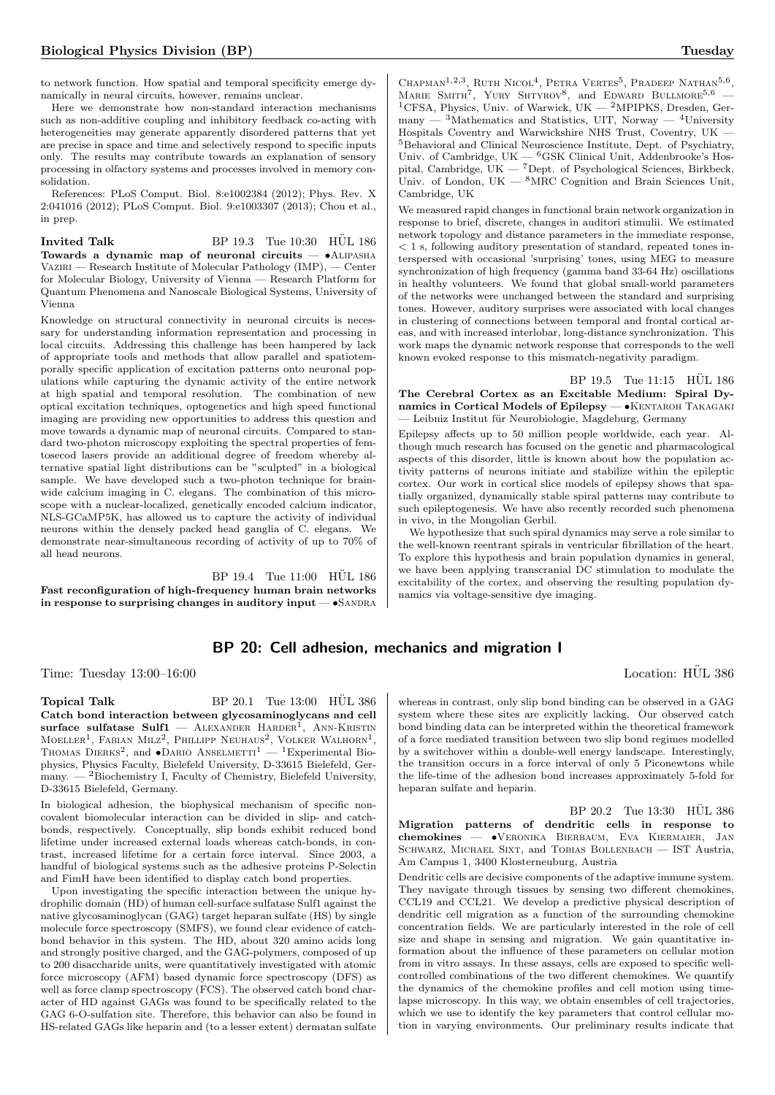to network function. How spatial and temporal specificity emerge dynamically in neural circuits, however, remains unclear.

Here we demonstrate how non-standard interaction mechanisms such as non-additive coupling and inhibitory feedback co-acting with heterogeneities may generate apparently disordered patterns that yet are precise in space and time and selectively respond to specific inputs only. The results may contribute towards an explanation of sensory processing in olfactory systems and processes involved in memory consolidation.

References: PLoS Comput. Biol. 8:e1002384 (2012); Phys. Rev. X 2:041016 (2012); PLoS Comput. Biol. 9:e1003307 (2013); Chou et al., in prep.

Invited Talk BP  $19.3$  Tue  $10:30$  HUL  $186$ Towards a dynamic map of neuronal circuits — •Alipasha Vaziri — Research Institute of Molecular Pathology (IMP), — Center for Molecular Biology, University of Vienna — Research Platform for Quantum Phenomena and Nanoscale Biological Systems, University of Vienna

Knowledge on structural connectivity in neuronal circuits is necessary for understanding information representation and processing in local circuits. Addressing this challenge has been hampered by lack of appropriate tools and methods that allow parallel and spatiotemporally specific application of excitation patterns onto neuronal populations while capturing the dynamic activity of the entire network at high spatial and temporal resolution. The combination of new optical excitation techniques, optogenetics and high speed functional imaging are providing new opportunities to address this question and move towards a dynamic map of neuronal circuits. Compared to standard two-photon microscopy exploiting the spectral properties of femtosecod lasers provide an additional degree of freedom whereby alternative spatial light distributions can be "sculpted" in a biological sample. We have developed such a two-photon technique for brainwide calcium imaging in C. elegans. The combination of this microscope with a nuclear-localized, genetically encoded calcium indicator, NLS-GCaMP5K, has allowed us to capture the activity of individual neurons within the densely packed head ganglia of C. elegans. We demonstrate near-simultaneous recording of activity of up to 70% of all head neurons.

BP 19.4 Tue 11:00 HÜL 186 Fast reconfiguration of high-frequency human brain networks in response to surprising changes in auditory input  $-\bullet$ SANDRA

# BP 20: Cell adhesion, mechanics and migration I

Topical Talk BP 20.1 Tue 13:00 HÜL 386 Catch bond interaction between glycosaminoglycans and cell  $\textbf{surface}\ \textbf{suffix} = \textbf{Sulf1} \ - \ \textbf{ALEXANDER}\ \text{HARDER}^{\text{1}},\ \textbf{ANN-KRISTIN}$ Moeller<sup>1</sup>, Fabian Milz<sup>2</sup>, Phillipp Neuhaus<sup>2</sup>, Volker Walhorn<sup>1</sup>, Thomas Dierks<sup>2</sup>, and  $\bullet$ Dario Anselmetti<sup>1</sup> — <sup>1</sup>Experimental Biophysics, Physics Faculty, Bielefeld University, D-33615 Bielefeld, Germany.  $-$  <sup>2</sup>Biochemistry I, Faculty of Chemistry, Bielefeld University, D-33615 Bielefeld, Germany.

In biological adhesion, the biophysical mechanism of specific noncovalent biomolecular interaction can be divided in slip- and catchbonds, respectively. Conceptually, slip bonds exhibit reduced bond lifetime under increased external loads whereas catch-bonds, in contrast, increased lifetime for a certain force interval. Since 2003, a handful of biological systems such as the adhesive proteins P-Selectin and FimH have been identified to display catch bond properties.

Upon investigating the specific interaction between the unique hydrophilic domain (HD) of human cell-surface sulfatase Sulf1 against the native glycosaminoglycan (GAG) target heparan sulfate (HS) by single molecule force spectroscopy (SMFS), we found clear evidence of catchbond behavior in this system. The HD, about 320 amino acids long and strongly positive charged, and the GAG-polymers, composed of up to 200 disaccharide units, were quantitatively investigated with atomic force microscopy (AFM) based dynamic force spectroscopy (DFS) as well as force clamp spectroscopy (FCS). The observed catch bond character of HD against GAGs was found to be specifically related to the GAG 6-O-sulfation site. Therefore, this behavior can also be found in HS-related GAGs like heparin and (to a lesser extent) dermatan sulfate

CHAPMAN<sup>1,2,3</sup>, RUTH NICOL<sup>4</sup>, PETRA VERTES<sup>5</sup>, PRADEEP NATHAN<sup>5,6</sup> MARIE SMITH<sup>7</sup>, YURY SHTYROV<sup>8</sup>, and EDWARD BULLMORE<sup>5,6</sup> -<sup>1</sup>CFSA, Physics, Univ. of Warwick, UK — <sup>2</sup>MPIPKS, Dresden, Germany —  ${}^{3}$ Mathematics and Statistics, UIT, Norway —  ${}^{4}$ University Hospitals Coventry and Warwickshire NHS Trust, Coventry, UK — <sup>5</sup>Behavioral and Clinical Neuroscience Institute, Dept. of Psychiatry, Univ. of Cambridge,  $UK - 6GSK$  Clinical Unit, Addenbrooke's Hospital, Cambridge,  $\mathrm{\breve{U}K-}$   $^7\mathrm{Dept.}$  of Psychological Sciences, Birkbeck, Univ. of London, UK —  $8$ MRC Cognition and Brain Sciences Unit, Cambridge, UK

We measured rapid changes in functional brain network organization in response to brief, discrete, changes in auditori stimulii. We estimated network topology and distance parameters in the immediate response, < 1 s, following auditory presentation of standard, repeated tones interspersed with occasional 'surprising' tones, using MEG to measure synchronization of high frequency (gamma band 33-64 Hz) oscillations in healthy volunteers. We found that global small-world parameters of the networks were unchanged between the standard and surprising tones. However, auditory surprises were associated with local changes in clustering of connections between temporal and frontal cortical areas, and with increased interlobar, long-distance synchronization. This work maps the dynamic network response that corresponds to the well known evoked response to this mismatch-negativity paradigm.

 $BP$  19.5 Tue 11:15  $HÜL$  186 The Cerebral Cortex as an Excitable Medium: Spiral Dynamics in Cortical Models of Epilepsy — • KENTAROH TAKAGAKI - Leibniz Institut für Neurobiologie, Magdeburg, Germany

Epilepsy affects up to 50 million people worldwide, each year. Although much research has focused on the genetic and pharmacological aspects of this disorder, little is known about how the population activity patterns of neurons initiate and stabilize within the epileptic cortex. Our work in cortical slice models of epilepsy shows that spatially organized, dynamically stable spiral patterns may contribute to such epileptogenesis. We have also recently recorded such phenomena in vivo, in the Mongolian Gerbil.

We hypothesize that such spiral dynamics may serve a role similar to the well-known reentrant spirals in ventricular fibrillation of the heart. To explore this hypothesis and brain population dynamics in general, we have been applying transcranial DC stimulation to modulate the excitability of the cortex, and observing the resulting population dynamics via voltage-sensitive dye imaging.

# Time: Tuesday 13:00–16:00 Location: HÜL 386

whereas in contrast, only slip bond binding can be observed in a GAG system where these sites are explicitly lacking. Our observed catch bond binding data can be interpreted within the theoretical framework of a force mediated transition between two slip bond regimes modelled by a switchover within a double-well energy landscape. Interestingly, the transition occurs in a force interval of only 5 Piconewtons while the life-time of the adhesion bond increases approximately 5-fold for heparan sulfate and heparin.

BP 20.2 Tue 13:30 HÜL 386 Migration patterns of dendritic cells in response to chemokines — •Veronika Bierbaum, Eva Kiermaier, Jan SCHWARZ, MICHAEL SIXT, and TOBIAS BOLLENBACH - IST Austria, Am Campus 1, 3400 Klosterneuburg, Austria

Dendritic cells are decisive components of the adaptive immune system. They navigate through tissues by sensing two different chemokines, CCL19 and CCL21. We develop a predictive physical description of dendritic cell migration as a function of the surrounding chemokine concentration fields. We are particularly interested in the role of cell size and shape in sensing and migration. We gain quantitative information about the influence of these parameters on cellular motion from in vitro assays. In these assays, cells are exposed to specific wellcontrolled combinations of the two different chemokines. We quantify the dynamics of the chemokine profiles and cell motion using timelapse microscopy. In this way, we obtain ensembles of cell trajectories, which we use to identify the key parameters that control cellular motion in varying environments. Our preliminary results indicate that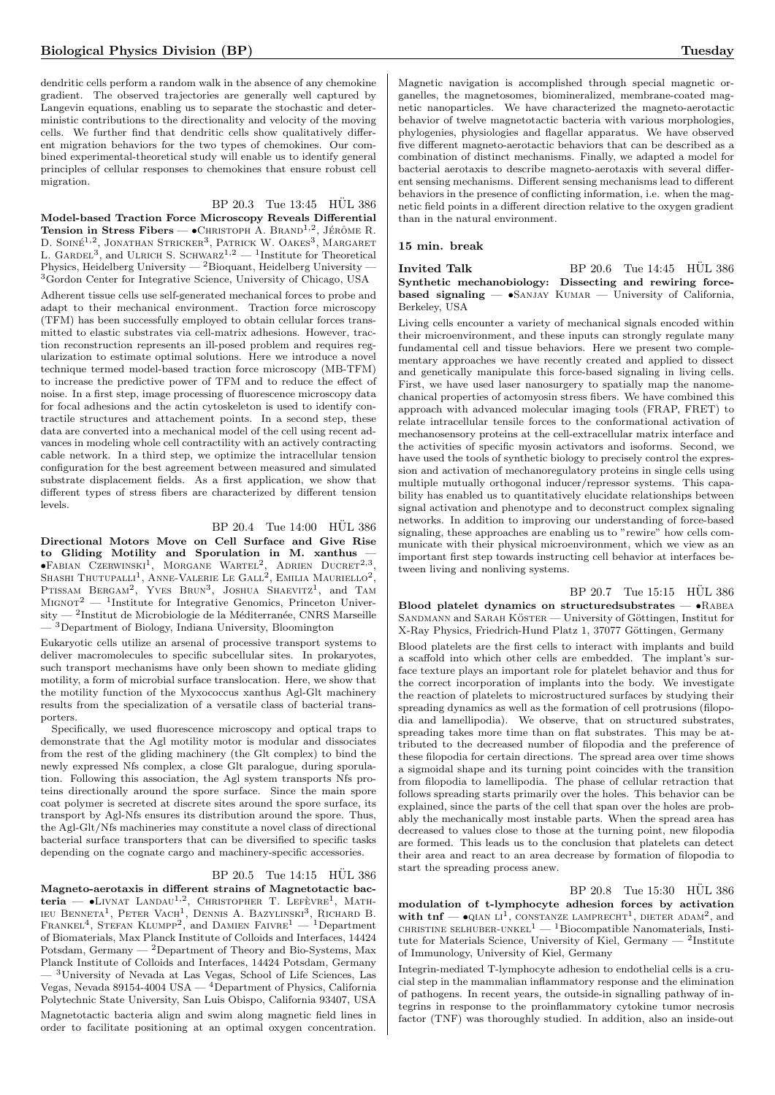dendritic cells perform a random walk in the absence of any chemokine gradient. The observed trajectories are generally well captured by Langevin equations, enabling us to separate the stochastic and deterministic contributions to the directionality and velocity of the moving cells. We further find that dendritic cells show qualitatively different migration behaviors for the two types of chemokines. Our combined experimental-theoretical study will enable us to identify general principles of cellular responses to chemokines that ensure robust cell migration.

#### BP 20.3 Tue 13:45 HÜL 386

Model-based Traction Force Microscopy Reveals Differential Tension in Stress Fibers —  $\bullet$ CHRISTOPH A. BRAND<sup>1,2</sup>, JÉRÔME R. D. SOINÉ<sup>1,2</sup>, JONATHAN STRICKER<sup>3</sup>, PATRICK W. OAKES<sup>3</sup>, MARGARET<br>L. GARDEL<sup>3</sup>, and ULRICH S. SCHWARZ<sup>1,2</sup> — <sup>1</sup>Institute for Theoretical Physics, Heidelberg University —  $^{2}$ Bioquant, Heidelberg University — <sup>3</sup>Gordon Center for Integrative Science, University of Chicago, USA

Adherent tissue cells use self-generated mechanical forces to probe and adapt to their mechanical environment. Traction force microscopy (TFM) has been successfully employed to obtain cellular forces transmitted to elastic substrates via cell-matrix adhesions. However, traction reconstruction represents an ill-posed problem and requires regularization to estimate optimal solutions. Here we introduce a novel technique termed model-based traction force microscopy (MB-TFM) to increase the predictive power of TFM and to reduce the effect of noise. In a first step, image processing of fluorescence microscopy data for focal adhesions and the actin cytoskeleton is used to identify contractile structures and attachement points. In a second step, these data are converted into a mechanical model of the cell using recent advances in modeling whole cell contractility with an actively contracting cable network. In a third step, we optimize the intracellular tension configuration for the best agreement between measured and simulated substrate displacement fields. As a first application, we show that different types of stress fibers are characterized by different tension levels.

# BP 20.4 Tue 14:00 HUL 386

Directional Motors Move on Cell Surface and Give Rise to Gliding Motility and Sporulation in M. xanthus  $\bullet$ Fabian Czerwinski<sup>1</sup>, Morgane Wartel<sup>2</sup>, Adrien Ducret<sup>2,3</sup>, SHASHI THUTUPALLI<sup>1</sup>, ANNE-VALERIE LE GALL<sup>2</sup>, EMILIA MAURIELLO<sup>2</sup>,<br>PTISSAM BERGAM<sup>2</sup>, YVES BRUN<sup>3</sup>, JOSHUA SHAEVITZ<sup>1</sup>, and TAM MIGNOT<sup>2</sup> — <sup>1</sup>Institute for Integrative Genomics, Princeton Univer- $\mathrm{six} = \mathrm{?Institut}$  de Microbiologie de la Méditerranée, CNRS Marseille <sup>-3</sup>Department of Biology, Indiana University, Bloomington

Eukaryotic cells utilize an arsenal of processive transport systems to deliver macromolecules to specific subcellular sites. In prokaryotes, such transport mechanisms have only been shown to mediate gliding motility, a form of microbial surface translocation. Here, we show that the motility function of the Myxococcus xanthus Agl-Glt machinery results from the specialization of a versatile class of bacterial transporters.

Specifically, we used fluorescence microscopy and optical traps to demonstrate that the Agl motility motor is modular and dissociates from the rest of the gliding machinery (the Glt complex) to bind the newly expressed Nfs complex, a close Glt paralogue, during sporulation. Following this association, the Agl system transports Nfs proteins directionally around the spore surface. Since the main spore coat polymer is secreted at discrete sites around the spore surface, its transport by Agl-Nfs ensures its distribution around the spore. Thus, the Agl-Glt/Nfs machineries may constitute a novel class of directional bacterial surface transporters that can be diversified to specific tasks depending on the cognate cargo and machinery-specific accessories.

#### BP 20.5 Tue 14:15 HUL 386

Magneto-aerotaxis in different strains of Magnetotactic bacteria — •Livnat Landau<sup>1,2</sup>, Christopher T. Lefèvre<sup>1</sup>, Math-<br>ieu Benneta<sup>1</sup>, Peter Vach<sup>1</sup>, Dennis A. Bazylinski<sup>3</sup>, Richard B.<br>Frankel<sup>4</sup>, Stefan Klumpp<sup>2</sup>, and Damien Faivre<sup>1</sup> — <sup>1</sup>Department of Biomaterials, Max Planck Institute of Colloids and Interfaces, 14424 Potsdam, Germany  $-$  <sup>2</sup>Department of Theory and Bio-Systems, Max Planck Institute of Colloids and Interfaces, 14424 Potsdam, Germany — <sup>3</sup>University of Nevada at Las Vegas, School of Life Sciences, Las Vegas, Nevada 89154-4004 USA — <sup>4</sup>Department of Physics, California Polytechnic State University, San Luis Obispo, California 93407, USA Magnetotactic bacteria align and swim along magnetic field lines in order to facilitate positioning at an optimal oxygen concentration.

Magnetic navigation is accomplished through special magnetic organelles, the magnetosomes, biomineralized, membrane-coated magnetic nanoparticles. We have characterized the magneto-aerotactic behavior of twelve magnetotactic bacteria with various morphologies, phylogenies, physiologies and flagellar apparatus. We have observed five different magneto-aerotactic behaviors that can be described as a combination of distinct mechanisms. Finally, we adapted a model for bacterial aerotaxis to describe magneto-aerotaxis with several different sensing mechanisms. Different sensing mechanisms lead to different behaviors in the presence of conflicting information, i.e. when the magnetic field points in a different direction relative to the oxygen gradient than in the natural environment.

#### 15 min. break

Invited Talk BP  $20.6$  Tue  $14:45$  HUL  $386$ Synthetic mechanobiology: Dissecting and rewiring forcebased signaling  $-$  •SANJAY KUMAR  $-$  University of California, Berkeley, USA

Living cells encounter a variety of mechanical signals encoded within their microenvironment, and these inputs can strongly regulate many fundamental cell and tissue behaviors. Here we present two complementary approaches we have recently created and applied to dissect and genetically manipulate this force-based signaling in living cells. First, we have used laser nanosurgery to spatially map the nanomechanical properties of actomyosin stress fibers. We have combined this approach with advanced molecular imaging tools (FRAP, FRET) to relate intracellular tensile forces to the conformational activation of mechanosensory proteins at the cell-extracellular matrix interface and the activities of specific myosin activators and isoforms. Second, we have used the tools of synthetic biology to precisely control the expression and activation of mechanoregulatory proteins in single cells using multiple mutually orthogonal inducer/repressor systems. This capability has enabled us to quantitatively elucidate relationships between signal activation and phenotype and to deconstruct complex signaling networks. In addition to improving our understanding of force-based signaling, these approaches are enabling us to "rewire" how cells communicate with their physical microenvironment, which we view as an important first step towards instructing cell behavior at interfaces between living and nonliving systems.

 $BP 20.7$  Tue  $15:15$  HUL 386 Blood platelet dynamics on structuredsubstrates  $\bullet$ RABEA  $S$ ANDMANN and  $S$ ARAH KÖSTER — University of Göttingen, Institut for X-Ray Physics, Friedrich-Hund Platz 1, 37077 Göttingen, Germany Blood platelets are the first cells to interact with implants and build a scaffold into which other cells are embedded. The implant's surface texture plays an important role for platelet behavior and thus for the correct incorporation of implants into the body. We investigate the reaction of platelets to microstructured surfaces by studying their spreading dynamics as well as the formation of cell protrusions (filopodia and lamellipodia). We observe, that on structured substrates, spreading takes more time than on flat substrates. This may be attributed to the decreased number of filopodia and the preference of these filopodia for certain directions. The spread area over time shows a sigmoidal shape and its turning point coincides with the transition from filopodia to lamellipodia. The phase of cellular retraction that follows spreading starts primarily over the holes. This behavior can be explained, since the parts of the cell that span over the holes are probably the mechanically most instable parts. When the spread area has decreased to values close to those at the turning point, new filopodia are formed. This leads us to the conclusion that platelets can detect their area and react to an area decrease by formation of filopodia to start the spreading process anew.

 $BP$  20.8 Tue 15:30 HÜL 386 modulation of t-lymphocyte adhesion forces by activation with  $\text{tnf}$   $\longrightarrow$   $\text{QIAN LI}^1$ , CONSTANZE LAMPRECHT<sup>1</sup>, DIETER ADAM<sup>2</sup>, and <code>cHRISTINE</code> <code>sELHUBER-UNKEL</code>  $\!1$  —  $\!1$  <code>Biocompatible Nanomaterials, Insti-</code> tute for Materials Science, University of Kiel, Germany  $-$  <sup>2</sup>Institute of Immunology, University of Kiel, Germany

Integrin-mediated T-lymphocyte adhesion to endothelial cells is a crucial step in the mammalian inflammatory response and the elimination of pathogens. In recent years, the outside-in signalling pathway of integrins in response to the proinflammatory cytokine tumor necrosis factor (TNF) was thoroughly studied. In addition, also an inside-out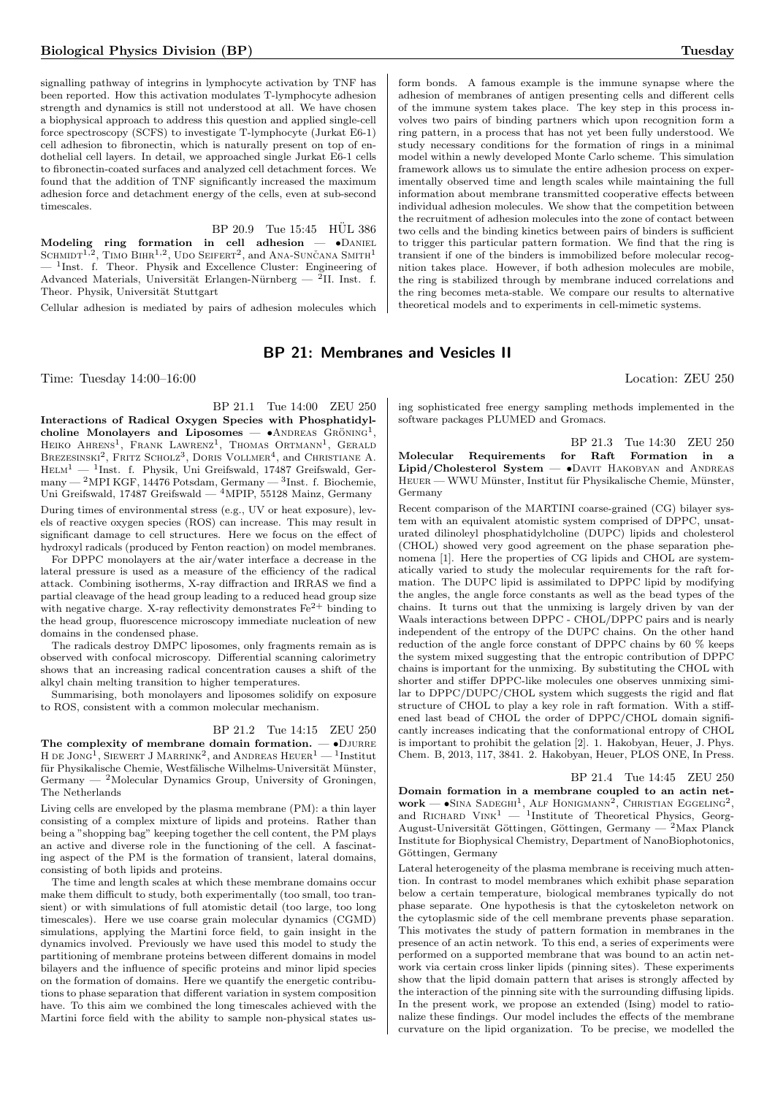signalling pathway of integrins in lymphocyte activation by TNF has been reported. How this activation modulates T-lymphocyte adhesion strength and dynamics is still not understood at all. We have chosen a biophysical approach to address this question and applied single-cell force spectroscopy (SCFS) to investigate T-lymphocyte (Jurkat E6-1) cell adhesion to fibronectin, which is naturally present on top of endothelial cell layers. In detail, we approached single Jurkat E6-1 cells to fibronectin-coated surfaces and analyzed cell detachment forces. We found that the addition of TNF significantly increased the maximum adhesion force and detachment energy of the cells, even at sub-second timescales.

 $BP$  20.9 Tue 15:45  $H\ddot{U}L$  386

Modeling ring formation in cell adhesion —  $\bullet$ Daniel Schmidt<sup>1,2</sup>, Timo Bihr<sup>1,2</sup>, Udo Seiffert<sup>2</sup>, and Ana-Sunčana Smith<sup>1</sup>  $-$ <sup>1</sup>Inst. f. Theor. Physik and Excellence Cluster: Engineering of Advanced Materials, Universität Erlangen-Nürnberg — <sup>2</sup>II. Inst. f. Theor. Physik, Universität Stuttgart

Cellular adhesion is mediated by pairs of adhesion molecules which

# BP 21: Membranes and Vesicles II

Time: Tuesday 14:00–16:00 Location: ZEU 250

BP 21.1 Tue 14:00 ZEU 250 Interactions of Radical Oxygen Species with Phosphatidylcholine Monolayers and Liposomes —  $\bullet$ ANDREAS GRÖNING<sup>1</sup>, HEIKO AHRENS<sup>1</sup>, FRANK LAWRENZ<sup>1</sup>, THOMAS ORTMANN<sup>1</sup>, GERALD BREZESINSKI<sup>2</sup>, FRITZ SCHOLZ<sup>3</sup>, DORIS VOLLMER<sup>4</sup>, and CHRISTIANE A.  $HELM<sup>1</sup>$  — <sup>1</sup>Inst. f. Physik, Uni Greifswald, 17487 Greifswald, Ger- $\text{many} = \text{^{2}MPI KGF}, \text{14476 Potsdam}, \text{Germany} = \text{^{3}Inst}. \text{ f. Biochemie},$ Uni Greifswald, 17487 Greifswald — <sup>4</sup>MPIP, 55128 Mainz, Germany During times of environmental stress (e.g., UV or heat exposure), levels of reactive oxygen species (ROS) can increase. This may result in significant damage to cell structures. Here we focus on the effect of hydroxyl radicals (produced by Fenton reaction) on model membranes.

For DPPC monolayers at the air/water interface a decrease in the lateral pressure is used as a measure of the efficiency of the radical attack. Combining isotherms, X-ray diffraction and IRRAS we find a partial cleavage of the head group leading to a reduced head group size with negative charge. X-ray reflectivity demonstrates  $Fe^{2+}$  binding to the head group, fluorescence microscopy immediate nucleation of new domains in the condensed phase.

The radicals destroy DMPC liposomes, only fragments remain as is observed with confocal microscopy. Differential scanning calorimetry shows that an increasing radical concentration causes a shift of the alkyl chain melting transition to higher temperatures.

Summarising, both monolayers and liposomes solidify on exposure to ROS, consistent with a common molecular mechanism.

BP 21.2 Tue 14:15 ZEU 250 The complexity of membrane domain formation.  $\bullet$ DJURRE H de Jong<sup>1</sup>, Siewert J Marrink<sup>2</sup>, and Andreas Heuer<sup>1</sup> — <sup>1</sup>Institut für Physikalische Chemie, Westfälische Wilhelms-Universität Münster, Germany — <sup>2</sup>Molecular Dynamics Group, University of Groningen, The Netherlands

Living cells are enveloped by the plasma membrane (PM): a thin layer consisting of a complex mixture of lipids and proteins. Rather than being a "shopping bag" keeping together the cell content, the PM plays an active and diverse role in the functioning of the cell. A fascinating aspect of the PM is the formation of transient, lateral domains, consisting of both lipids and proteins.

The time and length scales at which these membrane domains occur make them difficult to study, both experimentally (too small, too transient) or with simulations of full atomistic detail (too large, too long timescales). Here we use coarse grain molecular dynamics (CGMD) simulations, applying the Martini force field, to gain insight in the dynamics involved. Previously we have used this model to study the partitioning of membrane proteins between different domains in model bilayers and the influence of specific proteins and minor lipid species on the formation of domains. Here we quantify the energetic contributions to phase separation that different variation in system composition have. To this aim we combined the long timescales achieved with the Martini force field with the ability to sample non-physical states us-

form bonds. A famous example is the immune synapse where the adhesion of membranes of antigen presenting cells and different cells of the immune system takes place. The key step in this process involves two pairs of binding partners which upon recognition form a ring pattern, in a process that has not yet been fully understood. We study necessary conditions for the formation of rings in a minimal model within a newly developed Monte Carlo scheme. This simulation framework allows us to simulate the entire adhesion process on experimentally observed time and length scales while maintaining the full information about membrane transmitted cooperative effects between individual adhesion molecules. We show that the competition between the recruitment of adhesion molecules into the zone of contact between two cells and the binding kinetics between pairs of binders is sufficient to trigger this particular pattern formation. We find that the ring is transient if one of the binders is immobilized before molecular recognition takes place. However, if both adhesion molecules are mobile, the ring is stabilized through by membrane induced correlations and the ring becomes meta-stable. We compare our results to alternative theoretical models and to experiments in cell-mimetic systems.

ing sophisticated free energy sampling methods implemented in the software packages PLUMED and Gromacs.

BP 21.3 Tue 14:30 ZEU 250 Molecular Requirements for Raft Formation in a Lipid/Cholesterol System  $-\bullet$ Davit HAKOBYAN and ANDREAS HEUER — WWU Münster, Institut für Physikalische Chemie, Münster, Germany

Recent comparison of the MARTINI coarse-grained (CG) bilayer system with an equivalent atomistic system comprised of DPPC, unsaturated dilinoleyl phosphatidylcholine (DUPC) lipids and cholesterol (CHOL) showed very good agreement on the phase separation phenomena [1]. Here the properties of CG lipids and CHOL are systematically varied to study the molecular requirements for the raft formation. The DUPC lipid is assimilated to DPPC lipid by modifying the angles, the angle force constants as well as the bead types of the chains. It turns out that the unmixing is largely driven by van der Waals interactions between DPPC - CHOL/DPPC pairs and is nearly independent of the entropy of the DUPC chains. On the other hand reduction of the angle force constant of DPPC chains by 60 % keeps the system mixed suggesting that the entropic contribution of DPPC chains is important for the unmixing. By substituting the CHOL with shorter and stiffer DPPC-like molecules one observes unmixing similar to DPPC/DUPC/CHOL system which suggests the rigid and flat structure of CHOL to play a key role in raft formation. With a stiffened last bead of CHOL the order of DPPC/CHOL domain significantly increases indicating that the conformational entropy of CHOL is important to prohibit the gelation [2]. 1. Hakobyan, Heuer, J. Phys. Chem. B, 2013, 117, 3841. 2. Hakobyan, Heuer, PLOS ONE, In Press.

BP 21.4 Tue 14:45 ZEU 250 Domain formation in a membrane coupled to an actin network — •SINA SADEGHI<sup>1</sup>, ALF HONIGMANN<sup>2</sup>, CHRISTIAN EGGELING<sup>2</sup>, and RICHARD VINK<sup>1</sup> — <sup>1</sup>Institute of Theoretical Physics, Georg-August-Universität Göttingen, Göttingen, Germany — <sup>2</sup>Max Planck Institute for Biophysical Chemistry, Department of NanoBiophotonics, Göttingen, Germany

Lateral heterogeneity of the plasma membrane is receiving much attention. In contrast to model membranes which exhibit phase separation below a certain temperature, biological membranes typically do not phase separate. One hypothesis is that the cytoskeleton network on the cytoplasmic side of the cell membrane prevents phase separation. This motivates the study of pattern formation in membranes in the presence of an actin network. To this end, a series of experiments were performed on a supported membrane that was bound to an actin network via certain cross linker lipids (pinning sites). These experiments show that the lipid domain pattern that arises is strongly affected by the interaction of the pinning site with the surrounding diffusing lipids. In the present work, we propose an extended (Ising) model to rationalize these findings. Our model includes the effects of the membrane curvature on the lipid organization. To be precise, we modelled the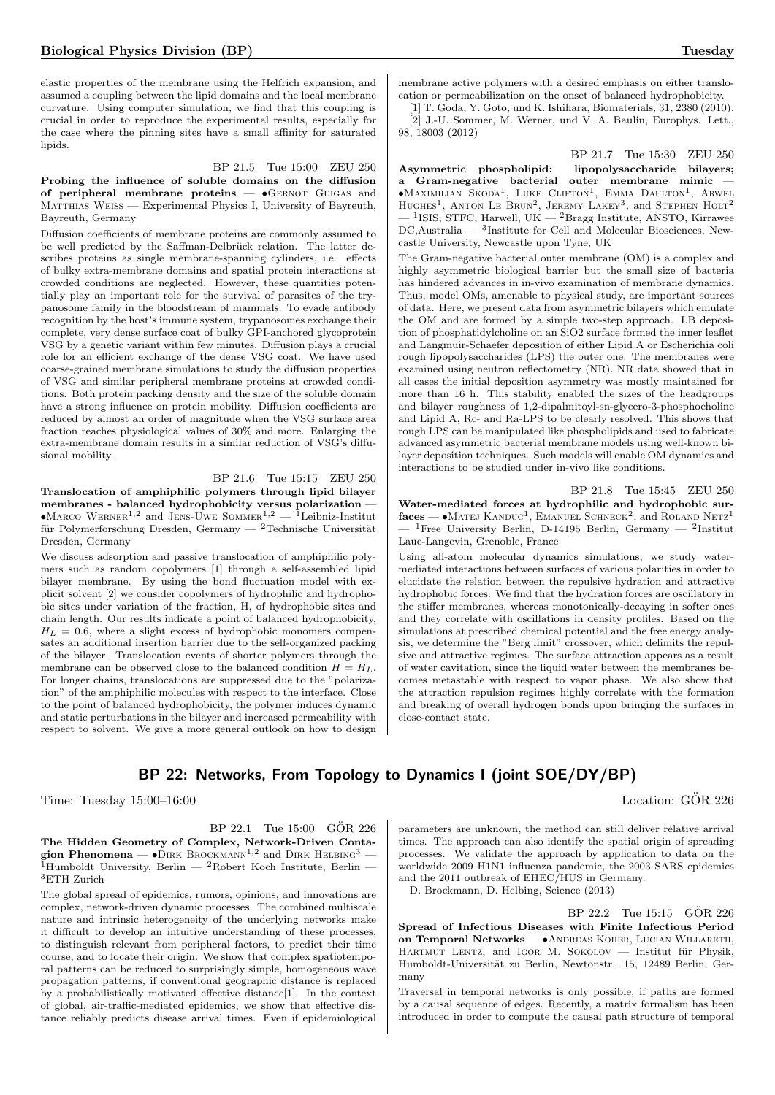elastic properties of the membrane using the Helfrich expansion, and assumed a coupling between the lipid domains and the local membrane curvature. Using computer simulation, we find that this coupling is crucial in order to reproduce the experimental results, especially for the case where the pinning sites have a small affinity for saturated lipids.

#### BP 21.5 Tue 15:00 ZEU 250

Probing the influence of soluble domains on the diffusion of peripheral membrane proteins — •Gernot Guigas and MATTHIAS WEISS — Experimental Physics I, University of Bayreuth, Bayreuth, Germany

Diffusion coefficients of membrane proteins are commonly assumed to be well predicted by the Saffman-Delbrück relation. The latter describes proteins as single membrane-spanning cylinders, i.e. effects of bulky extra-membrane domains and spatial protein interactions at crowded conditions are neglected. However, these quantities potentially play an important role for the survival of parasites of the trypanosome family in the bloodstream of mammals. To evade antibody recognition by the host's immune system, trypanosomes exchange their complete, very dense surface coat of bulky GPI-anchored glycoprotein VSG by a genetic variant within few minutes. Diffusion plays a crucial role for an efficient exchange of the dense VSG coat. We have used coarse-grained membrane simulations to study the diffusion properties of VSG and similar peripheral membrane proteins at crowded conditions. Both protein packing density and the size of the soluble domain have a strong influence on protein mobility. Diffusion coefficients are reduced by almost an order of magnitude when the VSG surface area fraction reaches physiological values of 30% and more. Enlarging the extra-membrane domain results in a similar reduction of VSG's diffusional mobility.

BP 21.6 Tue 15:15 ZEU 250 Translocation of amphiphilic polymers through lipid bilayer membranes - balanced hydrophobicity versus polarization — •MARCO WERNER<sup>1,2</sup> and JENS-UWE SOMMER<sup>1,2</sup> — <sup>1</sup>Leibniz-Institut für Polymerforschung Dresden, Germany — <sup>2</sup>Technische Universität Dresden, Germany

We discuss adsorption and passive translocation of amphiphilic polymers such as random copolymers [1] through a self-assembled lipid bilayer membrane. By using the bond fluctuation model with explicit solvent [2] we consider copolymers of hydrophilic and hydrophobic sites under variation of the fraction, H, of hydrophobic sites and chain length. Our results indicate a point of balanced hydrophobicity,  $H_L = 0.6$ , where a slight excess of hydrophobic monomers compensates an additional insertion barrier due to the self-organized packing of the bilayer. Translocation events of shorter polymers through the membrane can be observed close to the balanced condition  $H = H_L$ . For longer chains, translocations are suppressed due to the "polarization" of the amphiphilic molecules with respect to the interface. Close to the point of balanced hydrophobicity, the polymer induces dynamic and static perturbations in the bilayer and increased permeability with respect to solvent. We give a more general outlook on how to design

membrane active polymers with a desired emphasis on either translocation or permeabilization on the onset of balanced hydrophobicity.

[1] T. Goda, Y. Goto, und K. Ishihara, Biomaterials, 31, 2380 (2010). [2] J.-U. Sommer, M. Werner, und V. A. Baulin, Europhys. Lett., 98, 18003 (2012)

BP 21.7 Tue 15:30 ZEU 250 Asymmetric phospholipid: lipopolysaccharide bilayers; a Gram-negative bacterial outer membrane mimic —  $\bullet$ Maximilian Skoda<sup>1</sup>, Luke Clifton<sup>1</sup>, Emma Daulton<sup>1</sup>, Arwel HUGHES<sup>1</sup>, ANTON LE BRUN<sup>2</sup>, JEREMY LAKEY<sup>3</sup>, and STEPHEN HOLT<sup>2</sup>  $-$  <sup>1</sup>ISIS, STFC, Harwell, UK  $-$  <sup>2</sup>Bragg Institute, ANSTO, Kirrawee DC,Australia — <sup>3</sup> Institute for Cell and Molecular Biosciences, Newcastle University, Newcastle upon Tyne, UK

The Gram-negative bacterial outer membrane (OM) is a complex and highly asymmetric biological barrier but the small size of bacteria has hindered advances in in-vivo examination of membrane dynamics. Thus, model OMs, amenable to physical study, are important sources of data. Here, we present data from asymmetric bilayers which emulate the OM and are formed by a simple two-step approach. LB deposition of phosphatidylcholine on an SiO2 surface formed the inner leaflet and Langmuir-Schaefer deposition of either Lipid A or Escherichia coli rough lipopolysaccharides (LPS) the outer one. The membranes were examined using neutron reflectometry (NR). NR data showed that in all cases the initial deposition asymmetry was mostly maintained for more than 16 h. This stability enabled the sizes of the headgroups and bilayer roughness of 1,2-dipalmitoyl-sn-glycero-3-phosphocholine and Lipid A, Rc- and Ra-LPS to be clearly resolved. This shows that rough LPS can be manipulated like phospholipids and used to fabricate advanced asymmetric bacterial membrane models using well-known bilayer deposition techniques. Such models will enable OM dynamics and interactions to be studied under in-vivo like conditions.

BP 21.8 Tue 15:45 ZEU 250 Water-mediated forces at hydrophilic and hydrophobic sur $faces$   $\bullet$  Matej Kanduc<sup>1</sup>, Emanuel Schneck<sup>2</sup>, and Roland Netz<sup>1</sup>  $-$  <sup>1</sup>Free University Berlin, D-14195 Berlin, Germany  $-$  <sup>2</sup>Institut Laue-Langevin, Grenoble, France

Using all-atom molecular dynamics simulations, we study watermediated interactions between surfaces of various polarities in order to elucidate the relation between the repulsive hydration and attractive hydrophobic forces. We find that the hydration forces are oscillatory in the stiffer membranes, whereas monotonically-decaying in softer ones and they correlate with oscillations in density profiles. Based on the simulations at prescribed chemical potential and the free energy analysis, we determine the "Berg limit" crossover, which delimits the repulsive and attractive regimes. The surface attraction appears as a result of water cavitation, since the liquid water between the membranes becomes metastable with respect to vapor phase. We also show that the attraction repulsion regimes highly correlate with the formation and breaking of overall hydrogen bonds upon bringing the surfaces in close-contact state.

# BP 22: Networks, From Topology to Dynamics I (joint SOE/DY/BP)

Time: Tuesday  $15:00-16:00$  Location:  $\ddot{GOR}$  226

 $BP$  22.1 Tue 15:00  $GOR$  226 The Hidden Geometry of Complex, Network-Driven Contagion Phenomena —  $\bullet$ DIRK BROCKMANN<sup>1,2</sup> and DIRK HELBING<sup>3</sup> —  $1$ Humboldt University, Berlin —  $2$ Robert Koch Institute, Berlin —  $^3\rm ETH$ Zurich

The global spread of epidemics, rumors, opinions, and innovations are complex, network-driven dynamic processes. The combined multiscale nature and intrinsic heterogeneity of the underlying networks make it difficult to develop an intuitive understanding of these processes, to distinguish relevant from peripheral factors, to predict their time course, and to locate their origin. We show that complex spatiotemporal patterns can be reduced to surprisingly simple, homogeneous wave propagation patterns, if conventional geographic distance is replaced by a probabilistically motivated effective distance[1]. In the context of global, air-traffic-mediated epidemics, we show that effective distance reliably predicts disease arrival times. Even if epidemiological parameters are unknown, the method can still deliver relative arrival times. The approach can also identify the spatial origin of spreading processes. We validate the approach by application to data on the worldwide 2009 H1N1 influenza pandemic, the 2003 SARS epidemics and the 2011 outbreak of EHEC/HUS in Germany.

D. Brockmann, D. Helbing, Science (2013)

BP 22.2 Tue 15:15 GOR 226 Spread of Infectious Diseases with Finite Infectious Period on Temporal Networks — •Andreas Koher, Lucian Willareth, HARTMUT LENTZ, and IGOR M. SOKOLOV - Institut für Physik, Humboldt-Universität zu Berlin, Newtonstr. 15, 12489 Berlin, Germany

Traversal in temporal networks is only possible, if paths are formed by a causal sequence of edges. Recently, a matrix formalism has been introduced in order to compute the causal path structure of temporal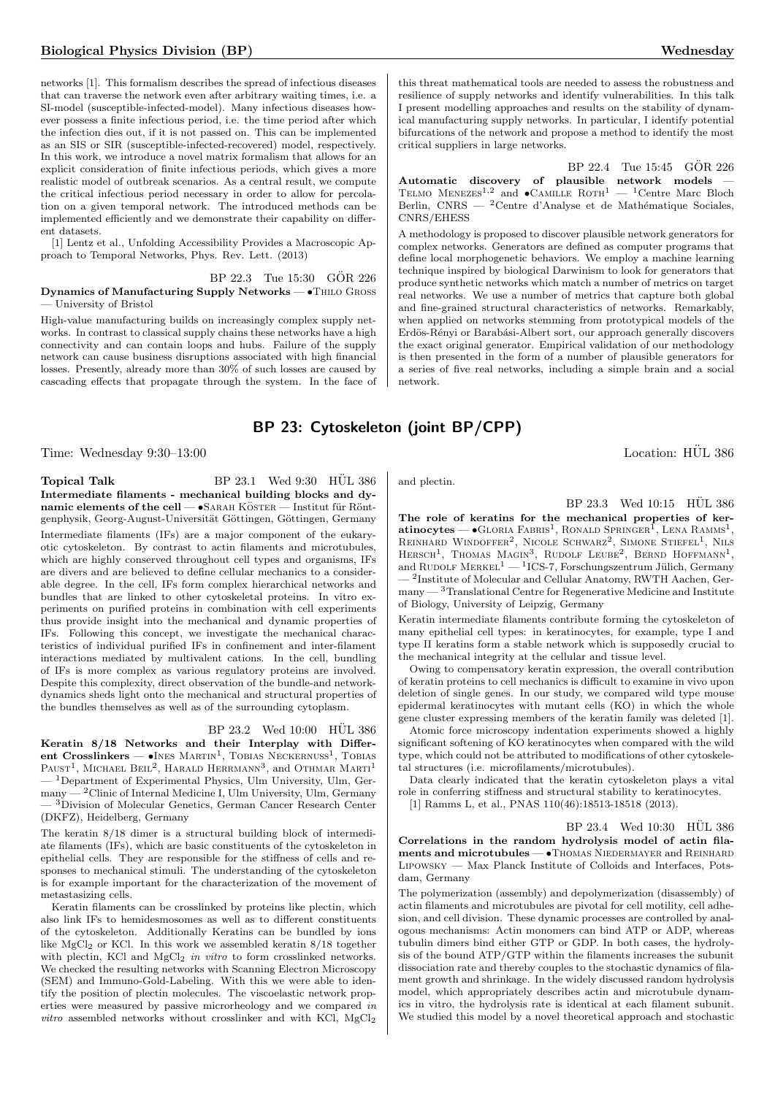networks [1]. This formalism describes the spread of infectious diseases that can traverse the network even after arbitrary waiting times, i.e. a SI-model (susceptible-infected-model). Many infectious diseases however possess a finite infectious period, i.e. the time period after which the infection dies out, if it is not passed on. This can be implemented as an SIS or SIR (susceptible-infected-recovered) model, respectively. In this work, we introduce a novel matrix formalism that allows for an explicit consideration of finite infectious periods, which gives a more realistic model of outbreak scenarios. As a central result, we compute the critical infectious period necessary in order to allow for percolation on a given temporal network. The introduced methods can be implemented efficiently and we demonstrate their capability on different datasets.

[1] Lentz et al., Unfolding Accessibility Provides a Macroscopic Approach to Temporal Networks, Phys. Rev. Lett. (2013)

BP 22.3 Tue 15:30 GÖR 226 Dynamics of Manufacturing Supply Networks — •Thilo Gross

— University of Bristol

High-value manufacturing builds on increasingly complex supply networks. In contrast to classical supply chains these networks have a high connectivity and can contain loops and hubs. Failure of the supply network can cause business disruptions associated with high financial losses. Presently, already more than 30% of such losses are caused by cascading effects that propagate through the system. In the face of

this threat mathematical tools are needed to assess the robustness and resilience of supply networks and identify vulnerabilities. In this talk I present modelling approaches and results on the stability of dynamical manufacturing supply networks. In particular, I identify potential bifurcations of the network and propose a method to identify the most critical suppliers in large networks.

 $BP$  22.4 Tue 15:45  $GOR$  226 Automatic discovery of plausible network models TELMO  $M$ ENEZES<sup>1,2</sup> and  $\bullet$ CAMILLE ROTH<sup>1</sup> — <sup>1</sup>Centre Marc Bloch Berlin, CNRS — <sup>2</sup>Centre d'Analyse et de Mathématique Sociales, CNRS/EHESS

A methodology is proposed to discover plausible network generators for complex networks. Generators are defined as computer programs that define local morphogenetic behaviors. We employ a machine learning technique inspired by biological Darwinism to look for generators that produce synthetic networks which match a number of metrics on target real networks. We use a number of metrics that capture both global and fine-grained structural characteristics of networks. Remarkably, when applied on networks stemming from prototypical models of the Erdös-Rényi or Barabási-Albert sort, our approach generally discovers the exact original generator. Empirical validation of our methodology is then presented in the form of a number of plausible generators for a series of five real networks, including a simple brain and a social network.

# BP 23: Cytoskeleton (joint BP/CPP)

Time: Wednesday 9:30–13:00 Location: HUL 386 ¨

**Topical Talk** BP 23.1 Wed  $9:30$  HUL 386 Intermediate filaments - mechanical building blocks and dy $n$ amic elements of the cell —  $\bullet$ SARAH KÖSTER — Institut für Röntgenphysik, Georg-August-Universität Göttingen, Göttingen, Germany Intermediate filaments (IFs) are a major component of the eukaryotic cytoskeleton. By contrast to actin filaments and microtubules, which are highly conserved throughout cell types and organisms, IFs are divers and are believed to define cellular mechanics to a considerable degree. In the cell, IFs form complex hierarchical networks and bundles that are linked to other cytoskeletal proteins. In vitro experiments on purified proteins in combination with cell experiments thus provide insight into the mechanical and dynamic properties of IFs. Following this concept, we investigate the mechanical characteristics of individual purified IFs in confinement and inter-filament interactions mediated by multivalent cations. In the cell, bundling of IFs is more complex as various regulatory proteins are involved. Despite this complexity, direct observation of the bundle-and networkdynamics sheds light onto the mechanical and structural properties of the bundles themselves as well as of the surrounding cytoplasm.

 $BP$  23.2 Wed 10:00  $HÜL$  386

Keratin 8/18 Networks and their Interplay with Different Crosslinkers —  $\bullet$ Ines Martin<sup>1</sup>, Tobias Neckernuss<sup>1</sup>, Tobias PAUST<sup>1</sup>, MICHAEL BEIL<sup>2</sup>, HARALD HERRMANN<sup>3</sup>, and OTHMAR MARTI<sup>1</sup> — <sup>1</sup>Department of Experimental Physics, Ulm University, Ulm, Ger- $\mu$ many  $-$  <sup>2</sup>Clinic of Internal Medicine I, Ulm University, Ulm, Germany — <sup>3</sup>Division of Molecular Genetics, German Cancer Research Center (DKFZ), Heidelberg, Germany

The keratin 8/18 dimer is a structural building block of intermediate filaments (IFs), which are basic constituents of the cytoskeleton in epithelial cells. They are responsible for the stiffness of cells and responses to mechanical stimuli. The understanding of the cytoskeleton is for example important for the characterization of the movement of metastasizing cells.

Keratin filaments can be crosslinked by proteins like plectin, which also link IFs to hemidesmosomes as well as to different constituents of the cytoskeleton. Additionally Keratins can be bundled by ions like MgCl<sup>2</sup> or KCl. In this work we assembled keratin 8/18 together with plectin, KCl and  $MgCl<sub>2</sub>$  in vitro to form crosslinked networks. We checked the resulting networks with Scanning Electron Microscopy (SEM) and Immuno-Gold-Labeling. With this we were able to identify the position of plectin molecules. The viscoelastic network properties were measured by passive microrheology and we compared in  $vitro$  assembled networks without crosslinker and with KCl,  $MgCl<sub>2</sub>$ 

and plectin.

BP 23.3 Wed 10:15 HÜL 386

The role of keratins for the mechanical properties of ker- $\text{atinocytes} \longrightarrow \text{GLORIA FABRIS}^1$ , RONALD SPRINGER<sup>1</sup>, LENA RAMMS<sup>1</sup>, REINHARD WINDOFFER<sup>2</sup>, NICOLE SCHWARZ<sup>2</sup>, SIMONE STIEFEL<sup>1</sup>, NILS HERSCH<sup>1</sup>, THOMAS MAGIN<sup>3</sup>, RUDOLF LEUBE<sup>2</sup>, BERND HOFFMANN<sup>1</sup>, and RUDOLF MERKEL<sup>1</sup>  $-$ <sup>1</sup>ICS-7, Forschungszentrum Jülich, Germany

— <sup>2</sup> Institute of Molecular and Cellular Anatomy, RWTH Aachen, Germany — <sup>3</sup>Translational Centre for Regenerative Medicine and Institute of Biology, University of Leipzig, Germany

Keratin intermediate filaments contribute forming the cytoskeleton of many epithelial cell types: in keratinocytes, for example, type I and type II keratins form a stable network which is supposedly crucial to the mechanical integrity at the cellular and tissue level.

Owing to compensatory keratin expression, the overall contribution of keratin proteins to cell mechanics is difficult to examine in vivo upon deletion of single genes. In our study, we compared wild type mouse epidermal keratinocytes with mutant cells (KO) in which the whole gene cluster expressing members of the keratin family was deleted [1].

Atomic force microscopy indentation experiments showed a highly significant softening of KO keratinocytes when compared with the wild type, which could not be attributed to modifications of other cytoskeletal structures (i.e. microfilaments/microtubules).

Data clearly indicated that the keratin cytoskeleton plays a vital role in conferring stiffness and structural stability to keratinocytes.

[1] Ramms L, et al., PNAS 110(46):18513-18518 (2013).

 $BP 23.4$  Wed  $10:30$  HÜL 386 Correlations in the random hydrolysis model of actin fila- $\mathbf{ments}$  and  $\mathbf{microtubules} \longrightarrow \mathbf{ThOMAS}$  NIEDERMAYER and REINHARD Lipowsky — Max Planck Institute of Colloids and Interfaces, Potsdam, Germany

The polymerization (assembly) and depolymerization (disassembly) of actin filaments and microtubules are pivotal for cell motility, cell adhesion, and cell division. These dynamic processes are controlled by analogous mechanisms: Actin monomers can bind ATP or ADP, whereas tubulin dimers bind either GTP or GDP. In both cases, the hydrolysis of the bound ATP/GTP within the filaments increases the subunit dissociation rate and thereby couples to the stochastic dynamics of filament growth and shrinkage. In the widely discussed random hydrolysis model, which appropriately describes actin and microtubule dynamics in vitro, the hydrolysis rate is identical at each filament subunit. We studied this model by a novel theoretical approach and stochastic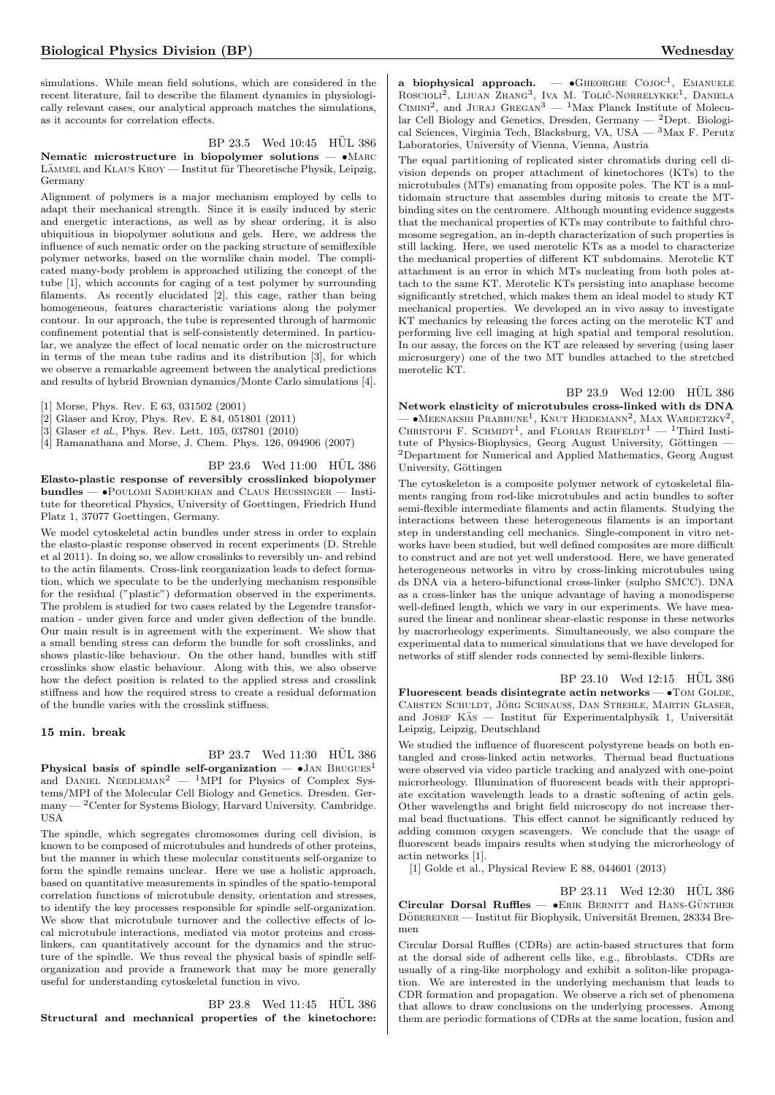simulations. While mean field solutions, which are considered in the recent literature, fail to describe the filament dynamics in physiologically relevant cases, our analytical approach matches the simulations, as it accounts for correlation effects.

 $BP$  23.5 Wed 10:45  $HÜL$  386

Nematic microstructure in biopolymer solutions -  $\bullet$ MARC LÄMMEL and KLAUS KROY — Institut für Theoretische Physik, Leipzig, Germany

Alignment of polymers is a major mechanism employed by cells to adapt their mechanical strength. Since it is easily induced by steric and energetic interactions, as well as by shear ordering, it is also ubiquitious in biopolymer solutions and gels. Here, we address the influence of such nematic order on the packing structure of semiflexible polymer networks, based on the wormlike chain model. The complicated many-body problem is approached utilizing the concept of the tube [1], which accounts for caging of a test polymer by surrounding filaments. As recently elucidated [2], this cage, rather than being homogeneous, features characteristic variations along the polymer contour. In our approach, the tube is represented through of harmonic confinement potential that is self-consistently determined. In particular, we analyze the effect of local nematic order on the microstructure in terms of the mean tube radius and its distribution [3], for which we observe a remarkable agreement between the analytical predictions and results of hybrid Brownian dynamics/Monte Carlo simulations [4].

[1] Morse, Phys. Rev. E 63, 031502 (2001)

[2] Glaser and Kroy, Phys. Rev. E 84, 051801 (2011)

[3] Glaser *et al.*, Phys. Rev. Lett. 105, 037801 (2010)

[4] Ramanathana and Morse, J. Chem. Phys. 126, 094906 (2007)

 $BP$  23.6 Wed 11:00 HUL 386

Elasto-plastic response of reversibly crosslinked biopolymer bundles — •Poulomi Sadhukhan and Claus Heussinger — Institute for theoretical Physics, University of Goettingen, Friedrich Hund Platz 1, 37077 Goettingen, Germany.

We model cytoskeletal actin bundles under stress in order to explain the elasto-plastic response observed in recent experiments (D. Strehle et al 2011). In doing so, we allow crosslinks to reversibly un- and rebind to the actin filaments. Cross-link reorganization leads to defect formation, which we speculate to be the underlying mechanism responsible for the residual ("plastic") deformation observed in the experiments. The problem is studied for two cases related by the Legendre transformation - under given force and under given deflection of the bundle. Our main result is in agreement with the experiment. We show that a small bending stress can deform the bundle for soft crosslinks, and shows plastic-like behaviour. On the other hand, bundles with stiff crosslinks show elastic behaviour. Along with this, we also observe how the defect position is related to the applied stress and crosslink stiffness and how the required stress to create a residual deformation of the bundle varies with the crosslink stiffness.

#### 15 min. break

 $BP$  23.7 Wed 11:30  $HÜL$  386

Physical basis of spindle self-organization —  $\bullet$  Jan  $\mathrm{Brucu}\mathrm{s}^1$ and DANIEL NEEDLEMAN<sup>2</sup> — <sup>1</sup>MPI for Physics of Complex Systems/MPI of the Molecular Cell Biology and Genetics. Dresden. Ger $m$ any  $-$  <sup>2</sup> Center for Systems Biology, Harvard University. Cambridge. USA

The spindle, which segregates chromosomes during cell division, is known to be composed of microtubules and hundreds of other proteins, but the manner in which these molecular constituents self-organize to form the spindle remains unclear. Here we use a holistic approach, based on quantitative measurements in spindles of the spatio-temporal correlation functions of microtubule density, orientation and stresses, to identify the key processes responsible for spindle self-organization. We show that microtubule turnover and the collective effects of local microtubule interactions, mediated via motor proteins and crosslinkers, can quantitatively account for the dynamics and the structure of the spindle. We thus reveal the physical basis of spindle selforganization and provide a framework that may be more generally useful for understanding cytoskeletal function in vivo.

BP 23.8 Wed 11:45 HÜL 386 Structural and mechanical properties of the kinetochore:

a biophysical approach.  $\bullet$  GHEORGHE COJOC<sup>1</sup>, EMANUELE ROSCIOLI<sup>2</sup>, LIJUAN ZHANG<sup>3</sup>, IVA M. TOLIĆ-NØRRELYKKE<sup>1</sup>, DANIELA CIMINI<sup>2</sup>, and JURAJ GREGAN<sup>3</sup> — <sup>1</sup>Max Planck Institute of Molecular Cell Biology and Genetics, Dresden, Germany —  $^2$ Dept. Biological Sciences, Virginia Tech, Blacksburg, VA, USA — <sup>3</sup>Max F. Perutz Laboratories, University of Vienna, Vienna, Austria

The equal partitioning of replicated sister chromatids during cell division depends on proper attachment of kinetochores (KTs) to the microtubules (MTs) emanating from opposite poles. The KT is a multidomain structure that assembles during mitosis to create the MTbinding sites on the centromere. Although mounting evidence suggests that the mechanical properties of KTs may contribute to faithful chromosome segregation, an in-depth characterization of such properties is still lacking. Here, we used merotelic KTs as a model to characterize the mechanical properties of different KT subdomains. Merotelic KT attachment is an error in which MTs nucleating from both poles attach to the same KT. Merotelic KTs persisting into anaphase become significantly stretched, which makes them an ideal model to study KT mechanical properties. We developed an in vivo assay to investigate KT mechanics by releasing the forces acting on the merotelic KT and performing live cell imaging at high spatial and temporal resolution. In our assay, the forces on the KT are released by severing (using laser microsurgery) one of the two MT bundles attached to the stretched merotelic KT.

BP 23.9 Wed 12:00  $\,$  HÜL 386  $\,$ Network elasticity of microtubules cross-linked with ds DNA  $-$  •Meenakshi Prabhune<sup>1</sup>, Knut Heidemann<sup>2</sup>, Max Wardetzky<sup>2</sup>, CHRISTOPH F. SCHMIDT<sup>1</sup>, and FLORIAN REHFELDT<sup>1</sup> - <sup>1</sup>Third Institute of Physics-Biophysics, Georg August University, Göttingen  $-\,$ <sup>2</sup>Department for Numerical and Applied Mathematics, Georg August University, Göttingen

The cytoskeleton is a composite polymer network of cytoskeletal filaments ranging from rod-like microtubules and actin bundles to softer semi-flexible intermediate filaments and actin filaments. Studying the interactions between these heterogeneous filaments is an important step in understanding cell mechanics. Single-component in vitro networks have been studied, but well defined composites are more difficult to construct and are not yet well understood. Here, we have generated heterogeneous networks in vitro by cross-linking microtubules using ds DNA via a hetero-bifunctional cross-linker (sulpho SMCC). DNA as a cross-linker has the unique advantage of having a monodisperse well-defined length, which we vary in our experiments. We have measured the linear and nonlinear shear-elastic response in these networks by macrorheology experiments. Simultaneously, we also compare the experimental data to numerical simulations that we have developed for networks of stiff slender rods connected by semi-flexible linkers.

BP 23.10 Wed 12:15 HÜL 386

Fluorescent beads disintegrate actin networks  $\bullet$  TOM GOLDE, CARSTEN SCHULDT, JÖRG SCHNAUSS, DAN STREHLE, MARTIN GLASER, and JOSEF KAS — Institut für Experimentalphysik 1, Universität Leipzig, Leipzig, Deutschland

We studied the influence of fluorescent polystyrene beads on both entangled and cross-linked actin networks. Thermal bead fluctuations were observed via video particle tracking and analyzed with one-point microrheology. Illumination of fluorescent beads with their appropriate excitation wavelength leads to a drastic softening of actin gels. Other wavelengths and bright field microscopy do not increase thermal bead fluctuations. This effect cannot be significantly reduced by adding common oxygen scavengers. We conclude that the usage of fluorescent beads impairs results when studying the microrheology of actin networks [1].

[1] Golde et al., Physical Review E 88, 044601 (2013)

 $BP$  23.11 Wed 12:30 HÜL 386 Circular Dorsal Ruffles — • ERIK BERNITT and HANS-GÜNTHER DÖBEREINER — Institut für Biophysik, Universität Bremen, 28334 Bremen

Circular Dorsal Ruffles (CDRs) are actin-based structures that form at the dorsal side of adherent cells like, e.g., fibroblasts. CDRs are usually of a ring-like morphology and exhibit a soliton-like propagation. We are interested in the underlying mechanism that leads to CDR formation and propagation. We observe a rich set of phenomena that allows to draw conclusions on the underlying processes. Among them are periodic formations of CDRs at the same location, fusion and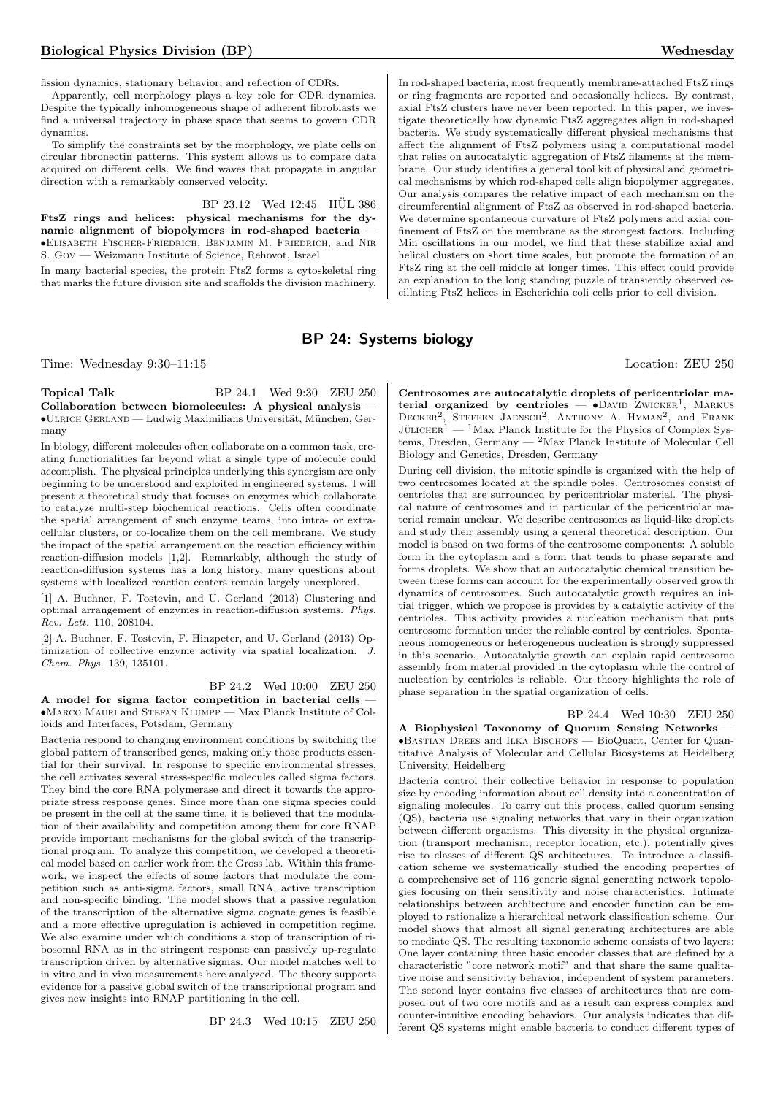fission dynamics, stationary behavior, and reflection of CDRs.

Apparently, cell morphology plays a key role for CDR dynamics. Despite the typically inhomogeneous shape of adherent fibroblasts we find a universal trajectory in phase space that seems to govern CDR dynamics.

To simplify the constraints set by the morphology, we plate cells on circular fibronectin patterns. This system allows us to compare data acquired on different cells. We find waves that propagate in angular direction with a remarkably conserved velocity.

BP 23.12 Wed 12:45 HÜL 386

FtsZ rings and helices: physical mechanisms for the dynamic alignment of biopolymers in rod-shaped bacteria — •Elisabeth Fischer-Friedrich, Benjamin M. Friedrich, and Nir S. Gov — Weizmann Institute of Science, Rehovot, Israel

In many bacterial species, the protein FtsZ forms a cytoskeletal ring that marks the future division site and scaffolds the division machinery.

In rod-shaped bacteria, most frequently membrane-attached FtsZ rings or ring fragments are reported and occasionally helices. By contrast, axial FtsZ clusters have never been reported. In this paper, we investigate theoretically how dynamic FtsZ aggregates align in rod-shaped bacteria. We study systematically different physical mechanisms that affect the alignment of FtsZ polymers using a computational model that relies on autocatalytic aggregation of FtsZ filaments at the membrane. Our study identifies a general tool kit of physical and geometrical mechanisms by which rod-shaped cells align biopolymer aggregates. Our analysis compares the relative impact of each mechanism on the circumferential alignment of FtsZ as observed in rod-shaped bacteria. We determine spontaneous curvature of FtsZ polymers and axial confinement of FtsZ on the membrane as the strongest factors. Including Min oscillations in our model, we find that these stabilize axial and helical clusters on short time scales, but promote the formation of an FtsZ ring at the cell middle at longer times. This effect could provide an explanation to the long standing puzzle of transiently observed oscillating FtsZ helices in Escherichia coli cells prior to cell division.

# BP 24: Systems biology

Time: Wednesday 9:30–11:15 Location: ZEU 250

**Topical Talk** BP 24.1 Wed 9:30 ZEU 250 Collaboration between biomolecules: A physical analysis — •Ulrich Gerland — Ludwig Maximilians Universit¨at, M¨unchen, Germany

In biology, different molecules often collaborate on a common task, creating functionalities far beyond what a single type of molecule could accomplish. The physical principles underlying this synergism are only beginning to be understood and exploited in engineered systems. I will present a theoretical study that focuses on enzymes which collaborate to catalyze multi-step biochemical reactions. Cells often coordinate the spatial arrangement of such enzyme teams, into intra- or extracellular clusters, or co-localize them on the cell membrane. We study the impact of the spatial arrangement on the reaction efficiency within reaction-diffusion models [1,2]. Remarkably, although the study of reaction-diffusion systems has a long history, many questions about systems with localized reaction centers remain largely unexplored.

[1] A. Buchner, F. Tostevin, and U. Gerland (2013) Clustering and optimal arrangement of enzymes in reaction-diffusion systems. Phys. Rev. Lett. 110, 208104.

[2] A. Buchner, F. Tostevin, F. Hinzpeter, and U. Gerland (2013) Optimization of collective enzyme activity via spatial localization. J. Chem. Phys. 139, 135101.

BP 24.2 Wed 10:00 ZEU 250 A model for sigma factor competition in bacterial cells

•Marco Mauri and Stefan Klumpp — Max Planck Institute of Colloids and Interfaces, Potsdam, Germany

Bacteria respond to changing environment conditions by switching the global pattern of transcribed genes, making only those products essential for their survival. In response to specific environmental stresses, the cell activates several stress-specific molecules called sigma factors. They bind the core RNA polymerase and direct it towards the appropriate stress response genes. Since more than one sigma species could be present in the cell at the same time, it is believed that the modulation of their availability and competition among them for core RNAP provide important mechanisms for the global switch of the transcriptional program. To analyze this competition, we developed a theoretical model based on earlier work from the Gross lab. Within this framework, we inspect the effects of some factors that modulate the competition such as anti-sigma factors, small RNA, active transcription and non-specific binding. The model shows that a passive regulation of the transcription of the alternative sigma cognate genes is feasible and a more effective upregulation is achieved in competition regime. We also examine under which conditions a stop of transcription of ribosomal RNA as in the stringent response can passively up-regulate transcription driven by alternative sigmas. Our model matches well to in vitro and in vivo measurements here analyzed. The theory supports evidence for a passive global switch of the transcriptional program and gives new insights into RNAP partitioning in the cell.

BP 24.3 Wed 10:15 ZEU 250

Centrosomes are autocatalytic droplets of pericentriolar material organized by centrioles  $\bullet$ DAVID ZWICKER<sup>1</sup>, MARKUS DECKER<sup>2</sup>, STEFFEN JAENSCH<sup>2</sup>, ANTHONY A. HYMAN<sup>2</sup>, and FRANK JÜLICHER $^1$  — <sup>1</sup>Max Planck Institute for the Physics of Complex Systems, Dresden, Germany — <sup>2</sup>Max Planck Institute of Molecular Cell Biology and Genetics, Dresden, Germany

During cell division, the mitotic spindle is organized with the help of two centrosomes located at the spindle poles. Centrosomes consist of centrioles that are surrounded by pericentriolar material. The physical nature of centrosomes and in particular of the pericentriolar material remain unclear. We describe centrosomes as liquid-like droplets and study their assembly using a general theoretical description. Our model is based on two forms of the centrosome components: A soluble form in the cytoplasm and a form that tends to phase separate and forms droplets. We show that an autocatalytic chemical transition between these forms can account for the experimentally observed growth dynamics of centrosomes. Such autocatalytic growth requires an initial trigger, which we propose is provides by a catalytic activity of the centrioles. This activity provides a nucleation mechanism that puts centrosome formation under the reliable control by centrioles. Spontaneous homogeneous or heterogeneous nucleation is strongly suppressed in this scenario. Autocatalytic growth can explain rapid centrosome assembly from material provided in the cytoplasm while the control of nucleation by centrioles is reliable. Our theory highlights the role of phase separation in the spatial organization of cells.

BP 24.4 Wed 10:30 ZEU 250 A Biophysical Taxonomy of Quorum Sensing Networks — •Bastian Drees and Ilka Bischofs — BioQuant, Center for Quantitative Analysis of Molecular and Cellular Biosystems at Heidelberg University, Heidelberg

Bacteria control their collective behavior in response to population size by encoding information about cell density into a concentration of signaling molecules. To carry out this process, called quorum sensing (QS), bacteria use signaling networks that vary in their organization between different organisms. This diversity in the physical organization (transport mechanism, receptor location, etc.), potentially gives rise to classes of different QS architectures. To introduce a classification scheme we systematically studied the encoding properties of a comprehensive set of 116 generic signal generating network topologies focusing on their sensitivity and noise characteristics. Intimate relationships between architecture and encoder function can be employed to rationalize a hierarchical network classification scheme. Our model shows that almost all signal generating architectures are able to mediate QS. The resulting taxonomic scheme consists of two layers: One layer containing three basic encoder classes that are defined by a characteristic "core network motif" and that share the same qualitative noise and sensitivity behavior, independent of system parameters. The second layer contains five classes of architectures that are composed out of two core motifs and as a result can express complex and counter-intuitive encoding behaviors. Our analysis indicates that different QS systems might enable bacteria to conduct different types of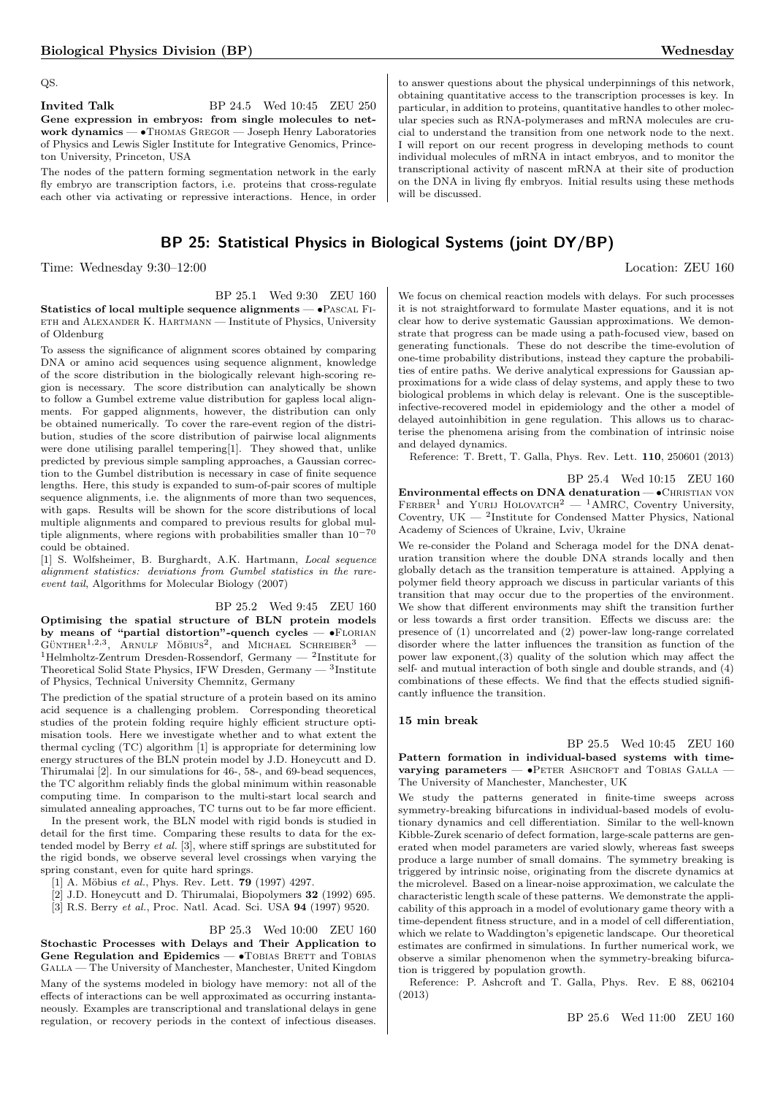QS.

**Invited Talk** BP 24.5 Wed 10:45 ZEU 250 Gene expression in embryos: from single molecules to network dynamics — •Thomas Gregor — Joseph Henry Laboratories of Physics and Lewis Sigler Institute for Integrative Genomics, Princeton University, Princeton, USA

The nodes of the pattern forming segmentation network in the early fly embryo are transcription factors, i.e. proteins that cross-regulate each other via activating or repressive interactions. Hence, in order

# BP 25: Statistical Physics in Biological Systems (joint DY/BP)

Time: Wednesday 9:30–12:00 Location: ZEU 160

BP 25.1 Wed 9:30 ZEU 160 Statistics of local multiple sequence alignments — •Pascal Fieth and Alexander K. Hartmann — Institute of Physics, University of Oldenburg

To assess the significance of alignment scores obtained by comparing DNA or amino acid sequences using sequence alignment, knowledge of the score distribution in the biologically relevant high-scoring region is necessary. The score distribution can analytically be shown to follow a Gumbel extreme value distribution for gapless local alignments. For gapped alignments, however, the distribution can only be obtained numerically. To cover the rare-event region of the distribution, studies of the score distribution of pairwise local alignments were done utilising parallel tempering[1]. They showed that, unlike predicted by previous simple sampling approaches, a Gaussian correction to the Gumbel distribution is necessary in case of finite sequence lengths. Here, this study is expanded to sum-of-pair scores of multiple sequence alignments, i.e. the alignments of more than two sequences, with gaps. Results will be shown for the score distributions of local multiple alignments and compared to previous results for global multiple alignments, where regions with probabilities smaller than  $10^{-70}$ could be obtained.

[1] S. Wolfsheimer, B. Burghardt, A.K. Hartmann, Local sequence alignment statistics: deviations from Gumbel statistics in the rareevent tail, Algorithms for Molecular Biology (2007)

BP 25.2 Wed 9:45 ZEU 160 Optimising the spatial structure of BLN protein models by means of "partial distortion"-quench cycles — •FLORIAN  $G$ UNTHER<sup>1,2,3</sup>, ARNULF MÖBIUS<sup>2</sup>, and MICHAEL SCHREIBER<sup>3</sup> -<sup>1</sup>Helmholtz-Zentrum Dresden-Rossendorf, Germany — <sup>2</sup>Institute for Theoretical Solid State Physics, IFW Dresden, Germany — <sup>3</sup>Institute of Physics, Technical University Chemnitz, Germany

The prediction of the spatial structure of a protein based on its amino acid sequence is a challenging problem. Corresponding theoretical studies of the protein folding require highly efficient structure optimisation tools. Here we investigate whether and to what extent the thermal cycling (TC) algorithm [1] is appropriate for determining low energy structures of the BLN protein model by J.D. Honeycutt and D. Thirumalai [2]. In our simulations for 46-, 58-, and 69-bead sequences, the TC algorithm reliably finds the global minimum within reasonable computing time. In comparison to the multi-start local search and simulated annealing approaches, TC turns out to be far more efficient.

In the present work, the BLN model with rigid bonds is studied in detail for the first time. Comparing these results to data for the extended model by Berry et al. [3], where stiff springs are substituted for the rigid bonds, we observe several level crossings when varying the spring constant, even for quite hard springs.

[1] A. Möbius et al., Phys. Rev. Lett. 79 (1997) 4297.

[2] J.D. Honeycutt and D. Thirumalai, Biopolymers 32 (1992) 695.

[3] R.S. Berry et al., Proc. Natl. Acad. Sci. USA 94 (1997) 9520.

BP 25.3 Wed 10:00 ZEU 160

Stochastic Processes with Delays and Their Application to Gene Regulation and Epidemics - • TOBIAS BRETT and TOBIAS Galla — The University of Manchester, Manchester, United Kingdom

Many of the systems modeled in biology have memory: not all of the effects of interactions can be well approximated as occurring instantaneously. Examples are transcriptional and translational delays in gene regulation, or recovery periods in the context of infectious diseases.

to answer questions about the physical underpinnings of this network, obtaining quantitative access to the transcription processes is key. In particular, in addition to proteins, quantitative handles to other molecular species such as RNA-polymerases and mRNA molecules are crucial to understand the transition from one network node to the next. I will report on our recent progress in developing methods to count individual molecules of mRNA in intact embryos, and to monitor the transcriptional activity of nascent mRNA at their site of production on the DNA in living fly embryos. Initial results using these methods will be discussed.

We focus on chemical reaction models with delays. For such processes it is not straightforward to formulate Master equations, and it is not clear how to derive systematic Gaussian approximations. We demonstrate that progress can be made using a path-focused view, based on generating functionals. These do not describe the time-evolution of one-time probability distributions, instead they capture the probabilities of entire paths. We derive analytical expressions for Gaussian approximations for a wide class of delay systems, and apply these to two biological problems in which delay is relevant. One is the susceptibleinfective-recovered model in epidemiology and the other a model of delayed autoinhibition in gene regulation. This allows us to characterise the phenomena arising from the combination of intrinsic noise and delayed dynamics.

Reference: T. Brett, T. Galla, Phys. Rev. Lett. 110, 250601 (2013)

BP 25.4 Wed 10:15 ZEU 160

Environmental effects on DNA denaturation - · CHRISTIAN VON  $FERBER<sup>1</sup>$  and YURIJ HOLOVATCH<sup>2</sup> — <sup>1</sup>AMRC, Coventry University, Coventry, UK  $-$  <sup>2</sup>Institute for Condensed Matter Physics, National Academy of Sciences of Ukraine, Lviv, Ukraine

We re-consider the Poland and Scheraga model for the DNA denaturation transition where the double DNA strands locally and then globally detach as the transition temperature is attained. Applying a polymer field theory approach we discuss in particular variants of this transition that may occur due to the properties of the environment. We show that different environments may shift the transition further or less towards a first order transition. Effects we discuss are: the presence of (1) uncorrelated and (2) power-law long-range correlated disorder where the latter influences the transition as function of the power law exponent,(3) quality of the solution which may affect the self- and mutual interaction of both single and double strands, and (4) combinations of these effects. We find that the effects studied significantly influence the transition.

#### 15 min break

BP 25.5 Wed 10:45 ZEU 160 Pattern formation in individual-based systems with timevarying parameters -  $\bullet$ PETER ASHCROFT and TOBIAS GALLA -The University of Manchester, Manchester, UK

We study the patterns generated in finite-time sweeps across symmetry-breaking bifurcations in individual-based models of evolutionary dynamics and cell differentiation. Similar to the well-known Kibble-Zurek scenario of defect formation, large-scale patterns are generated when model parameters are varied slowly, whereas fast sweeps produce a large number of small domains. The symmetry breaking is triggered by intrinsic noise, originating from the discrete dynamics at the microlevel. Based on a linear-noise approximation, we calculate the characteristic length scale of these patterns. We demonstrate the applicability of this approach in a model of evolutionary game theory with a time-dependent fitness structure, and in a model of cell differentiation, which we relate to Waddington's epigenetic landscape. Our theoretical estimates are confirmed in simulations. In further numerical work, we observe a similar phenomenon when the symmetry-breaking bifurcation is triggered by population growth.

Reference: P. Ashcroft and T. Galla, Phys. Rev. E 88, 062104 (2013)

BP 25.6 Wed 11:00 ZEU 160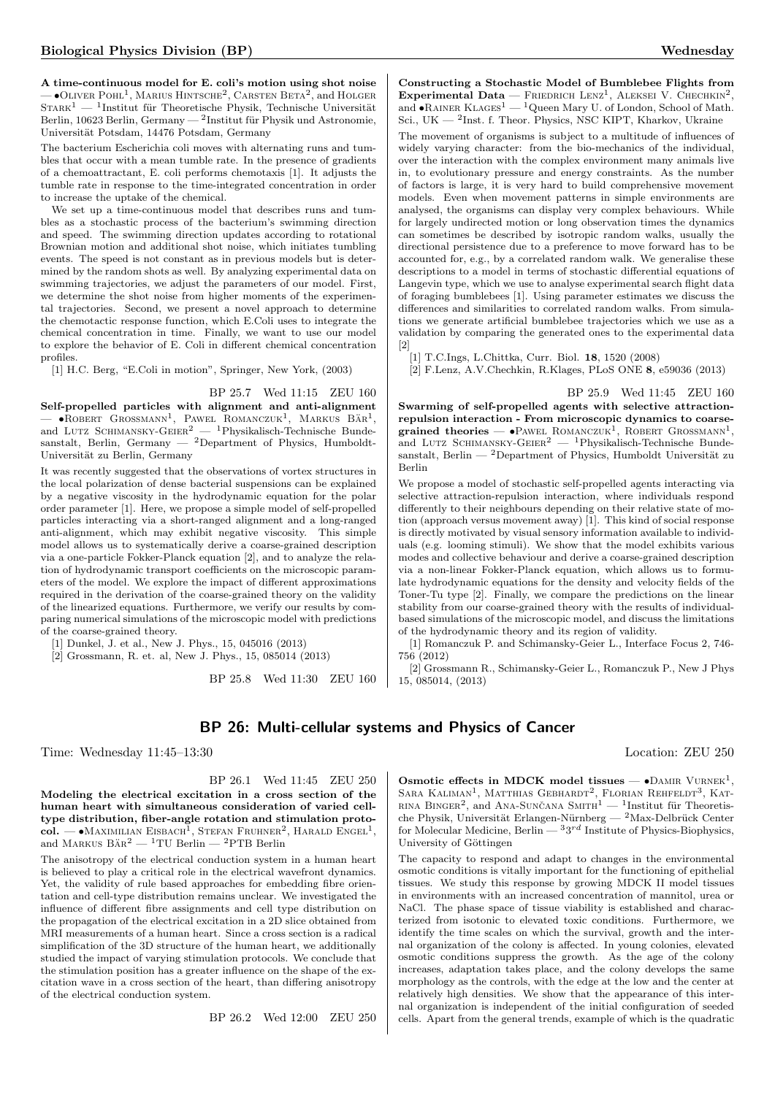A time-continuous model for E. coli's motion using shot noise  $\bullet$ Oliver Pohl<sup>1</sup>, Marius Hintsche<sup>2</sup>, Carsten Beta<sup>2</sup>, and Holger  $S\textsc{rank}^1$  — <sup>1</sup>Institut für Theoretische Physik, Technische Universität Berlin, 10623 Berlin, Germany — $^2$ Institut für Physik und Astronomie, Universität Potsdam, 14476 Potsdam, Germany

The bacterium Escherichia coli moves with alternating runs and tumbles that occur with a mean tumble rate. In the presence of gradients of a chemoattractant, E. coli performs chemotaxis [1]. It adjusts the tumble rate in response to the time-integrated concentration in order to increase the uptake of the chemical.

We set up a time-continuous model that describes runs and tumbles as a stochastic process of the bacterium's swimming direction and speed. The swimming direction updates according to rotational Brownian motion and additional shot noise, which initiates tumbling events. The speed is not constant as in previous models but is determined by the random shots as well. By analyzing experimental data on swimming trajectories, we adjust the parameters of our model. First, we determine the shot noise from higher moments of the experimental trajectories. Second, we present a novel approach to determine the chemotactic response function, which E.Coli uses to integrate the chemical concentration in time. Finally, we want to use our model to explore the behavior of E. Coli in different chemical concentration profiles.

[1] H.C. Berg, "E.Coli in motion", Springer, New York, (2003)

BP 25.7 Wed 11:15 ZEU 160

Self-propelled particles with alignment and anti-alignment  $\longrightarrow$  • ROBERT GROSSMANN<sup>1</sup>, PAWEL ROMANCZUK<sup>1</sup>, MARKUS BÄR<sup>1</sup>, and LUTZ SCHIMANSKY-GEIER<sup>2</sup> — <sup>1</sup>Physikalisch-Technische Bundesanstalt, Berlin, Germany — <sup>2</sup>Department of Physics, Humboldt-Universität zu Berlin, Germany

It was recently suggested that the observations of vortex structures in the local polarization of dense bacterial suspensions can be explained by a negative viscosity in the hydrodynamic equation for the polar order parameter [1]. Here, we propose a simple model of self-propelled particles interacting via a short-ranged alignment and a long-ranged anti-alignment, which may exhibit negative viscosity. This simple model allows us to systematically derive a coarse-grained description via a one-particle Fokker-Planck equation [2], and to analyze the relation of hydrodynamic transport coefficients on the microscopic parameters of the model. We explore the impact of different approximations required in the derivation of the coarse-grained theory on the validity of the linearized equations. Furthermore, we verify our results by comparing numerical simulations of the microscopic model with predictions of the coarse-grained theory.

[1] Dunkel, J. et al., New J. Phys., 15, 045016 (2013)

[2] Grossmann, R. et. al, New J. Phys., 15, 085014 (2013)

BP 25.8 Wed 11:30 ZEU 160

Constructing a Stochastic Model of Bumblebee Flights from Experimental Data — FRIEDRICH LENZ<sup>1</sup>, ALEKSEI V. CHECHKIN<sup>2</sup>, and  $\bullet$ Rainer Klages<sup>1</sup> — <sup>1</sup>Queen Mary U. of London, School of Math. Sci., UK — <sup>2</sup> Inst. f. Theor. Physics, NSC KIPT, Kharkov, Ukraine

The movement of organisms is subject to a multitude of influences of widely varying character: from the bio-mechanics of the individual, over the interaction with the complex environment many animals live in, to evolutionary pressure and energy constraints. As the number of factors is large, it is very hard to build comprehensive movement models. Even when movement patterns in simple environments are analysed, the organisms can display very complex behaviours. While for largely undirected motion or long observation times the dynamics can sometimes be described by isotropic random walks, usually the directional persistence due to a preference to move forward has to be accounted for, e.g., by a correlated random walk. We generalise these descriptions to a model in terms of stochastic differential equations of Langevin type, which we use to analyse experimental search flight data of foraging bumblebees [1]. Using parameter estimates we discuss the differences and similarities to correlated random walks. From simulations we generate artificial bumblebee trajectories which we use as a validation by comparing the generated ones to the experimental data [2]

[1] T.C.Ings, L.Chittka, Curr. Biol. 18, 1520 (2008)

[2] F.Lenz, A.V.Chechkin, R.Klages, PLoS ONE 8, e59036 (2013)

BP 25.9 Wed 11:45 ZEU 160 Swarming of self-propelled agents with selective attractionrepulsion interaction - From microscopic dynamics to coarsegrained theories —  $\bullet$ Pawel ROMANCZUK<sup>1</sup>, ROBERT GROSSMANN<sup>1</sup>, and LUTZ SCHIMANSKY-GEIER<sup>2</sup> — <sup>1</sup>Physikalisch-Technische Bundesanstalt, Berlin —  $^2$ Department of Physics, Humboldt Universität zu Berlin

We propose a model of stochastic self-propelled agents interacting via selective attraction-repulsion interaction, where individuals respond differently to their neighbours depending on their relative state of motion (approach versus movement away) [1]. This kind of social response is directly motivated by visual sensory information available to individuals (e.g. looming stimuli). We show that the model exhibits various modes and collective behaviour and derive a coarse-grained description via a non-linear Fokker-Planck equation, which allows us to formulate hydrodynamic equations for the density and velocity fields of the Toner-Tu type [2]. Finally, we compare the predictions on the linear stability from our coarse-grained theory with the results of individualbased simulations of the microscopic model, and discuss the limitations of the hydrodynamic theory and its region of validity.

[1] Romanczuk P. and Schimansky-Geier L., Interface Focus 2, 746- 756 (2012)

[2] Grossmann R., Schimansky-Geier L., Romanczuk P., New J Phys 15, 085014, (2013)

# BP 26: Multi-cellular systems and Physics of Cancer

Time: Wednesday 11:45–13:30 Location: ZEU 250

BP 26.1 Wed 11:45 ZEU 250 Modeling the electrical excitation in a cross section of the human heart with simultaneous consideration of varied cell- $\tt type\ distribution,\, \rm fiber\text{-}angle\ rotation\ and\ stimulation\ protocol.\ \textcolor{red}{\boldsymbol{-}}\blacklozenge\text{MAXIMILIAN}$   $\rm EISBACH^1,\, STEFAN\ FRUHNER^2,\, HARALD\ ENGEL^1,\,$ and MARKUS  $B\ddot{A}R^2$  — <sup>1</sup>TU Berlin — <sup>2</sup>PTB Berlin

The anisotropy of the electrical conduction system in a human heart is believed to play a critical role in the electrical wavefront dynamics. Yet, the validity of rule based approaches for embedding fibre orientation and cell-type distribution remains unclear. We investigated the influence of different fibre assignments and cell type distribution on the propagation of the electrical excitation in a 2D slice obtained from MRI measurements of a human heart. Since a cross section is a radical simplification of the 3D structure of the human heart, we additionally studied the impact of varying stimulation protocols. We conclude that the stimulation position has a greater influence on the shape of the excitation wave in a cross section of the heart, than differing anisotropy of the electrical conduction system.

BP 26.2 Wed 12:00 ZEU 250

Osmotic effects in MDCK model tissues  $\bullet$ DAMIR VURNEK<sup>1</sup>, SARA KALIMAN<sup>1</sup>, MATTHIAS GEBHARDT<sup>2</sup>, FLORIAN REHFELDT<sup>3</sup>, KAT-RINA BINGER<sup>2</sup>, and ANA-SUNČANA SMITH<sup>1</sup>  $-$  <sup>1</sup>Institut für Theoretische Physik, Universität Erlangen-Nürnberg — <sup>2</sup>Max-Delbrück Center for Molecular Medicine, Berlin  $33^{rd}$  Institute of Physics-Biophysics, University of Göttingen

The capacity to respond and adapt to changes in the environmental osmotic conditions is vitally important for the functioning of epithelial tissues. We study this response by growing MDCK II model tissues in environments with an increased concentration of mannitol, urea or NaCl. The phase space of tissue viability is established and characterized from isotonic to elevated toxic conditions. Furthermore, we identify the time scales on which the survival, growth and the internal organization of the colony is affected. In young colonies, elevated osmotic conditions suppress the growth. As the age of the colony increases, adaptation takes place, and the colony develops the same morphology as the controls, with the edge at the low and the center at relatively high densities. We show that the appearance of this internal organization is independent of the initial configuration of seeded cells. Apart from the general trends, example of which is the quadratic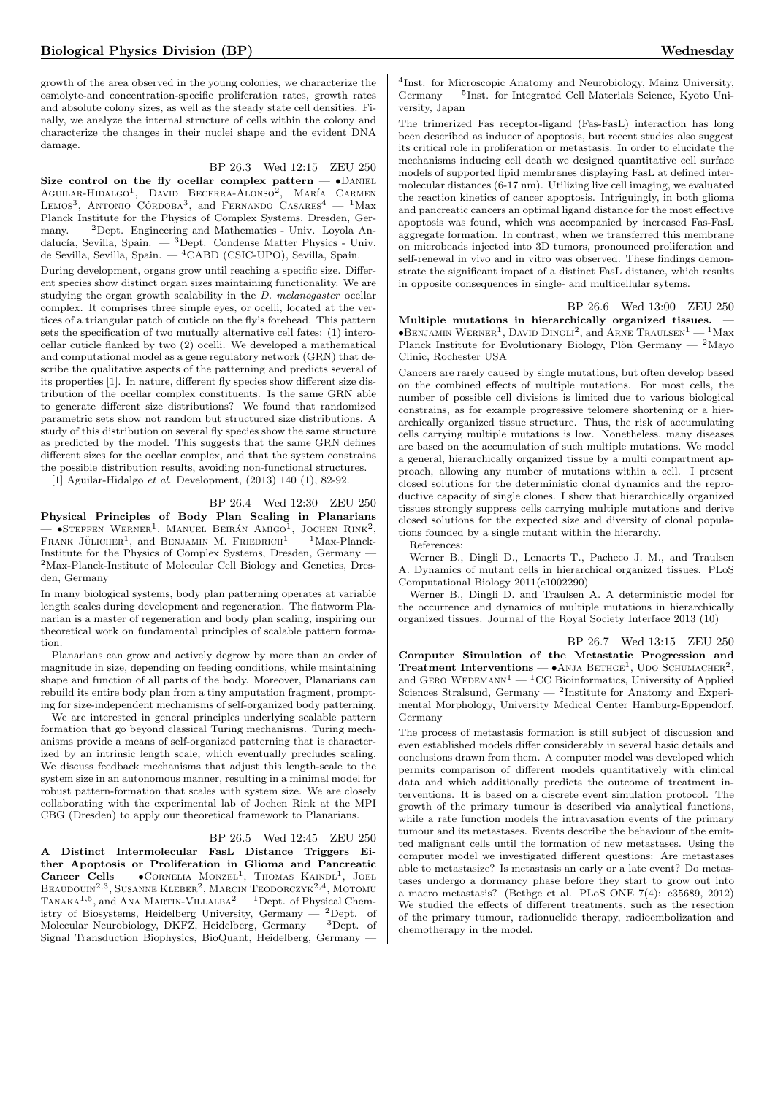growth of the area observed in the young colonies, we characterize the osmolyte-and concentration-specific proliferation rates, growth rates and absolute colony sizes, as well as the steady state cell densities. Finally, we analyze the internal structure of cells within the colony and characterize the changes in their nuclei shape and the evident DNA damage.

#### BP 26.3 Wed 12:15 ZEU 250

Size control on the fly ocellar complex pattern  $\bullet$ DANIEL AGUILAR-HIDALGO<sup>1</sup>, DAVID BECERRA-ALONSO<sup>2</sup>, MARÍA CARMEN LEMOS<sup>3</sup>, ANTONIO CÓRDOBA<sup>3</sup>, and FERNANDO CASARES<sup>4</sup> - <sup>1</sup>Max Planck Institute for the Physics of Complex Systems, Dresden, Germany.  $-$  <sup>2</sup>Dept. Engineering and Mathematics - Univ. Loyola Andalucía, Sevilla, Spain. —  ${}^{3}$ Dept. Condense Matter Physics - Univ. de Sevilla, Sevilla, Spain. — <sup>4</sup>CABD (CSIC-UPO), Sevilla, Spain.

During development, organs grow until reaching a specific size. Different species show distinct organ sizes maintaining functionality. We are studying the organ growth scalability in the D. melanogaster ocellar complex. It comprises three simple eyes, or ocelli, located at the vertices of a triangular patch of cuticle on the fly's forehead. This pattern sets the specification of two mutually alternative cell fates: (1) interocellar cuticle flanked by two (2) ocelli. We developed a mathematical and computational model as a gene regulatory network (GRN) that describe the qualitative aspects of the patterning and predicts several of its properties [1]. In nature, different fly species show different size distribution of the ocellar complex constituents. Is the same GRN able to generate different size distributions? We found that randomized parametric sets show not random but structured size distributions. A study of this distribution on several fly species show the same structure as predicted by the model. This suggests that the same GRN defines different sizes for the ocellar complex, and that the system constrains the possible distribution results, avoiding non-functional structures.

[1] Aguilar-Hidalgo et al. Development, (2013) 140 (1), 82-92.

### BP 26.4 Wed 12:30 ZEU 250

Physical Principles of Body Plan Scaling in Planarians - STEFFEN WERNER<sup>1</sup>, MANUEL BEIRÁN AMIGO<sup>1</sup>, JOCHEN RINK<sup>2</sup>, FRANK JÜLICHER<sup>1</sup>, and BENJAMIN M. FRIEDRICH<sup>1</sup>  $-$  <sup>1</sup>Max-Planck-Institute for the Physics of Complex Systems, Dresden, Germany — <sup>2</sup>Max-Planck-Institute of Molecular Cell Biology and Genetics, Dresden, Germany

In many biological systems, body plan patterning operates at variable length scales during development and regeneration. The flatworm Planarian is a master of regeneration and body plan scaling, inspiring our theoretical work on fundamental principles of scalable pattern formation.

Planarians can grow and actively degrow by more than an order of magnitude in size, depending on feeding conditions, while maintaining shape and function of all parts of the body. Moreover, Planarians can rebuild its entire body plan from a tiny amputation fragment, prompting for size-independent mechanisms of self-organized body patterning.

We are interested in general principles underlying scalable pattern formation that go beyond classical Turing mechanisms. Turing mechanisms provide a means of self-organized patterning that is characterized by an intrinsic length scale, which eventually precludes scaling. We discuss feedback mechanisms that adjust this length-scale to the system size in an autonomous manner, resulting in a minimal model for robust pattern-formation that scales with system size. We are closely collaborating with the experimental lab of Jochen Rink at the MPI CBG (Dresden) to apply our theoretical framework to Planarians.

#### BP 26.5 Wed 12:45 ZEU 250

A Distinct Intermolecular FasL Distance Triggers Either Apoptosis or Proliferation in Glioma and Pancreatic Cancer Cells  $\bullet$  CORNELIA MONZEL<sup>1</sup>, THOMAS KAINDL<sup>1</sup>, JOEL Beaudouin<sup>2,3</sup>, Susanne Kleber<sup>2</sup>, Marcin Teodorczyk<sup>2,4</sup>, Motomu TANAKA<sup>1,5</sup>, and ANA MARTIN-VILLALBA<sup>2</sup> — <sup>1</sup>Dept. of Physical Chemistry of Biosystems, Heidelberg University, Germany  $-$  <sup>2</sup>Dept. of Molecular Neurobiology, DKFZ, Heidelberg, Germany — <sup>3</sup>Dept. of Signal Transduction Biophysics, BioQuant, Heidelberg, Germany —

4 Inst. for Microscopic Anatomy and Neurobiology, Mainz University, Germany — <sup>5</sup> Inst. for Integrated Cell Materials Science, Kyoto University, Japan

The trimerized Fas receptor-ligand (Fas-FasL) interaction has long been described as inducer of apoptosis, but recent studies also suggest its critical role in proliferation or metastasis. In order to elucidate the mechanisms inducing cell death we designed quantitative cell surface models of supported lipid membranes displaying FasL at defined intermolecular distances (6-17 nm). Utilizing live cell imaging, we evaluated the reaction kinetics of cancer apoptosis. Intriguingly, in both glioma and pancreatic cancers an optimal ligand distance for the most effective apoptosis was found, which was accompanied by increased Fas-FasL aggregate formation. In contrast, when we transferred this membrane on microbeads injected into 3D tumors, pronounced proliferation and self-renewal in vivo and in vitro was observed. These findings demonstrate the significant impact of a distinct FasL distance, which results in opposite consequences in single- and multicellular sytems.

BP 26.6 Wed 13:00 ZEU 250

Multiple mutations in hierarchically organized tissues. —  $\bullet$ Benjamin Werner<sup>1</sup>, David Dingli<sup>2</sup>, and Arne Traulsen<sup>1</sup> — <sup>1</sup>Max Planck Institute for Evolutionary Biology, Plön Germany —  $^2 \rm{Mayo}$ Clinic, Rochester USA

Cancers are rarely caused by single mutations, but often develop based on the combined effects of multiple mutations. For most cells, the number of possible cell divisions is limited due to various biological constrains, as for example progressive telomere shortening or a hierarchically organized tissue structure. Thus, the risk of accumulating cells carrying multiple mutations is low. Nonetheless, many diseases are based on the accumulation of such multiple mutations. We model a general, hierarchically organized tissue by a multi compartment approach, allowing any number of mutations within a cell. I present closed solutions for the deterministic clonal dynamics and the reproductive capacity of single clones. I show that hierarchically organized tissues strongly suppress cells carrying multiple mutations and derive closed solutions for the expected size and diversity of clonal populations founded by a single mutant within the hierarchy.

References:

Werner B., Dingli D., Lenaerts T., Pacheco J. M., and Traulsen A. Dynamics of mutant cells in hierarchical organized tissues. PLoS Computational Biology 2011(e1002290)

Werner B., Dingli D. and Traulsen A. A deterministic model for the occurrence and dynamics of multiple mutations in hierarchically organized tissues. Journal of the Royal Society Interface 2013 (10)

#### BP 26.7 Wed 13:15 ZEU 250

Computer Simulation of the Metastatic Progression and **Treatment Interventions — •**Anja Bethge<sup>1</sup>, Udo Schumacher<sup>2</sup>, and GERO WEDEMANN<sup>1</sup> — <sup>1</sup>CC Bioinformatics, University of Applied Sciences Stralsund, Germany — <sup>2</sup> Institute for Anatomy and Experimental Morphology, University Medical Center Hamburg-Eppendorf, Germany

The process of metastasis formation is still subject of discussion and even established models differ considerably in several basic details and conclusions drawn from them. A computer model was developed which permits comparison of different models quantitatively with clinical data and which additionally predicts the outcome of treatment interventions. It is based on a discrete event simulation protocol. The growth of the primary tumour is described via analytical functions, while a rate function models the intravasation events of the primary tumour and its metastases. Events describe the behaviour of the emitted malignant cells until the formation of new metastases. Using the computer model we investigated different questions: Are metastases able to metastasize? Is metastasis an early or a late event? Do metastases undergo a dormancy phase before they start to grow out into a macro metastasis? (Bethge et al. PLoS ONE 7(4): e35689, 2012) We studied the effects of different treatments, such as the resection of the primary tumour, radionuclide therapy, radioembolization and chemotherapy in the model.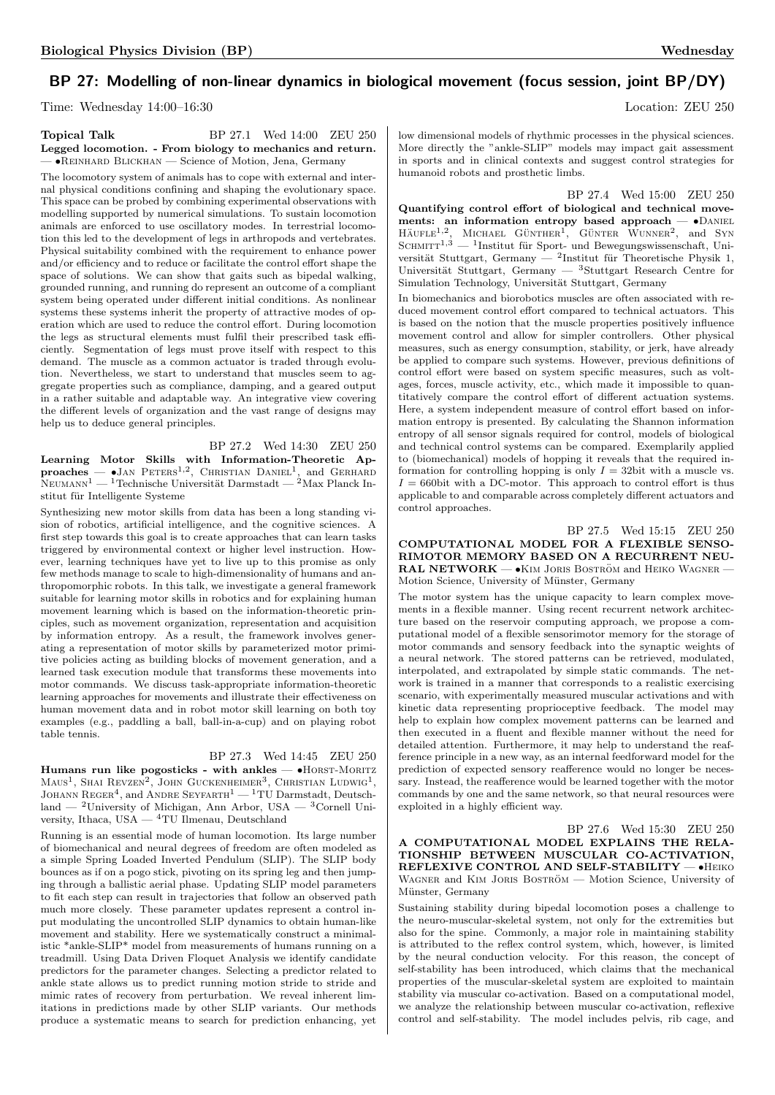# BP 27: Modelling of non-linear dynamics in biological movement (focus session, joint BP/DY)

Time: Wednesday 14:00–16:30 Location: ZEU 250

#### Topical Talk BP 27.1 Wed 14:00 ZEU 250 Legged locomotion. - From biology to mechanics and return. — •Reinhard Blickhan — Science of Motion, Jena, Germany

The locomotory system of animals has to cope with external and internal physical conditions confining and shaping the evolutionary space. This space can be probed by combining experimental observations with modelling supported by numerical simulations. To sustain locomotion animals are enforced to use oscillatory modes. In terrestrial locomotion this led to the development of legs in arthropods and vertebrates. Physical suitability combined with the requirement to enhance power and/or efficiency and to reduce or facilitate the control effort shape the space of solutions. We can show that gaits such as bipedal walking, grounded running, and running do represent an outcome of a compliant system being operated under different initial conditions. As nonlinear systems these systems inherit the property of attractive modes of operation which are used to reduce the control effort. During locomotion the legs as structural elements must fulfil their prescribed task efficiently. Segmentation of legs must prove itself with respect to this demand. The muscle as a common actuator is traded through evolution. Nevertheless, we start to understand that muscles seem to aggregate properties such as compliance, damping, and a geared output in a rather suitable and adaptable way. An integrative view covering the different levels of organization and the vast range of designs may help us to deduce general principles.

BP 27.2 Wed 14:30 ZEU 250 Learning Motor Skills with Information-Theoretic Ap- $\overline{\mathbf{p}}$ roaches  $\overline{\phantom{a}}$   $\bullet$  Jan Peters<sup>1,2</sup>, Christian Daniel<sup>1</sup>, and Gerhard  $N$ EUMANN<sup>1</sup> — <sup>1</sup>Technische Universität Darmstadt — <sup>2</sup>Max Planck Institut für Intelligente Systeme

Synthesizing new motor skills from data has been a long standing vision of robotics, artificial intelligence, and the cognitive sciences. A first step towards this goal is to create approaches that can learn tasks triggered by environmental context or higher level instruction. However, learning techniques have yet to live up to this promise as only few methods manage to scale to high-dimensionality of humans and anthropomorphic robots. In this talk, we investigate a general framework suitable for learning motor skills in robotics and for explaining human movement learning which is based on the information-theoretic principles, such as movement organization, representation and acquisition by information entropy. As a result, the framework involves generating a representation of motor skills by parameterized motor primitive policies acting as building blocks of movement generation, and a learned task execution module that transforms these movements into motor commands. We discuss task-appropriate information-theoretic learning approaches for movements and illustrate their effectiveness on human movement data and in robot motor skill learning on both toy examples (e.g., paddling a ball, ball-in-a-cup) and on playing robot table tennis.

# BP 27.3 Wed 14:45 ZEU 250

Humans run like pogosticks - with ankles -  $\bullet$ HORST-MORITZ  $\text{Maus}^1$ , Shai Revzen<sup>2</sup>, John Guckenheimer<sup>3</sup>, Christian Ludwig<sup>1</sup>, JOHANN  $\text{REGER}^4$ , and ANDRE  $\text{SEYFARTH}^1$  — <sup>1</sup>TU Darmstadt, Deutschland — <sup>2</sup>University of Michigan, Ann Arbor, USA — <sup>3</sup>Cornell University, Ithaca, USA — <sup>4</sup>TU Ilmenau, Deutschland

Running is an essential mode of human locomotion. Its large number of biomechanical and neural degrees of freedom are often modeled as a simple Spring Loaded Inverted Pendulum (SLIP). The SLIP body bounces as if on a pogo stick, pivoting on its spring leg and then jumping through a ballistic aerial phase. Updating SLIP model parameters to fit each step can result in trajectories that follow an observed path much more closely. These parameter updates represent a control input modulating the uncontrolled SLIP dynamics to obtain human-like movement and stability. Here we systematically construct a minimalistic \*ankle-SLIP\* model from measurements of humans running on a treadmill. Using Data Driven Floquet Analysis we identify candidate predictors for the parameter changes. Selecting a predictor related to ankle state allows us to predict running motion stride to stride and mimic rates of recovery from perturbation. We reveal inherent limitations in predictions made by other SLIP variants. Our methods produce a systematic means to search for prediction enhancing, yet low dimensional models of rhythmic processes in the physical sciences. More directly the "ankle-SLIP" models may impact gait assessment in sports and in clinical contexts and suggest control strategies for humanoid robots and prosthetic limbs.

BP 27.4 Wed 15:00 ZEU 250 Quantifying control effort of biological and technical movements: an information entropy based approach -  $\bullet$ DANIEL  $H \ddot{A} U F L E^{1,2}$ , MICHAEL GÜNTHER<sup>1</sup>, GÜNTER WUNNER<sup>2</sup>, and SYN SCHMITT<sup>1,3</sup> — <sup>1</sup>Institut für Sport- und Bewegungswissenschaft, Universität Stuttgart, Germany — <sup>2</sup>Institut für Theoretische Physik 1, Universität Stuttgart, Germany —  ${}^{3}$ Stuttgart Research Centre for Simulation Technology, Universität Stuttgart, Germany

In biomechanics and biorobotics muscles are often associated with reduced movement control effort compared to technical actuators. This is based on the notion that the muscle properties positively influence movement control and allow for simpler controllers. Other physical measures, such as energy consumption, stability, or jerk, have already be applied to compare such systems. However, previous definitions of control effort were based on system specific measures, such as voltages, forces, muscle activity, etc., which made it impossible to quantitatively compare the control effort of different actuation systems. Here, a system independent measure of control effort based on information entropy is presented. By calculating the Shannon information entropy of all sensor signals required for control, models of biological and technical control systems can be compared. Exemplarily applied to (biomechanical) models of hopping it reveals that the required information for controlling hopping is only  $I = 32$ bit with a muscle vs.  $I = 660$ bit with a DC-motor. This approach to control effort is thus applicable to and comparable across completely different actuators and control approaches.

#### BP 27.5 Wed 15:15 ZEU 250 COMPUTATIONAL MODEL FOR A FLEXIBLE SENSO-RIMOTOR MEMORY BASED ON A RECURRENT NEU-RAL NETWORK — • KIM JORIS BOSTRÖM and HEIKO WAGNER -Motion Science, University of Münster, Germany

The motor system has the unique capacity to learn complex movements in a flexible manner. Using recent recurrent network architecture based on the reservoir computing approach, we propose a computational model of a flexible sensorimotor memory for the storage of motor commands and sensory feedback into the synaptic weights of a neural network. The stored patterns can be retrieved, modulated, interpolated, and extrapolated by simple static commands. The network is trained in a manner that corresponds to a realistic exercising scenario, with experimentally measured muscular activations and with kinetic data representing proprioceptive feedback. The model may help to explain how complex movement patterns can be learned and then executed in a fluent and flexible manner without the need for detailed attention. Furthermore, it may help to understand the reafference principle in a new way, as an internal feedforward model for the prediction of expected sensory reafference would no longer be necessary. Instead, the reafference would be learned together with the motor commands by one and the same network, so that neural resources were exploited in a highly efficient way.

BP 27.6 Wed 15:30 ZEU 250 A COMPUTATIONAL MODEL EXPLAINS THE RELA-TIONSHIP BETWEEN MUSCULAR CO-ACTIVATION, REFLEXIVE CONTROL AND SELF-STABILITY - • HEIKO WAGNER and KIM JORIS BOSTRÖM — Motion Science, University of Münster, Germany

Sustaining stability during bipedal locomotion poses a challenge to the neuro-muscular-skeletal system, not only for the extremities but also for the spine. Commonly, a major role in maintaining stability is attributed to the reflex control system, which, however, is limited by the neural conduction velocity. For this reason, the concept of self-stability has been introduced, which claims that the mechanical properties of the muscular-skeletal system are exploited to maintain stability via muscular co-activation. Based on a computational model, we analyze the relationship between muscular co-activation, reflexive control and self-stability. The model includes pelvis, rib cage, and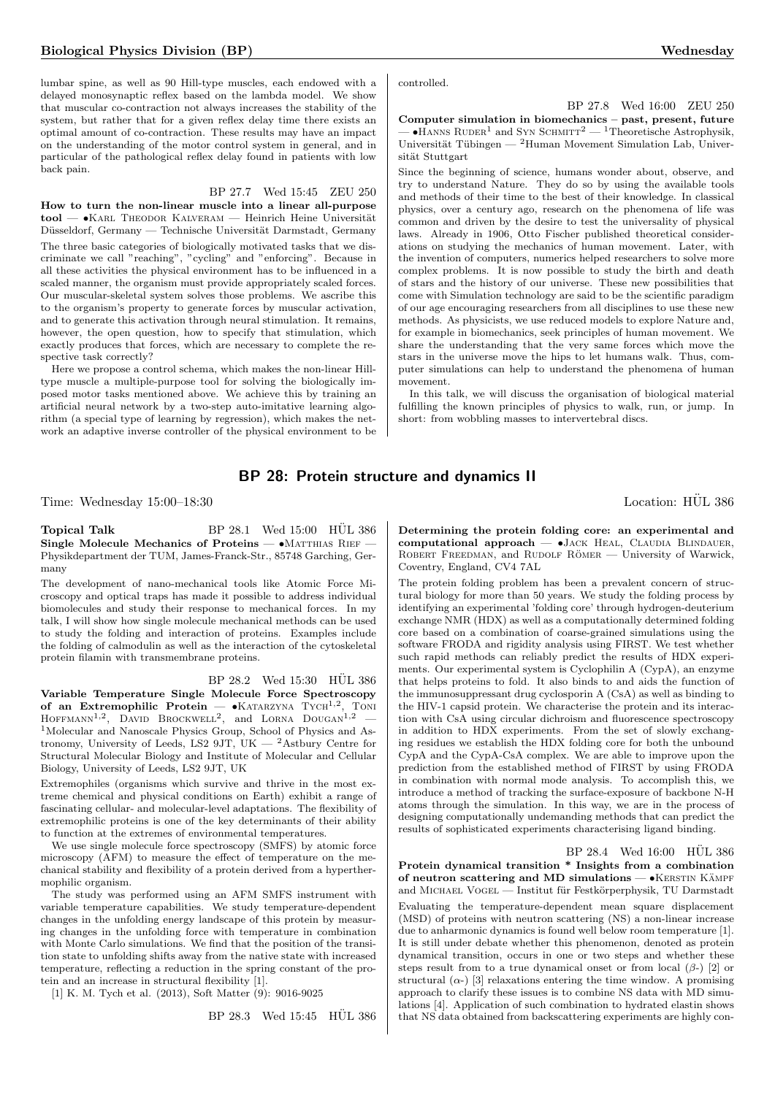lumbar spine, as well as 90 Hill-type muscles, each endowed with a delayed monosynaptic reflex based on the lambda model. We show that muscular co-contraction not always increases the stability of the system, but rather that for a given reflex delay time there exists an optimal amount of co-contraction. These results may have an impact on the understanding of the motor control system in general, and in particular of the pathological reflex delay found in patients with low back pain.

#### BP 27.7 Wed 15:45 ZEU 250

How to turn the non-linear muscle into a linear all-purpose  $\text{tool}$   $\text{—}$   $\bullet$ KARL THEODOR KALVERAM  $\text{—}$  Heinrich Heine Universität Düsseldorf, Germany — Technische Universität Darmstadt, Germany The three basic categories of biologically motivated tasks that we discriminate we call "reaching", "cycling" and "enforcing". Because in all these activities the physical environment has to be influenced in a scaled manner, the organism must provide appropriately scaled forces. Our muscular-skeletal system solves those problems. We ascribe this to the organism's property to generate forces by muscular activation, and to generate this activation through neural stimulation. It remains, however, the open question, how to specify that stimulation, which exactly produces that forces, which are necessary to complete the respective task correctly?

Here we propose a control schema, which makes the non-linear Hilltype muscle a multiple-purpose tool for solving the biologically imposed motor tasks mentioned above. We achieve this by training an artificial neural network by a two-step auto-imitative learning algorithm (a special type of learning by regression), which makes the network an adaptive inverse controller of the physical environment to be controlled.

BP 27.8 Wed 16:00 ZEU 250 Computer simulation in biomechanics – past, present, future  $-$  •Hanns Ruder<sup>1</sup> and Syn Schmitt<sup>2</sup> — <sup>1</sup>Theoretische Astrophysik, Universität Tübingen —  $^2$ Human Movement Simulation Lab, Universität Stuttgart

Since the beginning of science, humans wonder about, observe, and try to understand Nature. They do so by using the available tools and methods of their time to the best of their knowledge. In classical physics, over a century ago, research on the phenomena of life was common and driven by the desire to test the universality of physical laws. Already in 1906, Otto Fischer published theoretical considerations on studying the mechanics of human movement. Later, with the invention of computers, numerics helped researchers to solve more complex problems. It is now possible to study the birth and death of stars and the history of our universe. These new possibilities that come with Simulation technology are said to be the scientific paradigm of our age encouraging researchers from all disciplines to use these new methods. As physicists, we use reduced models to explore Nature and, for example in biomechanics, seek principles of human movement. We share the understanding that the very same forces which move the stars in the universe move the hips to let humans walk. Thus, computer simulations can help to understand the phenomena of human movement.

In this talk, we will discuss the organisation of biological material fulfilling the known principles of physics to walk, run, or jump. In short: from wobbling masses to intervertebral discs.

# BP 28: Protein structure and dynamics II

Time: Wednesday 15:00–18:30 Location: HÜL 386

Topical Talk BP 28.1 Wed 15:00 HÜL 386 Single Molecule Mechanics of Proteins —  $\bullet$ MATTHIAS RIEF -Physikdepartment der TUM, James-Franck-Str., 85748 Garching, Germany

The development of nano-mechanical tools like Atomic Force Microscopy and optical traps has made it possible to address individual biomolecules and study their response to mechanical forces. In my talk, I will show how single molecule mechanical methods can be used to study the folding and interaction of proteins. Examples include the folding of calmodulin as well as the interaction of the cytoskeletal protein filamin with transmembrane proteins.

BP 28.2 Wed 15:30 HUL 386

Variable Temperature Single Molecule Force Spectroscopy of an Extremophilic Protein -  $\bullet$ KATARZYNA TYCH<sup>1,2</sup>, TONI  $H$ OFFMANN<sup>1,2</sup>, DAVID BROCKWELL<sup>2</sup>, and LORNA DOUGAN<sup>1,2</sup> – <sup>1</sup>Molecular and Nanoscale Physics Group, School of Physics and Astronomy, University of Leeds, LS2 9JT, UK  $-$  2Astbury Centre for Structural Molecular Biology and Institute of Molecular and Cellular Biology, University of Leeds, LS2 9JT, UK

Extremophiles (organisms which survive and thrive in the most extreme chemical and physical conditions on Earth) exhibit a range of fascinating cellular- and molecular-level adaptations. The flexibility of extremophilic proteins is one of the key determinants of their ability to function at the extremes of environmental temperatures.

We use single molecule force spectroscopy (SMFS) by atomic force microscopy (AFM) to measure the effect of temperature on the mechanical stability and flexibility of a protein derived from a hyperthermophilic organism.

The study was performed using an AFM SMFS instrument with variable temperature capabilities. We study temperature-dependent changes in the unfolding energy landscape of this protein by measuring changes in the unfolding force with temperature in combination with Monte Carlo simulations. We find that the position of the transition state to unfolding shifts away from the native state with increased temperature, reflecting a reduction in the spring constant of the protein and an increase in structural flexibility [1].

[1] K. M. Tych et al. (2013), Soft Matter (9): 9016-9025

 $BP 28.3$  Wed  $15:45$  HUL 386

Determining the protein folding core: an experimental and computational approach  $\bullet$  JACK HEAL, CLAUDIA BLINDAUER, ROBERT FREEDMAN, and RUDOLF RÖMER — University of Warwick, Coventry, England, CV4 7AL

The protein folding problem has been a prevalent concern of structural biology for more than 50 years. We study the folding process by identifying an experimental 'folding core' through hydrogen-deuterium exchange NMR (HDX) as well as a computationally determined folding core based on a combination of coarse-grained simulations using the software FRODA and rigidity analysis using FIRST. We test whether such rapid methods can reliably predict the results of HDX experiments. Our experimental system is Cyclophilin A (CypA), an enzyme that helps proteins to fold. It also binds to and aids the function of the immunosuppressant drug cyclosporin A (CsA) as well as binding to the HIV-1 capsid protein. We characterise the protein and its interaction with CsA using circular dichroism and fluorescence spectroscopy in addition to HDX experiments. From the set of slowly exchanging residues we establish the HDX folding core for both the unbound CypA and the CypA-CsA complex. We are able to improve upon the prediction from the established method of FIRST by using FRODA in combination with normal mode analysis. To accomplish this, we introduce a method of tracking the surface-exposure of backbone N-H atoms through the simulation. In this way, we are in the process of designing computationally undemanding methods that can predict the results of sophisticated experiments characterising ligand binding.

 $BP 28.4$  Wed  $16:00$  HUL 386 Protein dynamical transition \* Insights from a combination of neutron scattering and MD simulations  $-$  •KERSTIN KÄMPF and MICHAEL VOGEL — Institut für Festkörperphysik, TU Darmstadt Evaluating the temperature-dependent mean square displacement (MSD) of proteins with neutron scattering (NS) a non-linear increase due to anharmonic dynamics is found well below room temperature [1]. It is still under debate whether this phenomenon, denoted as protein dynamical transition, occurs in one or two steps and whether these steps result from to a true dynamical onset or from local  $(\beta)$  [2] or structural  $(\alpha)$  [3] relaxations entering the time window. A promising approach to clarify these issues is to combine NS data with MD simulations [4]. Application of such combination to hydrated elastin shows that NS data obtained from backscattering experiments are highly con-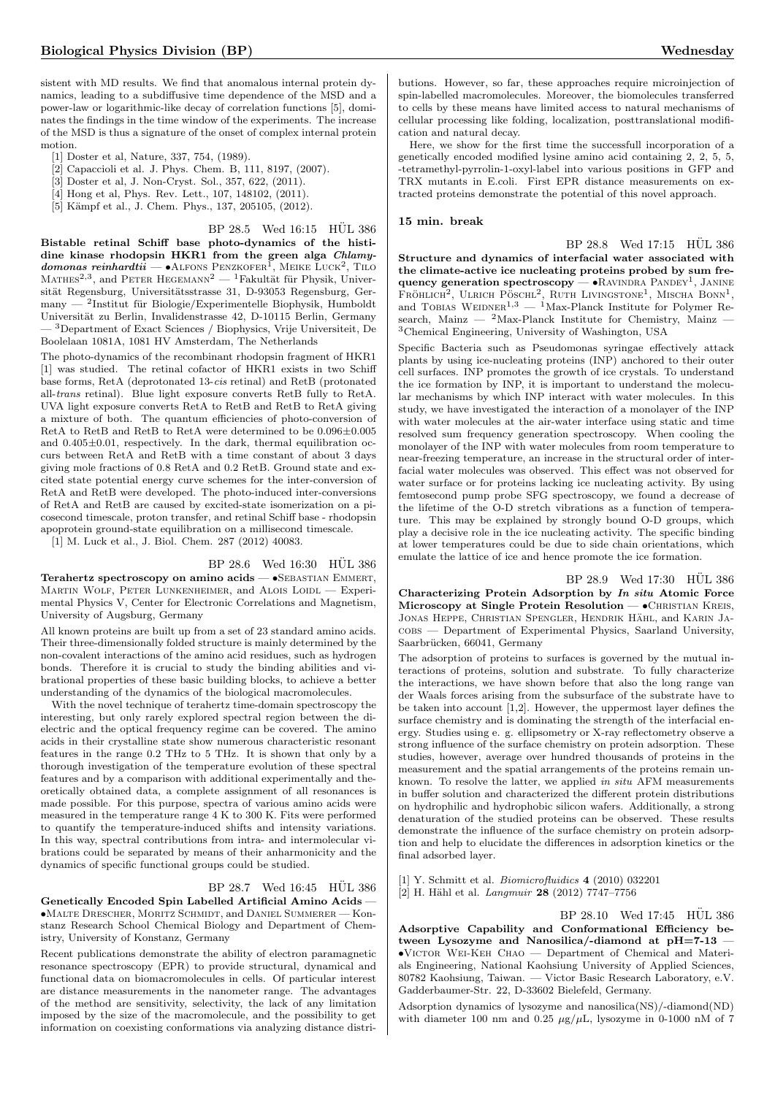sistent with MD results. We find that anomalous internal protein dynamics, leading to a subdiffusive time dependence of the MSD and a power-law or logarithmic-like decay of correlation functions [5], dominates the findings in the time window of the experiments. The increase of the MSD is thus a signature of the onset of complex internal protein motion.

- [1] Doster et al, Nature, 337, 754, (1989).
- [2] Capaccioli et al. J. Phys. Chem. B, 111, 8197, (2007).
- [3] Doster et al, J. Non-Cryst. Sol., 357, 622, (2011).
- [4] Hong et al, Phys. Rev. Lett., 107, 148102, (2011).
- [5] Kämpf et al., J. Chem. Phys., 137, 205105, (2012).

 $BP$  28.5 Wed  $16:15$  HUL 386

Bistable retinal Schiff base photo-dynamics of the histidine kinase rhodopsin HKR1 from the green alga Chlamy $domonas$  reinhardtii — •Alfons Penzkofer<sup>1</sup>, Meike Luck<sup>2</sup>, Tilo MATHES<sup>2,3</sup>, and PETER HEGEMANN<sup>2</sup> — <sup>1</sup>Fakultät für Physik, Universität Regensburg, Universitätsstrasse 31, D-93053 Regensburg, Germany — <sup>2</sup>Institut für Biologie/Experimentelle Biophysik, Humboldt Universität zu Berlin, Invalidenstrasse 42, D-10115 Berlin, Germany — <sup>3</sup>Department of Exact Sciences / Biophysics, Vrije Universiteit, De Boolelaan 1081A, 1081 HV Amsterdam, The Netherlands

The photo-dynamics of the recombinant rhodopsin fragment of HKR1 [1] was studied. The retinal cofactor of HKR1 exists in two Schiff base forms, RetA (deprotonated 13-cis retinal) and RetB (protonated all-trans retinal). Blue light exposure converts RetB fully to RetA. UVA light exposure converts RetA to RetB and RetB to RetA giving a mixture of both. The quantum efficiencies of photo-conversion of RetA to RetB and RetB to RetA were determined to be 0.096±0.005 and  $0.405\pm0.01$ , respectively. In the dark, thermal equilibration occurs between RetA and RetB with a time constant of about 3 days giving mole fractions of 0.8 RetA and 0.2 RetB. Ground state and excited state potential energy curve schemes for the inter-conversion of RetA and RetB were developed. The photo-induced inter-conversions of RetA and RetB are caused by excited-state isomerization on a picosecond timescale, proton transfer, and retinal Schiff base - rhodopsin apoprotein ground-state equilibration on a millisecond timescale.

[1] M. Luck et al., J. Biol. Chem. 287 (2012) 40083.

 $BP$  28.6 Wed 16:30 HUL 386

Terahertz spectroscopy on amino acids — • SEBASTIAN EMMERT, Martin Wolf, Peter Lunkenheimer, and Alois Loidl — Experimental Physics V, Center for Electronic Correlations and Magnetism, University of Augsburg, Germany

All known proteins are built up from a set of 23 standard amino acids. Their three-dimensionally folded structure is mainly determined by the non-covalent interactions of the amino acid residues, such as hydrogen bonds. Therefore it is crucial to study the binding abilities and vibrational properties of these basic building blocks, to achieve a better understanding of the dynamics of the biological macromolecules.

With the novel technique of terahertz time-domain spectroscopy the interesting, but only rarely explored spectral region between the dielectric and the optical frequency regime can be covered. The amino acids in their crystalline state show numerous characteristic resonant features in the range 0.2 THz to 5 THz. It is shown that only by a thorough investigation of the temperature evolution of these spectral features and by a comparison with additional experimentally and theoretically obtained data, a complete assignment of all resonances is made possible. For this purpose, spectra of various amino acids were measured in the temperature range 4 K to 300 K. Fits were performed to quantify the temperature-induced shifts and intensity variations. In this way, spectral contributions from intra- and intermolecular vibrations could be separated by means of their anharmonicity and the dynamics of specific functional groups could be studied.

# BP 28.7 Wed 16:45 HÜL 386

Genetically Encoded Spin Labelled Artificial Amino Acids — •Malte Drescher, Moritz Schmidt, and Daniel Summerer — Konstanz Research School Chemical Biology and Department of Chemistry, University of Konstanz, Germany

Recent publications demonstrate the ability of electron paramagnetic resonance spectroscopy (EPR) to provide structural, dynamical and functional data on biomacromolecules in cells. Of particular interest are distance measurements in the nanometer range. The advantages of the method are sensitivity, selectivity, the lack of any limitation imposed by the size of the macromolecule, and the possibility to get information on coexisting conformations via analyzing distance distri-

butions. However, so far, these approaches require microinjection of spin-labelled macromolecules. Moreover, the biomolecules transferred to cells by these means have limited access to natural mechanisms of cellular processing like folding, localization, posttranslational modification and natural decay.

Here, we show for the first time the successfull incorporation of a genetically encoded modified lysine amino acid containing 2, 2, 5, 5, -tetramethyl-pyrrolin-1-oxyl-label into various positions in GFP and TRX mutants in E.coli. First EPR distance measurements on extracted proteins demonstrate the potential of this novel approach.

#### 15 min. break

BP 28.8 Wed 17:15 HUL 386 Structure and dynamics of interfacial water associated with the climate-active ice nucleating proteins probed by sum frequency generation spectroscopy — · RAVINDRA PANDEY<sup>1</sup>, JANINE  $\overline{\text{F}}$ röhlich<sup>2</sup>, Ulrich Pöschl<sup>2</sup>, Ruth Livingstone<sup>1</sup>, Mischa Bonn<sup>1</sup>, and TOBIAS WEIDNER<sup>1,3</sup> — <sup>1</sup>Max-Planck Institute for Polymer Research, Mainz  $-$  <sup>2</sup>Max-Planck Institute for Chemistry, Mainz  $-$ <sup>3</sup>Chemical Engineering, University of Washington, USA

Specific Bacteria such as Pseudomonas syringae effectively attack plants by using ice-nucleating proteins (INP) anchored to their outer cell surfaces. INP promotes the growth of ice crystals. To understand the ice formation by INP, it is important to understand the molecular mechanisms by which INP interact with water molecules. In this study, we have investigated the interaction of a monolayer of the INP with water molecules at the air-water interface using static and time resolved sum frequency generation spectroscopy. When cooling the monolayer of the INP with water molecules from room temperature to near-freezing temperature, an increase in the structural order of interfacial water molecules was observed. This effect was not observed for water surface or for proteins lacking ice nucleating activity. By using femtosecond pump probe SFG spectroscopy, we found a decrease of the lifetime of the O-D stretch vibrations as a function of temperature. This may be explained by strongly bound O-D groups, which play a decisive role in the ice nucleating activity. The specific binding at lower temperatures could be due to side chain orientations, which emulate the lattice of ice and hence promote the ice formation.

BP 28.9 Wed 17:30  $\,$  HUL 386  $\,$ Characterizing Protein Adsorption by In situ Atomic Force Microscopy at Single Protein Resolution —  $\bullet$ CHRISTIAN KREIS, JONAS HEPPE, CHRISTIAN SPENGLER, HENDRIK HÄHL, and KARIN JAcobs — Department of Experimental Physics, Saarland University, Saarbrücken, 66041, Germany

The adsorption of proteins to surfaces is governed by the mutual interactions of proteins, solution and substrate. To fully characterize the interactions, we have shown before that also the long range van der Waals forces arising from the subsurface of the substrate have to be taken into account  $[1,2]$ . However, the uppermost layer defines the surface chemistry and is dominating the strength of the interfacial energy. Studies using e. g. ellipsometry or X-ray reflectometry observe a strong influence of the surface chemistry on protein adsorption. These studies, however, average over hundred thousands of proteins in the measurement and the spatial arrangements of the proteins remain unknown. To resolve the latter, we applied in situ AFM measurements in buffer solution and characterized the different protein distributions on hydrophilic and hydrophobic silicon wafers. Additionally, a strong denaturation of the studied proteins can be observed. These results demonstrate the influence of the surface chemistry on protein adsorption and help to elucidate the differences in adsorption kinetics or the final adsorbed layer.

[1] Y. Schmitt et al. Biomicrofluidics 4 (2010) 032201 [2] H. Hähl et al.  $Langmuir$  28 (2012) 7747-7756

 $BP 28.10$  Wed  $17:45$   $HÜL 386$ Adsorptive Capability and Conformational Efficiency between Lysozyme and Nanosilica/-diamond at  $pH=7-13$  –  $\bullet$ VICTOR WEI-KEH CHAO — Department of Chemical and Materials Engineering, National Kaohsiung University of Applied Sciences, 80782 Kaohsiung, Taiwan. — Victor Basic Research Laboratory, e.V. Gadderbaumer-Str. 22, D-33602 Bielefeld, Germany.

Adsorption dynamics of lysozyme and nanosilica(NS)/-diamond(ND) with diameter 100 nm and 0.25  $\mu$ g/ $\mu$ L, lysozyme in 0-1000 nM of 7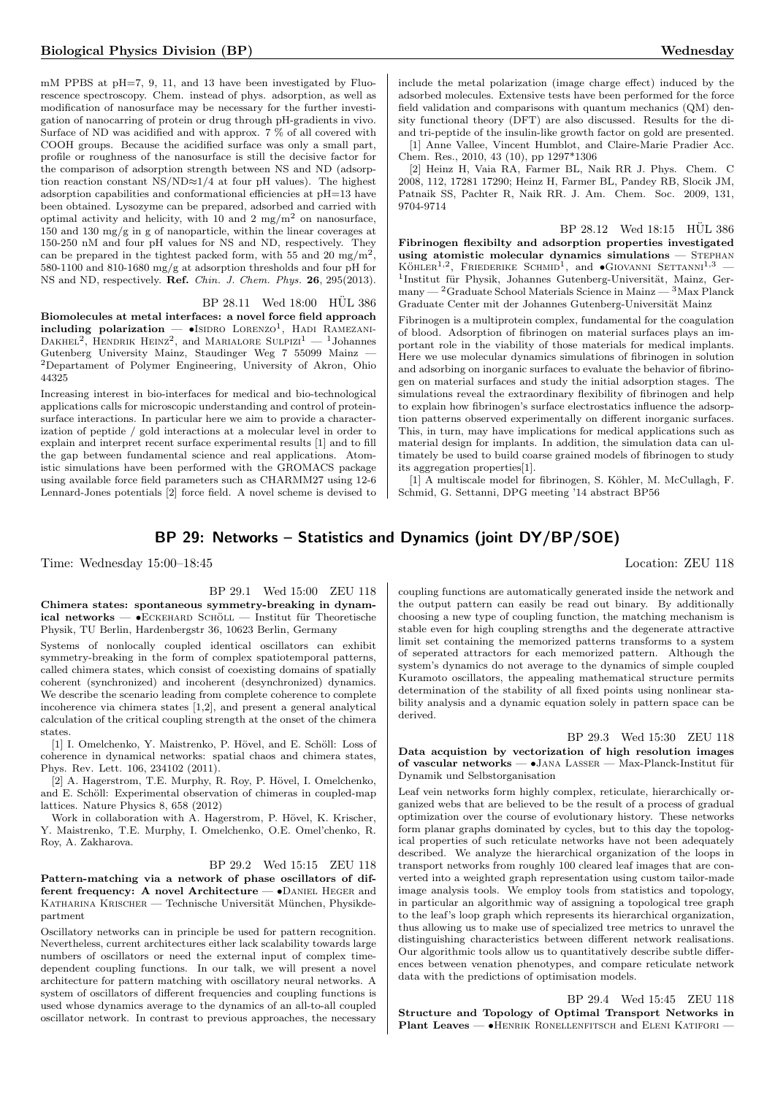mM PPBS at pH=7, 9, 11, and 13 have been investigated by Fluorescence spectroscopy. Chem. instead of phys. adsorption, as well as modification of nanosurface may be necessary for the further investigation of nanocarring of protein or drug through pH-gradients in vivo. Surface of ND was acidified and with approx. 7 % of all covered with COOH groups. Because the acidified surface was only a small part, profile or roughness of the nanosurface is still the decisive factor for the comparison of adsorption strength between NS and ND (adsorption reaction constant NS/ND≈1/4 at four pH values). The highest adsorption capabilities and conformational efficiencies at pH=13 have been obtained. Lysozyme can be prepared, adsorbed and carried with optimal activity and helicity, with 10 and 2 mg/m<sup>2</sup> on nanosurface, 150 and 130 mg/g in g of nanoparticle, within the linear coverages at 150-250 nM and four pH values for NS and ND, respectively. They can be prepared in the tightest packed form, with 55 and 20  $mg/m^2$ , 580-1100 and 810-1680 mg/g at adsorption thresholds and four pH for NS and ND, respectively. Ref. Chin. J. Chem. Phys. 26, 295(2013).

#### BP 28.11 Wed 18:00 HUL 386

Biomolecules at metal interfaces: a novel force field approach including polarization  $-$  •Isidro Lorenzo<sup>1</sup>, Hadi Ramezani-DAKHEL<sup>2</sup>, HENDRIK HEINZ<sup>2</sup>, and MARIALORE SULPIZI<sup>1</sup> — <sup>1</sup>Johannes Gutenberg University Mainz, Staudinger Weg 7 55099 Mainz — <sup>2</sup>Departament of Polymer Engineering, University of Akron, Ohio 44325

Increasing interest in bio-interfaces for medical and bio-technological applications calls for microscopic understanding and control of proteinsurface interactions. In particular here we aim to provide a characterization of peptide / gold interactions at a molecular level in order to explain and interpret recent surface experimental results [1] and to fill the gap between fundamental science and real applications. Atomistic simulations have been performed with the GROMACS package using available force field parameters such as CHARMM27 using 12-6 Lennard-Jones potentials [2] force field. A novel scheme is devised to

include the metal polarization (image charge effect) induced by the adsorbed molecules. Extensive tests have been performed for the force field validation and comparisons with quantum mechanics (QM) density functional theory (DFT) are also discussed. Results for the diand tri-peptide of the insulin-like growth factor on gold are presented.

[1] Anne Vallee, Vincent Humblot, and Claire-Marie Pradier Acc. Chem. Res., 2010, 43 (10), pp 1297\*1306

[2] Heinz H, Vaia RA, Farmer BL, Naik RR J. Phys. Chem. C 2008, 112, 17281 17290; Heinz H, Farmer BL, Pandey RB, Slocik JM, Patnaik SS, Pachter R, Naik RR. J. Am. Chem. Soc. 2009, 131, 9704-9714

 $BP 28.12$  Wed  $18:15$  HUL 386 Fibrinogen flexibilty and adsorption properties investigated using atomistic molecular dynamics simulations  $-$  STEPHAN  $K\ddot{\text{o}}$ HLER<sup>1,2</sup>, FRIEDERIKE SCHMID<sup>1</sup>, and  $\bullet$ GIOVANNI SETTANNI<sup>1,3</sup> <sup>1</sup>Institut für Physik, Johannes Gutenberg-Universität, Mainz, Germany — <sup>2</sup>Graduate School Materials Science in Mainz — <sup>3</sup>Max Planck Graduate Center mit der Johannes Gutenberg-Universität Mainz

Fibrinogen is a multiprotein complex, fundamental for the coagulation of blood. Adsorption of fibrinogen on material surfaces plays an important role in the viability of those materials for medical implants. Here we use molecular dynamics simulations of fibrinogen in solution and adsorbing on inorganic surfaces to evaluate the behavior of fibrinogen on material surfaces and study the initial adsorption stages. The simulations reveal the extraordinary flexibility of fibrinogen and help to explain how fibrinogen's surface electrostatics influence the adsorption patterns observed experimentally on different inorganic surfaces. This, in turn, may have implications for medical applications such as material design for implants. In addition, the simulation data can ultimately be used to build coarse grained models of fibrinogen to study its aggregation properties[1].

[1] A multiscale model for fibrinogen, S. Köhler, M. McCullagh, F. Schmid, G. Settanni, DPG meeting '14 abstract BP56

# BP 29: Networks – Statistics and Dynamics (joint DY/BP/SOE)

Time: Wednesday 15:00–18:45 Location: ZEU 118

#### BP 29.1 Wed 15:00 ZEU 118

Chimera states: spontaneous symmetry-breaking in dynam $ical$  networks — • $E$ CKEHARD SCHÖLL — Institut für Theoretische Physik, TU Berlin, Hardenbergstr 36, 10623 Berlin, Germany

Systems of nonlocally coupled identical oscillators can exhibit symmetry-breaking in the form of complex spatiotemporal patterns, called chimera states, which consist of coexisting domains of spatially coherent (synchronized) and incoherent (desynchronized) dynamics. We describe the scenario leading from complete coherence to complete incoherence via chimera states [1,2], and present a general analytical calculation of the critical coupling strength at the onset of the chimera states.

[1] I. Omelchenko, Y. Maistrenko, P. Hövel, and E. Schöll: Loss of coherence in dynamical networks: spatial chaos and chimera states, Phys. Rev. Lett. 106, 234102 (2011).

[2] A. Hagerstrom, T.E. Murphy, R. Roy, P. Hövel, I. Omelchenko, and E. Schöll: Experimental observation of chimeras in coupled-map lattices. Nature Physics 8, 658 (2012)

Work in collaboration with A. Hagerstrom, P. Hövel, K. Krischer, Y. Maistrenko, T.E. Murphy, I. Omelchenko, O.E. Omel'chenko, R. Roy, A. Zakharova.

#### BP 29.2 Wed 15:15 ZEU 118

Pattern-matching via a network of phase oscillators of different frequency: A novel Architecture — •DANIEL HEGER and KATHARINA KRISCHER — Technische Universität München, Physikdepartment

Oscillatory networks can in principle be used for pattern recognition. Nevertheless, current architectures either lack scalability towards large numbers of oscillators or need the external input of complex timedependent coupling functions. In our talk, we will present a novel architecture for pattern matching with oscillatory neural networks. A system of oscillators of different frequencies and coupling functions is used whose dynamics average to the dynamics of an all-to-all coupled oscillator network. In contrast to previous approaches, the necessary

coupling functions are automatically generated inside the network and the output pattern can easily be read out binary. By additionally choosing a new type of coupling function, the matching mechanism is stable even for high coupling strengths and the degenerate attractive limit set containing the memorized patterns transforms to a system of seperated attractors for each memorized pattern. Although the system's dynamics do not average to the dynamics of simple coupled Kuramoto oscillators, the appealing mathematical structure permits determination of the stability of all fixed points using nonlinear stability analysis and a dynamic equation solely in pattern space can be derived.

BP 29.3 Wed 15:30 ZEU 118 Data acquistion by vectorization of high resolution images of vascular networks — •JANA LASSER — Max-Planck-Institut für Dynamik und Selbstorganisation

Leaf vein networks form highly complex, reticulate, hierarchically organized webs that are believed to be the result of a process of gradual optimization over the course of evolutionary history. These networks form planar graphs dominated by cycles, but to this day the topological properties of such reticulate networks have not been adequately described. We analyze the hierarchical organization of the loops in transport networks from roughly 100 cleared leaf images that are converted into a weighted graph representation using custom tailor-made image analysis tools. We employ tools from statistics and topology, in particular an algorithmic way of assigning a topological tree graph to the leaf's loop graph which represents its hierarchical organization, thus allowing us to make use of specialized tree metrics to unravel the distinguishing characteristics between different network realisations. Our algorithmic tools allow us to quantitatively describe subtle differences between venation phenotypes, and compare reticulate network data with the predictions of optimisation models.

BP 29.4 Wed 15:45 ZEU 118 Structure and Topology of Optimal Transport Networks in Plant Leaves — •HENRIK RONELLENFITSCH and ELENI KATIFORI —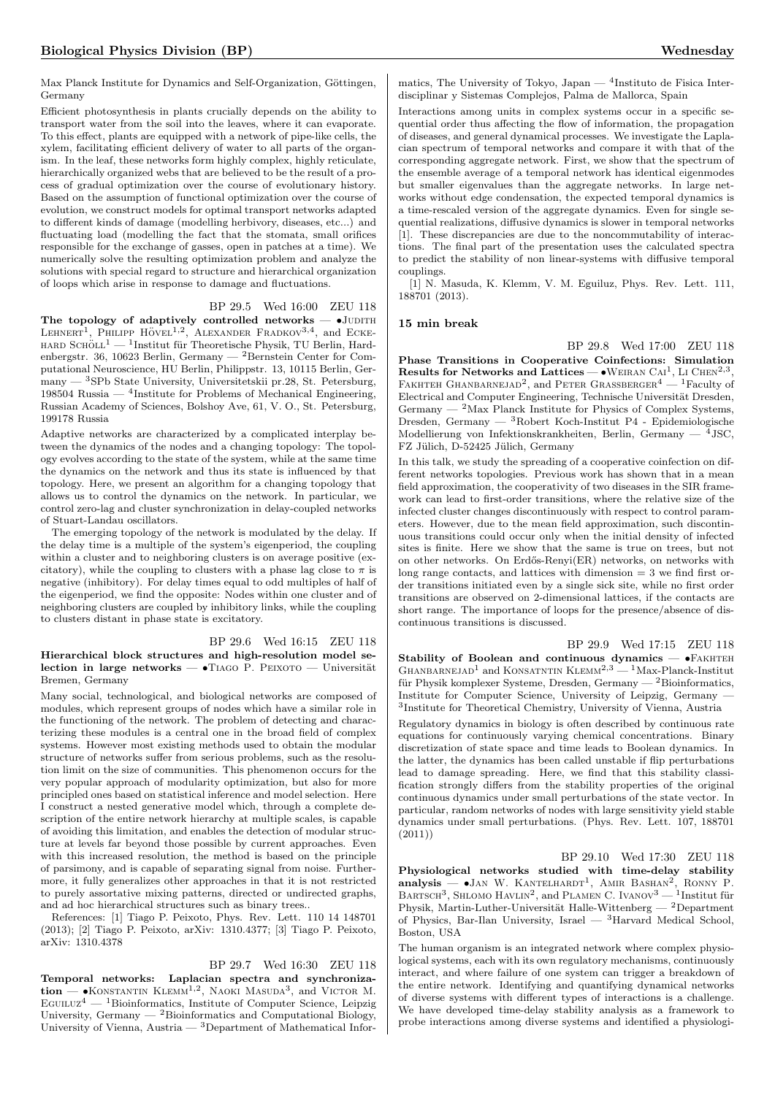Max Planck Institute for Dynamics and Self-Organization, Göttingen, Germany

Efficient photosynthesis in plants crucially depends on the ability to transport water from the soil into the leaves, where it can evaporate. To this effect, plants are equipped with a network of pipe-like cells, the xylem, facilitating efficient delivery of water to all parts of the organism. In the leaf, these networks form highly complex, highly reticulate, hierarchically organized webs that are believed to be the result of a process of gradual optimization over the course of evolutionary history. Based on the assumption of functional optimization over the course of evolution, we construct models for optimal transport networks adapted to different kinds of damage (modelling herbivory, diseases, etc...) and fluctuating load (modelling the fact that the stomata, small orifices responsible for the exchange of gasses, open in patches at a time). We numerically solve the resulting optimization problem and analyze the solutions with special regard to structure and hierarchical organization of loops which arise in response to damage and fluctuations.

#### BP 29.5 Wed 16:00 ZEU 118

The topology of adaptively controlled networks  $\bullet$ JUDITH LEHNERT<sup>1</sup>, PHILIPP HÖVEL<sup>1,2</sup>, ALEXANDER FRADKOV<sup>3,4</sup>, and ECKE- $\textsc{HARD}$  Schö $\textsc{L1}$  —  $\textsc{l}$  Institut für Theoretische Physik, TU Berlin, Hardenbergstr. 36, 10623 Berlin, Germany — <sup>2</sup>Bernstein Center for Computational Neuroscience, HU Berlin, Philippstr. 13, 10115 Berlin, Germany — <sup>3</sup>SPb State University, Universitetskii pr.28, St. Petersburg, 198504 Russia — <sup>4</sup> Institute for Problems of Mechanical Engineering, Russian Academy of Sciences, Bolshoy Ave, 61, V. O., St. Petersburg, 199178 Russia

Adaptive networks are characterized by a complicated interplay between the dynamics of the nodes and a changing topology: The topology evolves according to the state of the system, while at the same time the dynamics on the network and thus its state is influenced by that topology. Here, we present an algorithm for a changing topology that allows us to control the dynamics on the network. In particular, we control zero-lag and cluster synchronization in delay-coupled networks of Stuart-Landau oscillators.

The emerging topology of the network is modulated by the delay. If the delay time is a multiple of the system's eigenperiod, the coupling within a cluster and to neighboring clusters is on average positive (excitatory), while the coupling to clusters with a phase lag close to  $\pi$  is negative (inhibitory). For delay times equal to odd multiples of half of the eigenperiod, we find the opposite: Nodes within one cluster and of neighboring clusters are coupled by inhibitory links, while the coupling to clusters distant in phase state is excitatory.

#### BP 29.6 Wed 16:15 ZEU 118

Hierarchical block structures and high-resolution model selection in large networks —  $\bullet$ TIAGO P. PEIXOTO — Universität Bremen, Germany

Many social, technological, and biological networks are composed of modules, which represent groups of nodes which have a similar role in the functioning of the network. The problem of detecting and characterizing these modules is a central one in the broad field of complex systems. However most existing methods used to obtain the modular structure of networks suffer from serious problems, such as the resolution limit on the size of communities. This phenomenon occurs for the very popular approach of modularity optimization, but also for more principled ones based on statistical inference and model selection. Here I construct a nested generative model which, through a complete description of the entire network hierarchy at multiple scales, is capable of avoiding this limitation, and enables the detection of modular structure at levels far beyond those possible by current approaches. Even with this increased resolution, the method is based on the principle of parsimony, and is capable of separating signal from noise. Furthermore, it fully generalizes other approaches in that it is not restricted to purely assortative mixing patterns, directed or undirected graphs, and ad hoc hierarchical structures such as binary trees..

References: [1] Tiago P. Peixoto, Phys. Rev. Lett. 110 14 148701 (2013); [2] Tiago P. Peixoto, arXiv: 1310.4377; [3] Tiago P. Peixoto, arXiv: 1310.4378

#### BP 29.7 Wed 16:30 ZEU 118

Temporal networks: Laplacian spectra and synchroniza- $\text{tion} = \bullet$ KONSTANTIN KLEMM<sup>1,2</sup>, NAOKI MASUDA<sup>3</sup>, and VICTOR M. EGUILUZ<sup>4</sup> — <sup>1</sup>Bioinformatics, Institute of Computer Science, Leipzig University, Germany  $-$  <sup>2</sup>Bioinformatics and Computational Biology, University of Vienna, Austria — <sup>3</sup>Department of Mathematical Infor-

matics, The University of Tokyo, Japan —  $^4$ Instituto de Fisica Interdisciplinar y Sistemas Complejos, Palma de Mallorca, Spain

Interactions among units in complex systems occur in a specific sequential order thus affecting the flow of information, the propagation of diseases, and general dynamical processes. We investigate the Laplacian spectrum of temporal networks and compare it with that of the corresponding aggregate network. First, we show that the spectrum of the ensemble average of a temporal network has identical eigenmodes but smaller eigenvalues than the aggregate networks. In large networks without edge condensation, the expected temporal dynamics is a time-rescaled version of the aggregate dynamics. Even for single sequential realizations, diffusive dynamics is slower in temporal networks [1]. These discrepancies are due to the noncommutability of interactions. The final part of the presentation uses the calculated spectra to predict the stability of non linear-systems with diffusive temporal couplings.

[1] N. Masuda, K. Klemm, V. M. Eguiluz, Phys. Rev. Lett. 111, 188701 (2013).

#### 15 min break

BP 29.8 Wed 17:00 ZEU 118 Phase Transitions in Cooperative Coinfections: Simulation Results for Networks and Lattices —  $\bullet$  WEIRAN CAI<sup>1</sup>, LI CHEN<sup>2,3</sup> FAKHTEH GHANBARNEJAD<sup>2</sup>, and PETER GRASSBERGER<sup>4</sup> — <sup>1</sup>Faculty of Electrical and Computer Engineering, Technische Universität Dresden, Germany  $-$  <sup>2</sup>Max Planck Institute for Physics of Complex Systems, Dresden, Germany — <sup>3</sup>Robert Koch-Institut P4 - Epidemiologische Modellierung von Infektionskrankheiten, Berlin, Germany  $-$ <sup>4</sup>JSC, FZ Jülich, D-52425 Jülich, Germany

In this talk, we study the spreading of a cooperative coinfection on different networks topologies. Previous work has shown that in a mean field approximation, the cooperativity of two diseases in the SIR framework can lead to first-order transitions, where the relative size of the infected cluster changes discontinuously with respect to control parameters. However, due to the mean field approximation, such discontinuous transitions could occur only when the initial density of infected sites is finite. Here we show that the same is true on trees, but not on other networks. On Erd˝os-Renyi(ER) networks, on networks with long range contacts, and lattices with dimension = 3 we find first order transitions initiated even by a single sick site, while no first order transitions are observed on 2-dimensional lattices, if the contacts are short range. The importance of loops for the presence/absence of discontinuous transitions is discussed.

BP 29.9 Wed 17:15 ZEU 118 Stability of Boolean and continuous dynamics  $\bullet$ FAKHTEH GHANBARNEJAD<sup>1</sup> and KONSATNTIN KLEMM<sup>2,3</sup> — <sup>1</sup>Max-Planck-Institut für Physik komplexer Systeme, Dresden, Germany —  $^2$ Bioinformatics, Institute for Computer Science, University of Leipzig, Germany — 3 Institute for Theoretical Chemistry, University of Vienna, Austria

Regulatory dynamics in biology is often described by continuous rate equations for continuously varying chemical concentrations. Binary discretization of state space and time leads to Boolean dynamics. In the latter, the dynamics has been called unstable if flip perturbations lead to damage spreading. Here, we find that this stability classification strongly differs from the stability properties of the original continuous dynamics under small perturbations of the state vector. In particular, random networks of nodes with large sensitivity yield stable dynamics under small perturbations. (Phys. Rev. Lett. 107, 188701  $(2011)$ 

BP 29.10 Wed 17:30 ZEU 118

Physiological networks studied with time-delay stability  $analysis$  —  $\bullet$ Jan W. KANTELHARDT<sup>1</sup>, AMIR BASHAN<sup>2</sup> , Ronny P. BARTSCH<sup>3</sup>, SHLOMO HAVLIN<sup>2</sup>, and PLAMEN C. IVANOV<sup>3</sup> — <sup>1</sup>Institut für Physik, Martin-Luther-Universität Halle-Wittenberg —  $^2\rm{Department}$ of Physics, Bar-Ilan University, Israel — <sup>3</sup>Harvard Medical School, Boston, USA

The human organism is an integrated network where complex physiological systems, each with its own regulatory mechanisms, continuously interact, and where failure of one system can trigger a breakdown of the entire network. Identifying and quantifying dynamical networks of diverse systems with different types of interactions is a challenge. We have developed time-delay stability analysis as a framework to probe interactions among diverse systems and identified a physiologi-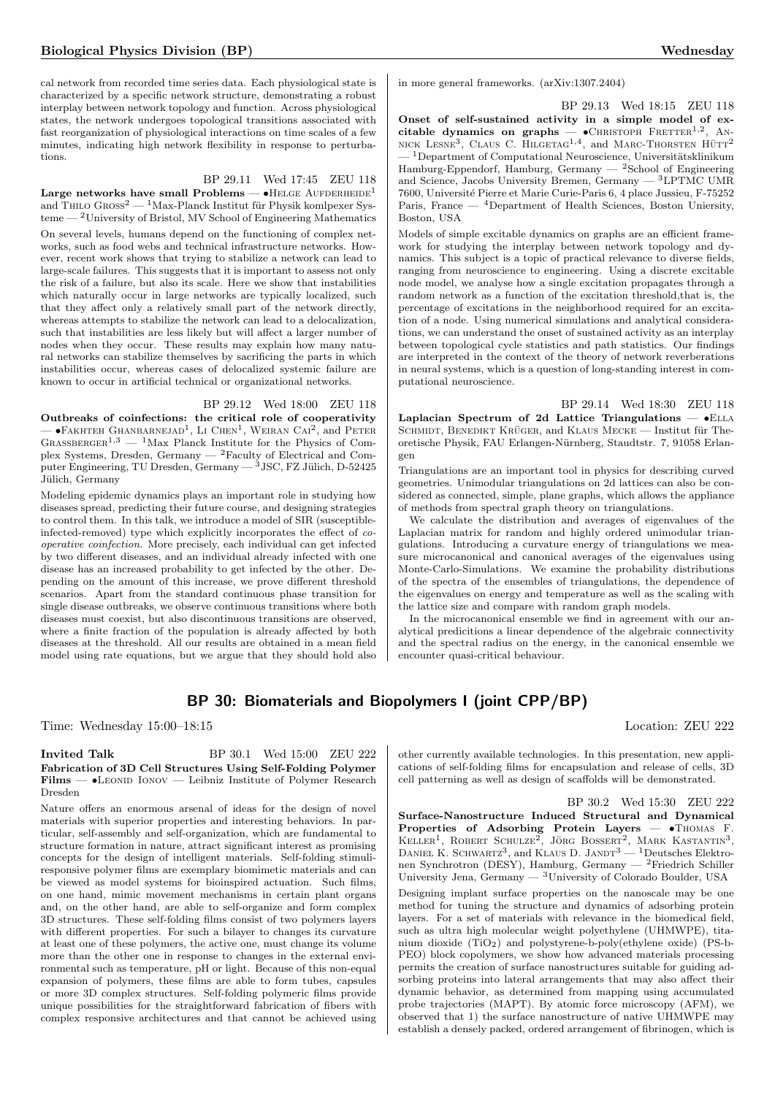cal network from recorded time series data. Each physiological state is characterized by a specific network structure, demonstrating a robust interplay between network topology and function. Across physiological states, the network undergoes topological transitions associated with fast reorganization of physiological interactions on time scales of a few minutes, indicating high network flexibility in response to perturbations.

### BP 29.11 Wed 17:45 ZEU 118

Large networks have small Problems  $\bullet$ HELGE AUFDERHEIDE<sup>1</sup> and THILO  $\rm{Gross^2} - \rm{^1Max\text{-}Planck\text{ Institute}$ für Physik komlpexer Systeme — <sup>2</sup>University of Bristol, MV School of Engineering Mathematics

On several levels, humans depend on the functioning of complex networks, such as food webs and technical infrastructure networks. However, recent work shows that trying to stabilize a network can lead to large-scale failures. This suggests that it is important to assess not only the risk of a failure, but also its scale. Here we show that instabilities which naturally occur in large networks are typically localized, such that they affect only a relatively small part of the network directly, whereas attempts to stabilize the network can lead to a delocalization, such that instabilities are less likely but will affect a larger number of nodes when they occur. These results may explain how many natural networks can stabilize themselves by sacrificing the parts in which instabilities occur, whereas cases of delocalized systemic failure are known to occur in artificial technical or organizational networks.

#### BP 29.12 Wed 18:00 ZEU 118

Outbreaks of coinfections: the critical role of cooperativity  $-$  •Fakhteh Ghanbarnejad<sup>1</sup>, Li Chen<sup>1</sup>, Weiran Cai<sup>2</sup>, and Peter GRASSBERGER<sup>1,3</sup> — <sup>1</sup>Max Planck Institute for the Physics of Complex Systems, Dresden, Germany — <sup>2</sup>Faculty of Electrical and Computer Engineering, TU Dresden, Germany  $-$ <sup>3</sup> JSC, FZ Jülich, D-52425 Jülich, Germany

Modeling epidemic dynamics plays an important role in studying how diseases spread, predicting their future course, and designing strategies to control them. In this talk, we introduce a model of SIR (susceptibleinfected-removed) type which explicitly incorporates the effect of cooperative coinfection. More precisely, each individual can get infected by two different diseases, and an individual already infected with one disease has an increased probability to get infected by the other. Depending on the amount of this increase, we prove different threshold scenarios. Apart from the standard continuous phase transition for single disease outbreaks, we observe continuous transitions where both diseases must coexist, but also discontinuous transitions are observed, where a finite fraction of the population is already affected by both diseases at the threshold. All our results are obtained in a mean field model using rate equations, but we argue that they should hold also in more general frameworks. (arXiv:1307.2404)

BP 29.13 Wed 18:15 ZEU 118 Onset of self-sustained activity in a simple model of excitable dynamics on graphs  $\bullet$ CHRISTOPH FRETTER<sup>1,2</sup>, AN-NICK LESNE<sup>3</sup>, CLAUS C. HILGETAG<sup>1,4</sup>, and MARC-THORSTEN HÜTT<sup>2</sup>  $-$ <sup>1</sup>Department of Computational Neuroscience, Universitätsklinikum Hamburg-Eppendorf, Hamburg, Germany — <sup>2</sup>School of Engineering and Science, Jacobs University Bremen, Germany  $-$ <sup>3</sup>LPTMC UMR 7600, Université Pierre et Marie Curie-Paris 6, 4 place Jussieu, F-75252 Paris, France — <sup>4</sup>Department of Health Sciences, Boston Uniersity, Boston, USA

Models of simple excitable dynamics on graphs are an efficient framework for studying the interplay between network topology and dynamics. This subject is a topic of practical relevance to diverse fields, ranging from neuroscience to engineering. Using a discrete excitable node model, we analyse how a single excitation propagates through a random network as a function of the excitation threshold,that is, the percentage of excitations in the neighborhood required for an excitation of a node. Using numerical simulations and analytical considerations, we can understand the onset of sustained activity as an interplay between topological cycle statistics and path statistics. Our findings are interpreted in the context of the theory of network reverberations in neural systems, which is a question of long-standing interest in computational neuroscience.

BP 29.14 Wed 18:30 ZEU 118 Laplacian Spectrum of 2d Lattice Triangulations  $-$  •ELLA SCHMIDT, BENEDIKT KRÜGER, and KLAUS MECKE — Institut für Theoretische Physik, FAU Erlangen-N¨urnberg, Staudtstr. 7, 91058 Erlangen

Triangulations are an important tool in physics for describing curved geometries. Unimodular triangulations on 2d lattices can also be considered as connected, simple, plane graphs, which allows the appliance of methods from spectral graph theory on triangulations.

We calculate the distribution and averages of eigenvalues of the Laplacian matrix for random and highly ordered unimodular triangulations. Introducing a curvature energy of triangulations we measure microcanonical and canonical averages of the eigenvalues using Monte-Carlo-Simulations. We examine the probability distributions of the spectra of the ensembles of triangulations, the dependence of the eigenvalues on energy and temperature as well as the scaling with the lattice size and compare with random graph models.

In the microcanonical ensemble we find in agreement with our analytical predicitions a linear dependence of the algebraic connectivity and the spectral radius on the energy, in the canonical ensemble we encounter quasi-critical behaviour.

# BP 30: Biomaterials and Biopolymers I (joint CPP/BP)

Time: Wednesday 15:00–18:15 Location: ZEU 222

#### **Invited Talk** BP 30.1 Wed 15:00 ZEU 222 Fabrication of 3D Cell Structures Using Self-Folding Polymer Films — •LEONID IONOV — Leibniz Institute of Polymer Research Dresden

Nature offers an enormous arsenal of ideas for the design of novel materials with superior properties and interesting behaviors. In particular, self-assembly and self-organization, which are fundamental to structure formation in nature, attract significant interest as promising concepts for the design of intelligent materials. Self-folding stimuliresponsive polymer films are exemplary biomimetic materials and can be viewed as model systems for bioinspired actuation. Such films, on one hand, mimic movement mechanisms in certain plant organs and, on the other hand, are able to self-organize and form complex 3D structures. These self-folding films consist of two polymers layers with different properties. For such a bilayer to changes its curvature at least one of these polymers, the active one, must change its volume more than the other one in response to changes in the external environmental such as temperature, pH or light. Because of this non-equal expansion of polymers, these films are able to form tubes, capsules or more 3D complex structures. Self-folding polymeric films provide unique possibilities for the straightforward fabrication of fibers with complex responsive architectures and that cannot be achieved using

other currently available technologies. In this presentation, new applications of self-folding films for encapsulation and release of cells, 3D cell patterning as well as design of scaffolds will be demonstrated.

BP 30.2 Wed 15:30 ZEU 222 Surface-Nanostructure Induced Structural and Dynamical Properties of Adsorbing Protein Layers -  $\bullet$ Thomas F. KELLER<sup>1</sup>, ROBERT SCHULZE<sup>2</sup>, JÖRG BOSSERT<sup>2</sup>, MARK KASTANTIN<sup>3</sup>, DANIEL K. SCHWARTZ<sup>3</sup>, and KLAUS D. JANDT<sup>3</sup> — <sup>1</sup> Deutsches Elektronen Synchrotron (DESY), Hamburg, Germany — <sup>2</sup>Friedrich Schiller University Jena, Germany — <sup>3</sup>University of Colorado Boulder, USA

Designing implant surface properties on the nanoscale may be one method for tuning the structure and dynamics of adsorbing protein layers. For a set of materials with relevance in the biomedical field, such as ultra high molecular weight polyethylene (UHMWPE), titanium dioxide (TiO2) and polystyrene-b-poly(ethylene oxide) (PS-b-PEO) block copolymers, we show how advanced materials processing permits the creation of surface nanostructures suitable for guiding adsorbing proteins into lateral arrangements that may also affect their dynamic behavior, as determined from mapping using accumulated probe trajectories (MAPT). By atomic force microscopy (AFM), we observed that 1) the surface nanostructure of native UHMWPE may establish a densely packed, ordered arrangement of fibrinogen, which is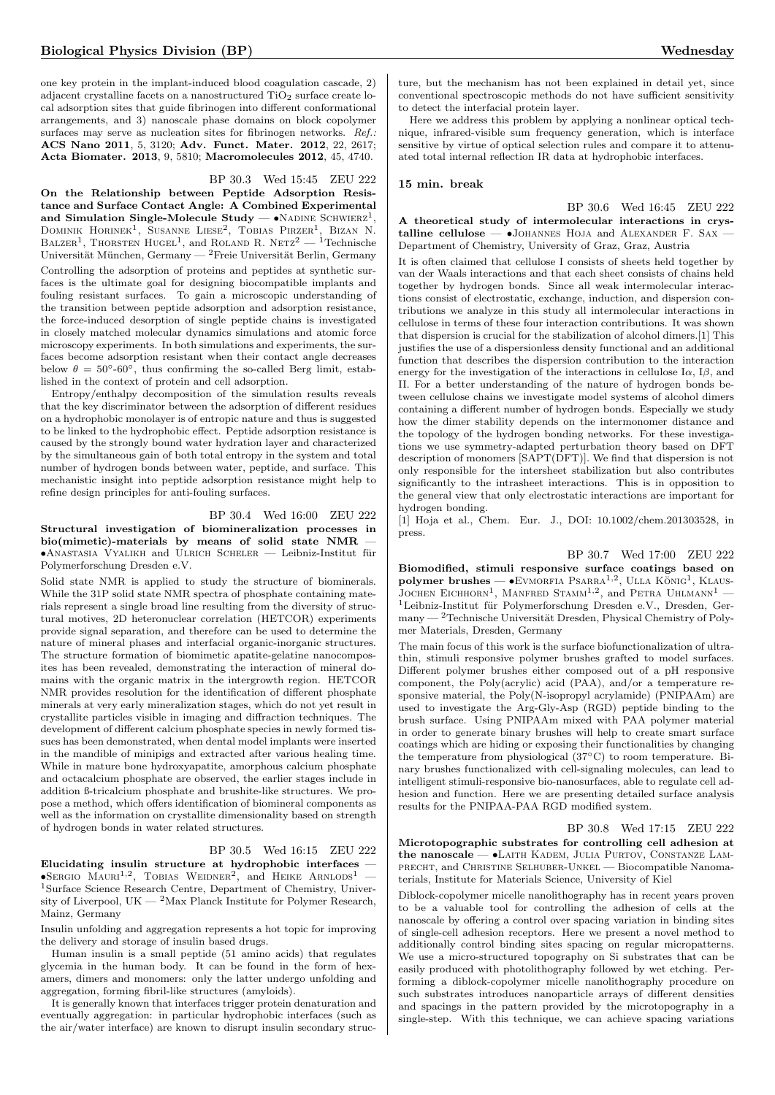one key protein in the implant-induced blood coagulation cascade, 2) adjacent crystalline facets on a nanostructured  $TiO<sub>2</sub>$  surface create local adsorption sites that guide fibrinogen into different conformational arrangements, and 3) nanoscale phase domains on block copolymer surfaces may serve as nucleation sites for fibrinogen networks. Ref.: ACS Nano 2011, 5, 3120; Adv. Funct. Mater. 2012, 22, 2617; Acta Biomater. 2013, 9, 5810; Macromolecules 2012, 45, 4740.

#### BP 30.3 Wed 15:45 ZEU 222

On the Relationship between Peptide Adsorption Resistance and Surface Contact Angle: A Combined Experimental and Simulation Single-Molecule Study —  $\bullet$ NADINE SCHWIERZ<sup>1</sup>, DOMINIK HORINEK<sup>1</sup>, SUSANNE LIESE<sup>2</sup>, TOBIAS PIRZER<sup>1</sup>, BIZAN N. BALZER<sup>1</sup>, THORSTEN HUGEL<sup>1</sup>, and ROLAND R. NETZ<sup>2</sup> — <sup>1</sup>Technische Universität München, Germany — <sup>2</sup>Freie Universität Berlin, Germany Controlling the adsorption of proteins and peptides at synthetic surfaces is the ultimate goal for designing biocompatible implants and fouling resistant surfaces. To gain a microscopic understanding of the transition between peptide adsorption and adsorption resistance, the force-induced desorption of single peptide chains is investigated in closely matched molecular dynamics simulations and atomic force microscopy experiments. In both simulations and experiments, the surfaces become adsorption resistant when their contact angle decreases below  $\theta = 50^{\circ}$ -60°, thus confirming the so-called Berg limit, established in the context of protein and cell adsorption.

Entropy/enthalpy decomposition of the simulation results reveals that the key discriminator between the adsorption of different residues on a hydrophobic monolayer is of entropic nature and thus is suggested to be linked to the hydrophobic effect. Peptide adsorption resistance is caused by the strongly bound water hydration layer and characterized by the simultaneous gain of both total entropy in the system and total number of hydrogen bonds between water, peptide, and surface. This mechanistic insight into peptide adsorption resistance might help to refine design principles for anti-fouling surfaces.

#### BP 30.4 Wed 16:00 ZEU 222

Structural investigation of biomineralization processes in bio(mimetic)-materials by means of solid state NMR —  $\bullet$ Anastasia Vyalikh and Ulrich Scheler — Leibniz-Institut für Polymerforschung Dresden e.V.

Solid state NMR is applied to study the structure of biominerals. While the 31P solid state NMR spectra of phosphate containing materials represent a single broad line resulting from the diversity of structural motives, 2D heteronuclear correlation (HETCOR) experiments provide signal separation, and therefore can be used to determine the nature of mineral phases and interfacial organic-inorganic structures. The structure formation of biomimetic apatite-gelatine nanocomposites has been revealed, demonstrating the interaction of mineral domains with the organic matrix in the intergrowth region. HETCOR NMR provides resolution for the identification of different phosphate minerals at very early mineralization stages, which do not yet result in crystallite particles visible in imaging and diffraction techniques. The development of different calcium phosphate species in newly formed tissues has been demonstrated, when dental model implants were inserted in the mandible of minipigs and extracted after various healing time. While in mature bone hydroxyapatite, amorphous calcium phosphate and octacalcium phosphate are observed, the earlier stages include in addition ß-tricalcium phosphate and brushite-like structures. We propose a method, which offers identification of biomineral components as well as the information on crystallite dimensionality based on strength of hydrogen bonds in water related structures.

# BP 30.5 Wed 16:15 ZEU 222

Elucidating insulin structure at hydrophobic interfaces —  $\bullet$ SERGIO MAURI<sup>1,2</sup>, TOBIAS WEIDNER<sup>2</sup>, and HEIKE ARNLODS<sup>1</sup> – <sup>1</sup>Surface Science Research Centre, Department of Chemistry, University of Liverpool,  $UK - 2$ Max Planck Institute for Polymer Research, Mainz, Germany

Insulin unfolding and aggregation represents a hot topic for improving the delivery and storage of insulin based drugs.

Human insulin is a small peptide (51 amino acids) that regulates glycemia in the human body. It can be found in the form of hexamers, dimers and monomers: only the latter undergo unfolding and aggregation, forming fibril-like structures (amyloids).

It is generally known that interfaces trigger protein denaturation and eventually aggregation: in particular hydrophobic interfaces (such as the air/water interface) are known to disrupt insulin secondary struc-

ture, but the mechanism has not been explained in detail yet, since conventional spectroscopic methods do not have sufficient sensitivity to detect the interfacial protein layer.

Here we address this problem by applying a nonlinear optical technique, infrared-visible sum frequency generation, which is interface sensitive by virtue of optical selection rules and compare it to attenuated total internal reflection IR data at hydrophobic interfaces.

#### 15 min. break

BP 30.6 Wed 16:45 ZEU 222 A theoretical study of intermolecular interactions in crys $talline$  cellulose  $\bullet$ JOHANNES HOJA and ALEXANDER F. SAX -Department of Chemistry, University of Graz, Graz, Austria

It is often claimed that cellulose I consists of sheets held together by van der Waals interactions and that each sheet consists of chains held together by hydrogen bonds. Since all weak intermolecular interactions consist of electrostatic, exchange, induction, and dispersion contributions we analyze in this study all intermolecular interactions in cellulose in terms of these four interaction contributions. It was shown that dispersion is crucial for the stabilization of alcohol dimers.[1] This justifies the use of a dispersionless density functional and an additional function that describes the dispersion contribution to the interaction energy for the investigation of the interactions in cellulose  $I\alpha$ ,  $I\beta$ , and II. For a better understanding of the nature of hydrogen bonds between cellulose chains we investigate model systems of alcohol dimers containing a different number of hydrogen bonds. Especially we study how the dimer stability depends on the intermonomer distance and the topology of the hydrogen bonding networks. For these investigations we use symmetry-adapted perturbation theory based on DFT description of monomers [SAPT(DFT)]. We find that dispersion is not only responsible for the intersheet stabilization but also contributes significantly to the intrasheet interactions. This is in opposition to the general view that only electrostatic interactions are important for hydrogen bonding.

[1] Hoja et al., Chem. Eur. J., DOI: 10.1002/chem.201303528, in press.

BP 30.7 Wed 17:00 ZEU 222 Biomodified, stimuli responsive surface coatings based on polymer brushes - • EVMORFIA PSARRA<sup>1,2</sup>, ULLA KÖNIG<sup>1</sup>, KLAUS-JOCHEN EICHHORN<sup>1</sup>, MANFRED STAMM<sup>1,2</sup>, and PETRA UHLMANN<sup>1</sup> -<sup>1</sup>Leibniz-Institut für Polymerforschung Dresden e.V., Dresden, Ger- $\text{many} \longrightarrow \text{Technische Universität Dresden}, \text{Physical Chemistry of Poly-}$ mer Materials, Dresden, Germany

The main focus of this work is the surface biofunctionalization of ultrathin, stimuli responsive polymer brushes grafted to model surfaces. Different polymer brushes either composed out of a pH responsive component, the Poly(acrylic) acid (PAA), and/or a temperature responsive material, the Poly(N-isopropyl acrylamide) (PNIPAAm) are used to investigate the Arg-Gly-Asp (RGD) peptide binding to the brush surface. Using PNIPAAm mixed with PAA polymer material in order to generate binary brushes will help to create smart surface coatings which are hiding or exposing their functionalities by changing the temperature from physiological (37◦C) to room temperature. Binary brushes functionalized with cell-signaling molecules, can lead to intelligent stimuli-responsive bio-nanosurfaces, able to regulate cell adhesion and function. Here we are presenting detailed surface analysis results for the PNIPAA-PAA RGD modified system.

BP 30.8 Wed 17:15 ZEU 222 Microtopographic substrates for controlling cell adhesion at the nanoscale —  $\bullet$ Laith Kadem, Julia Purtov, Constanze Lamprecht, and Christine Selhuber-Unkel — Biocompatible Nanomaterials, Institute for Materials Science, University of Kiel

Diblock-copolymer micelle nanolithography has in recent years proven to be a valuable tool for controlling the adhesion of cells at the nanoscale by offering a control over spacing variation in binding sites of single-cell adhesion receptors. Here we present a novel method to additionally control binding sites spacing on regular micropatterns. We use a micro-structured topography on Si substrates that can be easily produced with photolithography followed by wet etching. Performing a diblock-copolymer micelle nanolithography procedure on such substrates introduces nanoparticle arrays of different densities and spacings in the pattern provided by the microtopography in a single-step. With this technique, we can achieve spacing variations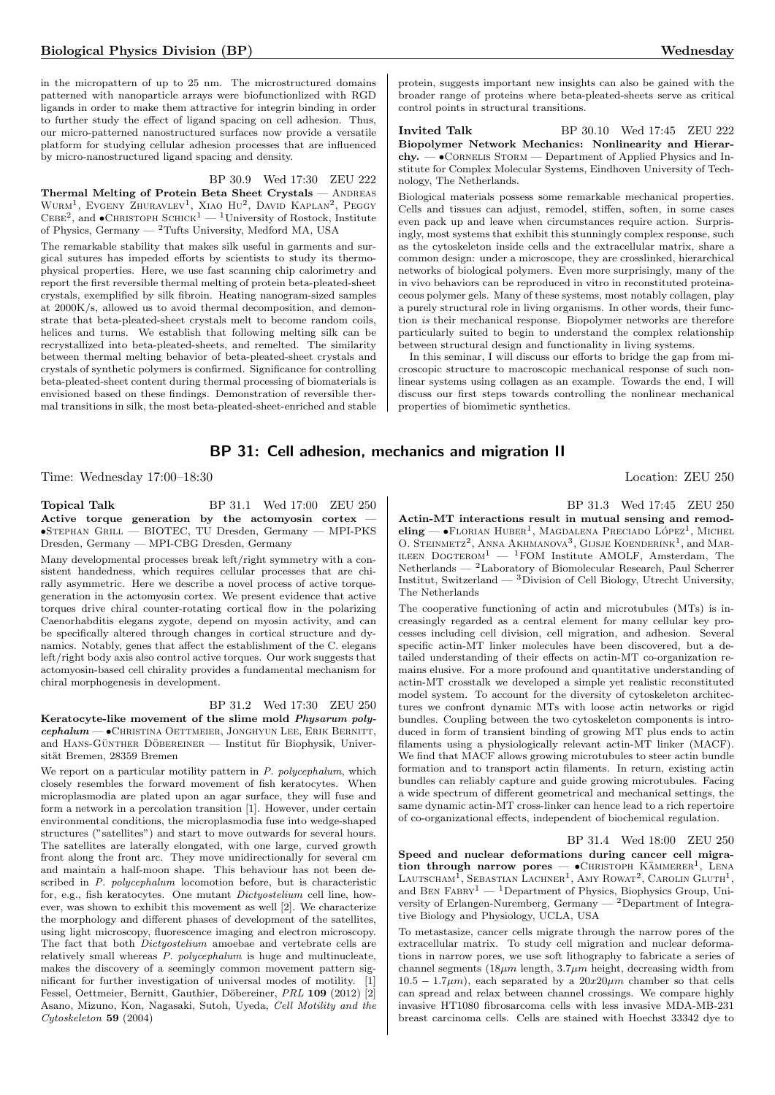in the micropattern of up to 25 nm. The microstructured domains patterned with nanoparticle arrays were biofunctionlized with RGD ligands in order to make them attractive for integrin binding in order to further study the effect of ligand spacing on cell adhesion. Thus, our micro-patterned nanostructured surfaces now provide a versatile platform for studying cellular adhesion processes that are influenced by micro-nanostructured ligand spacing and density.

#### BP 30.9 Wed 17:30 ZEU 222

Thermal Melting of Protein Beta Sheet Crystals - ANDREAS WURM<sup>1</sup>, EVGENY ZHURAVLEV<sup>1</sup>, XIAO HU<sup>2</sup>, DAVID KAPLAN<sup>2</sup>, PEGGY CEBE<sup>2</sup>, and  $\bullet$ CHRISTOPH SCHICK<sup>1</sup> — <sup>1</sup>University of Rostock, Institute of Physics, Germany — <sup>2</sup>Tufts University, Medford MA, USA

The remarkable stability that makes silk useful in garments and surgical sutures has impeded efforts by scientists to study its thermophysical properties. Here, we use fast scanning chip calorimetry and report the first reversible thermal melting of protein beta-pleated-sheet crystals, exemplified by silk fibroin. Heating nanogram-sized samples at 2000K/s, allowed us to avoid thermal decomposition, and demonstrate that beta-pleated-sheet crystals melt to become random coils, helices and turns. We establish that following melting silk can be recrystallized into beta-pleated-sheets, and remelted. The similarity between thermal melting behavior of beta-pleated-sheet crystals and crystals of synthetic polymers is confirmed. Significance for controlling beta-pleated-sheet content during thermal processing of biomaterials is envisioned based on these findings. Demonstration of reversible thermal transitions in silk, the most beta-pleated-sheet-enriched and stable protein, suggests important new insights can also be gained with the broader range of proteins where beta-pleated-sheets serve as critical control points in structural transitions.

**Invited Talk** BP 30.10 Wed 17:45 ZEU 222 Biopolymer Network Mechanics: Nonlinearity and Hierarchy. —  $\bullet$  CORNELIS STORM — Department of Applied Physics and Institute for Complex Molecular Systems, Eindhoven University of Technology, The Netherlands.

Biological materials possess some remarkable mechanical properties. Cells and tissues can adjust, remodel, stiffen, soften, in some cases even pack up and leave when circumstances require action. Surprisingly, most systems that exhibit this stunningly complex response, such as the cytoskeleton inside cells and the extracellular matrix, share a common design: under a microscope, they are crosslinked, hierarchical networks of biological polymers. Even more surprisingly, many of the in vivo behaviors can be reproduced in vitro in reconstituted proteinaceous polymer gels. Many of these systems, most notably collagen, play a purely structural role in living organisms. In other words, their function is their mechanical response. Biopolymer networks are therefore particularly suited to begin to understand the complex relationship between structural design and functionality in living systems.

In this seminar, I will discuss our efforts to bridge the gap from microscopic structure to macroscopic mechanical response of such nonlinear systems using collagen as an example. Towards the end, I will discuss our first steps towards controlling the nonlinear mechanical properties of biomimetic synthetics.

# BP 31: Cell adhesion, mechanics and migration II

Time: Wednesday 17:00–18:30 Location: ZEU 250

| Topical Talk                                                    |  |  |  | BP 31.1 Wed 17:00 ZEU 250                             |  |
|-----------------------------------------------------------------|--|--|--|-------------------------------------------------------|--|
|                                                                 |  |  |  | Active torque generation by the actomyosin cortex $-$ |  |
| $\bullet$ STEPHAN GRILL — BIOTEC, TU Dresden, Germany — MPI-PKS |  |  |  |                                                       |  |
| Dresden, Germany — MPI-CBG Dresden, Germany                     |  |  |  |                                                       |  |

Many developmental processes break left/right symmetry with a consistent handedness, which requires cellular processes that are chirally asymmetric. Here we describe a novel process of active torquegeneration in the actomyosin cortex. We present evidence that active torques drive chiral counter-rotating cortical flow in the polarizing Caenorhabditis elegans zygote, depend on myosin activity, and can be specifically altered through changes in cortical structure and dynamics. Notably, genes that affect the establishment of the C. elegans left/right body axis also control active torques. Our work suggests that actomyosin-based cell chirality provides a fundamental mechanism for chiral morphogenesis in development.

BP 31.2 Wed 17:30 ZEU 250

Keratocyte-like movement of the slime mold Physarum polycephalum — •Christina Oettmeier, Jonghyun Lee, Erik Bernitt, and HANS-GÜNTHER DÖBEREINER  $-$  Institut für Biophysik, Universität Bremen, 28359 Bremen

We report on a particular motility pattern in P. polycephalum, which closely resembles the forward movement of fish keratocytes. When microplasmodia are plated upon an agar surface, they will fuse and form a network in a percolation transition [1]. However, under certain environmental conditions, the microplasmodia fuse into wedge-shaped structures ("satellites") and start to move outwards for several hours. The satellites are laterally elongated, with one large, curved growth front along the front arc. They move unidirectionally for several cm and maintain a half-moon shape. This behaviour has not been described in *P. polycephalum* locomotion before, but is characteristic for, e.g., fish keratocytes. One mutant Dictyostelium cell line, however, was shown to exhibit this movement as well [2]. We characterize the morphology and different phases of development of the satellites, using light microscopy, fluorescence imaging and electron microscopy. The fact that both Dictyostelium amoebae and vertebrate cells are relatively small whereas P. polycephalum is huge and multinucleate, makes the discovery of a seemingly common movement pattern significant for further investigation of universal modes of motility. [1] Fessel, Oettmeier, Bernitt, Gauthier, Döbereiner, PRL 109 (2012) [2] Asano, Mizuno, Kon, Nagasaki, Sutoh, Uyeda, Cell Motility and the Cytoskeleton 59 (2004)

BP 31.3 Wed 17:45 ZEU 250

Actin-MT interactions result in mutual sensing and remodeling — •FLORIAN HUBER<sup>1</sup>, MAGDALENA PRECIADO LÓPEZ<sup>1</sup>, MICHEL O. STEINMETZ<sup>2</sup>, ANNA AKHMANOVA<sup>3</sup>, GIJSJE KOENDERINK<sup>1</sup>, and MAR-ILEEN  $D$ OGTEROM<sup>1</sup> — <sup>1</sup>FOM Institute AMOLF, Amsterdam, The Netherlands — <sup>2</sup>Laboratory of Biomolecular Research, Paul Scherrer Institut, Switzerland —  ${}^{3}$ Division of Cell Biology, Utrecht University, The Netherlands

The cooperative functioning of actin and microtubules (MTs) is increasingly regarded as a central element for many cellular key processes including cell division, cell migration, and adhesion. Several specific actin-MT linker molecules have been discovered, but a detailed understanding of their effects on actin-MT co-organization remains elusive. For a more profound and quantitative understanding of actin-MT crosstalk we developed a simple yet realistic reconstituted model system. To account for the diversity of cytoskeleton architectures we confront dynamic MTs with loose actin networks or rigid bundles. Coupling between the two cytoskeleton components is introduced in form of transient binding of growing MT plus ends to actin filaments using a physiologically relevant actin-MT linker (MACF). We find that MACF allows growing microtubules to steer actin bundle formation and to transport actin filaments. In return, existing actin bundles can reliably capture and guide growing microtubules. Facing a wide spectrum of different geometrical and mechanical settings, the same dynamic actin-MT cross-linker can hence lead to a rich repertoire of co-organizational effects, independent of biochemical regulation.

BP 31.4 Wed 18:00 ZEU 250 Speed and nuclear deformations during cancer cell migration through narrow pores  $\bullet$ CHRISTOPH KÄMMERER<sup>1</sup>, LENA LAUTSCHAM<sup>I</sup>, SEBASTIAN LACHNER<sup>1</sup>, AMY ROWAT<sup>2</sup>, CAROLIN GLUTH<sup>1</sup>, and BEN  $FABRY^1$  — <sup>1</sup>Department of Physics, Biophysics Group, University of Erlangen-Nuremberg, Germany — <sup>2</sup>Department of Integrative Biology and Physiology, UCLA, USA

To metastasize, cancer cells migrate through the narrow pores of the extracellular matrix. To study cell migration and nuclear deformations in narrow pores, we use soft lithography to fabricate a series of channel segments ( $18\mu m$  length,  $3.7\mu m$  height, decreasing width from  $10.5 - 1.7 \mu m$ , each separated by a  $20x20 \mu m$  chamber so that cells can spread and relax between channel crossings. We compare highly invasive HT1080 fibrosarcoma cells with less invasive MDA-MB-231 breast carcinoma cells. Cells are stained with Hoechst 33342 dye to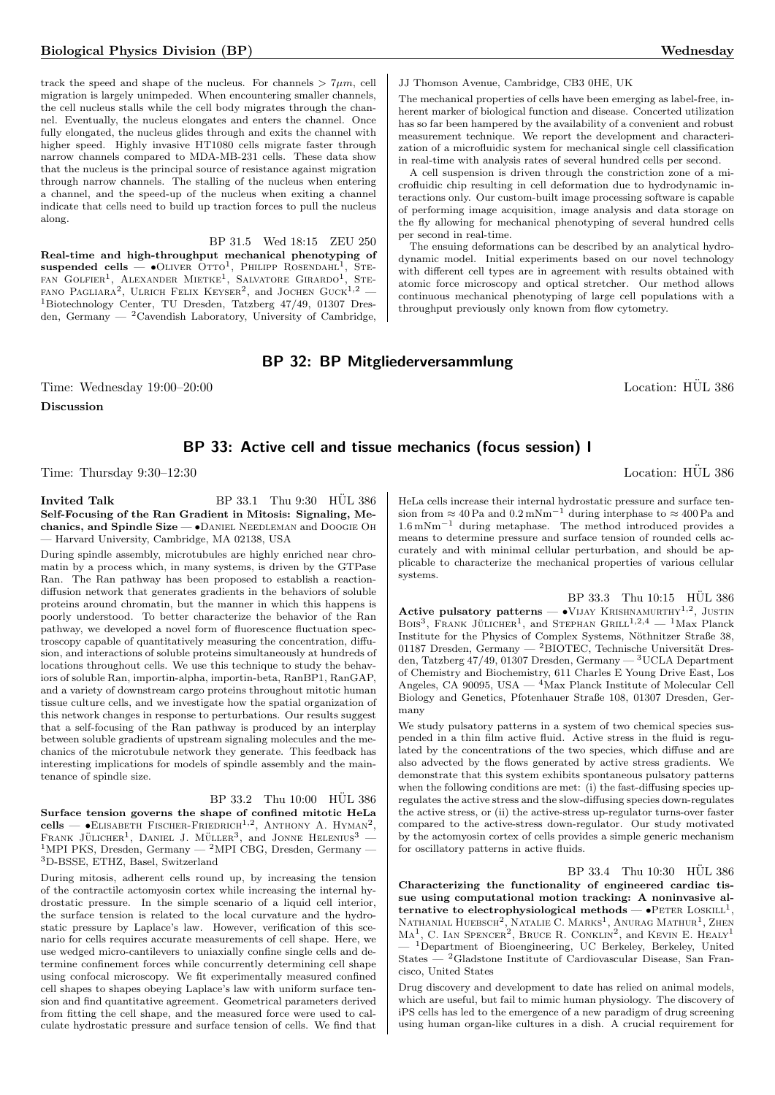track the speed and shape of the nucleus. For channels  $> 7\mu m$ , cell migration is largely unimpeded. When encountering smaller channels, the cell nucleus stalls while the cell body migrates through the channel. Eventually, the nucleus elongates and enters the channel. Once fully elongated, the nucleus glides through and exits the channel with higher speed. Highly invasive HT1080 cells migrate faster through narrow channels compared to MDA-MB-231 cells. These data show that the nucleus is the principal source of resistance against migration through narrow channels. The stalling of the nucleus when entering a channel, and the speed-up of the nucleus when exiting a channel indicate that cells need to build up traction forces to pull the nucleus along.

BP 31.5 Wed 18:15 ZEU 250 Real-time and high-throughput mechanical phenotyping of suspended cells  $\bullet$ Oliver Otto<sup>1</sup>, Philipp Rosendahl<sup>1</sup>, Ste-FAN GOLFIER<sup>1</sup>, ALEXANDER MIETKE<sup>1</sup>, SALVATORE GIRARDO<sup>1</sup>, STE-FANO PAGLIARA<sup>2</sup>, ULRICH FELIX KEYSER<sup>2</sup>, and JOCHEN GUCK<sup>1,2</sup> -<sup>1</sup>Biotechnology Center, TU Dresden, Tatzberg 47/49, 01307 Dresden, Germany — <sup>2</sup>Cavendish Laboratory, University of Cambridge,

#### JJ Thomson Avenue, Cambridge, CB3 0HE, UK

The mechanical properties of cells have been emerging as label-free, inherent marker of biological function and disease. Concerted utilization has so far been hampered by the availability of a convenient and robust measurement technique. We report the development and characterization of a microfluidic system for mechanical single cell classification in real-time with analysis rates of several hundred cells per second.

A cell suspension is driven through the constriction zone of a microfluidic chip resulting in cell deformation due to hydrodynamic interactions only. Our custom-built image processing software is capable of performing image acquisition, image analysis and data storage on the fly allowing for mechanical phenotyping of several hundred cells per second in real-time.

The ensuing deformations can be described by an analytical hydrodynamic model. Initial experiments based on our novel technology with different cell types are in agreement with results obtained with atomic force microscopy and optical stretcher. Our method allows continuous mechanical phenotyping of large cell populations with a throughput previously only known from flow cytometry.

# BP 32: BP Mitgliederversammlung

Time: Wednesday 19:00–20:00 is a control of the control of the control of the control of the control of the control of the control of the control of the control of the control of the control of the control of the control o Discussion

# BP 33: Active cell and tissue mechanics (focus session) I

systems.

Time: Thursday  $9:30-12:30$  Location: HUL 386

Invited Talk  $BP\,33.1$  Thu  $9:30$  HUL  $386$ Self-Focusing of the Ran Gradient in Mitosis: Signaling, Mechanics, and Spindle Size —  $\bullet$ Daniel Needleman and Doogie Oh — Harvard University, Cambridge, MA 02138, USA

During spindle assembly, microtubules are highly enriched near chromatin by a process which, in many systems, is driven by the GTPase Ran. The Ran pathway has been proposed to establish a reactiondiffusion network that generates gradients in the behaviors of soluble proteins around chromatin, but the manner in which this happens is poorly understood. To better characterize the behavior of the Ran pathway, we developed a novel form of fluorescence fluctuation spectroscopy capable of quantitatively measuring the concentration, diffusion, and interactions of soluble proteins simultaneously at hundreds of locations throughout cells. We use this technique to study the behaviors of soluble Ran, importin-alpha, importin-beta, RanBP1, RanGAP, and a variety of downstream cargo proteins throughout mitotic human tissue culture cells, and we investigate how the spatial organization of this network changes in response to perturbations. Our results suggest that a self-focusing of the Ran pathway is produced by an interplay between soluble gradients of upstream signaling molecules and the mechanics of the microtubule network they generate. This feedback has interesting implications for models of spindle assembly and the maintenance of spindle size.

# BP 33.2 Thu 10:00 HUL 386

Surface tension governs the shape of confined mitotic HeLa cells —  $\bullet$ ELISABETH FISCHER-FRIEDRICH<sup>1,2</sup>, ANTHONY A. HYMAN<sup>2</sup>, FRANK JÜLICHER<sup>1</sup>, DANIEL J. MÜLLER<sup>3</sup>, and JONNE HELENIUS<sup>3</sup> – <sup>1</sup>MPI PKS, Dresden, Germany — <sup>2</sup>MPI CBG, Dresden, Germany — <sup>3</sup>D-BSSE, ETHZ, Basel, Switzerland

During mitosis, adherent cells round up, by increasing the tension of the contractile actomyosin cortex while increasing the internal hydrostatic pressure. In the simple scenario of a liquid cell interior, the surface tension is related to the local curvature and the hydrostatic pressure by Laplace's law. However, verification of this scenario for cells requires accurate measurements of cell shape. Here, we use wedged micro-cantilevers to uniaxially confine single cells and determine confinement forces while concurrently determining cell shape using confocal microscopy. We fit experimentally measured confined cell shapes to shapes obeying Laplace's law with uniform surface tension and find quantitative agreement. Geometrical parameters derived from fitting the cell shape, and the measured force were used to calculate hydrostatic pressure and surface tension of cells. We find that HeLa cells increase their internal hydrostatic pressure and surface tension from  $\approx 40 \text{ Pa}$  and  $0.2 \text{ mNm}^{-1}$  during interphase to  $\approx 400 \text{ Pa}$  and 1.6 mNm−<sup>1</sup> during metaphase. The method introduced provides a means to determine pressure and surface tension of rounded cells accurately and with minimal cellular perturbation, and should be applicable to characterize the mechanical properties of various cellular

 $BP$  33.3 Thu 10:15  $HÜL$  386 Active pulsatory patterns  $\bullet$ VIJAY KRISHNAMURTHY<sup>1,2</sup>, JUSTIN BOIS<sup>3</sup>, FRANK JÜLICHER<sup>1</sup>, and STEPHAN GRILL<sup>1,2,4</sup> - <sup>1</sup>Max Planck Institute for the Physics of Complex Systems, Nöthnitzer Straße 38, 01187 Dresden, Germany —  ${}^{2}$ BIOTEC, Technische Universität Dresden, Tatzberg 47/49, 01307 Dresden, Germany — <sup>3</sup>UCLA Department of Chemistry and Biochemistry, 611 Charles E Young Drive East, Los Angeles, CA 90095, USA  $-$  <sup>4</sup>Max Planck Institute of Molecular Cell Biology and Genetics, Pfotenhauer Straße 108, 01307 Dresden, Germany

We study pulsatory patterns in a system of two chemical species suspended in a thin film active fluid. Active stress in the fluid is regulated by the concentrations of the two species, which diffuse and are also advected by the flows generated by active stress gradients. We demonstrate that this system exhibits spontaneous pulsatory patterns when the following conditions are met: (i) the fast-diffusing species upregulates the active stress and the slow-diffusing species down-regulates the active stress, or (ii) the active-stress up-regulator turns-over faster compared to the active-stress down-regulator. Our study motivated by the actomyosin cortex of cells provides a simple generic mechanism for oscillatory patterns in active fluids.

 $BP$  33.4 Thu 10:30  $H\ddot{U}L$  386

Characterizing the functionality of engineered cardiac tissue using computational motion tracking: A noninvasive alternative to electrophysiological methods  $\bullet$ PETER LOSKILL<sup>1</sup>, NATHANIAL HUEBSCH<sup>2</sup>, NATALIE C. MARKS<sup>1</sup>, ANURAG MATHUR<sup>1</sup>, ZHEN MA<sup>1</sup>, C. IAN SPENCER<sup>2</sup>, BRUCE R. CONKLIN<sup>2</sup>, and KEVIN E. HEALY<sup>1</sup>  $^{-1}$ Department of Bioengineering, UC Berkeley, Berkeley, United States — <sup>2</sup>Gladstone Institute of Cardiovascular Disease, San Francisco, United States

Drug discovery and development to date has relied on animal models, which are useful, but fail to mimic human physiology. The discovery of iPS cells has led to the emergence of a new paradigm of drug screening using human organ-like cultures in a dish. A crucial requirement for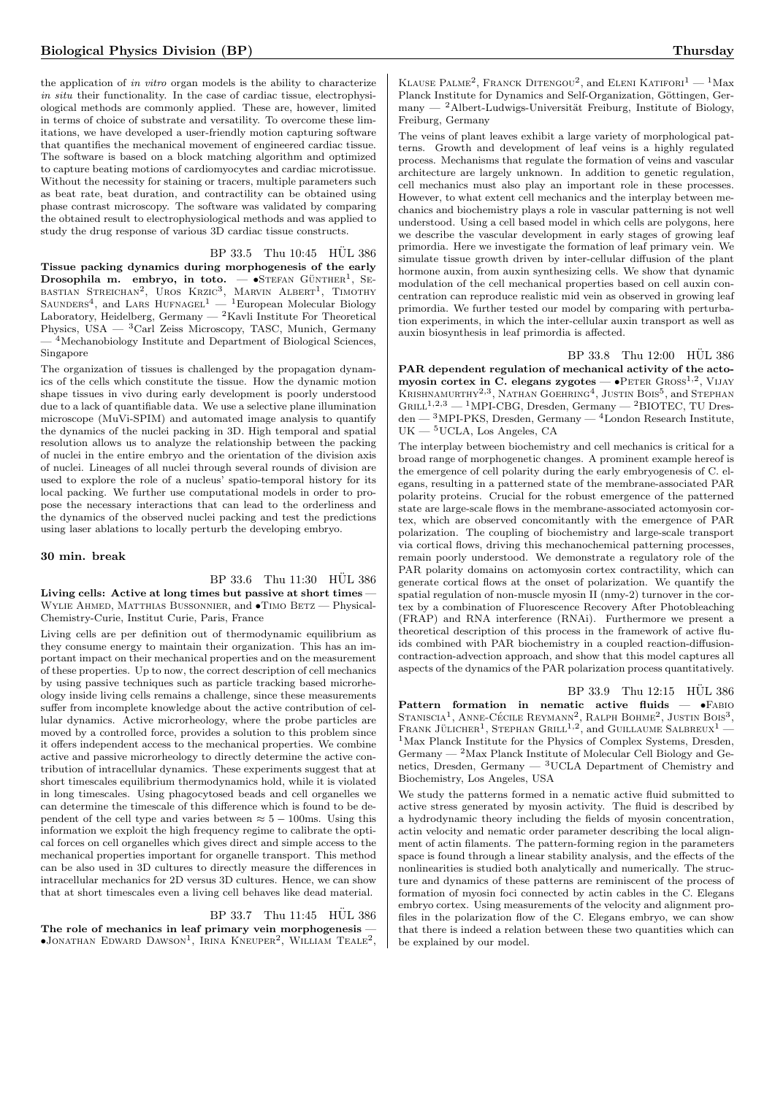the application of in vitro organ models is the ability to characterize in situ their functionality. In the case of cardiac tissue, electrophysiological methods are commonly applied. These are, however, limited in terms of choice of substrate and versatility. To overcome these limitations, we have developed a user-friendly motion capturing software that quantifies the mechanical movement of engineered cardiac tissue. The software is based on a block matching algorithm and optimized to capture beating motions of cardiomyocytes and cardiac microtissue. Without the necessity for staining or tracers, multiple parameters such as beat rate, beat duration, and contractility can be obtained using phase contrast microscopy. The software was validated by comparing the obtained result to electrophysiological methods and was applied to study the drug response of various 3D cardiac tissue constructs.

# BP 33.5 Thu 10:45 HÜL 386

Tissue packing dynamics during morphogenesis of the early Drosophila m. embryo, in toto.  $-$  •STEFAN GÜNTHER<sup>1</sup>, SE-BASTIAN STREICHAN<sup>2</sup>, UROS KRZIC<sup>3</sup>, MARVIN ALBERT<sup>1</sup>, TIMOTHY<br>SAUNDERS<sup>4</sup>, and LARS HUFNAGEL<sup>1</sup> — <sup>1</sup>European Molecular Biology Laboratory, Heidelberg, Germany — <sup>2</sup>Kavli Institute For Theoretical Physics, USA  $-$  <sup>3</sup>Carl Zeiss Microscopy, TASC, Munich, Germany  $-$ <sup>4</sup>Mechanobiology Institute and Department of Biological Sciences, Singapore

The organization of tissues is challenged by the propagation dynamics of the cells which constitute the tissue. How the dynamic motion shape tissues in vivo during early development is poorly understood due to a lack of quantifiable data. We use a selective plane illumination microscope (MuVi-SPIM) and automated image analysis to quantify the dynamics of the nuclei packing in 3D. High temporal and spatial resolution allows us to analyze the relationship between the packing of nuclei in the entire embryo and the orientation of the division axis of nuclei. Lineages of all nuclei through several rounds of division are used to explore the role of a nucleus' spatio-temporal history for its local packing. We further use computational models in order to propose the necessary interactions that can lead to the orderliness and the dynamics of the observed nuclei packing and test the predictions using laser ablations to locally perturb the developing embryo.

#### 30 min. break

# $BP$  33.6 Thu 11:30 HÜL 386

Living cells: Active at long times but passive at short times -WYLIE AHMED, MATTHIAS BUSSONNIER, and  $\bullet$ TIMO BETZ - Physical-Chemistry-Curie, Institut Curie, Paris, France

Living cells are per definition out of thermodynamic equilibrium as they consume energy to maintain their organization. This has an important impact on their mechanical properties and on the measurement of these properties. Up to now, the correct description of cell mechanics by using passive techniques such as particle tracking based microrheology inside living cells remains a challenge, since these measurements suffer from incomplete knowledge about the active contribution of cellular dynamics. Active microrheology, where the probe particles are moved by a controlled force, provides a solution to this problem since it offers independent access to the mechanical properties. We combine active and passive microrheology to directly determine the active contribution of intracellular dynamics. These experiments suggest that at short timescales equilibrium thermodynamics hold, while it is violated in long timescales. Using phagocytosed beads and cell organelles we can determine the timescale of this difference which is found to be dependent of the cell type and varies between  $\approx 5 - 100$ ms. Using this information we exploit the high frequency regime to calibrate the optical forces on cell organelles which gives direct and simple access to the mechanical properties important for organelle transport. This method can be also used in 3D cultures to directly measure the differences in intracellular mechanics for 2D versus 3D cultures. Hence, we can show that at short timescales even a living cell behaves like dead material.

#### $BP$  33.7 Thu 11:45  $HÜL$  386

The role of mechanics in leaf primary vein morphogenesis - $\bullet$ Jonathan Edward Dawson<sup>1</sup>, Irina Kneuper<sup>2</sup>, William Teale<sup>2</sup>,

KLAUSE PALME<sup>2</sup>, FRANCK DITENGOU<sup>2</sup>, and ELENI KATIFORI<sup>1</sup> — <sup>1</sup>Max Planck Institute for Dynamics and Self-Organization, Göttingen, Germany —  $^2$ Albert-Ludwigs-Universität Freiburg, Institute of Biology, Freiburg, Germany

The veins of plant leaves exhibit a large variety of morphological patterns. Growth and development of leaf veins is a highly regulated process. Mechanisms that regulate the formation of veins and vascular architecture are largely unknown. In addition to genetic regulation, cell mechanics must also play an important role in these processes. However, to what extent cell mechanics and the interplay between mechanics and biochemistry plays a role in vascular patterning is not well understood. Using a cell based model in which cells are polygons, here we describe the vascular development in early stages of growing leaf primordia. Here we investigate the formation of leaf primary vein. We simulate tissue growth driven by inter-cellular diffusion of the plant hormone auxin, from auxin synthesizing cells. We show that dynamic modulation of the cell mechanical properties based on cell auxin concentration can reproduce realistic mid vein as observed in growing leaf primordia. We further tested our model by comparing with perturbation experiments, in which the inter-cellular auxin transport as well as auxin biosynthesis in leaf primordia is affected.

BP 33.8 Thu 12:00 HÜL 386 PAR dependent regulation of mechanical activity of the actomyosin cortex in C. elegans zygotes - · PETER GROSS<sup>1,2</sup>, VIJAY KRISHNAMURTHY<sup>2,3</sup>, NATHAN GOEHRING<sup>4</sup>, JUSTIN BOIS<sup>5</sup>, and STEPHAN  $GRILL^{1,2,3}$  — <sup>1</sup>MPI-CBG, Dresden, Germany — <sup>2</sup>BIOTEC, TU Dresden — <sup>3</sup>MPI-PKS, Dresden, Germany — <sup>4</sup>London Research Institute, UK — <sup>5</sup>UCLA, Los Angeles, CA

The interplay between biochemistry and cell mechanics is critical for a broad range of morphogenetic changes. A prominent example hereof is the emergence of cell polarity during the early embryogenesis of C. elegans, resulting in a patterned state of the membrane-associated PAR polarity proteins. Crucial for the robust emergence of the patterned state are large-scale flows in the membrane-associated actomyosin cortex, which are observed concomitantly with the emergence of PAR polarization. The coupling of biochemistry and large-scale transport via cortical flows, driving this mechanochemical patterning processes, remain poorly understood. We demonstrate a regulatory role of the PAR polarity domains on actomyosin cortex contractility, which can generate cortical flows at the onset of polarization. We quantify the spatial regulation of non-muscle myosin II (nmy-2) turnover in the cortex by a combination of Fluorescence Recovery After Photobleaching (FRAP) and RNA interference (RNAi). Furthermore we present a theoretical description of this process in the framework of active fluids combined with PAR biochemistry in a coupled reaction-diffusioncontraction-advection approach, and show that this model captures all aspects of the dynamics of the PAR polarization process quantitatively.

 $BP$  33.9 Thu 12:15  $HÜL$  386 Pattern formation in nematic active fluids  $\bullet$ FABIO STANISCIA<sup>1</sup>, ANNE-CÉCILE REYMANN<sup>2</sup>, RALPH BOHME<sup>2</sup>, JUSTIN BOIS<sup>3</sup>, FRANK JÜLICHER<sup>1</sup>, STEPHAN GRILL<sup>1,2</sup>, and GUILLAUME SALBREUX<sup>1</sup> <sup>1</sup>Max Planck Institute for the Physics of Complex Systems, Dresden,  $\rm{Germany} \xspace - \xspace ^2\rm{Max}$  Planck Institute of Molecular Cell Biology and Genetics, Dresden, Germany — <sup>3</sup>UCLA Department of Chemistry and Biochemistry, Los Angeles, USA

We study the patterns formed in a nematic active fluid submitted to active stress generated by myosin activity. The fluid is described by a hydrodynamic theory including the fields of myosin concentration, actin velocity and nematic order parameter describing the local alignment of actin filaments. The pattern-forming region in the parameters space is found through a linear stability analysis, and the effects of the nonlinearities is studied both analytically and numerically. The structure and dynamics of these patterns are reminiscent of the process of formation of myosin foci connected by actin cables in the C. Elegans embryo cortex. Using measurements of the velocity and alignment profiles in the polarization flow of the C. Elegans embryo, we can show that there is indeed a relation between these two quantities which can be explained by our model.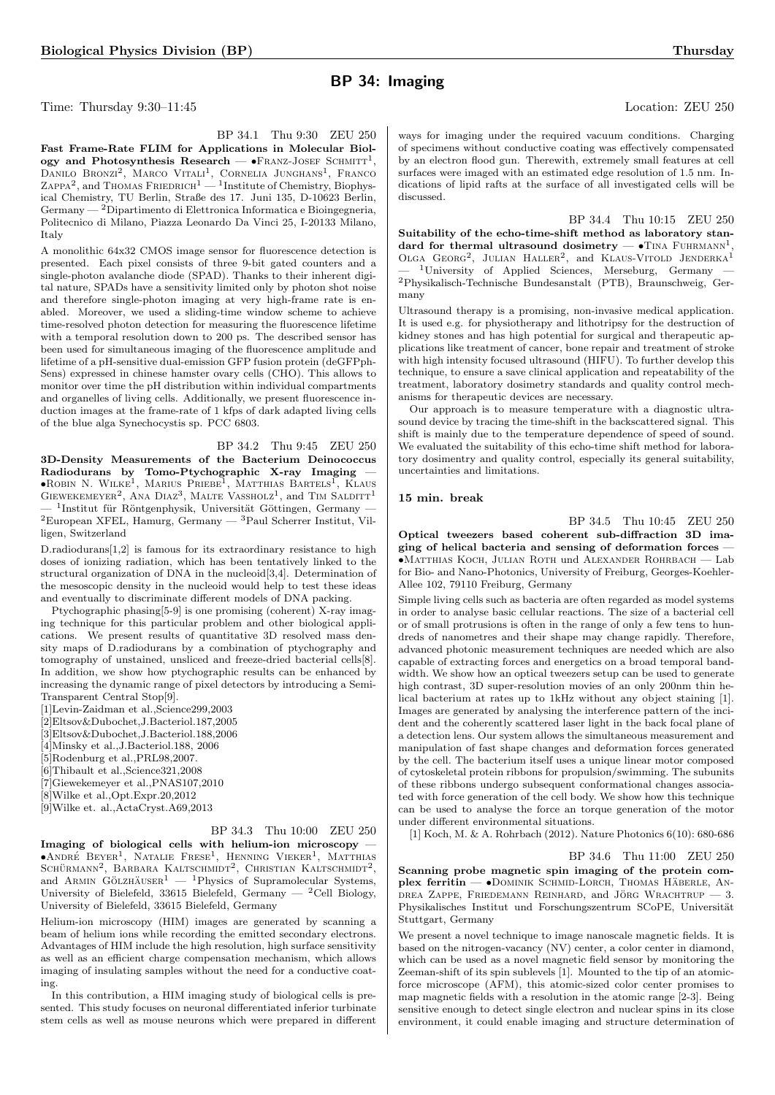# BP 34: Imaging

Time: Thursday 9:30–11:45 Location: ZEU 250

BP 34.1 Thu 9:30 ZEU 250 Fast Frame-Rate FLIM for Applications in Molecular Biology and Photosynthesis Research —  $\bullet$ FRANZ-JOSEF SCHMITT<sup>1</sup>, DANILO BRONZI<sup>2</sup>, MARCO VITALI<sup>1</sup>, CORNELIA JUNGHANS<sup>1</sup>, FRANCO ZAPPA<sup>2</sup>, and THOMAS FRIEDRICH<sup>1</sup> — <sup>1</sup>Institute of Chemistry, Biophysical Chemistry, TU Berlin, Straße des 17. Juni 135, D-10623 Berlin, Germany — <sup>2</sup>Dipartimento di Elettronica Informatica e Bioingegneria, Politecnico di Milano, Piazza Leonardo Da Vinci 25, I-20133 Milano, Italy

A monolithic 64x32 CMOS image sensor for fluorescence detection is presented. Each pixel consists of three 9-bit gated counters and a single-photon avalanche diode (SPAD). Thanks to their inherent digital nature, SPADs have a sensitivity limited only by photon shot noise and therefore single-photon imaging at very high-frame rate is enabled. Moreover, we used a sliding-time window scheme to achieve time-resolved photon detection for measuring the fluorescence lifetime with a temporal resolution down to 200 ps. The described sensor has been used for simultaneous imaging of the fluorescence amplitude and lifetime of a pH-sensitive dual-emission GFP fusion protein (deGFPph-Sens) expressed in chinese hamster ovary cells (CHO). This allows to monitor over time the pH distribution within individual compartments and organelles of living cells. Additionally, we present fluorescence induction images at the frame-rate of 1 kfps of dark adapted living cells of the blue alga Synechocystis sp. PCC 6803.

BP 34.2 Thu 9:45 ZEU 250 3D-Density Measurements of the Bacterium Deinococcus Radiodurans by Tomo-Ptychographic X-ray Imaging — •Robin N. Wilke<sup>1</sup> , Marius Priebe<sup>1</sup> , Matthias Bartels<sup>1</sup> , Klaus GIEWEKEMEYER<sup>2</sup>, ANA DIAZ<sup>3</sup>, MALTE VASSHOLZ<sup>1</sup>, and TIM SALDITT<sup>1</sup>  $-$  <sup>1</sup>Institut für Röntgenphysik, Universität Göttingen, Germany  ${}^{2}$ European XFEL, Hamurg, Germany —  ${}^{3}$ Paul Scherrer Institut, Villigen, Switzerland

D.radiodurans[1,2] is famous for its extraordinary resistance to high doses of ionizing radiation, which has been tentatively linked to the structural organization of DNA in the nucleoid[3,4]. Determination of the mesoscopic density in the nucleoid would help to test these ideas and eventually to discriminate different models of DNA packing.

Ptychographic phasing[5-9] is one promising (coherent) X-ray imaging technique for this particular problem and other biological applications. We present results of quantitative 3D resolved mass density maps of D.radiodurans by a combination of ptychography and tomography of unstained, unsliced and freeze-dried bacterial cells[8]. In addition, we show how ptychographic results can be enhanced by increasing the dynamic range of pixel detectors by introducing a Semi-Transparent Central Stop[9].

[1]Levin-Zaidman et al.,Science299,2003

- [2]Eltsov&Dubochet,J.Bacteriol.187,2005
- [3]Eltsov&Dubochet,J.Bacteriol.188,2006
- [4]Minsky et al.,J.Bacteriol.188, 2006

[5]Rodenburg et al.,PRL98,2007.

- [6]Thibault et al.,Science321,2008
- [7]Giewekemeyer et al.,PNAS107,2010
- [8]Wilke et al.,Opt.Expr.20,2012
- [9]Wilke et. al.,ActaCryst.A69,2013

#### BP 34.3 Thu 10:00 ZEU 250

Imaging of biological cells with helium-ion microscopy —  $\bullet$ André Beyer<sup>1</sup>, Natalie Frese<sup>1</sup>, Henning Vieker<sup>1</sup>, Matthias SCHÜRMANN<sup>2</sup>, BARBARA KALTSCHMIDT<sup>2</sup>, CHRISTIAN KALTSCHMIDT<sup>2</sup>, and ARMIN GÖLZHÄUSER<sup>1</sup> — <sup>1</sup>Physics of Supramolecular Systems, University of Bielefeld, 33615 Bielefeld, Germany  $-$  <sup>2</sup>Cell Biology, University of Bielefeld, 33615 Bielefeld, Germany

Helium-ion microscopy (HIM) images are generated by scanning a beam of helium ions while recording the emitted secondary electrons. Advantages of HIM include the high resolution, high surface sensitivity as well as an efficient charge compensation mechanism, which allows imaging of insulating samples without the need for a conductive coating.

In this contribution, a HIM imaging study of biological cells is presented. This study focuses on neuronal differentiated inferior turbinate stem cells as well as mouse neurons which were prepared in different

ways for imaging under the required vacuum conditions. Charging of specimens without conductive coating was effectively compensated by an electron flood gun. Therewith, extremely small features at cell surfaces were imaged with an estimated edge resolution of 1.5 nm. Indications of lipid rafts at the surface of all investigated cells will be discussed.

BP 34.4 Thu 10:15 ZEU 250 Suitability of the echo-time-shift method as laboratory standard for thermal ultrasound dosimetry  $- \cdot$  TINA FUHRMANN<sup>1</sup>, OLGA GEORG<sup>2</sup>, JULIAN HALLER<sup>2</sup>, and KLAUS-VITOLD JENDERKA<sup>1</sup> <sup>1</sup>University of Applied Sciences, Merseburg, Germany  $-$ <sup>2</sup>Physikalisch-Technische Bundesanstalt (PTB), Braunschweig, Germany

Ultrasound therapy is a promising, non-invasive medical application. It is used e.g. for physiotherapy and lithotripsy for the destruction of kidney stones and has high potential for surgical and therapeutic applications like treatment of cancer, bone repair and treatment of stroke with high intensity focused ultrasound (HIFU). To further develop this technique, to ensure a save clinical application and repeatability of the treatment, laboratory dosimetry standards and quality control mechanisms for therapeutic devices are necessary.

Our approach is to measure temperature with a diagnostic ultrasound device by tracing the time-shift in the backscattered signal. This shift is mainly due to the temperature dependence of speed of sound. We evaluated the suitability of this echo-time shift method for laboratory dosimentry and quality control, especially its general suitability, uncertainties and limitations.

#### 15 min. break

BP 34.5 Thu 10:45 ZEU 250 Optical tweezers based coherent sub-diffraction 3D imaging of helical bacteria and sensing of deformation forces -•Matthias Koch, Julian Roth und Alexander Rohrbach — Lab for Bio- and Nano-Photonics, University of Freiburg, Georges-Koehler-Allee 102, 79110 Freiburg, Germany

Simple living cells such as bacteria are often regarded as model systems in order to analyse basic cellular reactions. The size of a bacterial cell or of small protrusions is often in the range of only a few tens to hundreds of nanometres and their shape may change rapidly. Therefore, advanced photonic measurement techniques are needed which are also capable of extracting forces and energetics on a broad temporal bandwidth. We show how an optical tweezers setup can be used to generate high contrast, 3D super-resolution movies of an only 200nm thin helical bacterium at rates up to 1kHz without any object staining [1]. Images are generated by analysing the interference pattern of the incident and the coherently scattered laser light in the back focal plane of a detection lens. Our system allows the simultaneous measurement and manipulation of fast shape changes and deformation forces generated by the cell. The bacterium itself uses a unique linear motor composed of cytoskeletal protein ribbons for propulsion/swimming. The subunits of these ribbons undergo subsequent conformational changes associated with force generation of the cell body. We show how this technique can be used to analyse the force an torque generation of the motor under different environmental situations.

[1] Koch, M. & A. Rohrbach (2012). Nature Photonics 6(10): 680-686

BP 34.6 Thu 11:00 ZEU 250 Scanning probe magnetic spin imaging of the protein com $plex$  ferritin  $\bullet$  DOMINIK SCHMID-LORCH, THOMAS HÄBERLE, AN-

DREA ZAPPE, FRIEDEMANN REINHARD, and JÖRG WRACHTRUP  $-3$ . Physikalisches Institut und Forschungszentrum SCoPE, Universität Stuttgart, Germany

We present a novel technique to image nanoscale magnetic fields. It is based on the nitrogen-vacancy (NV) center, a color center in diamond, which can be used as a novel magnetic field sensor by monitoring the Zeeman-shift of its spin sublevels [1]. Mounted to the tip of an atomicforce microscope (AFM), this atomic-sized color center promises to map magnetic fields with a resolution in the atomic range [2-3]. Being sensitive enough to detect single electron and nuclear spins in its close environment, it could enable imaging and structure determination of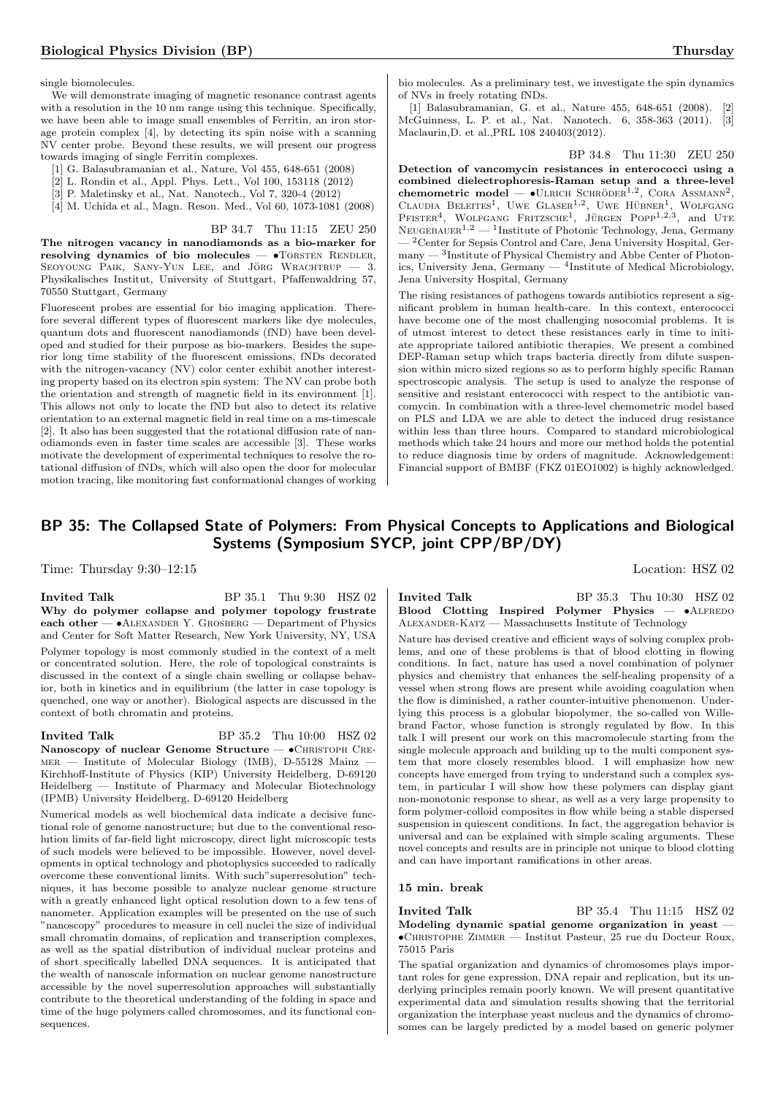single biomolecules.

We will demonstrate imaging of magnetic resonance contrast agents with a resolution in the 10 nm range using this technique. Specifically, we have been able to image small ensembles of Ferritin, an iron storage protein complex [4], by detecting its spin noise with a scanning NV center probe. Beyond these results, we will present our progress towards imaging of single Ferritin complexes.

- [1] G. Balasubramanian et al., Nature, Vol 455, 648-651 (2008)
- [2] L. Rondin et al., Appl. Phys. Lett., Vol 100, 153118 (2012)
- [3] P. Maletinsky et al., Nat. Nanotech., Vol 7, 320-4 (2012)
- [4] M. Uchida et al., Magn. Reson. Med., Vol 60, 1073-1081 (2008)

BP 34.7 Thu 11:15 ZEU 250

The nitrogen vacancy in nanodiamonds as a bio-marker for resolving dynamics of bio molecules  $\bullet$ TORSTEN RENDLER, SEOYOUNG PAIK, SANY-YUN LEE, and JÖRG WRACHTRUP  $-$  3. Physikalisches Institut, University of Stuttgart, Pfaffenwaldring 57, 70550 Stuttgart, Germany

Fluorescent probes are essential for bio imaging application. Therefore several different types of fluorescent markers like dye molecules, quantum dots and fluorescent nanodiamonds (fND) have been developed and studied for their purpose as bio-markers. Besides the superior long time stability of the fluorescent emissions, fNDs decorated with the nitrogen-vacancy (NV) color center exhibit another interesting property based on its electron spin system: The NV can probe both the orientation and strength of magnetic field in its environment [1]. This allows not only to locate the fND but also to detect its relative orientation to an external magnetic field in real time on a ms-timescale [2]. It also has been suggested that the rotational diffusion rate of nanodiamonds even in faster time scales are accessible [3]. These works motivate the development of experimental techniques to resolve the rotational diffusion of fNDs, which will also open the door for molecular motion tracing, like monitoring fast conformational changes of working

bio molecules. As a preliminary test, we investigate the spin dynamics of NVs in freely rotating fNDs.

[1] Balasubramanian, G. et al., Nature 455, 648-651 (2008). [2] McGuinness, L. P. et al., Nat. Nanotech. 6, 358-363 (2011). [3] Maclaurin,D. et al.,PRL 108 240403(2012).

BP 34.8 Thu 11:30 ZEU 250

Detection of vancomycin resistances in enterococci using a combined dielectrophoresis-Raman setup and a three-level chemometric model —  $\bullet$ ULRICH SCHRÖDER<sup>1,2</sup>, CORA ASSMANN<sup>2</sup>, CLAUDIA BELEITES<sup>1</sup>, UWE GLASER<sup>1,2</sup>, UWE HÜBNER<sup>1</sup>, WOLFGANG<br>PFISTER<sup>4</sup>, WOLFGANG FRITZSCHE<sup>1</sup>, JÜRGEN POPP<sup>1,2,3</sup>, and UTE  $NEUGEBAUER<sup>1,2</sup>$  — <sup>1</sup>Institute of Photonic Technology, Jena, Germany  $-$ <sup>2</sup>Center for Sepsis Control and Care, Jena University Hospital, Germany — <sup>3</sup> Institute of Physical Chemistry and Abbe Center of Photonics, University Jena, Germany — <sup>4</sup> Institute of Medical Microbiology, Jena University Hospital, Germany

The rising resistances of pathogens towards antibiotics represent a significant problem in human health-care. In this context, enterococci have become one of the most challenging nosocomial problems. It is of utmost interest to detect these resistances early in time to initiate appropriate tailored antibiotic therapies. We present a combined DEP-Raman setup which traps bacteria directly from dilute suspension within micro sized regions so as to perform highly specific Raman spectroscopic analysis. The setup is used to analyze the response of sensitive and resistant enterococci with respect to the antibiotic vancomycin. In combination with a three-level chemometric model based on PLS and LDA we are able to detect the induced drug resistance within less than three hours. Compared to standard microbiological methods which take 24 hours and more our method holds the potential to reduce diagnosis time by orders of magnitude. Acknowledgement: Financial support of BMBF (FKZ 01EO1002) is highly acknowledged.

# BP 35: The Collapsed State of Polymers: From Physical Concepts to Applications and Biological Systems (Symposium SYCP, joint CPP/BP/DY)

Time: Thursday 9:30–12:15 Location: HSZ 02

# Invited Talk BP 35.1 Thu 9:30 HSZ 02

Why do polymer collapse and polymer topology frustrate each other  $\bullet$ ALEXANDER Y. GROSBERG  $-$  Department of Physics and Center for Soft Matter Research, New York University, NY, USA

Polymer topology is most commonly studied in the context of a melt or concentrated solution. Here, the role of topological constraints is discussed in the context of a single chain swelling or collapse behavior, both in kinetics and in equilibrium (the latter in case topology is quenched, one way or another). Biological aspects are discussed in the context of both chromatin and proteins.

**Invited Talk** BP 35.2 Thu 10:00 HSZ 02 Nanoscopy of nuclear Genome Structure — • CHRISTOPH CREmer — Institute of Molecular Biology (IMB), D-55128 Mainz — Kirchhoff-Institute of Physics (KIP) University Heidelberg, D-69120 Heidelberg — Institute of Pharmacy and Molecular Biotechnology (IPMB) University Heidelberg, D-69120 Heidelberg

Numerical models as well biochemical data indicate a decisive functional role of genome nanostructure; but due to the conventional resolution limits of far-field light microscopy, direct light microscopic tests of such models were believed to be impossible. However, novel developments in optical technology and photophysics succeeded to radically overcome these conventional limits. With such"superresolution" techniques, it has become possible to analyze nuclear genome structure with a greatly enhanced light optical resolution down to a few tens of nanometer. Application examples will be presented on the use of such "nanoscopy" procedures to measure in cell nuclei the size of individual small chromatin domains, of replication and transcription complexes, as well as the spatial distribution of individual nuclear proteins and of short specifically labelled DNA sequences. It is anticipated that the wealth of nanoscale information on nuclear genome nanostructure accessible by the novel superresolution approaches will substantially contribute to the theoretical understanding of the folding in space and time of the huge polymers called chromosomes, and its functional consequences.

**Invited Talk** BP 35.3 Thu 10:30 HSZ 02 Blood Clotting Inspired Polymer Physics —  $\bullet$ ALFREDO Alexander-Katz — Massachusetts Institute of Technology

Nature has devised creative and efficient ways of solving complex problems, and one of these problems is that of blood clotting in flowing conditions. In fact, nature has used a novel combination of polymer physics and chemistry that enhances the self-healing propensity of a vessel when strong flows are present while avoiding coagulation when the flow is diminished, a rather counter-intuitive phenomenon. Underlying this process is a globular biopolymer, the so-called von Willebrand Factor, whose function is strongly regulated by flow. In this talk I will present our work on this macromolecule starting from the single molecule approach and building up to the multi component system that more closely resembles blood. I will emphasize how new concepts have emerged from trying to understand such a complex system, in particular I will show how these polymers can display giant non-monotonic response to shear, as well as a very large propensity to form polymer-colloid composites in flow while being a stable dispersed suspension in quiescent conditions. In fact, the aggregation behavior is universal and can be explained with simple scaling arguments. These novel concepts and results are in principle not unique to blood clotting and can have important ramifications in other areas.

### 15 min. break

**Invited Talk** BP 35.4 Thu 11:15 HSZ 02 Modeling dynamic spatial genome organization in yeast — •Christophe Zimmer — Institut Pasteur, 25 rue du Docteur Roux, 75015 Paris

The spatial organization and dynamics of chromosomes plays important roles for gene expression, DNA repair and replication, but its underlying principles remain poorly known. We will present quantitative experimental data and simulation results showing that the territorial organization the interphase yeast nucleus and the dynamics of chromosomes can be largely predicted by a model based on generic polymer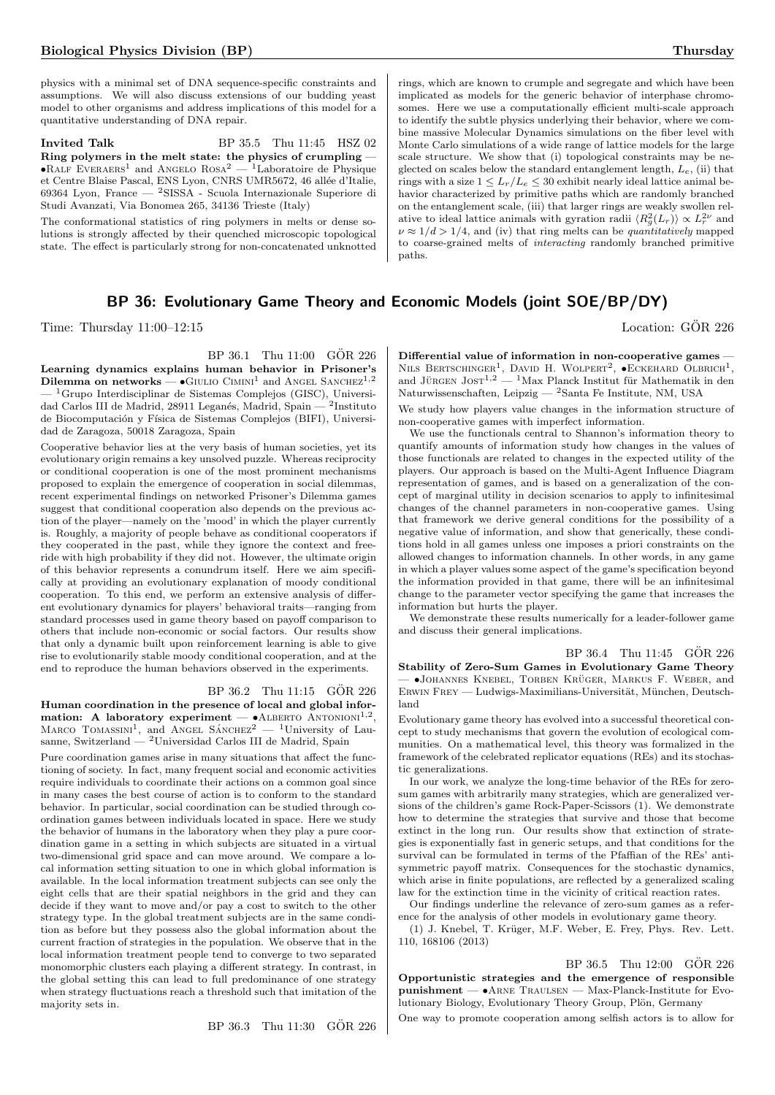physics with a minimal set of DNA sequence-specific constraints and assumptions. We will also discuss extensions of our budding yeast model to other organisms and address implications of this model for a quantitative understanding of DNA repair.

Invited Talk BP 35.5 Thu 11:45 HSZ 02 Ring polymers in the melt state: the physics of crumpling — • $R_{ALF}$  EVERAERS<sup>1</sup> and ANGELO  $R$ OSA<sup>2</sup> — <sup>1</sup>Laboratoire de Physique et Centre Blaise Pascal, ENS Lyon, CNRS UMR5672, 46 allée d'Italie, 69364 Lyon, France — <sup>2</sup>SISSA - Scuola Internazionale Superiore di Studi Avanzati, Via Bonomea 265, 34136 Trieste (Italy)

The conformational statistics of ring polymers in melts or dense solutions is strongly affected by their quenched microscopic topological state. The effect is particularly strong for non-concatenated unknotted

# BP 36: Evolutionary Game Theory and Economic Models (joint SOE/BP/DY)

Time: Thursday  $11:00-12:15$  Location: GÖR 226

 $BP 36.1$  Thu  $11:00$  GÖR  $226$ 

Learning dynamics explains human behavior in Prisoner's Dilemma on networks  $\bullet$  GIULIO CIMINI<sup>1</sup> and ANGEL SANCHEZ<sup>1,2</sup>  ${}^{1}$ Grupo Interdisciplinar de Sistemas Complejos (GISC), Universidad Carlos III de Madrid, 28911 Leganés, Madrid, Spain — <sup>2</sup>Instituto de Biocomputación y Física de Sistemas Complejos (BIFI), Universidad de Zaragoza, 50018 Zaragoza, Spain

Cooperative behavior lies at the very basis of human societies, yet its evolutionary origin remains a key unsolved puzzle. Whereas reciprocity or conditional cooperation is one of the most prominent mechanisms proposed to explain the emergence of cooperation in social dilemmas, recent experimental findings on networked Prisoner's Dilemma games suggest that conditional cooperation also depends on the previous action of the player—namely on the 'mood' in which the player currently is. Roughly, a majority of people behave as conditional cooperators if they cooperated in the past, while they ignore the context and freeride with high probability if they did not. However, the ultimate origin of this behavior represents a conundrum itself. Here we aim specifically at providing an evolutionary explanation of moody conditional cooperation. To this end, we perform an extensive analysis of different evolutionary dynamics for players' behavioral traits—ranging from standard processes used in game theory based on payoff comparison to others that include non-economic or social factors. Our results show that only a dynamic built upon reinforcement learning is able to give rise to evolutionarily stable moody conditional cooperation, and at the end to reproduce the human behaviors observed in the experiments.

# BP 36.2 Thu 11:15 GÖR 226

Human coordination in the presence of local and global infor**mation:** A laboratory experiment  $-$  •ALBERTO ANTONIONI<sup>1,2</sup>, MARCO TOMASSINI<sup>1</sup>, and ANGEL SÁNCHEZ<sup>2</sup>  $-$  <sup>1</sup>University of Lausanne, Switzerland — <sup>2</sup>Universidad Carlos III de Madrid, Spain

Pure coordination games arise in many situations that affect the functioning of society. In fact, many frequent social and economic activities require individuals to coordinate their actions on a common goal since in many cases the best course of action is to conform to the standard behavior. In particular, social coordination can be studied through coordination games between individuals located in space. Here we study the behavior of humans in the laboratory when they play a pure coordination game in a setting in which subjects are situated in a virtual two-dimensional grid space and can move around. We compare a local information setting situation to one in which global information is available. In the local information treatment subjects can see only the eight cells that are their spatial neighbors in the grid and they can decide if they want to move and/or pay a cost to switch to the other strategy type. In the global treatment subjects are in the same condition as before but they possess also the global information about the current fraction of strategies in the population. We observe that in the local information treatment people tend to converge to two separated monomorphic clusters each playing a different strategy. In contrast, in the global setting this can lead to full predominance of one strategy when strategy fluctuations reach a threshold such that imitation of the majority sets in.

BP 36.3 Thu 11:30 GÖR 226

rings, which are known to crumple and segregate and which have been implicated as models for the generic behavior of interphase chromosomes. Here we use a computationally efficient multi-scale approach to identify the subtle physics underlying their behavior, where we combine massive Molecular Dynamics simulations on the fiber level with Monte Carlo simulations of a wide range of lattice models for the large scale structure. We show that (i) topological constraints may be neglected on scales below the standard entanglement length,  $L_e$ , (ii) that rings with a size  $1 \leq L_r/L_e \leq 30$  exhibit nearly ideal lattice animal behavior characterized by primitive paths which are randomly branched on the entanglement scale, (iii) that larger rings are weakly swollen relative to ideal lattice animals with gyration radii  $\langle R_g^2(L_r) \rangle \propto L_r^{2\nu}$  and  $\nu \approx 1/d > 1/4$ , and (iv) that ring melts can be quantitatively mapped to coarse-grained melts of interacting randomly branched primitive paths.

Differential value of information in non-cooperative games — NILS BERTSCHINGER<sup>1</sup>, DAVID H. WOLPERT<sup>2</sup>,  $\bullet$ ECKEHARD OLBRICH<sup>1</sup>, and JÜRGEN JOST<sup>1,2</sup> — <sup>1</sup>Max Planck Institut für Mathematik in den Naturwissenschaften, Leipzig — <sup>2</sup>Santa Fe Institute, NM, USA

We study how players value changes in the information structure of non-cooperative games with imperfect information.

We use the functionals central to Shannon's information theory to quantify amounts of information study how changes in the values of those functionals are related to changes in the expected utility of the players. Our approach is based on the Multi-Agent Influence Diagram representation of games, and is based on a generalization of the concept of marginal utility in decision scenarios to apply to infinitesimal changes of the channel parameters in non-cooperative games. Using that framework we derive general conditions for the possibility of a negative value of information, and show that generically, these conditions hold in all games unless one imposes a priori constraints on the allowed changes to information channels. In other words, in any game in which a player values some aspect of the game's specification beyond the information provided in that game, there will be an infinitesimal change to the parameter vector specifying the game that increases the information but hurts the player.

We demonstrate these results numerically for a leader-follower game and discuss their general implications.

BP 36.4 Thu 11:45 GÖR 226 Stability of Zero-Sum Games in Evolutionary Game Theory — •Johannes Knebel, Torben Kruger ¨ , Markus F. Weber, and  $E$ RWIN FREY — Ludwigs-Maximilians-Universität, München, Deutschland

Evolutionary game theory has evolved into a successful theoretical concept to study mechanisms that govern the evolution of ecological communities. On a mathematical level, this theory was formalized in the framework of the celebrated replicator equations (REs) and its stochastic generalizations.

In our work, we analyze the long-time behavior of the REs for zerosum games with arbitrarily many strategies, which are generalized versions of the children's game Rock-Paper-Scissors (1). We demonstrate how to determine the strategies that survive and those that become extinct in the long run. Our results show that extinction of strategies is exponentially fast in generic setups, and that conditions for the survival can be formulated in terms of the Pfaffian of the REs' antisymmetric payoff matrix. Consequences for the stochastic dynamics, which arise in finite populations, are reflected by a generalized scaling law for the extinction time in the vicinity of critical reaction rates.

Our findings underline the relevance of zero-sum games as a reference for the analysis of other models in evolutionary game theory.

(1) J. Knebel, T. Krüger, M.F. Weber, E. Frey, Phys. Rev. Lett. 110, 168106 (2013)

 $BP$  36.5 Thu 12:00  $G\ddot{O}R$  226 Opportunistic strategies and the emergence of responsible punishment — •Arne Traulsen — Max-Planck-Institute for Evolutionary Biology, Evolutionary Theory Group, Plön, Germany One way to promote cooperation among selfish actors is to allow for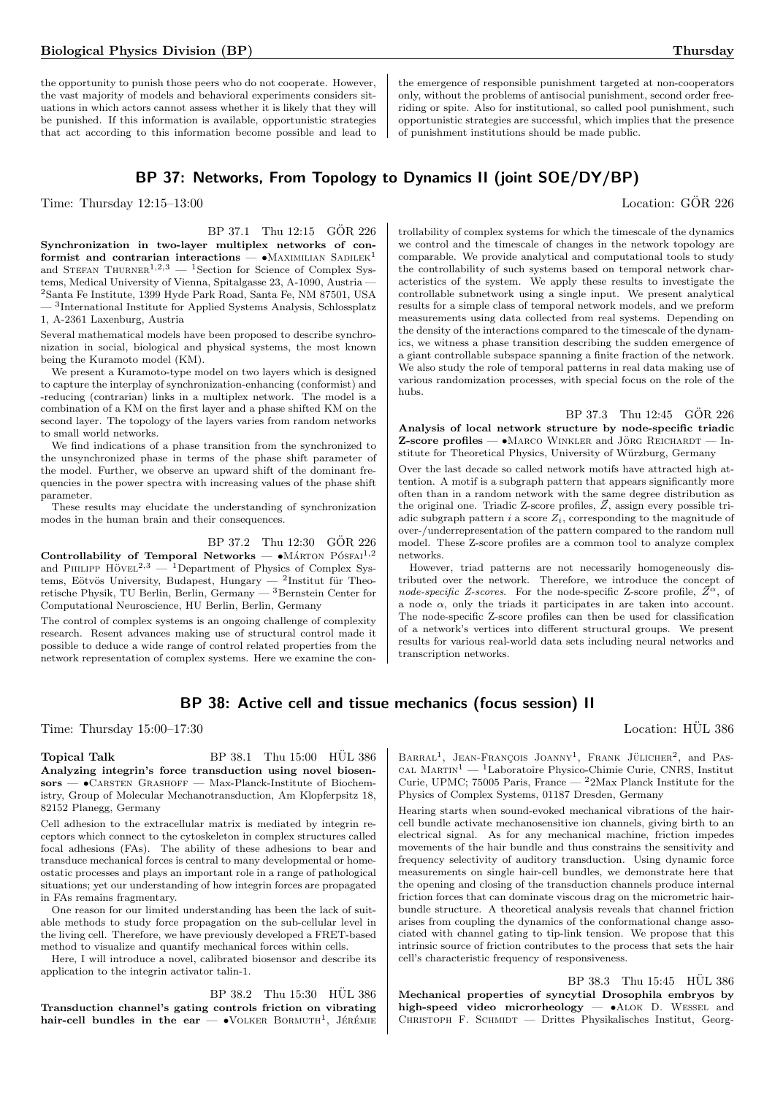the opportunity to punish those peers who do not cooperate. However, the vast majority of models and behavioral experiments considers situations in which actors cannot assess whether it is likely that they will be punished. If this information is available, opportunistic strategies that act according to this information become possible and lead to

the emergence of responsible punishment targeted at non-cooperators only, without the problems of antisocial punishment, second order freeriding or spite. Also for institutional, so called pool punishment, such opportunistic strategies are successful, which implies that the presence of punishment institutions should be made public.

# BP 37: Networks, From Topology to Dynamics II (joint SOE/DY/BP)

Time: Thursday  $12:15-13:00$  Location: GOR 226

#### BP 37.1 Thu 12:15 GOR 226

Synchronization in two-layer multiplex networks of conformist and contrarian interactions —  $\bullet$ MAXIMILIAN SADILEK<sup>1</sup> and STEFAN THURNER<sup>1,2,3</sup>  $-$  <sup>1</sup>Section for Science of Complex Systems, Medical University of Vienna, Spitalgasse 23, A-1090, Austria — <sup>2</sup>Santa Fe Institute, 1399 Hyde Park Road, Santa Fe, NM 87501, USA — <sup>3</sup> International Institute for Applied Systems Analysis, Schlossplatz

1, A-2361 Laxenburg, Austria

Several mathematical models have been proposed to describe synchronization in social, biological and physical systems, the most known being the Kuramoto model (KM).

We present a Kuramoto-type model on two layers which is designed to capture the interplay of synchronization-enhancing (conformist) and -reducing (contrarian) links in a multiplex network. The model is a combination of a KM on the first layer and a phase shifted KM on the second layer. The topology of the layers varies from random networks to small world networks.

We find indications of a phase transition from the synchronized to the unsynchronized phase in terms of the phase shift parameter of the model. Further, we observe an upward shift of the dominant frequencies in the power spectra with increasing values of the phase shift parameter.

These results may elucidate the understanding of synchronization modes in the human brain and their consequences.

BP 37.2 Thu 12:30 GÖR 226

Controllability of Temporal Networks —  $\bullet$ MÁRTON PÓSFAI<sup>1,2</sup> and PHILIPP  $\text{HöVEL}^{2,3}$  — <sup>1</sup>Department of Physics of Complex Systems, Eötvös University, Budapest, Hungary — <sup>2</sup>Institut für Theoretische Physik, TU Berlin, Berlin, Germany —  ${}^{3}$ Bernstein Center for Computational Neuroscience, HU Berlin, Berlin, Germany

The control of complex systems is an ongoing challenge of complexity research. Resent advances making use of structural control made it possible to deduce a wide range of control related properties from the network representation of complex systems. Here we examine the con-

trollability of complex systems for which the timescale of the dynamics we control and the timescale of changes in the network topology are comparable. We provide analytical and computational tools to study the controllability of such systems based on temporal network characteristics of the system. We apply these results to investigate the controllable subnetwork using a single input. We present analytical results for a simple class of temporal network models, and we preform measurements using data collected from real systems. Depending on the density of the interactions compared to the timescale of the dynamics, we witness a phase transition describing the sudden emergence of a giant controllable subspace spanning a finite fraction of the network. We also study the role of temporal patterns in real data making use of various randomization processes, with special focus on the role of the hubs.

BP 37.3 Thu 12:45 GÖR 226 Analysis of local network structure by node-specific triadic  $Z$ -score profiles —  $\bullet$ Marco Winkler and Jörg Reichardt — Institute for Theoretical Physics, University of Würzburg, Germany

Over the last decade so called network motifs have attracted high attention. A motif is a subgraph pattern that appears significantly more often than in a random network with the same degree distribution as the original one. Triadic Z-score profiles,  $\vec{Z}$ , assign every possible triadic subgraph pattern i a score  $Z_i$ , corresponding to the magnitude of over-/underrepresentation of the pattern compared to the random null model. These Z-score profiles are a common tool to analyze complex networks.

However, triad patterns are not necessarily homogeneously distributed over the network. Therefore, we introduce the concept of node-specific Z-scores. For the node-specific Z-score profile,  $\vec{Z}^{\alpha}$ , of a node  $\alpha$ , only the triads it participates in are taken into account. The node-specific Z-score profiles can then be used for classification of a network's vertices into different structural groups. We present results for various real-world data sets including neural networks and transcription networks.

# BP 38: Active cell and tissue mechanics (focus session) II

Time: Thursday 15:00–17:30 Location: HUL 386

Topical Talk BP 38.1 Thu 15:00 HÜL 386 Analyzing integrin's force transduction using novel biosensors —  $\bullet$ CARSTEN GRASHOFF — Max-Planck-Institute of Biochemistry, Group of Molecular Mechanotransduction, Am Klopferpsitz 18, 82152 Planegg, Germany

Cell adhesion to the extracellular matrix is mediated by integrin receptors which connect to the cytoskeleton in complex structures called focal adhesions (FAs). The ability of these adhesions to bear and transduce mechanical forces is central to many developmental or homeostatic processes and plays an important role in a range of pathological situations; yet our understanding of how integrin forces are propagated in FAs remains fragmentary.

One reason for our limited understanding has been the lack of suitable methods to study force propagation on the sub-cellular level in the living cell. Therefore, we have previously developed a FRET-based method to visualize and quantify mechanical forces within cells.

Here, I will introduce a novel, calibrated biosensor and describe its application to the integrin activator talin-1.

BP 38.2 Thu 15:30 HUL 386 Transduction channel's gating controls friction on vibrating hair-cell bundles in the ear  $\bullet$  VOLKER BORMUTH<sup>1</sup>, JÉRÉMIE

BARRAL<sup>1</sup>, JEAN-FRANÇOIS JOANNY<sup>1</sup>, FRANK JÜLICHER<sup>2</sup>, and PAS-CAL MARTIN<sup>1</sup> — <sup>1</sup>Laboratoire Physico-Chimie Curie, CNRS, Institut Curie, UPMC; 75005 Paris, France — <sup>2</sup>2Max Planck Institute for the Physics of Complex Systems, 01187 Dresden, Germany

Hearing starts when sound-evoked mechanical vibrations of the haircell bundle activate mechanosensitive ion channels, giving birth to an electrical signal. As for any mechanical machine, friction impedes movements of the hair bundle and thus constrains the sensitivity and frequency selectivity of auditory transduction. Using dynamic force measurements on single hair-cell bundles, we demonstrate here that the opening and closing of the transduction channels produce internal friction forces that can dominate viscous drag on the micrometric hairbundle structure. A theoretical analysis reveals that channel friction arises from coupling the dynamics of the conformational change associated with channel gating to tip-link tension. We propose that this intrinsic source of friction contributes to the process that sets the hair cell's characteristic frequency of responsiveness.

 $BP$  38.3 Thu 15:45  $H\ddot{U}L$  386 Mechanical properties of syncytial Drosophila embryos by high-speed video microrheology -  $\bullet$ ALOK D. WESSEL and CHRISTOPH F. SCHMIDT — Drittes Physikalisches Institut, Georg-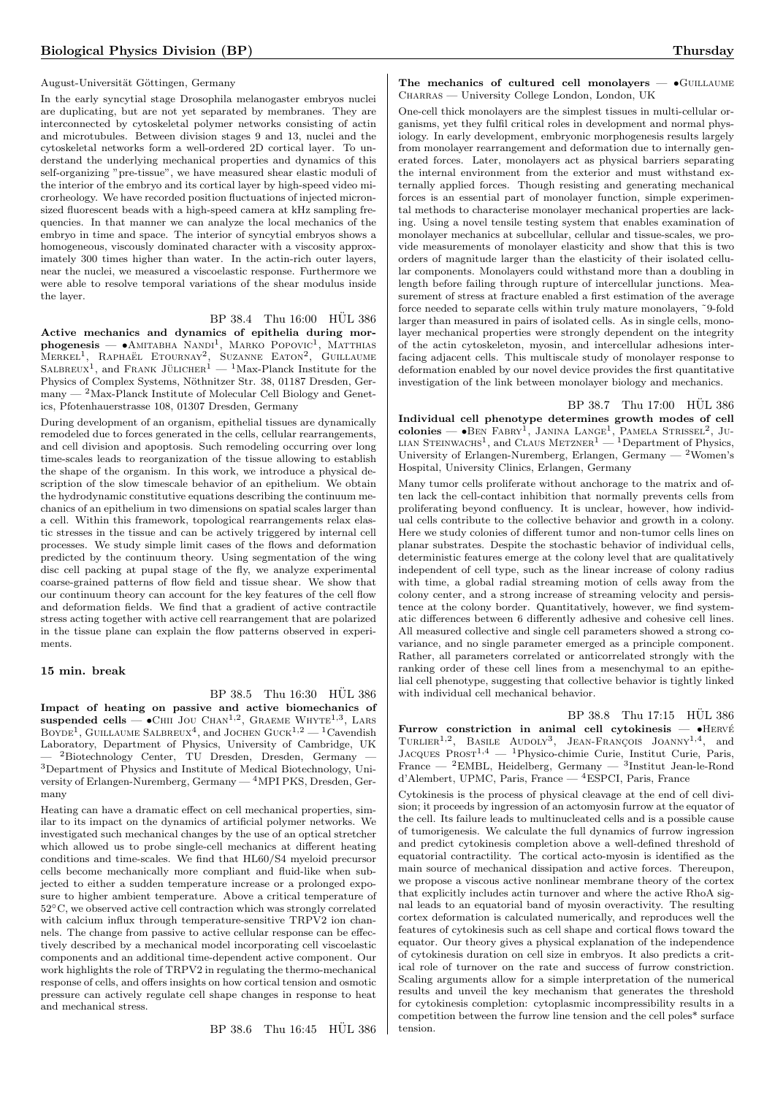#### August-Universität Göttingen, Germany

In the early syncytial stage Drosophila melanogaster embryos nuclei are duplicating, but are not yet separated by membranes. They are interconnected by cytoskeletal polymer networks consisting of actin and microtubules. Between division stages 9 and 13, nuclei and the cytoskeletal networks form a well-ordered 2D cortical layer. To understand the underlying mechanical properties and dynamics of this self-organizing "pre-tissue", we have measured shear elastic moduli of the interior of the embryo and its cortical layer by high-speed video microrheology. We have recorded position fluctuations of injected micronsized fluorescent beads with a high-speed camera at kHz sampling frequencies. In that manner we can analyze the local mechanics of the embryo in time and space. The interior of syncytial embryos shows a homogeneous, viscously dominated character with a viscosity approximately 300 times higher than water. In the actin-rich outer layers, near the nuclei, we measured a viscoelastic response. Furthermore we were able to resolve temporal variations of the shear modulus inside the layer.

# BP 38.4 Thu 16:00 HÜL 386

Active mechanics and dynamics of epithelia during mor $phogenesis$   $\bullet$ Amitabha Nandi<sup>1</sup>, Marko Popovic<sup>1</sup>, Matthias MERKEL<sup>1</sup>, RAPHAËL ETOURNAY<sup>2</sup>, SUZANNE EATON<sup>2</sup>, GUILLAUME<br>SALBREUX<sup>1</sup>, and FRANK JÜLICHER<sup>1</sup> — <sup>1</sup>Max-Planck Institute for the Physics of Complex Systems, Nöthnitzer Str. 38, 01187 Dresden, Ger- $\text{many} \longrightarrow 2\text{Max-Planck Institute of Molecular Cell Biology and Genet$ ics, Pfotenhauerstrasse 108, 01307 Dresden, Germany

During development of an organism, epithelial tissues are dynamically remodeled due to forces generated in the cells, cellular rearrangements, and cell division and apoptosis. Such remodeling occurring over long time-scales leads to reorganization of the tissue allowing to establish the shape of the organism. In this work, we introduce a physical description of the slow timescale behavior of an epithelium. We obtain the hydrodynamic constitutive equations describing the continuum mechanics of an epithelium in two dimensions on spatial scales larger than a cell. Within this framework, topological rearrangements relax elastic stresses in the tissue and can be actively triggered by internal cell processes. We study simple limit cases of the flows and deformation predicted by the continuum theory. Using segmentation of the wing disc cell packing at pupal stage of the fly, we analyze experimental coarse-grained patterns of flow field and tissue shear. We show that our continuum theory can account for the key features of the cell flow and deformation fields. We find that a gradient of active contractile stress acting together with active cell rearrangement that are polarized in the tissue plane can explain the flow patterns observed in experiments.

#### 15 min. break

#### $BP$  38.5 Thu  $16:30$  HUL 386

Impact of heating on passive and active biomechanics of suspended cells  $\bullet$ Chii Jou Chan<sup>1,2</sup>, Graeme Whyte<sup>1,3</sup>, Lars BOYDE<sup>1</sup>, GUILLAUME SALBREUX<sup>4</sup>, and JOCHEN GUCK<sup>1,2</sup> — <sup>1</sup>Cavendish Laboratory, Department of Physics, University of Cambridge, UK <sup>2</sup>Biotechnology Center, TU Dresden, Dresden, Germany <sup>3</sup>Department of Physics and Institute of Medical Biotechnology, University of Erlangen-Nuremberg, Germany — <sup>4</sup>MPI PKS, Dresden, Germany

Heating can have a dramatic effect on cell mechanical properties, similar to its impact on the dynamics of artificial polymer networks. We investigated such mechanical changes by the use of an optical stretcher which allowed us to probe single-cell mechanics at different heating conditions and time-scales. We find that HL60/S4 myeloid precursor cells become mechanically more compliant and fluid-like when subjected to either a sudden temperature increase or a prolonged exposure to higher ambient temperature. Above a critical temperature of 52◦C, we observed active cell contraction which was strongly correlated with calcium influx through temperature-sensitive TRPV2 ion channels. The change from passive to active cellular response can be effectively described by a mechanical model incorporating cell viscoelastic components and an additional time-dependent active component. Our work highlights the role of TRPV2 in regulating the thermo-mechanical response of cells, and offers insights on how cortical tension and osmotic pressure can actively regulate cell shape changes in response to heat and mechanical stress.

BP 38.6 Thu 16:45 HÜL 386

#### The mechanics of cultured cell monolayers  $\bullet$  GUILLAUME CHARRAS — University College London, London, UK

One-cell thick monolayers are the simplest tissues in multi-cellular organisms, yet they fulfil critical roles in development and normal physiology. In early development, embryonic morphogenesis results largely from monolayer rearrangement and deformation due to internally generated forces. Later, monolayers act as physical barriers separating the internal environment from the exterior and must withstand externally applied forces. Though resisting and generating mechanical forces is an essential part of monolayer function, simple experimental methods to characterise monolayer mechanical properties are lacking. Using a novel tensile testing system that enables examination of monolayer mechanics at subcellular, cellular and tissue-scales, we provide measurements of monolayer elasticity and show that this is two orders of magnitude larger than the elasticity of their isolated cellular components. Monolayers could withstand more than a doubling in length before failing through rupture of intercellular junctions. Measurement of stress at fracture enabled a first estimation of the average force needed to separate cells within truly mature monolayers, ˜9-fold larger than measured in pairs of isolated cells. As in single cells, monolayer mechanical properties were strongly dependent on the integrity of the actin cytoskeleton, myosin, and intercellular adhesions interfacing adjacent cells. This multiscale study of monolayer response to deformation enabled by our novel device provides the first quantitative investigation of the link between monolayer biology and mechanics.

BP 38.7 Thu 17:00 HÜL 386 Individual cell phenotype determines growth modes of cell colonies —  $\bullet$ BEN FABRY<sup>1</sup>, JANINA LANGE<sup>1</sup>, PAMELA STRISSEL<sup>2</sup>, JU-LIAN STEINWACHS<sup>1</sup>, and CLAUS METZNER<sup>1</sup> — <sup>1</sup>Department of Physics, University of Erlangen-Nuremberg, Erlangen, Germany  $-2$ Women's Hospital, University Clinics, Erlangen, Germany

Many tumor cells proliferate without anchorage to the matrix and often lack the cell-contact inhibition that normally prevents cells from proliferating beyond confluency. It is unclear, however, how individual cells contribute to the collective behavior and growth in a colony. Here we study colonies of different tumor and non-tumor cells lines on planar substrates. Despite the stochastic behavior of individual cells, deterministic features emerge at the colony level that are qualitatively independent of cell type, such as the linear increase of colony radius with time, a global radial streaming motion of cells away from the colony center, and a strong increase of streaming velocity and persistence at the colony border. Quantitatively, however, we find systematic differences between 6 differently adhesive and cohesive cell lines. All measured collective and single cell parameters showed a strong covariance, and no single parameter emerged as a principle component. Rather, all parameters correlated or anticorrelated strongly with the ranking order of these cell lines from a mesenchymal to an epithelial cell phenotype, suggesting that collective behavior is tightly linked with individual cell mechanical behavior.

 $BP$  38.8 Thu 17:15  $HÜL$  386 Furrow constriction in animal cell cytokinesis  $\bullet$ HERVÉ TURLIER<sup>1,2</sup>, BASILE AUDOLY<sup>3</sup>, JEAN-FRANÇOIS JOANNY<sup>1,4</sup>, and<br>JACQUES PROST<sup>1,4</sup> — <sup>1</sup>Physico-chimie Curie, Institut Curie, Paris, France — <sup>2</sup>EMBL, Heidelberg, Germany — <sup>3</sup>Institut Jean-le-Rond d'Alembert, UPMC, Paris, France — <sup>4</sup>ESPCI, Paris, France

Cytokinesis is the process of physical cleavage at the end of cell division; it proceeds by ingression of an actomyosin furrow at the equator of the cell. Its failure leads to multinucleated cells and is a possible cause of tumorigenesis. We calculate the full dynamics of furrow ingression and predict cytokinesis completion above a well-defined threshold of equatorial contractility. The cortical acto-myosin is identified as the main source of mechanical dissipation and active forces. Thereupon, we propose a viscous active nonlinear membrane theory of the cortex that explicitly includes actin turnover and where the active RhoA signal leads to an equatorial band of myosin overactivity. The resulting cortex deformation is calculated numerically, and reproduces well the features of cytokinesis such as cell shape and cortical flows toward the equator. Our theory gives a physical explanation of the independence of cytokinesis duration on cell size in embryos. It also predicts a critical role of turnover on the rate and success of furrow constriction. Scaling arguments allow for a simple interpretation of the numerical results and unveil the key mechanism that generates the threshold for cytokinesis completion: cytoplasmic incompressibility results in a competition between the furrow line tension and the cell poles\* surface tension.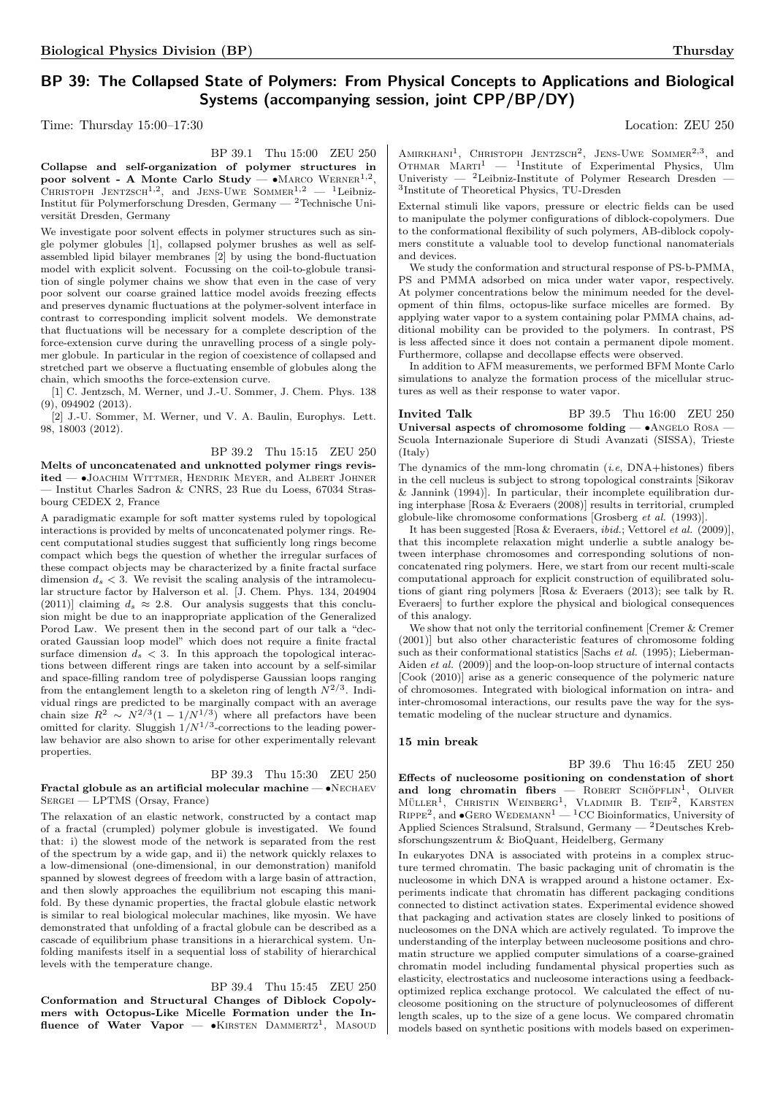# BP 39: The Collapsed State of Polymers: From Physical Concepts to Applications and Biological Systems (accompanying session, joint CPP/BP/DY)

Time: Thursday  $15:00-17:30$  Location: ZEU 250

BP 39.1 Thu 15:00 ZEU 250 Collapse and self-organization of polymer structures in poor solvent - A Monte Carlo Study —  $\bullet$ MARCO WERNER<sup>1,2</sup>, CHRISTOPH JENTZSCH<sup>1,2</sup>, and JENS-UWE SOMMER<sup>1,2</sup> - <sup>1</sup>Leibniz-Institut für Polymerforschung Dresden, Germany —  $2$ Technische Universität Dresden, Germany

We investigate poor solvent effects in polymer structures such as single polymer globules [1], collapsed polymer brushes as well as selfassembled lipid bilayer membranes [2] by using the bond-fluctuation model with explicit solvent. Focussing on the coil-to-globule transition of single polymer chains we show that even in the case of very poor solvent our coarse grained lattice model avoids freezing effects and preserves dynamic fluctuations at the polymer-solvent interface in contrast to corresponding implicit solvent models. We demonstrate that fluctuations will be necessary for a complete description of the force-extension curve during the unravelling process of a single polymer globule. In particular in the region of coexistence of collapsed and stretched part we observe a fluctuating ensemble of globules along the chain, which smooths the force-extension curve.

[1] C. Jentzsch, M. Werner, und J.-U. Sommer, J. Chem. Phys. 138 (9), 094902 (2013).

[2] J.-U. Sommer, M. Werner, und V. A. Baulin, Europhys. Lett. 98, 18003 (2012).

BP 39.2 Thu 15:15 ZEU 250 Melts of unconcatenated and unknotted polymer rings revisited — •JOACHIM WITTMER, HENDRIK MEYER, and ALBERT JOHNER — Institut Charles Sadron & CNRS, 23 Rue du Loess, 67034 Strasbourg CEDEX 2, France

A paradigmatic example for soft matter systems ruled by topological interactions is provided by melts of unconcatenated polymer rings. Recent computational studies suggest that sufficiently long rings become compact which begs the question of whether the irregular surfaces of these compact objects may be characterized by a finite fractal surface dimension  $d_s < 3$ . We revisit the scaling analysis of the intramolecular structure factor by Halverson et al. [J. Chem. Phys. 134, 204904 (2011)] claiming  $d_s \approx 2.8$ . Our analysis suggests that this conclusion might be due to an inappropriate application of the Generalized Porod Law. We present then in the second part of our talk a "decorated Gaussian loop model" which does not require a finite fractal surface dimension  $d_s < 3$ . In this approach the topological interactions between different rings are taken into account by a self-similar and space-filling random tree of polydisperse Gaussian loops ranging from the entanglement length to a skeleton ring of length  $N^{2/3}$ . Individual rings are predicted to be marginally compact with an average chain size  $R^2 \sim N^{2/3} (1 - 1/N^{1/3})$  where all prefactors have been omitted for clarity. Sluggish  $1/N^{1/3}$ -corrections to the leading powerlaw behavior are also shown to arise for other experimentally relevant properties.

BP 39.3 Thu 15:30 ZEU 250 Fractal globule as an artificial molecular machine — •Nechaev SERGEI — LPTMS (Orsay, France)

The relaxation of an elastic network, constructed by a contact map of a fractal (crumpled) polymer globule is investigated. We found that: i) the slowest mode of the network is separated from the rest of the spectrum by a wide gap, and ii) the network quickly relaxes to a low-dimensional (one-dimensional, in our demonstration) manifold spanned by slowest degrees of freedom with a large basin of attraction, and then slowly approaches the equilibrium not escaping this manifold. By these dynamic properties, the fractal globule elastic network is similar to real biological molecular machines, like myosin. We have demonstrated that unfolding of a fractal globule can be described as a cascade of equilibrium phase transitions in a hierarchical system. Unfolding manifests itself in a sequential loss of stability of hierarchical levels with the temperature change.

BP 39.4 Thu 15:45 ZEU 250 Conformation and Structural Changes of Diblock Copolymers with Octopus-Like Micelle Formation under the Influence of Water Vapor — • KIRSTEN DAMMERTZ<sup>1</sup>, MASOUD

 $A$ MIRKHANI<sup>1</sup>, CHRISTOPH JENTZSCH<sup>2</sup>, JENS-UWE SOMMER<sup>2,3</sup>, and Othmar Marti<sup>1</sup> — <sup>1</sup>Institute of Experimental Physics, Ulm Univeristy —  $^{2}$ Leibniz-Institute of Polymer Research Dresden — 3 Institute of Theoretical Physics, TU-Dresden

External stimuli like vapors, pressure or electric fields can be used to manipulate the polymer configurations of diblock-copolymers. Due to the conformational flexibility of such polymers, AB-diblock copolymers constitute a valuable tool to develop functional nanomaterials and devices.

We study the conformation and structural response of PS-b-PMMA, PS and PMMA adsorbed on mica under water vapor, respectively. At polymer concentrations below the minimum needed for the development of thin films, octopus-like surface micelles are formed. By applying water vapor to a system containing polar PMMA chains, additional mobility can be provided to the polymers. In contrast, PS is less affected since it does not contain a permanent dipole moment. Furthermore, collapse and decollapse effects were observed.

In addition to AFM measurements, we performed BFM Monte Carlo simulations to analyze the formation process of the micellular structures as well as their response to water vapor.

Invited Talk BP 39.5 Thu 16:00 ZEU 250 Universal aspects of chromosome folding  $- \cdot$  ANGELO ROSA  $-$ Scuola Internazionale Superiore di Studi Avanzati (SISSA), Trieste  $(Italv)$ 

The dynamics of the mm-long chromatin  $(i.e., DNA+histones)$  fibers in the cell nucleus is subject to strong topological constraints [Sikorav & Jannink (1994)]. In particular, their incomplete equilibration during interphase [Rosa & Everaers (2008)] results in territorial, crumpled globule-like chromosome conformations [Grosberg et al. (1993)].

It has been suggested [Rosa & Everaers, ibid.; Vettorel et al. (2009)], that this incomplete relaxation might underlie a subtle analogy between interphase chromosomes and corresponding solutions of nonconcatenated ring polymers. Here, we start from our recent multi-scale computational approach for explicit construction of equilibrated solutions of giant ring polymers [Rosa & Everaers (2013); see talk by R. Everaers] to further explore the physical and biological consequences of this analogy.

We show that not only the territorial confinement [Cremer & Cremer (2001)] but also other characteristic features of chromosome folding such as their conformational statistics [Sachs et al. (1995); Lieberman-Aiden et al. (2009)] and the loop-on-loop structure of internal contacts [Cook (2010)] arise as a generic consequence of the polymeric nature of chromosomes. Integrated with biological information on intra- and inter-chromosomal interactions, our results pave the way for the systematic modeling of the nuclear structure and dynamics.

#### 15 min break

BP 39.6 Thu 16:45 ZEU 250 Effects of nucleosome positioning on condenstation of short and  $\log$  chromatin fibers — ROBERT SCHÖPFLIN<sup>1</sup>, OLIVER  $MÜLER<sup>1</sup>$ , CHRISTIN WEINBERG<sup>1</sup>, VLADIMIR B. TEIF<sup>2</sup>, KARSTEN  $R$ IPPE<sup>2</sup>, and  $\bullet$ GERO WEDEMANN<sup>1</sup> — <sup>1</sup>CC Bioinformatics, University of Applied Sciences Stralsund, Stralsund, Germany — <sup>2</sup>Deutsches Kreb-

sforschungszentrum & BioQuant, Heidelberg, Germany

In eukaryotes DNA is associated with proteins in a complex structure termed chromatin. The basic packaging unit of chromatin is the nucleosome in which DNA is wrapped around a histone octamer. Experiments indicate that chromatin has different packaging conditions connected to distinct activation states. Experimental evidence showed that packaging and activation states are closely linked to positions of nucleosomes on the DNA which are actively regulated. To improve the understanding of the interplay between nucleosome positions and chromatin structure we applied computer simulations of a coarse-grained chromatin model including fundamental physical properties such as elasticity, electrostatics and nucleosome interactions using a feedbackoptimized replica exchange protocol. We calculated the effect of nucleosome positioning on the structure of polynucleosomes of different length scales, up to the size of a gene locus. We compared chromatin models based on synthetic positions with models based on experimen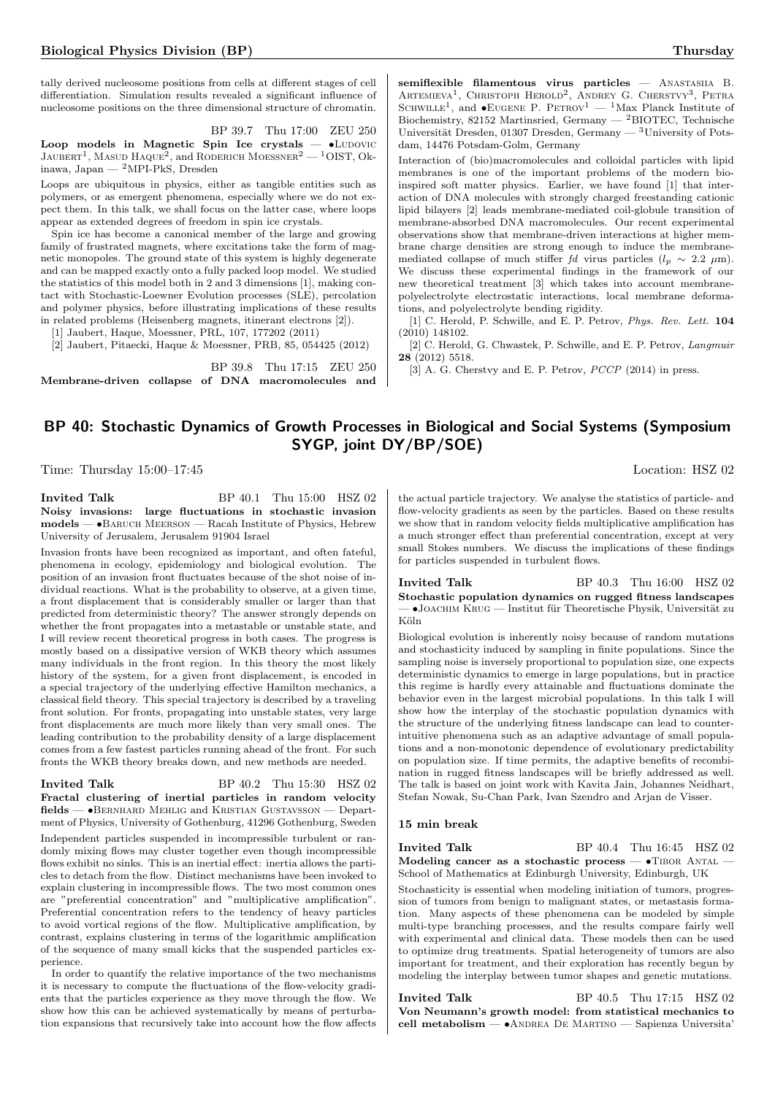tally derived nucleosome positions from cells at different stages of cell differentiation. Simulation results revealed a significant influence of nucleosome positions on the three dimensional structure of chromatin.

BP 39.7 Thu 17:00 ZEU 250 Loop models in Magnetic Spin Ice crystals  $\bullet$ LUDOVIC JAUBERT<sup>1</sup>, MASUD HAQUE<sup>2</sup>, and RODERICH MOESSNER<sup>2</sup> — <sup>1</sup>OIST, Okinawa, Japan — <sup>2</sup>MPI-PkS, Dresden

Loops are ubiquitous in physics, either as tangible entities such as polymers, or as emergent phenomena, especially where we do not expect them. In this talk, we shall focus on the latter case, where loops appear as extended degrees of freedom in spin ice crystals.

Spin ice has become a canonical member of the large and growing family of frustrated magnets, where excitations take the form of magnetic monopoles. The ground state of this system is highly degenerate and can be mapped exactly onto a fully packed loop model. We studied the statistics of this model both in 2 and 3 dimensions [1], making contact with Stochastic-Loewner Evolution processes (SLE), percolation and polymer physics, before illustrating implications of these results in related problems (Heisenberg magnets, itinerant electrons [2]).

[1] Jaubert, Haque, Moessner, PRL, 107, 177202 (2011)

[2] Jaubert, Pitaecki, Haque & Moessner, PRB, 85, 054425 (2012)

BP 39.8 Thu 17:15 ZEU 250 Membrane-driven collapse of DNA macromolecules and semiflexible filamentous virus particles — ANASTASIIA B. ARTEMIEVA<sup>1</sup>, CHRISTOPH HEROLD<sup>2</sup>, ANDREY G. CHERSTVY<sup>3</sup>, PETRA SCHWILLE<sup>1</sup>, and  $\bullet$ EUGENE P. PETROV<sup>1</sup> — <sup>1</sup>Max Planck Institute of Biochemistry, 82152 Martinsried, Germany — <sup>2</sup>BIOTEC, Technische Universität Dresden, 01307 Dresden, Germany —  $^3$ University of Potsdam, 14476 Potsdam-Golm, Germany

Interaction of (bio)macromolecules and colloidal particles with lipid membranes is one of the important problems of the modern bioinspired soft matter physics. Earlier, we have found [1] that interaction of DNA molecules with strongly charged freestanding cationic lipid bilayers [2] leads membrane-mediated coil-globule transition of membrane-absorbed DNA macromolecules. Our recent experimental observations show that membrane-driven interactions at higher membrane charge densities are strong enough to induce the membranemediated collapse of much stiffer fd virus particles  $(l_p \sim 2.2 \mu m)$ . We discuss these experimental findings in the framework of our new theoretical treatment [3] which takes into account membranepolyelectrolyte electrostatic interactions, local membrane deformations, and polyelectrolyte bending rigidity.

[1] C. Herold, P. Schwille, and E. P. Petrov, Phys. Rev. Lett. 104 (2010) 148102.

[2] C. Herold, G. Chwastek, P. Schwille, and E. P. Petrov, Langmuir 28 (2012) 5518.

[3] A. G. Cherstvy and E. P. Petrov,  $PCCP$  (2014) in press.

# BP 40: Stochastic Dynamics of Growth Processes in Biological and Social Systems (Symposium SYGP, joint DY/BP/SOE)

Time: Thursday 15:00–17:45 Location: HSZ 02

**Invited Talk** BP 40.1 Thu 15:00 HSZ 02 Noisy invasions: large fluctuations in stochastic invasion models — •Baruch Meerson — Racah Institute of Physics, Hebrew University of Jerusalem, Jerusalem 91904 Israel

Invasion fronts have been recognized as important, and often fateful, phenomena in ecology, epidemiology and biological evolution. The position of an invasion front fluctuates because of the shot noise of individual reactions. What is the probability to observe, at a given time, a front displacement that is considerably smaller or larger than that predicted from deterministic theory? The answer strongly depends on whether the front propagates into a metastable or unstable state, and I will review recent theoretical progress in both cases. The progress is mostly based on a dissipative version of WKB theory which assumes many individuals in the front region. In this theory the most likely history of the system, for a given front displacement, is encoded in a special trajectory of the underlying effective Hamilton mechanics, a classical field theory. This special trajectory is described by a traveling front solution. For fronts, propagating into unstable states, very large front displacements are much more likely than very small ones. The leading contribution to the probability density of a large displacement comes from a few fastest particles running ahead of the front. For such fronts the WKB theory breaks down, and new methods are needed.

#### **Invited Talk** BP 40.2 Thu 15:30 HSZ 02 Fractal clustering of inertial particles in random velocity fields — •Bernhard Mehlig and Kristian Gustavsson — Depart-

ment of Physics, University of Gothenburg, 41296 Gothenburg, Sweden

Independent particles suspended in incompressible turbulent or randomly mixing flows may cluster together even though incompressible flows exhibit no sinks. This is an inertial effect: inertia allows the particles to detach from the flow. Distinct mechanisms have been invoked to explain clustering in incompressible flows. The two most common ones are "preferential concentration" and "multiplicative amplification". Preferential concentration refers to the tendency of heavy particles to avoid vortical regions of the flow. Multiplicative amplification, by contrast, explains clustering in terms of the logarithmic amplification of the sequence of many small kicks that the suspended particles experience.

In order to quantify the relative importance of the two mechanisms it is necessary to compute the fluctuations of the flow-velocity gradients that the particles experience as they move through the flow. We show how this can be achieved systematically by means of perturbation expansions that recursively take into account how the flow affects

the actual particle trajectory. We analyse the statistics of particle- and flow-velocity gradients as seen by the particles. Based on these results we show that in random velocity fields multiplicative amplification has a much stronger effect than preferential concentration, except at very small Stokes numbers. We discuss the implications of these findings for particles suspended in turbulent flows.

**Invited Talk** BP 40.3 Thu 16:00 HSZ 02 Stochastic population dynamics on rugged fitness landscapes  $\bullet$ JOACHIM KRUG — Institut für Theoretische Physik, Universität zu Köln

Biological evolution is inherently noisy because of random mutations and stochasticity induced by sampling in finite populations. Since the sampling noise is inversely proportional to population size, one expects deterministic dynamics to emerge in large populations, but in practice this regime is hardly every attainable and fluctuations dominate the behavior even in the largest microbial populations. In this talk I will show how the interplay of the stochastic population dynamics with the structure of the underlying fitness landscape can lead to counterintuitive phenomena such as an adaptive advantage of small populations and a non-monotonic dependence of evolutionary predictability on population size. If time permits, the adaptive benefits of recombination in rugged fitness landscapes will be briefly addressed as well. The talk is based on joint work with Kavita Jain, Johannes Neidhart, Stefan Nowak, Su-Chan Park, Ivan Szendro and Arjan de Visser.

#### 15 min break

**Invited Talk** BP 40.4 Thu 16:45 HSZ 02 Modeling cancer as a stochastic process -  $\bullet$ TIBOR ANTAL -School of Mathematics at Edinburgh University, Edinburgh, UK

Stochasticity is essential when modeling initiation of tumors, progression of tumors from benign to malignant states, or metastasis formation. Many aspects of these phenomena can be modeled by simple multi-type branching processes, and the results compare fairly well with experimental and clinical data. These models then can be used to optimize drug treatments. Spatial heterogeneity of tumors are also important for treatment, and their exploration has recently begun by modeling the interplay between tumor shapes and genetic mutations.

**Invited Talk** BP 40.5 Thu 17:15 HSZ 02 Von Neumann's growth model: from statistical mechanics to cell metabolism — •Andrea De Martino — Sapienza Universita'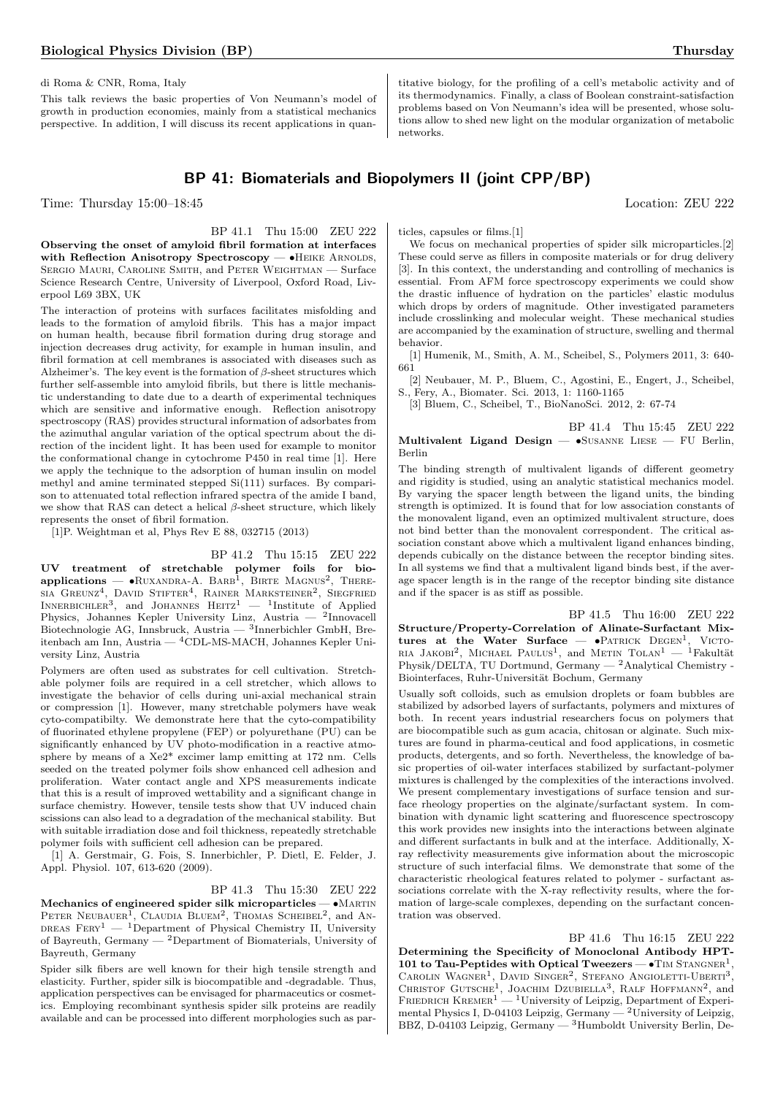di Roma & CNR, Roma, Italy

This talk reviews the basic properties of Von Neumann's model of growth in production economies, mainly from a statistical mechanics perspective. In addition, I will discuss its recent applications in quan-

titative biology, for the profiling of a cell's metabolic activity and of its thermodynamics. Finally, a class of Boolean constraint-satisfaction problems based on Von Neumann's idea will be presented, whose solutions allow to shed new light on the modular organization of metabolic networks.

# BP 41: Biomaterials and Biopolymers II (joint CPP/BP)

Time: Thursday 15:00–18:45 Location: ZEU 222

#### BP 41.1 Thu 15:00 ZEU 222

Observing the onset of amyloid fibril formation at interfaces with Reflection Anisotropy Spectroscopy — •HEIKE ARNOLDS, Sergio Mauri, Caroline Smith, and Peter Weightman — Surface Science Research Centre, University of Liverpool, Oxford Road, Liverpool L69 3BX, UK

The interaction of proteins with surfaces facilitates misfolding and leads to the formation of amyloid fibrils. This has a major impact on human health, because fibril formation during drug storage and injection decreases drug activity, for example in human insulin, and fibril formation at cell membranes is associated with diseases such as Alzheimer's. The key event is the formation of  $\beta$ -sheet structures which further self-assemble into amyloid fibrils, but there is little mechanistic understanding to date due to a dearth of experimental techniques which are sensitive and informative enough. Reflection anisotropy spectroscopy (RAS) provides structural information of adsorbates from the azimuthal angular variation of the optical spectrum about the direction of the incident light. It has been used for example to monitor the conformational change in cytochrome P450 in real time [1]. Here we apply the technique to the adsorption of human insulin on model methyl and amine terminated stepped Si(111) surfaces. By comparison to attenuated total reflection infrared spectra of the amide I band, we show that RAS can detect a helical  $\beta$ -sheet structure, which likely represents the onset of fibril formation.

[1]P. Weightman et al, Phys Rev E 88, 032715 (2013)

#### BP 41.2 Thu 15:15 ZEU 222

UV treatment of stretchable polymer foils for bio- $\text{applications} \longrightarrow \text{Ruxannra-A. Bara}^1$ , Birte Magnus<sup>2</sup>, There- $\text{SIA}$  GREUNZ<sup>4</sup>, DAVID STIFTER<sup>4</sup>, RAINER MARKSTEINER<sup>2</sup>, SIEGFRIED INNERBICHLER<sup>3</sup>, and JOHANNES HEITZ<sup>1</sup>  $-$  <sup>1</sup>Institute of Applied Physics, Johannes Kepler University Linz, Austria — <sup>2</sup>Innovacell Biotechnologie AG, Innsbruck, Austria — <sup>3</sup> Innerbichler GmbH, Breitenbach am Inn, Austria — <sup>4</sup>CDL-MS-MACH, Johannes Kepler University Linz, Austria

Polymers are often used as substrates for cell cultivation. Stretchable polymer foils are required in a cell stretcher, which allows to investigate the behavior of cells during uni-axial mechanical strain or compression [1]. However, many stretchable polymers have weak cyto-compatibilty. We demonstrate here that the cyto-compatibility of fluorinated ethylene propylene (FEP) or polyurethane (PU) can be significantly enhanced by UV photo-modification in a reactive atmosphere by means of a Xe2\* excimer lamp emitting at 172 nm. Cells seeded on the treated polymer foils show enhanced cell adhesion and proliferation. Water contact angle and XPS measurements indicate that this is a result of improved wettability and a significant change in surface chemistry. However, tensile tests show that UV induced chain scissions can also lead to a degradation of the mechanical stability. But with suitable irradiation dose and foil thickness, repeatedly stretchable polymer foils with sufficient cell adhesion can be prepared.

[1] A. Gerstmair, G. Fois, S. Innerbichler, P. Dietl, E. Felder, J. Appl. Physiol. 107, 613-620 (2009).

BP 41.3 Thu 15:30 ZEU 222

Mechanics of engineered spider silk microparticles -  $\bullet$ MARTIN PETER NEUBAUER<sup>1</sup>, CLAUDIA BLUEM<sup>2</sup>, THOMAS SCHEIBEL<sup>2</sup>, and AN-DREAS  $F_{\text{ERY}}^{1}$  — <sup>1</sup>Department of Physical Chemistry II, University of Bayreuth, Germany  $-$  <sup>2</sup>Department of Biomaterials, University of Bayreuth, Germany

Spider silk fibers are well known for their high tensile strength and elasticity. Further, spider silk is biocompatible and -degradable. Thus, application perspectives can be envisaged for pharmaceutics or cosmetics. Employing recombinant synthesis spider silk proteins are readily available and can be processed into different morphologies such as particles, capsules or films.[1]

We focus on mechanical properties of spider silk microparticles.<sup>[2]</sup> These could serve as fillers in composite materials or for drug delivery [3]. In this context, the understanding and controlling of mechanics is essential. From AFM force spectroscopy experiments we could show the drastic influence of hydration on the particles' elastic modulus which drops by orders of magnitude. Other investigated parameters include crosslinking and molecular weight. These mechanical studies are accompanied by the examination of structure, swelling and thermal behavior.

[1] Humenik, M., Smith, A. M., Scheibel, S., Polymers 2011, 3: 640- 661

[2] Neubauer, M. P., Bluem, C., Agostini, E., Engert, J., Scheibel, S., Fery, A., Biomater. Sci. 2013, 1: 1160-1165

[3] Bluem, C., Scheibel, T., BioNanoSci. 2012, 2: 67-74

BP 41.4 Thu 15:45 ZEU 222 Multivalent Ligand Design  $\bullet$ SUSANNE LIESE  $-$  FU Berlin, Berlin

The binding strength of multivalent ligands of different geometry and rigidity is studied, using an analytic statistical mechanics model. By varying the spacer length between the ligand units, the binding strength is optimized. It is found that for low association constants of the monovalent ligand, even an optimized multivalent structure, does not bind better than the monovalent correspondent. The critical association constant above which a multivalent ligand enhances binding, depends cubically on the distance between the receptor binding sites. In all systems we find that a multivalent ligand binds best, if the average spacer length is in the range of the receptor binding site distance and if the spacer is as stiff as possible.

BP 41.5 Thu 16:00 ZEU 222 Structure/Property-Correlation of Alinate-Surfactant Mixtures at the Water Surface  $\bullet$ PATRICK DEGEN<sup>1</sup>, VICTO-RIA JAKOBI<sup>2</sup>, MICHAEL PAULUS<sup>1</sup>, and METIN TOLAN<sup>1</sup> - <sup>1</sup>Fakultät Physik/DELTA, TU Dortmund, Germany — <sup>2</sup>Analytical Chemistry - Biointerfaces, Ruhr-Universität Bochum, Germany

Usually soft colloids, such as emulsion droplets or foam bubbles are stabilized by adsorbed layers of surfactants, polymers and mixtures of both. In recent years industrial researchers focus on polymers that are biocompatible such as gum acacia, chitosan or alginate. Such mixtures are found in pharma-ceutical and food applications, in cosmetic products, detergents, and so forth. Nevertheless, the knowledge of basic properties of oil-water interfaces stabilized by surfactant-polymer mixtures is challenged by the complexities of the interactions involved. We present complementary investigations of surface tension and surface rheology properties on the alginate/surfactant system. In combination with dynamic light scattering and fluorescence spectroscopy this work provides new insights into the interactions between alginate and different surfactants in bulk and at the interface. Additionally, Xray reflectivity measurements give information about the microscopic structure of such interfacial films. We demonstrate that some of the characteristic rheological features related to polymer - surfactant associations correlate with the X-ray reflectivity results, where the formation of large-scale complexes, depending on the surfactant concentration was observed.

BP 41.6 Thu 16:15 ZEU 222 Determining the Specificity of Monoclonal Antibody HPT-101 to Tau-Peptides with Optical Tweezers  $- \cdot$  TIM STANGNER<sup>1</sup>, CAROLIN WAGNER<sup>1</sup>, DAVID SINGER<sup>2</sup>, STEFANO ANGIOLETTI-UBERTI<sup>3</sup>, CHRISTOF GUTSCHE<sup>1</sup>, JOACHIM DZUBIELLA<sup>3</sup>, RALF HOFFMANN<sup>2</sup>, and FRIEDRICH KREMER<sup>1</sup> — <sup>1</sup>University of Leipzig, Department of Experimental Physics I, D-04103 Leipzig, Germany  $-2$ University of Leipzig, BBZ, D-04103 Leipzig, Germany — <sup>3</sup>Humboldt University Berlin, De-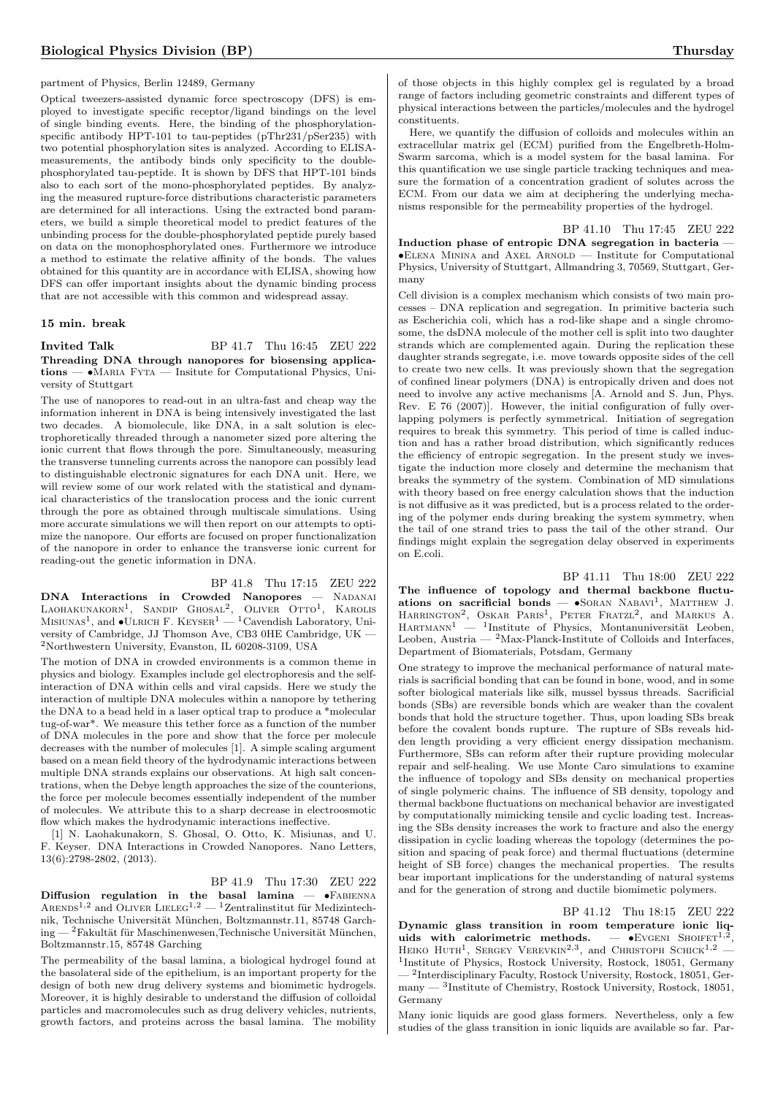#### partment of Physics, Berlin 12489, Germany

Optical tweezers-assisted dynamic force spectroscopy (DFS) is employed to investigate specific receptor/ligand bindings on the level of single binding events. Here, the binding of the phosphorylationspecific antibody HPT-101 to tau-peptides (pThr231/pSer235) with two potential phosphorylation sites is analyzed. According to ELISAmeasurements, the antibody binds only specificity to the doublephosphorylated tau-peptide. It is shown by DFS that HPT-101 binds also to each sort of the mono-phosphorylated peptides. By analyzing the measured rupture-force distributions characteristic parameters are determined for all interactions. Using the extracted bond parameters, we build a simple theoretical model to predict features of the unbinding process for the double-phosphorylated peptide purely based on data on the monophosphorylated ones. Furthermore we introduce a method to estimate the relative affinity of the bonds. The values obtained for this quantity are in accordance with ELISA, showing how DFS can offer important insights about the dynamic binding process that are not accessible with this common and widespread assay.

#### 15 min. break

**Invited Talk** BP 41.7 Thu 16:45 ZEU 222 Threading DNA through nanopores for biosensing applications — •MARIA FYTA — Insitute for Computational Physics, University of Stuttgart

The use of nanopores to read-out in an ultra-fast and cheap way the information inherent in DNA is being intensively investigated the last two decades. A biomolecule, like DNA, in a salt solution is electrophoretically threaded through a nanometer sized pore altering the ionic current that flows through the pore. Simultaneously, measuring the transverse tunneling currents across the nanopore can possibly lead to distinguishable electronic signatures for each DNA unit. Here, we will review some of our work related with the statistical and dynamical characteristics of the translocation process and the ionic current through the pore as obtained through multiscale simulations. Using more accurate simulations we will then report on our attempts to optimize the nanopore. Our efforts are focused on proper functionalization of the nanopore in order to enhance the transverse ionic current for reading-out the genetic information in DNA.

BP 41.8 Thu 17:15 ZEU 222 DNA Interactions in Crowded Nanopores - NADANAI LAOHAKUNAKORN<sup>1</sup>, SANDIP GHOSAL<sup>2</sup>, OLIVER OTTO<sup>1</sup>, KAROLIS<br>Misiunas<sup>1</sup>, and •Ulrich F. Keyser<sup>1</sup> — <sup>1</sup>Cavendish Laboratory, University of Cambridge, JJ Thomson Ave, CB3 0HE Cambridge, UK — <sup>2</sup>Northwestern University, Evanston, IL 60208-3109, USA

The motion of DNA in crowded environments is a common theme in physics and biology. Examples include gel electrophoresis and the selfinteraction of DNA within cells and viral capsids. Here we study the interaction of multiple DNA molecules within a nanopore by tethering the DNA to a bead held in a laser optical trap to produce a \*molecular tug-of-war\*. We measure this tether force as a function of the number of DNA molecules in the pore and show that the force per molecule decreases with the number of molecules [1]. A simple scaling argument based on a mean field theory of the hydrodynamic interactions between multiple DNA strands explains our observations. At high salt concentrations, when the Debye length approaches the size of the counterions, the force per molecule becomes essentially independent of the number of molecules. We attribute this to a sharp decrease in electroosmotic flow which makes the hydrodynamic interactions ineffective.

[1] N. Laohakunakorn, S. Ghosal, O. Otto, K. Misiunas, and U. F. Keyser. DNA Interactions in Crowded Nanopores. Nano Letters, 13(6):2798-2802, (2013).

#### BP 41.9 Thu 17:30 ZEU 222

Diffusion regulation in the basal lamina  $-$  •FABIENNA ARENDS<sup>1,2</sup> and OLIVER LIELEG<sup>1,2</sup> — <sup>1</sup>Zentralinstitut für Medizintechnik, Technische Universität München, Boltzmannstr.11, 85748 Garch $ing - {^{2}}Fakultät für Maschinenwesen,Technische Universität München,$ Boltzmannstr.15, 85748 Garching

The permeability of the basal lamina, a biological hydrogel found at the basolateral side of the epithelium, is an important property for the design of both new drug delivery systems and biomimetic hydrogels. Moreover, it is highly desirable to understand the diffusion of colloidal particles and macromolecules such as drug delivery vehicles, nutrients, growth factors, and proteins across the basal lamina. The mobility

of those objects in this highly complex gel is regulated by a broad range of factors including geometric constraints and different types of physical interactions between the particles/molecules and the hydrogel constituents.

Here, we quantify the diffusion of colloids and molecules within an extracellular matrix gel (ECM) purified from the Engelbreth-Holm-Swarm sarcoma, which is a model system for the basal lamina. For this quantification we use single particle tracking techniques and measure the formation of a concentration gradient of solutes across the ECM. From our data we aim at deciphering the underlying mechanisms responsible for the permeability properties of the hydrogel.

BP 41.10 Thu 17:45 ZEU 222 Induction phase of entropic DNA segregation in bacteria — •Elena Minina and Axel Arnold — Institute for Computational Physics, University of Stuttgart, Allmandring 3, 70569, Stuttgart, Germany

Cell division is a complex mechanism which consists of two main processes – DNA replication and segregation. In primitive bacteria such as Escherichia coli, which has a rod-like shape and a single chromosome, the dsDNA molecule of the mother cell is split into two daughter strands which are complemented again. During the replication these daughter strands segregate, i.e. move towards opposite sides of the cell to create two new cells. It was previously shown that the segregation of confined linear polymers (DNA) is entropically driven and does not need to involve any active mechanisms [A. Arnold and S. Jun, Phys. Rev. E 76 (2007)]. However, the initial configuration of fully overlapping polymers is perfectly symmetrical. Initiation of segregation requires to break this symmetry. This period of time is called induction and has a rather broad distribution, which significantly reduces the efficiency of entropic segregation. In the present study we investigate the induction more closely and determine the mechanism that breaks the symmetry of the system. Combination of MD simulations with theory based on free energy calculation shows that the induction is not diffusive as it was predicted, but is a process related to the ordering of the polymer ends during breaking the system symmetry, when the tail of one strand tries to pass the tail of the other strand. Our findings might explain the segregation delay observed in experiments on E.coli.

BP 41.11 Thu 18:00 ZEU 222 The influence of topology and thermal backbone fluctuations on sacrificial bonds  $\bullet$ SORAN NABAVI<sup>1</sup>, MATTHEW J. HARRINGTON<sup>2</sup>, OSKAR PARIS<sup>1</sup>, PETER FRATZL<sup>2</sup>, and MARKUS A.  $HARTMANN<sup>1</sup>$  — <sup>1</sup>Institute of Physics, Montanuniversität Leoben, Leoben, Austria — <sup>2</sup>Max-Planck-Institute of Colloids and Interfaces, Department of Biomaterials, Potsdam, Germany

One strategy to improve the mechanical performance of natural materials is sacrificial bonding that can be found in bone, wood, and in some softer biological materials like silk, mussel byssus threads. Sacrificial bonds (SBs) are reversible bonds which are weaker than the covalent bonds that hold the structure together. Thus, upon loading SBs break before the covalent bonds rupture. The rupture of SBs reveals hidden length providing a very efficient energy dissipation mechanism. Furthermore, SBs can reform after their rupture providing molecular repair and self-healing. We use Monte Caro simulations to examine the influence of topology and SBs density on mechanical properties of single polymeric chains. The influence of SB density, topology and thermal backbone fluctuations on mechanical behavior are investigated by computationally mimicking tensile and cyclic loading test. Increasing the SBs density increases the work to fracture and also the energy dissipation in cyclic loading whereas the topology (determines the position and spacing of peak force) and thermal fluctuations (determine height of SB force) changes the mechanical properties. The results bear important implications for the understanding of natural systems and for the generation of strong and ductile biomimetic polymers.

#### BP 41.12 Thu 18:15 ZEU 222

Dynamic glass transition in room temperature ionic liquids with calorimetric methods.  $-$  •EVGENI SHOIFET<sup>1,2</sup>, HEIKO HUTH<sup>1</sup>, SERGEY VEREVKIN<sup>2,3</sup>, and CHRISTOPH SCHICK<sup>1,2</sup> -1 Institute of Physics, Rostock University, Rostock, 18051, Germany — <sup>2</sup> Interdisciplinary Faculty, Rostock University, Rostock, 18051, Germany — <sup>3</sup> Institute of Chemistry, Rostock University, Rostock, 18051, Germany

Many ionic liquids are good glass formers. Nevertheless, only a few studies of the glass transition in ionic liquids are available so far. Par-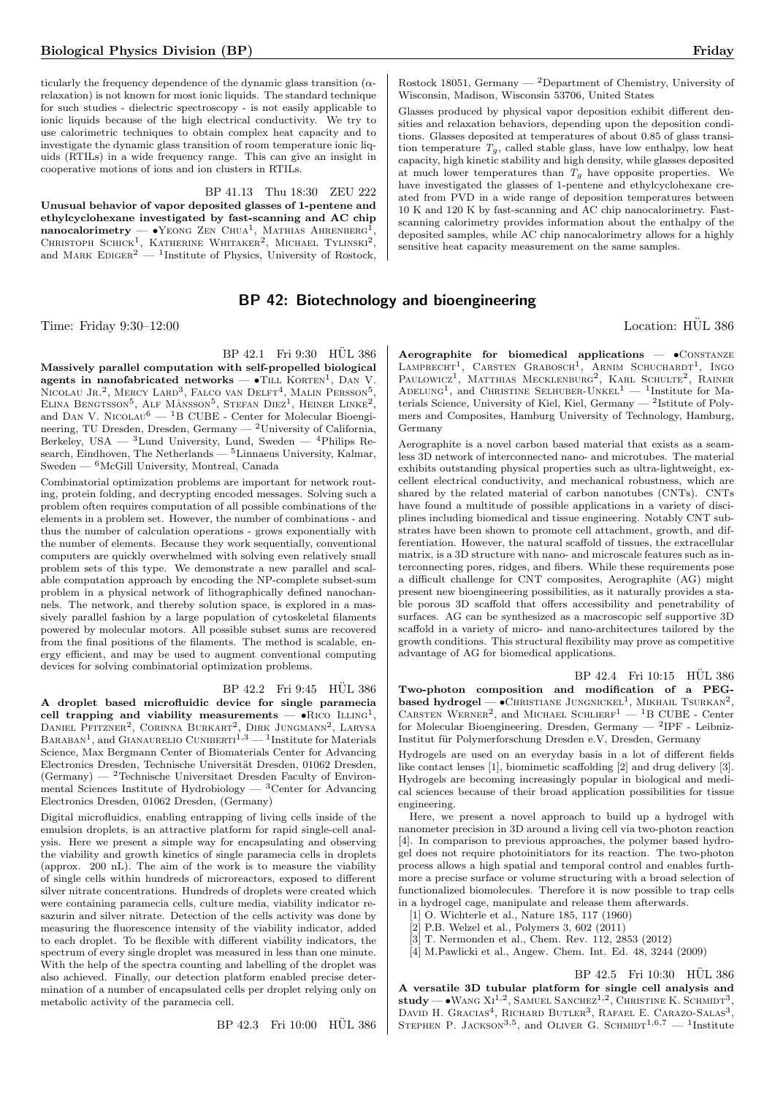ticularly the frequency dependence of the dynamic glass transition  $(\alpha$ relaxation) is not known for most ionic liquids. The standard technique for such studies - dielectric spectroscopy - is not easily applicable to ionic liquids because of the high electrical conductivity. We try to use calorimetric techniques to obtain complex heat capacity and to investigate the dynamic glass transition of room temperature ionic liquids (RTILs) in a wide frequency range. This can give an insight in cooperative motions of ions and ion clusters in RTILs.

BP 41.13 Thu 18:30 ZEU 222

Unusual behavior of vapor deposited glasses of 1-pentene and ethylcyclohexane investigated by fast-scanning and AC chip  $\mathbf{n}$ anocalori $\mathbf{m}$ etry —  $\bullet$ Yeong Zen Chua<sup>1</sup>, Mathias Ahrenberg<sup>1</sup>, CHRISTOPH SCHICK<sup>1</sup>, KATHERINE WHITAKER<sup>2</sup>, MICHAEL TYLINSKI<sup>2</sup>, and MARK EDIGER<sup>2</sup> — <sup>1</sup>Institute of Physics, University of Rostock,

# BP 42: Biotechnology and bioengineering

Time: Friday 9:30–12:00 Location: HÜL 386

BP 42.1 Fri 9:30 HÜL 386 Massively parallel computation with self-propelled biological agents in nanofabricated networks  $\bullet$ TILL KORTEN<sup>1</sup>, DAN V. NICOLAU JR.<sup>2</sup>, MERCY LARD<sup>3</sup>, FALCO VAN DELFT<sup>4</sup>, MALIN PERSSON<sup>5</sup>, ELINA BENGTSSON<sup>5</sup>, ALF MÅNSSON<sup>5</sup>, STEFAN DIEZ<sup>1</sup>, HEINER LINKE<sup>2</sup>, and DAN V. NICOLAU<sup>6</sup>  $-$ <sup>1</sup>B CUBE - Center for Molecular Bioengineering, TU Dresden, Dresden, Germany — <sup>2</sup>University of California, Berkeley, USA —  ${}^{3}$ Lund University, Lund, Sweden —  ${}^{4}$ Philips Research, Eindhoven, The Netherlands — <sup>5</sup>Linnaeus University, Kalmar, Sweden — <sup>6</sup>McGill University, Montreal, Canada

Combinatorial optimization problems are important for network routing, protein folding, and decrypting encoded messages. Solving such a problem often requires computation of all possible combinations of the elements in a problem set. However, the number of combinations - and thus the number of calculation operations - grows exponentially with the number of elements. Because they work sequentially, conventional computers are quickly overwhelmed with solving even relatively small problem sets of this type. We demonstrate a new parallel and scalable computation approach by encoding the NP-complete subset-sum problem in a physical network of lithographically defined nanochannels. The network, and thereby solution space, is explored in a massively parallel fashion by a large population of cytoskeletal filaments powered by molecular motors. All possible subset sums are recovered from the final positions of the filaments. The method is scalable, energy efficient, and may be used to augment conventional computing devices for solving combinatorial optimization problems.

# BP 42.2 Fri 9:45 HÜL 386

A droplet based microfluidic device for single paramecia cell trapping and viability measurements  $\bullet$ RICO ILLING<sup>1</sup>, DANIEL PFITZNER<sup>2</sup>, CORINNA BURKART<sup>2</sup>, DIRK JUNGMANN<sup>2</sup>, LARYSA BARABAN<sup>1</sup>, and GIANAURELIO CUNIBERTI<sup>1,3</sup> — <sup>1</sup>Institute for Materials Science, Max Bergmann Center of Biomaterials Center for Advancing Electronics Dresden, Technische Universität Dresden, 01062 Dresden,  $(Germany)$  — <sup>2</sup>Technische Universitaet Dresden Faculty of Environmental Sciences Institute of Hydrobiology  $-$  3 Center for Advancing Electronics Dresden, 01062 Dresden, (Germany)

Digital microfluidics, enabling entrapping of living cells inside of the emulsion droplets, is an attractive platform for rapid single-cell analysis. Here we present a simple way for encapsulating and observing the viability and growth kinetics of single paramecia cells in droplets (approx. 200 nL). The aim of the work is to measure the viability of single cells within hundreds of microreactors, exposed to different silver nitrate concentrations. Hundreds of droplets were created which were containing paramecia cells, culture media, viability indicator resazurin and silver nitrate. Detection of the cells activity was done by measuring the fluorescence intensity of the viability indicator, added to each droplet. To be flexible with different viability indicators, the spectrum of every single droplet was measured in less than one minute. With the help of the spectra counting and labelling of the droplet was also achieved. Finally, our detection platform enabled precise determination of a number of encapsulated cells per droplet relying only on metabolic activity of the paramecia cell.

BP 42.3 Fri 10:00 HÜL 386

Rostock 18051, Germany — <sup>2</sup>Department of Chemistry, University of Wisconsin, Madison, Wisconsin 53706, United States

Glasses produced by physical vapor deposition exhibit different densities and relaxation behaviors, depending upon the deposition conditions. Glasses deposited at temperatures of about 0.85 of glass transition temperature  $T_g$ , called stable glass, have low enthalpy, low heat capacity, high kinetic stability and high density, while glasses deposited at much lower temperatures than  $T_g$  have opposite properties. We have investigated the glasses of 1-pentene and ethylcyclohexane created from PVD in a wide range of deposition temperatures between 10 K and 120 K by fast-scanning and AC chip nanocalorimetry. Fastscanning calorimetry provides information about the enthalpy of the deposited samples, while AC chip nanocalorimetry allows for a highly sensitive heat capacity measurement on the same samples.

Aerographite for biomedical applications -  $\bullet$ CONSTANZE LAMPRECHT<sup>1</sup>, CARSTEN GRABOSCH<sup>1</sup>, ARNIM SCHUCHARDT<sup>1</sup>, INGO<br>Paulowicz<sup>1</sup>, Matthias Mecklenburg<sup>2</sup>, Karl Schulte<sup>2</sup>, Rainer ADELUNG<sup>1</sup>, and CHRISTINE SELHUBER-UNKEL<sup>1</sup> — <sup>1</sup>Institute for Materials Science, University of Kiel, Kiel, Germany — <sup>2</sup> Istitute of Polymers and Composites, Hamburg University of Technology, Hamburg, Germany

Aerographite is a novel carbon based material that exists as a seamless 3D network of interconnected nano- and microtubes. The material exhibits outstanding physical properties such as ultra-lightweight, excellent electrical conductivity, and mechanical robustness, which are shared by the related material of carbon nanotubes (CNTs). CNTs have found a multitude of possible applications in a variety of disciplines including biomedical and tissue engineering. Notably CNT substrates have been shown to promote cell attachment, growth, and differentiation. However, the natural scaffold of tissues, the extracellular matrix, is a 3D structure with nano- and microscale features such as interconnecting pores, ridges, and fibers. While these requirements pose a difficult challenge for CNT composites, Aerographite (AG) might present new bioengineering possibilities, as it naturally provides a stable porous 3D scaffold that offers accessibility and penetrability of surfaces. AG can be synthesized as a macroscopic self supportive 3D scaffold in a variety of micro- and nano-architectures tailored by the growth conditions. This structural flexibility may prove as competitive advantage of AG for biomedical applications.

BP 42.4 Fri 10:15 HÜL 386 Two-photon composition and modification of a PEGbased hydrogel —  $\bullet$ Christiane Jungnickel<sup>1</sup>, Mikhail Tsurkan<sup>2</sup>, CARSTEN WERNER<sup>2</sup>, and MICHAEL SCHLIERF<sup>1</sup> - <sup>1</sup>B CUBE - Center for Molecular Bioengineering, Dresden, Germany — <sup>2</sup>IPF - Leibniz-Institut für Polymerforschung Dresden e.V, Dresden, Germany

Hydrogels are used on an everyday basis in a lot of different fields like contact lenses [1], biomimetic scaffolding [2] and drug delivery [3]. Hydrogels are becoming increasingly popular in biological and medical sciences because of their broad application possibilities for tissue engineering.

Here, we present a novel approach to build up a hydrogel with nanometer precision in 3D around a living cell via two-photon reaction [4]. In comparison to previous approaches, the polymer based hydrogel does not require photoinitiators for its reaction. The two-photon process allows a high spatial and temporal control and enables furthmore a precise surface or volume structuring with a broad selection of functionalized biomolecules. Therefore it is now possible to trap cells in a hydrogel cage, manipulate and release them afterwards.

[1] O. Wichterle et al., Nature 185, 117 (1960)

[2] P.B. Welzel et al., Polymers 3, 602 (2011)

- [3] T. Nermonden et al., Chem. Rev. 112, 2853 (2012)
- [4] M.Pawlicki et al., Angew. Chem. Int. Ed. 48, 3244 (2009)

BP 42.5 Fri 10:30 HÜL 386 A versatile 3D tubular platform for single cell analysis and study — • WANG  $XI^{1,2}$ , SAMUEL SANCHEZ<sup>1,2</sup>, CHRISTINE K. SCHMIDT<sup>3</sup>, DAVID H. GRACIAS<sup>4</sup>, RICHARD BUTLER<sup>3</sup>, RAFAEL E. CARAZO-SALAS<sup>3</sup>, STEPHEN P. JACKSON<sup>3,5</sup>, and OLIVER G. SCHMIDT<sup>1,6,7</sup> - <sup>1</sup>Institute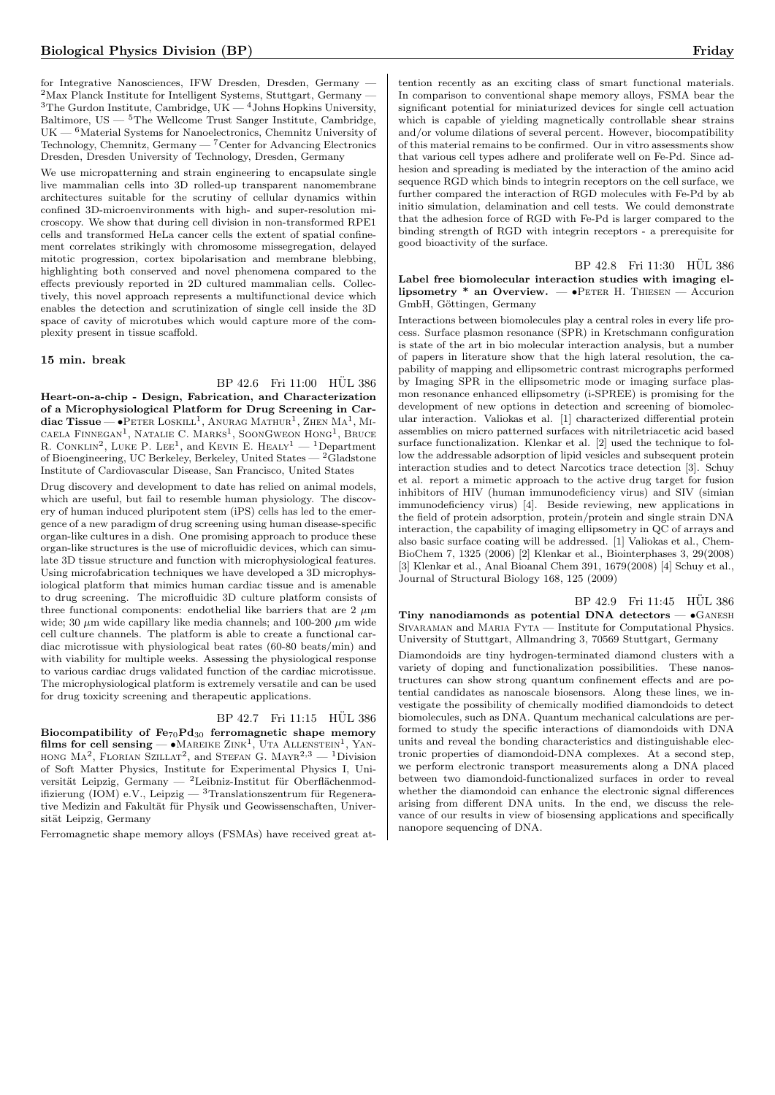for Integrative Nanosciences, IFW Dresden, Dresden, Germany —  $2$ Max Planck Institute for Intelligent Systems, Stuttgart, Germany - ${}^{3}$ The Gurdon Institute, Cambridge, UK  $-{}^{4}$ Johns Hopkins University, Baltimore,  $US - {^5The}$  Wellcome Trust Sanger Institute, Cambridge,  $UK - 6$ Material Systems for Nanoelectronics, Chemnitz University of Technology, Chemnitz, Germany — <sup>7</sup>Center for Advancing Electronics Dresden, Dresden University of Technology, Dresden, Germany

We use micropatterning and strain engineering to encapsulate single live mammalian cells into 3D rolled-up transparent nanomembrane architectures suitable for the scrutiny of cellular dynamics within confined 3D-microenvironments with high- and super-resolution microscopy. We show that during cell division in non-transformed RPE1 cells and transformed HeLa cancer cells the extent of spatial confinement correlates strikingly with chromosome missegregation, delayed mitotic progression, cortex bipolarisation and membrane blebbing, highlighting both conserved and novel phenomena compared to the effects previously reported in 2D cultured mammalian cells. Collectively, this novel approach represents a multifunctional device which enables the detection and scrutinization of single cell inside the 3D space of cavity of microtubes which would capture more of the complexity present in tissue scaffold.

#### 15 min. break

BP 42.6 Fri 11:00 HÜL 386

Heart-on-a-chip - Design, Fabrication, and Characterization of a Microphysiological Platform for Drug Screening in Cardiac Tissue —  $\bullet$ Peter Loskill<sup>1</sup>, Anurag Mathur<sup>1</sup>, Zhen Ma<sup>1</sup>, Mi-CAELA FINNEGAN<sup>1</sup>, NATALIE C. MARKS<sup>1</sup>, SOONGWEON HONG<sup>1</sup>, BRUCE R. CONKLIN<sup>2</sup>, LUKE P. LEE<sup>1</sup>, and KEVIN E. HEALY<sup>1</sup> — <sup>1</sup>Department of Bioengineering, UC Berkeley, Berkeley, United States — <sup>2</sup>Gladstone Institute of Cardiovascular Disease, San Francisco, United States

Drug discovery and development to date has relied on animal models, which are useful, but fail to resemble human physiology. The discovery of human induced pluripotent stem (iPS) cells has led to the emergence of a new paradigm of drug screening using human disease-specific organ-like cultures in a dish. One promising approach to produce these organ-like structures is the use of microfluidic devices, which can simulate 3D tissue structure and function with microphysiological features. Using microfabrication techniques we have developed a 3D microphysiological platform that mimics human cardiac tissue and is amenable to drug screening. The microfluidic 3D culture platform consists of three functional components: endothelial like barriers that are  $2 \mu m$ wide; 30  $\mu \mathrm{m}$  wide capillary like media channels; and 100-200  $\mu \mathrm{m}$  wide cell culture channels. The platform is able to create a functional cardiac microtissue with physiological beat rates (60-80 beats/min) and with viability for multiple weeks. Assessing the physiological response to various cardiac drugs validated function of the cardiac microtissue. The microphysiological platform is extremely versatile and can be used for drug toxicity screening and therapeutic applications.

# BP 42.7 Fri 11:15 HÜL 386

Biocompatibility of  $Fe_{70}Pd_{30}$  ferromagnetic shape memory films for cell sensing —  $\bullet$  Mareike Zink<sup>1</sup>, Uta Allenstein<sup>1</sup>, Yan-HONG MA<sup>2</sup>, FLORIAN SZILLAT<sup>2</sup>, and STEFAN G. MAYR<sup>2,3</sup> — <sup>1</sup>Division of Soft Matter Physics, Institute for Experimental Physics I, Universität Leipzig, Germany — <sup>2</sup>Leibniz-Institut für Oberflächenmodifizierung (IOM) e.V., Leipzig —  $\rm{^{3}Translationszentrum}$  für Regenerative Medizin and Fakultät für Physik und Geowissenschaften, Universität Leipzig, Germany

Ferromagnetic shape memory alloys (FSMAs) have received great at-

tention recently as an exciting class of smart functional materials. In comparison to conventional shape memory alloys, FSMA bear the significant potential for miniaturized devices for single cell actuation which is capable of yielding magnetically controllable shear strains and/or volume dilations of several percent. However, biocompatibility of this material remains to be confirmed. Our in vitro assessments show that various cell types adhere and proliferate well on Fe-Pd. Since adhesion and spreading is mediated by the interaction of the amino acid sequence RGD which binds to integrin receptors on the cell surface, we further compared the interaction of RGD molecules with Fe-Pd by ab initio simulation, delamination and cell tests. We could demonstrate that the adhesion force of RGD with Fe-Pd is larger compared to the binding strength of RGD with integrin receptors - a prerequisite for good bioactivity of the surface.

## BP 42.8 Fri 11:30 HÜL 386 Label free biomolecular interaction studies with imaging ellipsometry \* an Overview.  $-\bullet$ PETER H. THIESEN  $-$  Accurion GmbH, Göttingen, Germany

Interactions between biomolecules play a central roles in every life process. Surface plasmon resonance (SPR) in Kretschmann configuration is state of the art in bio molecular interaction analysis, but a number of papers in literature show that the high lateral resolution, the capability of mapping and ellipsometric contrast micrographs performed by Imaging SPR in the ellipsometric mode or imaging surface plasmon resonance enhanced ellipsometry (i-SPREE) is promising for the development of new options in detection and screening of biomolecular interaction. Valiokas et al. [1] characterized differential protein assemblies on micro patterned surfaces with nitriletriacetic acid based surface functionalization. Klenkar et al. [2] used the technique to follow the addressable adsorption of lipid vesicles and subsequent protein interaction studies and to detect Narcotics trace detection [3]. Schuy et al. report a mimetic approach to the active drug target for fusion inhibitors of HIV (human immunodeficiency virus) and SIV (simian immunodeficiency virus) [4]. Beside reviewing, new applications in the field of protein adsorption, protein/protein and single strain DNA interaction, the capability of imaging ellipsometry in QC of arrays and also basic surface coating will be addressed. [1] Valiokas et al., Chem-BioChem 7, 1325 (2006) [2] Klenkar et al., Biointerphases 3, 29(2008) [3] Klenkar et al., Anal Bioanal Chem 391, 1679(2008) [4] Schuy et al., Journal of Structural Biology 168, 125 (2009)

BP 42.9 Fri 11:45 HÜL 386 Tiny nanodiamonds as potential DNA detectors  $\bullet$  GANESH SIVARAMAN and MARIA FYTA — Institute for Computational Physics. University of Stuttgart, Allmandring 3, 70569 Stuttgart, Germany

Diamondoids are tiny hydrogen-terminated diamond clusters with a variety of doping and functionalization possibilities. These nanostructures can show strong quantum confinement effects and are potential candidates as nanoscale biosensors. Along these lines, we investigate the possibility of chemically modified diamondoids to detect biomolecules, such as DNA. Quantum mechanical calculations are performed to study the specific interactions of diamondoids with DNA units and reveal the bonding characteristics and distinguishable electronic properties of diamondoid-DNA complexes. At a second step, we perform electronic transport measurements along a DNA placed between two diamondoid-functionalized surfaces in order to reveal whether the diamondoid can enhance the electronic signal differences arising from different DNA units. In the end, we discuss the relevance of our results in view of biosensing applications and specifically nanopore sequencing of DNA.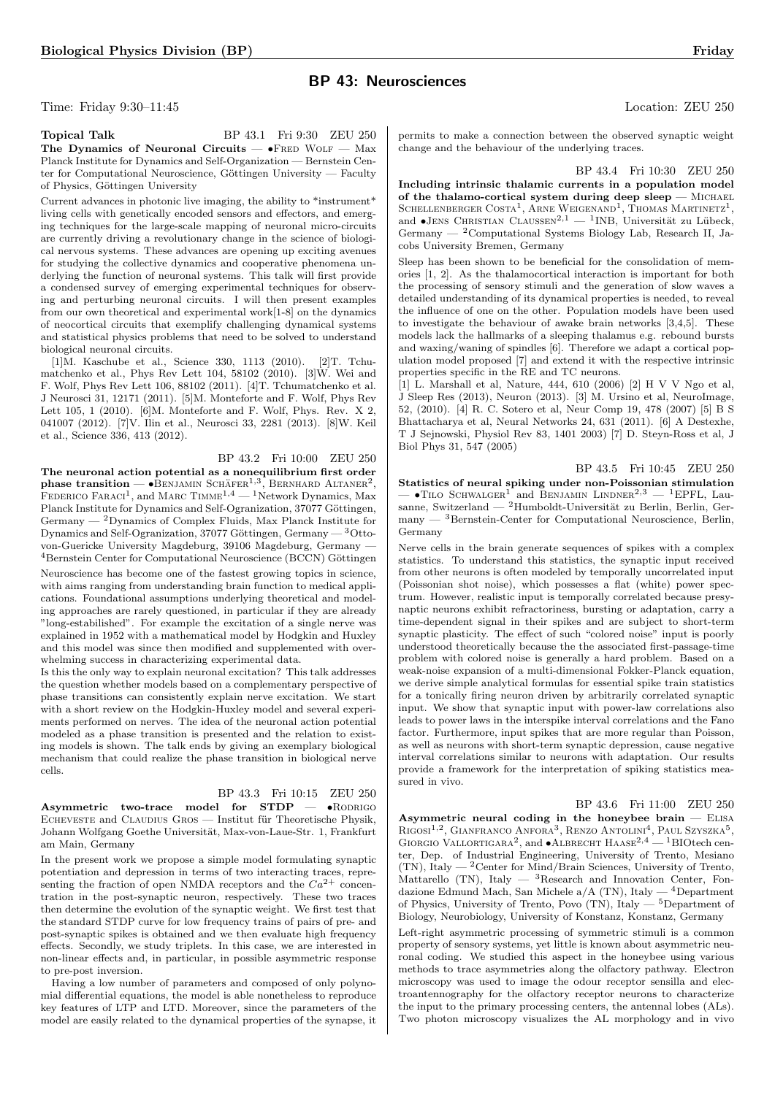# BP 43: Neurosciences

Time: Friday 9:30–11:45 Location: ZEU 250

Topical Talk BP 43.1 Fri 9:30 ZEU 250 The Dynamics of Neuronal Circuits  $- \bullet$  FRED WOLF  $-$  Max Planck Institute for Dynamics and Self-Organization — Bernstein Center for Computational Neuroscience, Göttingen University — Faculty of Physics, Göttingen University

Current advances in photonic live imaging, the ability to \*instrument\* living cells with genetically encoded sensors and effectors, and emerging techniques for the large-scale mapping of neuronal micro-circuits are currently driving a revolutionary change in the science of biological nervous systems. These advances are opening up exciting avenues for studying the collective dynamics and cooperative phenomena underlying the function of neuronal systems. This talk will first provide a condensed survey of emerging experimental techniques for observing and perturbing neuronal circuits. I will then present examples from our own theoretical and experimental work[1-8] on the dynamics of neocortical circuits that exemplify challenging dynamical systems and statistical physics problems that need to be solved to understand biological neuronal circuits.

[1]M. Kaschube et al., Science 330, 1113 (2010). [2]T. Tchumatchenko et al., Phys Rev Lett 104, 58102 (2010). [3]W. Wei and F. Wolf, Phys Rev Lett 106, 88102 (2011). [4]T. Tchumatchenko et al. J Neurosci 31, 12171 (2011). [5]M. Monteforte and F. Wolf, Phys Rev Lett 105, 1 (2010). [6]M. Monteforte and F. Wolf, Phys. Rev. X 2, 041007 (2012). [7]V. Ilin et al., Neurosci 33, 2281 (2013). [8]W. Keil et al., Science 336, 413 (2012).

# BP 43.2 Fri 10:00 ZEU 250

The neuronal action potential as a nonequilibrium first order phase transition —  $\bullet$  BENJAMIN SCHÄFER<sup>1,3</sup>, BERNHARD ALTANER<sup>2</sup>, FEDERICO FARACI<sup>1</sup>, and MARC TIMME<sup>1,4</sup> — <sup>1</sup>Network Dynamics, Max Planck Institute for Dynamics and Self-Ogranization, 37077 Göttingen, Germany  $-2$  Dynamics of Complex Fluids, Max Planck Institute for Dynamics and Self-Ogranization, 37077 Göttingen, Germany  $-3$ Ottovon-Guericke University Magdeburg, 39106 Magdeburg, Germany — <sup>4</sup> Bernstein Center for Computational Neuroscience (BCCN) Göttingen

Neuroscience has become one of the fastest growing topics in science, with aims ranging from understanding brain function to medical applications. Foundational assumptions underlying theoretical and modeling approaches are rarely questioned, in particular if they are already "long-estabilished". For example the excitation of a single nerve was explained in 1952 with a mathematical model by Hodgkin and Huxley and this model was since then modified and supplemented with overwhelming success in characterizing experimental data.

Is this the only way to explain neuronal excitation? This talk addresses the question whether models based on a complementary perspective of phase transitions can consistently explain nerve excitation. We start with a short review on the Hodgkin-Huxley model and several experiments performed on nerves. The idea of the neuronal action potential modeled as a phase transition is presented and the relation to existing models is shown. The talk ends by giving an exemplary biological mechanism that could realize the phase transition in biological nerve cells.

#### BP 43.3 Fri 10:15 ZEU 250

Asymmetric two-trace model for  $STDP$   $\bullet$  RODRIGO ECHEVESTE and CLAUDIUS GROS — Institut für Theoretische Physik. Johann Wolfgang Goethe Universität, Max-von-Laue-Str. 1, Frankfurt am Main, Germany

In the present work we propose a simple model formulating synaptic potentiation and depression in terms of two interacting traces, representing the fraction of open NMDA receptors and the  $Ca^{2+}$  concentration in the post-synaptic neuron, respectively. These two traces then determine the evolution of the synaptic weight. We first test that the standard STDP curve for low frequency trains of pairs of pre- and post-synaptic spikes is obtained and we then evaluate high frequency effects. Secondly, we study triplets. In this case, we are interested in non-linear effects and, in particular, in possible asymmetric response to pre-post inversion.

Having a low number of parameters and composed of only polynomial differential equations, the model is able nonetheless to reproduce key features of LTP and LTD. Moreover, since the parameters of the model are easily related to the dynamical properties of the synapse, it

permits to make a connection between the observed synaptic weight change and the behaviour of the underlying traces.

BP 43.4 Fri 10:30 ZEU 250

Including intrinsic thalamic currents in a population model of the thalamo-cortical system during deep sleep  $-$  MICHAEL SCHELLENBERGER COSTA<sup>1</sup>, ARNE WEIGENAND<sup>1</sup>, THOMAS MARTINETZ<sup>1</sup>, and •JENS CHRISTIAN CLAUSSEN<sup>2,1</sup> — <sup>1</sup>INB, Universität zu Lübeck, Germany — <sup>2</sup>Computational Systems Biology Lab, Research II, Jacobs University Bremen, Germany

Sleep has been shown to be beneficial for the consolidation of memories [1, 2]. As the thalamocortical interaction is important for both the processing of sensory stimuli and the generation of slow waves a detailed understanding of its dynamical properties is needed, to reveal the influence of one on the other. Population models have been used to investigate the behaviour of awake brain networks [3,4,5]. These models lack the hallmarks of a sleeping thalamus e.g. rebound bursts and waxing/waning of spindles [6]. Therefore we adapt a cortical population model proposed [7] and extend it with the respective intrinsic properties specific in the RE and TC neurons.

[1] L. Marshall et al, Nature, 444, 610 (2006) [2] H V V Ngo et al, J Sleep Res (2013), Neuron (2013). [3] M. Ursino et al, NeuroImage, 52, (2010). [4] R. C. Sotero et al, Neur Comp 19, 478 (2007) [5] B S Bhattacharya et al, Neural Networks 24, 631 (2011). [6] A Destexhe, T J Sejnowski, Physiol Rev 83, 1401 2003) [7] D. Steyn-Ross et al, J Biol Phys 31, 547 (2005)

BP 43.5 Fri 10:45 ZEU 250 Statistics of neural spiking under non-Poissonian stimulation  $\bullet$ TILO SCHWALGER<sup>1</sup> and BENJAMIN LINDNER<sup>2,3</sup> - <sup>1</sup>EPFL, Lau- $\frac{1}{2}$  sanne, Switzerland —  $\frac{2}{2}$ Humboldt-Universität zu Berlin, Berlin, Germany — <sup>3</sup>Bernstein-Center for Computational Neuroscience, Berlin, Germany

Nerve cells in the brain generate sequences of spikes with a complex statistics. To understand this statistics, the synaptic input received from other neurons is often modeled by temporally uncorrelated input (Poissonian shot noise), which possesses a flat (white) power spectrum. However, realistic input is temporally correlated because presynaptic neurons exhibit refractoriness, bursting or adaptation, carry a time-dependent signal in their spikes and are subject to short-term synaptic plasticity. The effect of such "colored noise" input is poorly understood theoretically because the the associated first-passage-time problem with colored noise is generally a hard problem. Based on a weak-noise expansion of a multi-dimensional Fokker-Planck equation, we derive simple analytical formulas for essential spike train statistics for a tonically firing neuron driven by arbitrarily correlated synaptic input. We show that synaptic input with power-law correlations also leads to power laws in the interspike interval correlations and the Fano factor. Furthermore, input spikes that are more regular than Poisson, as well as neurons with short-term synaptic depression, cause negative interval correlations similar to neurons with adaptation. Our results provide a framework for the interpretation of spiking statistics measured in vivo.

## BP 43.6 Fri 11:00 ZEU 250

Asymmetric neural coding in the honeybee brain — Elisa RIGOSI<sup>1,2</sup>, GIANFRANCO ANFORA<sup>3</sup>, RENZO ANTOLINI<sup>4</sup>, PAUL SZYSZKA<sup>5</sup>, GIORGIO VALLORTIGARA<sup>2</sup>, and  $\bullet$ ALBRECHT HAASE<sup>2,4</sup> — <sup>1</sup>BIOtech center, Dep. of Industrial Engineering, University of Trento, Mesiano (TN), Italy — <sup>2</sup>Center for Mind/Brain Sciences, University of Trento, Mattarello (TN), Italy  $-$  <sup>3</sup>Research and Innovation Center, Fondazione Edmund Mach, San Michele a/A (TN), Italy — <sup>4</sup>Department of Physics, University of Trento, Povo  $(TN)$ , Italy — 5Department of Biology, Neurobiology, University of Konstanz, Konstanz, Germany

Left-right asymmetric processing of symmetric stimuli is a common property of sensory systems, yet little is known about asymmetric neuronal coding. We studied this aspect in the honeybee using various methods to trace asymmetries along the olfactory pathway. Electron microscopy was used to image the odour receptor sensilla and electroantennography for the olfactory receptor neurons to characterize the input to the primary processing centers, the antennal lobes (ALs). Two photon microscopy visualizes the AL morphology and in vivo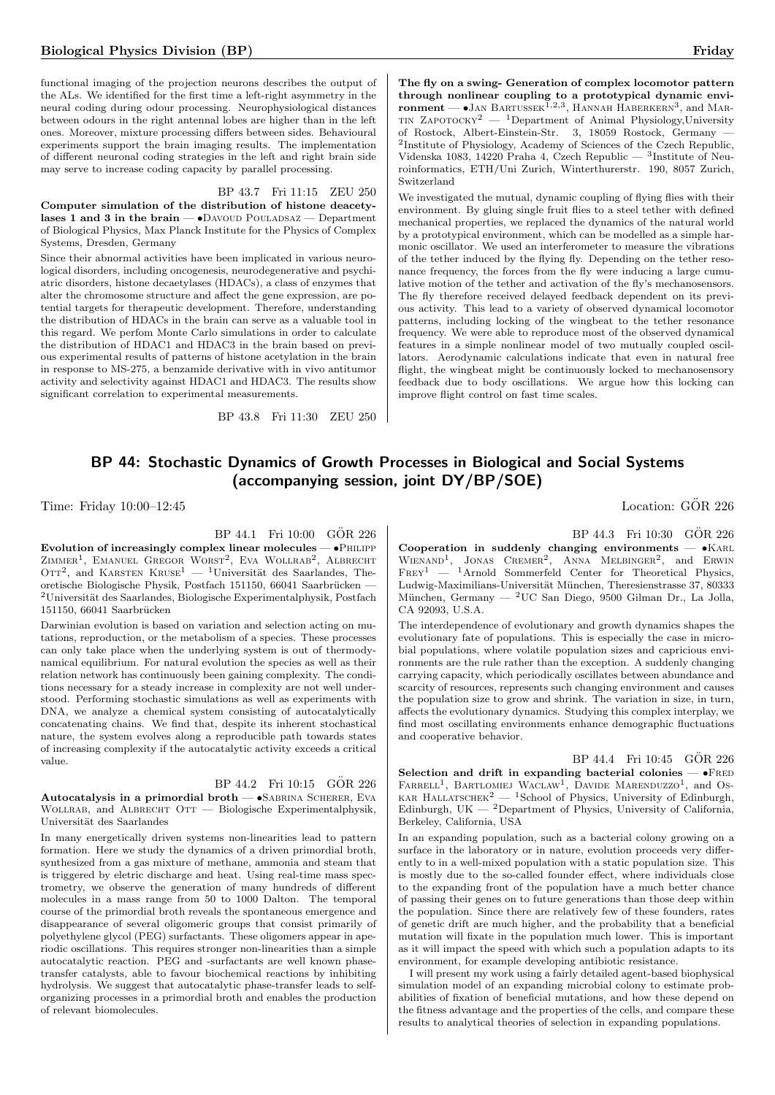functional imaging of the projection neurons describes the output of the ALs. We identified for the first time a left-right asymmetry in the neural coding during odour processing. Neurophysiological distances between odours in the right antennal lobes are higher than in the left ones. Moreover, mixture processing differs between sides. Behavioural experiments support the brain imaging results. The implementation of different neuronal coding strategies in the left and right brain side may serve to increase coding capacity by parallel processing.

#### BP 43.7 Fri 11:15 ZEU 250

Computer simulation of the distribution of histone deacetylases 1 and 3 in the brain  $\bullet$ Davoud Pouladsaz  $-$  Department of Biological Physics, Max Planck Institute for the Physics of Complex Systems, Dresden, Germany

Since their abnormal activities have been implicated in various neurological disorders, including oncogenesis, neurodegenerative and psychiatric disorders, histone decaetylases (HDACs), a class of enzymes that alter the chromosome structure and affect the gene expression, are potential targets for therapeutic development. Therefore, understanding the distribution of HDACs in the brain can serve as a valuable tool in this regard. We perfom Monte Carlo simulations in order to calculate the distribution of HDAC1 and HDAC3 in the brain based on previous experimental results of patterns of histone acetylation in the brain in response to MS-275, a benzamide derivative with in vivo antitumor activity and selectivity against HDAC1 and HDAC3. The results show significant correlation to experimental measurements.

BP 43.8 Fri 11:30 ZEU 250

The fly on a swing- Generation of complex locomotor pattern through nonlinear coupling to a prototypical dynamic environment  $-$  •Jan Bartussex<sup>1,2,3</sup>, Hannah Haberkern<sup>3</sup>, and Mar-TIN ZAPOTOCKY<sup>2</sup> — <sup>1</sup>Department of Animal Physiology,University of Rostock, Albert-Einstein-Str. 3, 18059 Rostock, Germany — 2 Institute of Physiology, Academy of Sciences of the Czech Republic, Videnska 1083, 14220 Praha 4, Czech Republic — 3Institute of Neuroinformatics, ETH/Uni Zurich, Winterthurerstr. 190, 8057 Zurich, Switzerland

We investigated the mutual, dynamic coupling of flying flies with their environment. By gluing single fruit flies to a steel tether with defined mechanical properties, we replaced the dynamics of the natural world by a prototypical environment, which can be modelled as a simple harmonic oscillator. We used an interferometer to measure the vibrations of the tether induced by the flying fly. Depending on the tether resonance frequency, the forces from the fly were inducing a large cumulative motion of the tether and activation of the fly's mechanosensors. The fly therefore received delayed feedback dependent on its previous activity. This lead to a variety of observed dynamical locomotor patterns, including locking of the wingbeat to the tether resonance frequency. We were able to reproduce most of the observed dynamical features in a simple nonlinear model of two mutually coupled oscillators. Aerodynamic calculations indicate that even in natural free flight, the wingbeat might be continuously locked to mechanosensory feedback due to body oscillations. We argue how this locking can improve flight control on fast time scales.

# BP 44: Stochastic Dynamics of Growth Processes in Biological and Social Systems (accompanying session, joint DY/BP/SOE)

Time: Friday  $10:00-12:45$  Location: GÖR 226

BP 44.1 Fri 10:00 GÖR 226

Evolution of increasingly complex linear molecules  $-\bullet$  PHILIPP ZIMMER<sup>1</sup>, EMANUEL GREGOR WORST<sup>2</sup>, EVA WOLLRAB<sup>2</sup>, ALBRECHT OTT<sup>2</sup>, and KARSTEN KRUSE<sup>1</sup> — <sup>1</sup>Universität des Saarlandes, Theoretische Biologische Physik, Postfach 151150, 66041 Saarbrücken - $2$ Universität des Saarlandes, Biologische Experimentalphysik, Postfach 151150, 66041 Saarbrücken

Darwinian evolution is based on variation and selection acting on mutations, reproduction, or the metabolism of a species. These processes can only take place when the underlying system is out of thermodynamical equilibrium. For natural evolution the species as well as their relation network has continuously been gaining complexity. The conditions necessary for a steady increase in complexity are not well understood. Performing stochastic simulations as well as experiments with DNA, we analyze a chemical system consisting of autocatalytically concatenating chains. We find that, despite its inherent stochastical nature, the system evolves along a reproducible path towards states of increasing complexity if the autocatalytic activity exceeds a critical value.

### BP 44.2 Fri 10:15 GÖR 226

Autocatalysis in a primordial broth - SABRINA SCHERER, EVA WOLLRAB, and ALBRECHT OTT - Biologische Experimentalphysik, Universität des Saarlandes

In many energetically driven systems non-linearities lead to pattern formation. Here we study the dynamics of a driven primordial broth, synthesized from a gas mixture of methane, ammonia and steam that is triggered by eletric discharge and heat. Using real-time mass spectrometry, we observe the generation of many hundreds of different molecules in a mass range from 50 to 1000 Dalton. The temporal course of the primordial broth reveals the spontaneous emergence and disappearance of several oligomeric groups that consist primarily of polyethylene glycol (PEG) surfactants. These oligomers appear in aperiodic oscillations. This requires stronger non-linearities than a simple autocatalytic reaction. PEG and -surfactants are well known phasetransfer catalysts, able to favour biochemical reactions by inhibiting hydrolysis. We suggest that autocatalytic phase-transfer leads to selforganizing processes in a primordial broth and enables the production of relevant biomolecules.

BP 44.3 Fri 10:30 GÖR 226

Cooperation in suddenly changing environments  $-$  •KARL WIENAND<sup>1</sup>, JONAS CREMER<sup>2</sup>, ANNA MELBINGER<sup>2</sup>, and ERWIN  $FREF<sup>1</sup>$  — <sup>1</sup>Arnold Sommerfeld Center for Theoretical Physics, Ludwig-Maximilians-Universität München, Theresienstrasse 37, 80333 München, Germany — <sup>2</sup>UC San Diego, 9500 Gilman Dr., La Jolla, CA 92093, U.S.A.

The interdependence of evolutionary and growth dynamics shapes the evolutionary fate of populations. This is especially the case in microbial populations, where volatile population sizes and capricious environments are the rule rather than the exception. A suddenly changing carrying capacity, which periodically oscillates between abundance and scarcity of resources, represents such changing environment and causes the population size to grow and shrink. The variation in size, in turn, affects the evolutionary dynamics. Studying this complex interplay, we find most oscillating environments enhance demographic fluctuations and cooperative behavior.

BP 44.4 Fri 10:45 GÖR 226 Selection and drift in expanding bacterial colonies  $\bullet$  FRED FARRELL<sup>1</sup>, BARTLOMIEJ WACLAW<sup>1</sup>, DAVIDE MARENDUZZO<sup>1</sup>, and Os-KAR HALLATSCHEK<sup>2</sup> — <sup>1</sup>School of Physics, University of Edinburgh, Edinburgh, UK  $-$  <sup>2</sup>Department of Physics, University of California, Berkeley, California, USA

In an expanding population, such as a bacterial colony growing on a surface in the laboratory or in nature, evolution proceeds very differently to in a well-mixed population with a static population size. This is mostly due to the so-called founder effect, where individuals close to the expanding front of the population have a much better chance of passing their genes on to future generations than those deep within the population. Since there are relatively few of these founders, rates of genetic drift are much higher, and the probability that a beneficial mutation will fixate in the population much lower. This is important as it will impact the speed with which such a population adapts to its environment, for example developing antibiotic resistance.

I will present my work using a fairly detailed agent-based biophysical simulation model of an expanding microbial colony to estimate probabilities of fixation of beneficial mutations, and how these depend on the fitness advantage and the properties of the cells, and compare these results to analytical theories of selection in expanding populations.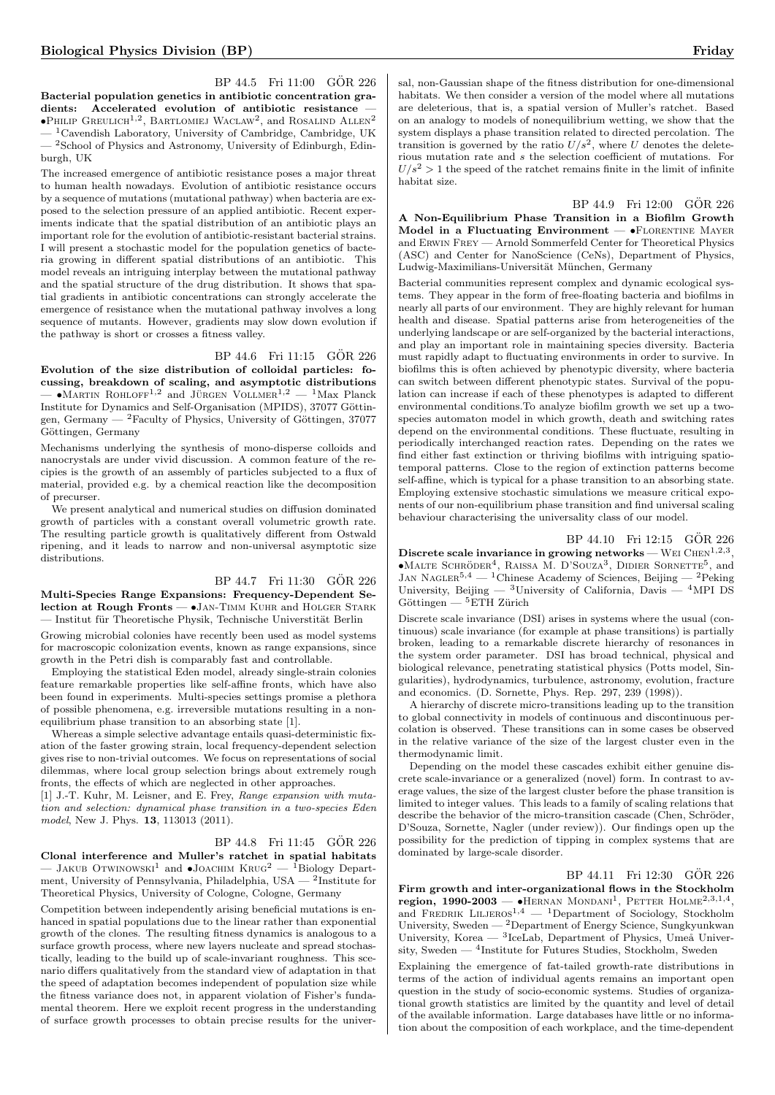BP 44.5 Fri 11:00 GÖR 226 Bacterial population genetics in antibiotic concentration gradients: Accelerated evolution of antibiotic resistance  $\bullet$ Philip Greulich<sup>1,2</sup>, Bartlomiej Waclaw<sup>2</sup>, and Rosalind Allen<sup>2</sup>  $1$ Cavendish Laboratory, University of Cambridge, Cambridge, UK <sup>2</sup>School of Physics and Astronomy, University of Edinburgh, Edinburgh, UK

The increased emergence of antibiotic resistance poses a major threat to human health nowadays. Evolution of antibiotic resistance occurs by a sequence of mutations (mutational pathway) when bacteria are exposed to the selection pressure of an applied antibiotic. Recent experiments indicate that the spatial distribution of an antibiotic plays an important role for the evolution of antibiotic-resistant bacterial strains. I will present a stochastic model for the population genetics of bacteria growing in different spatial distributions of an antibiotic. This model reveals an intriguing interplay between the mutational pathway and the spatial structure of the drug distribution. It shows that spatial gradients in antibiotic concentrations can strongly accelerate the emergence of resistance when the mutational pathway involves a long sequence of mutants. However, gradients may slow down evolution if the pathway is short or crosses a fitness valley.

#### BP 44.6 Fri 11:15 GÖR 226

Evolution of the size distribution of colloidal particles: focussing, breakdown of scaling, and asymptotic distributions  $-$  •MARTIN ROHLOFF<sup>1,2</sup> and JÜRGEN VOLLMER<sup>1,2</sup> — <sup>1</sup>Max Planck Institute for Dynamics and Self-Organisation (MPIDS), 37077 Göttingen, Germany —  ${}^{2}$ Faculty of Physics, University of Göttingen, 37077 Göttingen, Germany

Mechanisms underlying the synthesis of mono-disperse colloids and nanocrystals are under vivid discussion. A common feature of the recipies is the growth of an assembly of particles subjected to a flux of material, provided e.g. by a chemical reaction like the decomposition of precurser.

We present analytical and numerical studies on diffusion dominated growth of particles with a constant overall volumetric growth rate. The resulting particle growth is qualitatively different from Ostwald ripening, and it leads to narrow and non-universal asymptotic size distributions.

## BP 44.7 Fri 11:30 GÖR 226

Multi-Species Range Expansions: Frequency-Dependent Selection at Rough Fronts — •JAN-TIMM KUHR and HOLGER STARK — Institut für Theoretische Physik, Technische Universtität Berlin

Growing microbial colonies have recently been used as model systems for macroscopic colonization events, known as range expansions, since growth in the Petri dish is comparably fast and controllable.

Employing the statistical Eden model, already single-strain colonies feature remarkable properties like self-affine fronts, which have also been found in experiments. Multi-species settings promise a plethora of possible phenomena, e.g. irreversible mutations resulting in a nonequilibrium phase transition to an absorbing state [1].

Whereas a simple selective advantage entails quasi-deterministic fixation of the faster growing strain, local frequency-dependent selection gives rise to non-trivial outcomes. We focus on representations of social dilemmas, where local group selection brings about extremely rough fronts, the effects of which are neglected in other approaches.

[1] J.-T. Kuhr, M. Leisner, and E. Frey, Range expansion with mutation and selection: dynamical phase transition in a two-species Eden model, New J. Phys. **13**, 113013 (2011).

# BP 44.8 Fri 11:45 GÖR 226

Clonal interference and Muller's ratchet in spatial habitats - JAKUB OTWINOWSKI<sup>1</sup> and  $\bullet$ JOACHIM KRUG<sup>2</sup> — <sup>1</sup>Biology Department, University of Pennsylvania, Philadelphia, USA — <sup>2</sup>Institute for Theoretical Physics, University of Cologne, Cologne, Germany

Competition between independently arising beneficial mutations is enhanced in spatial populations due to the linear rather than exponential growth of the clones. The resulting fitness dynamics is analogous to a surface growth process, where new layers nucleate and spread stochastically, leading to the build up of scale-invariant roughness. This scenario differs qualitatively from the standard view of adaptation in that the speed of adaptation becomes independent of population size while the fitness variance does not, in apparent violation of Fisher's fundamental theorem. Here we exploit recent progress in the understanding of surface growth processes to obtain precise results for the universal, non-Gaussian shape of the fitness distribution for one-dimensional habitats. We then consider a version of the model where all mutations are deleterious, that is, a spatial version of Muller's ratchet. Based on an analogy to models of nonequilibrium wetting, we show that the system displays a phase transition related to directed percolation. The transition is governed by the ratio  $U/s^2$ , where U denotes the deleterious mutation rate and s the selection coefficient of mutations. For  $U/s^2 > 1$  the speed of the ratchet remains finite in the limit of infinite habitat size.

BP 44.9 Fri 12:00 GÖR 226 A Non-Equilibrium Phase Transition in a Biofilm Growth Model in a Fluctuating Environment  $\bullet$ FLORENTINE MAYER and Erwin Frey — Arnold Sommerfeld Center for Theoretical Physics (ASC) and Center for NanoScience (CeNs), Department of Physics, Ludwig-Maximilians-Universität München, Germany

Bacterial communities represent complex and dynamic ecological systems. They appear in the form of free-floating bacteria and biofilms in nearly all parts of our environment. They are highly relevant for human health and disease. Spatial patterns arise from heterogeneities of the underlying landscape or are self-organized by the bacterial interactions, and play an important role in maintaining species diversity. Bacteria must rapidly adapt to fluctuating environments in order to survive. In biofilms this is often achieved by phenotypic diversity, where bacteria can switch between different phenotypic states. Survival of the population can increase if each of these phenotypes is adapted to different environmental conditions.To analyze biofilm growth we set up a twospecies automaton model in which growth, death and switching rates depend on the environmental conditions. These fluctuate, resulting in periodically interchanged reaction rates. Depending on the rates we find either fast extinction or thriving biofilms with intriguing spatiotemporal patterns. Close to the region of extinction patterns become self-affine, which is typical for a phase transition to an absorbing state. Employing extensive stochastic simulations we measure critical exponents of our non-equilibrium phase transition and find universal scaling behaviour characterising the universality class of our model.

BP 44.10 Fri 12:15 GÖR 226 Discrete scale invariance in growing networks – WEI CHEN<sup>1,2,3</sup> •MALTE SCHRÖDER<sup>4</sup>, RAISSA M. D'SOUZA<sup>3</sup>, DIDIER SORNETTE<sup>5</sup>, and JAN NAGLER<sup>5,4</sup> — <sup>1</sup>Chinese Academy of Sciences, Beijing — <sup>2</sup>Peking University, Beijing —  ${}^{3}$ University of California, Davis —  ${}^{4}$ MPI DS  $Göttingen - 5ETH Zürich$ 

Discrete scale invariance (DSI) arises in systems where the usual (continuous) scale invariance (for example at phase transitions) is partially broken, leading to a remarkable discrete hierarchy of resonances in the system order parameter. DSI has broad technical, physical and biological relevance, penetrating statistical physics (Potts model, Singularities), hydrodynamics, turbulence, astronomy, evolution, fracture and economics. (D. Sornette, Phys. Rep. 297, 239 (1998)).

A hierarchy of discrete micro-transitions leading up to the transition to global connectivity in models of continuous and discontinuous percolation is observed. These transitions can in some cases be observed in the relative variance of the size of the largest cluster even in the thermodynamic limit.

Depending on the model these cascades exhibit either genuine discrete scale-invariance or a generalized (novel) form. In contrast to average values, the size of the largest cluster before the phase transition is limited to integer values. This leads to a family of scaling relations that describe the behavior of the micro-transition cascade (Chen, Schröder, D'Souza, Sornette, Nagler (under review)). Our findings open up the possibility for the prediction of tipping in complex systems that are dominated by large-scale disorder.

BP 44.11 Fri 12:30 GÖR 226

Firm growth and inter-organizational flows in the Stockholm region, 1990-2003 – •HERNAN MONDANI<sup>1</sup>, PETTER HOLME<sup>2,3,1,4</sup> and FREDRIK LILJEROS<sup>1,4</sup> — <sup>1</sup>Department of Sociology, Stockholm University, Sweden — <sup>2</sup>Department of Energy Science, Sungkyunkwan University, Korea — <sup>3</sup>IceLab, Department of Physics, Umeå University, Sweden — <sup>4</sup>Institute for Futures Studies, Stockholm, Sweden

Explaining the emergence of fat-tailed growth-rate distributions in terms of the action of individual agents remains an important open question in the study of socio-economic systems. Studies of organizational growth statistics are limited by the quantity and level of detail of the available information. Large databases have little or no information about the composition of each workplace, and the time-dependent